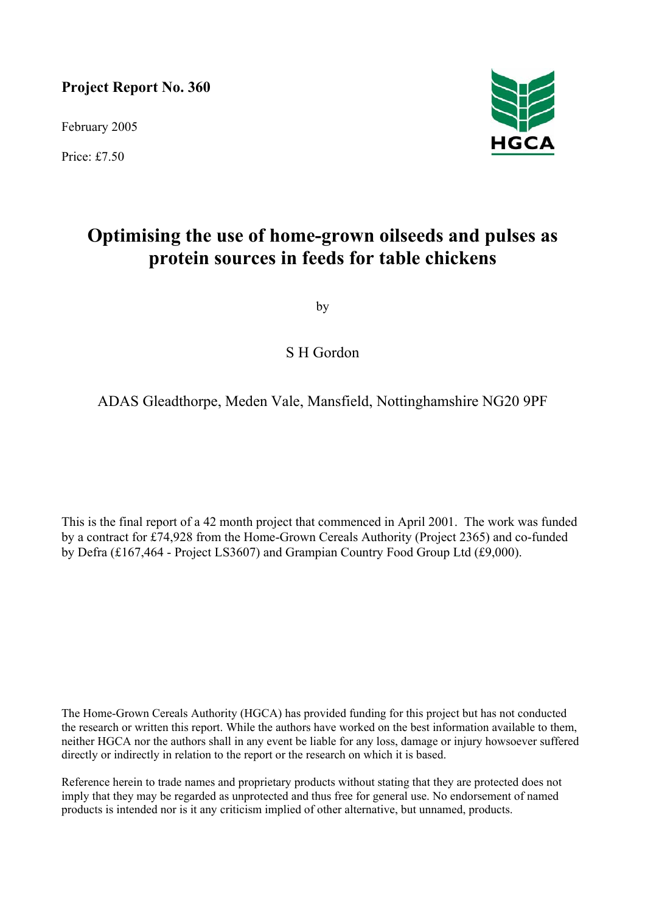**Project Report No. 360** 

February 2005

Price: £7.50



# **Optimising the use of home-grown oilseeds and pulses as protein sources in feeds for table chickens**

by

# S H Gordon

# ADAS Gleadthorpe, Meden Vale, Mansfield, Nottinghamshire NG20 9PF

This is the final report of a 42 month project that commenced in April 2001. The work was funded by a contract for £74,928 from the Home-Grown Cereals Authority (Project 2365) and co-funded by Defra (£167,464 - Project LS3607) and Grampian Country Food Group Ltd (£9,000).

The Home-Grown Cereals Authority (HGCA) has provided funding for this project but has not conducted the research or written this report. While the authors have worked on the best information available to them, neither HGCA nor the authors shall in any event be liable for any loss, damage or injury howsoever suffered directly or indirectly in relation to the report or the research on which it is based.

Reference herein to trade names and proprietary products without stating that they are protected does not imply that they may be regarded as unprotected and thus free for general use. No endorsement of named products is intended nor is it any criticism implied of other alternative, but unnamed, products.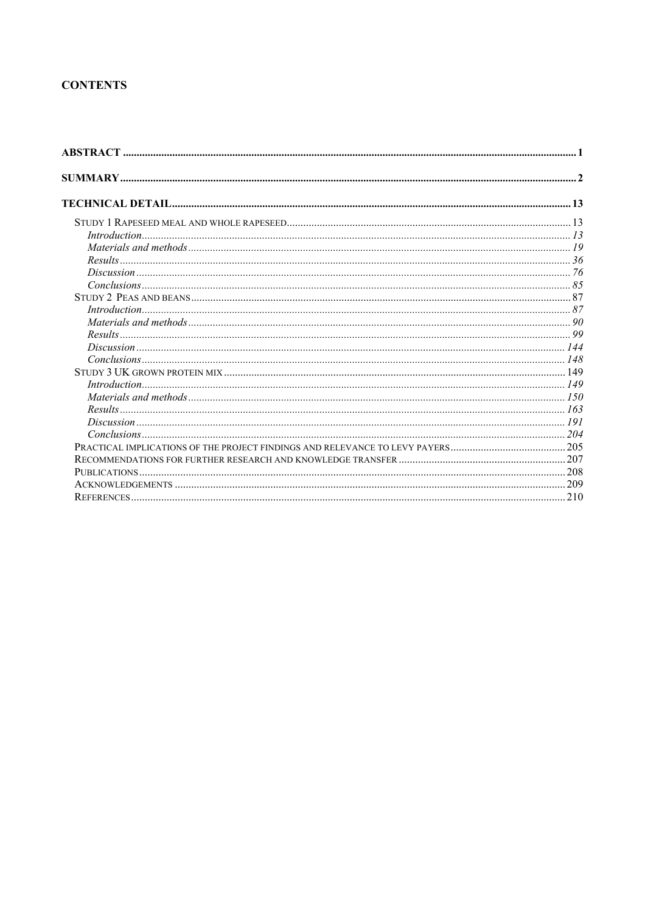# **CONTENTS**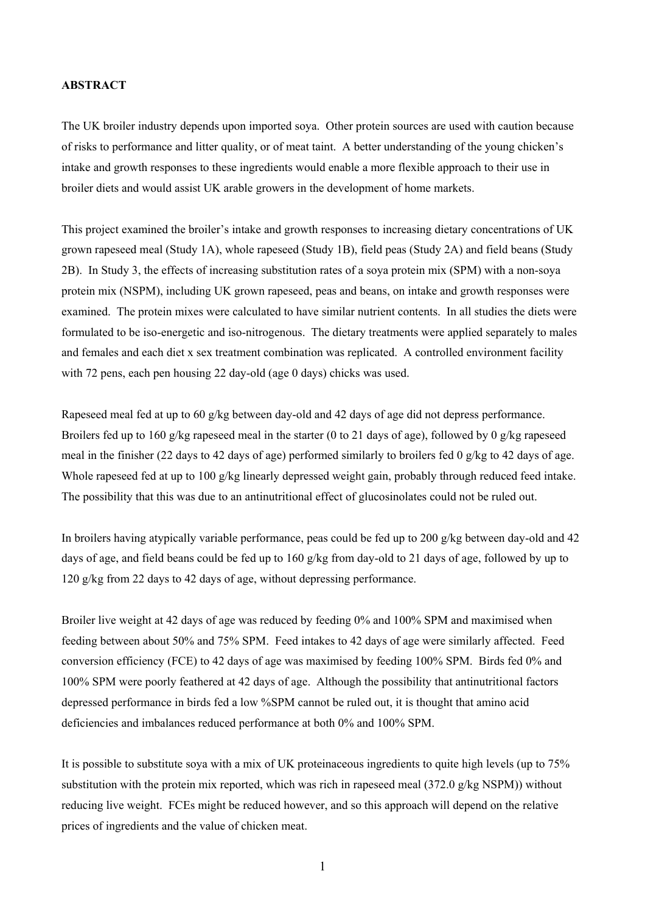#### **ABSTRACT**

The UK broiler industry depends upon imported soya. Other protein sources are used with caution because of risks to performance and litter quality, or of meat taint. A better understanding of the young chicken's intake and growth responses to these ingredients would enable a more flexible approach to their use in broiler diets and would assist UK arable growers in the development of home markets.

This project examined the broiler's intake and growth responses to increasing dietary concentrations of UK grown rapeseed meal (Study 1A), whole rapeseed (Study 1B), field peas (Study 2A) and field beans (Study 2B). In Study 3, the effects of increasing substitution rates of a soya protein mix (SPM) with a non-soya protein mix (NSPM), including UK grown rapeseed, peas and beans, on intake and growth responses were examined. The protein mixes were calculated to have similar nutrient contents. In all studies the diets were formulated to be iso-energetic and iso-nitrogenous. The dietary treatments were applied separately to males and females and each diet x sex treatment combination was replicated. A controlled environment facility with 72 pens, each pen housing 22 day-old (age 0 days) chicks was used.

Rapeseed meal fed at up to 60 g/kg between day-old and 42 days of age did not depress performance. Broilers fed up to 160 g/kg rapeseed meal in the starter (0 to 21 days of age), followed by 0 g/kg rapeseed meal in the finisher (22 days to 42 days of age) performed similarly to broilers fed 0 g/kg to 42 days of age. Whole rapeseed fed at up to 100 g/kg linearly depressed weight gain, probably through reduced feed intake. The possibility that this was due to an antinutritional effect of glucosinolates could not be ruled out.

In broilers having atypically variable performance, peas could be fed up to 200 g/kg between day-old and 42 days of age, and field beans could be fed up to 160 g/kg from day-old to 21 days of age, followed by up to 120 g/kg from 22 days to 42 days of age, without depressing performance.

Broiler live weight at 42 days of age was reduced by feeding 0% and 100% SPM and maximised when feeding between about 50% and 75% SPM. Feed intakes to 42 days of age were similarly affected. Feed conversion efficiency (FCE) to 42 days of age was maximised by feeding 100% SPM. Birds fed 0% and 100% SPM were poorly feathered at 42 days of age. Although the possibility that antinutritional factors depressed performance in birds fed a low %SPM cannot be ruled out, it is thought that amino acid deficiencies and imbalances reduced performance at both 0% and 100% SPM.

It is possible to substitute soya with a mix of UK proteinaceous ingredients to quite high levels (up to 75% substitution with the protein mix reported, which was rich in rapeseed meal (372.0 g/kg NSPM)) without reducing live weight. FCEs might be reduced however, and so this approach will depend on the relative prices of ingredients and the value of chicken meat.

1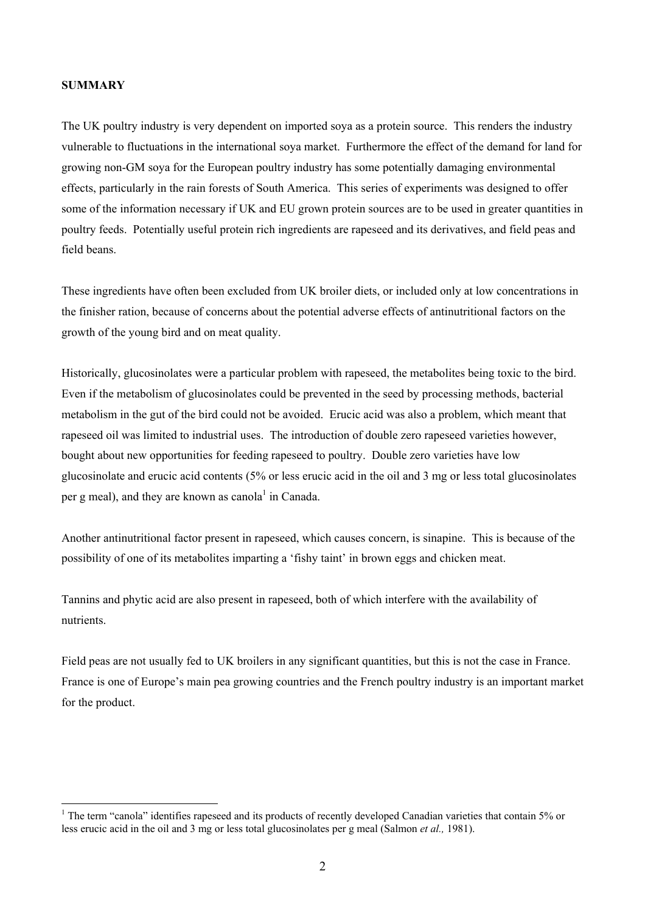#### **SUMMARY**

 $\overline{a}$ 

The UK poultry industry is very dependent on imported soya as a protein source. This renders the industry vulnerable to fluctuations in the international soya market. Furthermore the effect of the demand for land for growing non-GM soya for the European poultry industry has some potentially damaging environmental effects, particularly in the rain forests of South America. This series of experiments was designed to offer some of the information necessary if UK and EU grown protein sources are to be used in greater quantities in poultry feeds. Potentially useful protein rich ingredients are rapeseed and its derivatives, and field peas and field beans.

These ingredients have often been excluded from UK broiler diets, or included only at low concentrations in the finisher ration, because of concerns about the potential adverse effects of antinutritional factors on the growth of the young bird and on meat quality.

Historically, glucosinolates were a particular problem with rapeseed, the metabolites being toxic to the bird. Even if the metabolism of glucosinolates could be prevented in the seed by processing methods, bacterial metabolism in the gut of the bird could not be avoided. Erucic acid was also a problem, which meant that rapeseed oil was limited to industrial uses. The introduction of double zero rapeseed varieties however, bought about new opportunities for feeding rapeseed to poultry. Double zero varieties have low glucosinolate and erucic acid contents (5% or less erucic acid in the oil and 3 mg or less total glucosinolates per g meal), and they are known as canola<sup>1</sup> in Canada.

Another antinutritional factor present in rapeseed, which causes concern, is sinapine. This is because of the possibility of one of its metabolites imparting a 'fishy taint' in brown eggs and chicken meat.

Tannins and phytic acid are also present in rapeseed, both of which interfere with the availability of nutrients.

Field peas are not usually fed to UK broilers in any significant quantities, but this is not the case in France. France is one of Europe's main pea growing countries and the French poultry industry is an important market for the product.

<sup>&</sup>lt;sup>1</sup> The term "canola" identifies rapeseed and its products of recently developed Canadian varieties that contain 5% or less erucic acid in the oil and 3 mg or less total glucosinolates per g meal (Salmon *et al.,* 1981).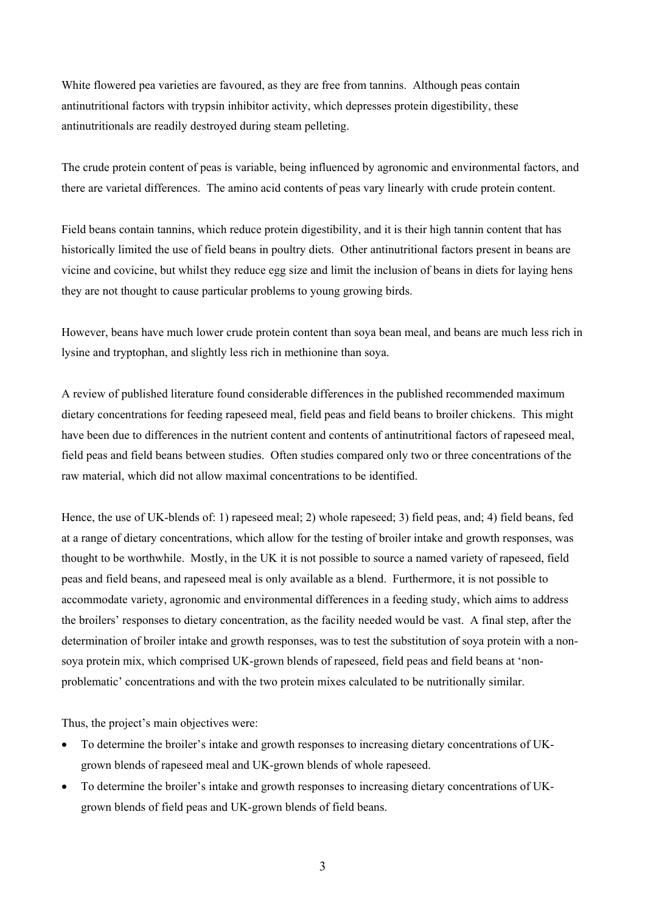White flowered pea varieties are favoured, as they are free from tannins. Although peas contain antinutritional factors with trypsin inhibitor activity, which depresses protein digestibility, these antinutritionals are readily destroyed during steam pelleting.

The crude protein content of peas is variable, being influenced by agronomic and environmental factors, and there are varietal differences. The amino acid contents of peas vary linearly with crude protein content.

Field beans contain tannins, which reduce protein digestibility, and it is their high tannin content that has historically limited the use of field beans in poultry diets. Other antinutritional factors present in beans are vicine and covicine, but whilst they reduce egg size and limit the inclusion of beans in diets for laying hens they are not thought to cause particular problems to young growing birds.

However, beans have much lower crude protein content than soya bean meal, and beans are much less rich in lysine and tryptophan, and slightly less rich in methionine than soya.

A review of published literature found considerable differences in the published recommended maximum dietary concentrations for feeding rapeseed meal, field peas and field beans to broiler chickens. This might have been due to differences in the nutrient content and contents of antinutritional factors of rapeseed meal, field peas and field beans between studies. Often studies compared only two or three concentrations of the raw material, which did not allow maximal concentrations to be identified.

Hence, the use of UK-blends of: 1) rapeseed meal; 2) whole rapeseed; 3) field peas, and; 4) field beans, fed at a range of dietary concentrations, which allow for the testing of broiler intake and growth responses, was thought to be worthwhile. Mostly, in the UK it is not possible to source a named variety of rapeseed, field peas and field beans, and rapeseed meal is only available as a blend. Furthermore, it is not possible to accommodate variety, agronomic and environmental differences in a feeding study, which aims to address the broilers' responses to dietary concentration, as the facility needed would be vast. A final step, after the determination of broiler intake and growth responses, was to test the substitution of soya protein with a nonsoya protein mix, which comprised UK-grown blends of rapeseed, field peas and field beans at 'nonproblematic' concentrations and with the two protein mixes calculated to be nutritionally similar.

Thus, the project's main objectives were:

- To determine the broiler's intake and growth responses to increasing dietary concentrations of UKgrown blends of rapeseed meal and UK-grown blends of whole rapeseed.
- To determine the broiler's intake and growth responses to increasing dietary concentrations of UKgrown blends of field peas and UK-grown blends of field beans.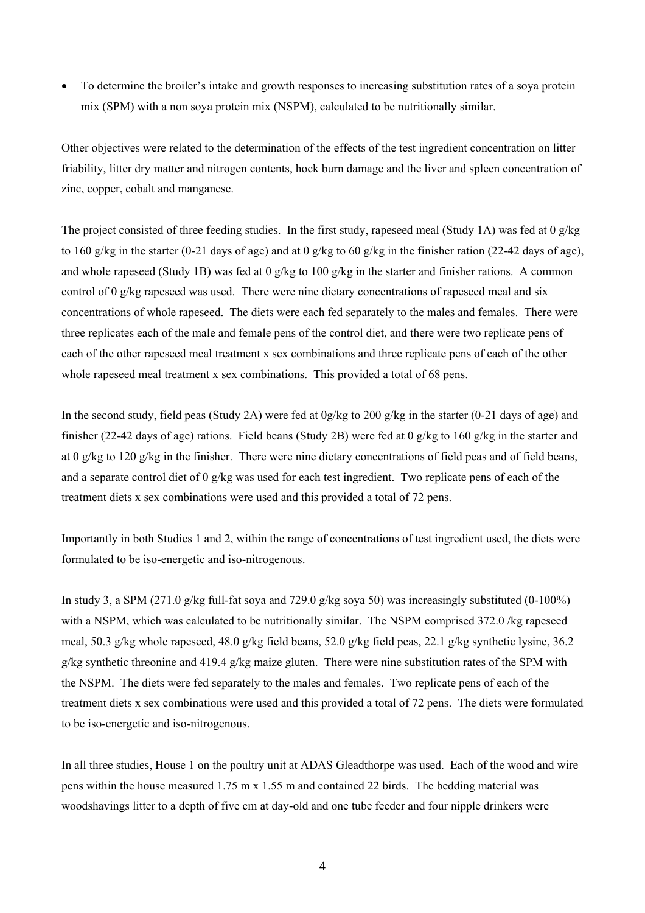• To determine the broiler's intake and growth responses to increasing substitution rates of a soya protein mix (SPM) with a non soya protein mix (NSPM), calculated to be nutritionally similar.

Other objectives were related to the determination of the effects of the test ingredient concentration on litter friability, litter dry matter and nitrogen contents, hock burn damage and the liver and spleen concentration of zinc, copper, cobalt and manganese.

The project consisted of three feeding studies. In the first study, rapeseed meal (Study 1A) was fed at 0 g/kg to 160 g/kg in the starter (0-21 days of age) and at 0 g/kg to 60 g/kg in the finisher ration (22-42 days of age), and whole rapeseed (Study 1B) was fed at 0 g/kg to 100 g/kg in the starter and finisher rations. A common control of 0 g/kg rapeseed was used. There were nine dietary concentrations of rapeseed meal and six concentrations of whole rapeseed. The diets were each fed separately to the males and females. There were three replicates each of the male and female pens of the control diet, and there were two replicate pens of each of the other rapeseed meal treatment x sex combinations and three replicate pens of each of the other whole rapeseed meal treatment x sex combinations. This provided a total of 68 pens.

In the second study, field peas (Study 2A) were fed at 0g/kg to 200 g/kg in the starter (0-21 days of age) and finisher (22-42 days of age) rations. Field beans (Study 2B) were fed at 0 g/kg to 160 g/kg in the starter and at 0 g/kg to 120 g/kg in the finisher. There were nine dietary concentrations of field peas and of field beans, and a separate control diet of 0 g/kg was used for each test ingredient. Two replicate pens of each of the treatment diets x sex combinations were used and this provided a total of 72 pens.

Importantly in both Studies 1 and 2, within the range of concentrations of test ingredient used, the diets were formulated to be iso-energetic and iso-nitrogenous.

In study 3, a SPM (271.0 g/kg full-fat soya and 729.0 g/kg soya 50) was increasingly substituted (0-100%) with a NSPM, which was calculated to be nutritionally similar. The NSPM comprised 372.0 /kg rapeseed meal, 50.3 g/kg whole rapeseed, 48.0 g/kg field beans, 52.0 g/kg field peas, 22.1 g/kg synthetic lysine, 36.2 g/kg synthetic threonine and 419.4 g/kg maize gluten. There were nine substitution rates of the SPM with the NSPM. The diets were fed separately to the males and females. Two replicate pens of each of the treatment diets x sex combinations were used and this provided a total of 72 pens. The diets were formulated to be iso-energetic and iso-nitrogenous.

In all three studies, House 1 on the poultry unit at ADAS Gleadthorpe was used. Each of the wood and wire pens within the house measured 1.75 m x 1.55 m and contained 22 birds. The bedding material was woodshavings litter to a depth of five cm at day-old and one tube feeder and four nipple drinkers were

4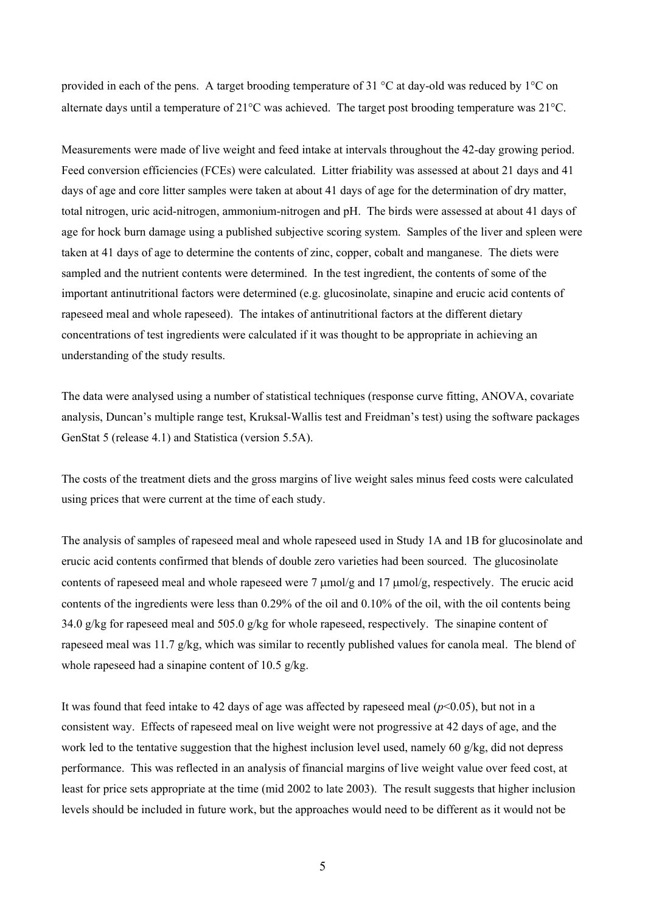provided in each of the pens. A target brooding temperature of 31 °C at day-old was reduced by 1°C on alternate days until a temperature of 21°C was achieved. The target post brooding temperature was 21°C.

Measurements were made of live weight and feed intake at intervals throughout the 42-day growing period. Feed conversion efficiencies (FCEs) were calculated. Litter friability was assessed at about 21 days and 41 days of age and core litter samples were taken at about 41 days of age for the determination of dry matter, total nitrogen, uric acid-nitrogen, ammonium-nitrogen and pH. The birds were assessed at about 41 days of age for hock burn damage using a published subjective scoring system. Samples of the liver and spleen were taken at 41 days of age to determine the contents of zinc, copper, cobalt and manganese. The diets were sampled and the nutrient contents were determined. In the test ingredient, the contents of some of the important antinutritional factors were determined (e.g. glucosinolate, sinapine and erucic acid contents of rapeseed meal and whole rapeseed). The intakes of antinutritional factors at the different dietary concentrations of test ingredients were calculated if it was thought to be appropriate in achieving an understanding of the study results.

The data were analysed using a number of statistical techniques (response curve fitting, ANOVA, covariate analysis, Duncan's multiple range test, Kruksal-Wallis test and Freidman's test) using the software packages GenStat 5 (release 4.1) and Statistica (version 5.5A).

The costs of the treatment diets and the gross margins of live weight sales minus feed costs were calculated using prices that were current at the time of each study.

The analysis of samples of rapeseed meal and whole rapeseed used in Study 1A and 1B for glucosinolate and erucic acid contents confirmed that blends of double zero varieties had been sourced. The glucosinolate contents of rapeseed meal and whole rapeseed were 7  $\mu$ mol/g and 17  $\mu$ mol/g, respectively. The erucic acid contents of the ingredients were less than 0.29% of the oil and 0.10% of the oil, with the oil contents being 34.0 g/kg for rapeseed meal and 505.0 g/kg for whole rapeseed, respectively. The sinapine content of rapeseed meal was 11.7 g/kg, which was similar to recently published values for canola meal. The blend of whole rapeseed had a sinapine content of 10.5 g/kg.

It was found that feed intake to 42 days of age was affected by rapeseed meal  $(p<0.05)$ , but not in a consistent way. Effects of rapeseed meal on live weight were not progressive at 42 days of age, and the work led to the tentative suggestion that the highest inclusion level used, namely 60 g/kg, did not depress performance. This was reflected in an analysis of financial margins of live weight value over feed cost, at least for price sets appropriate at the time (mid 2002 to late 2003). The result suggests that higher inclusion levels should be included in future work, but the approaches would need to be different as it would not be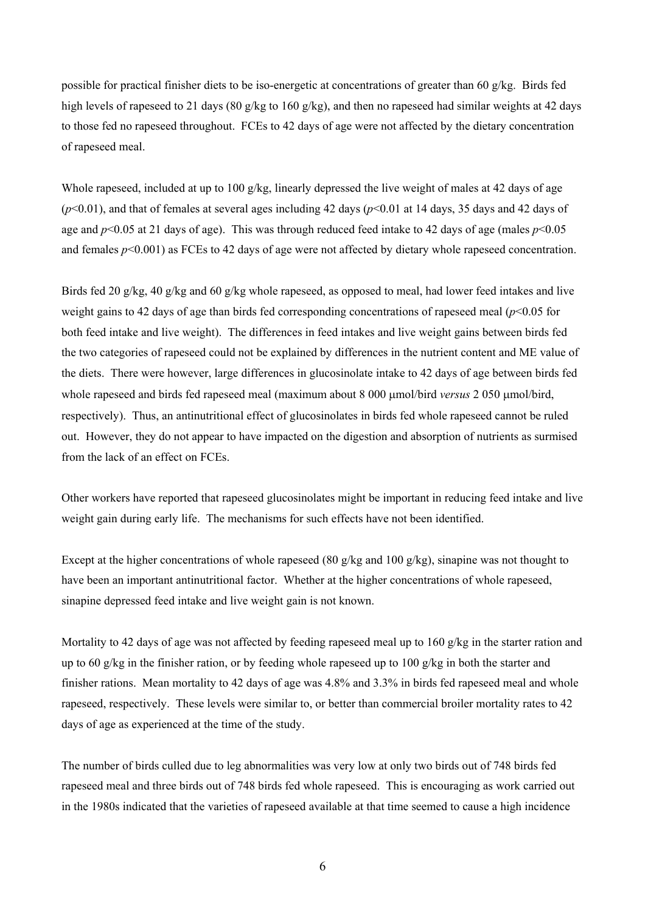possible for practical finisher diets to be iso-energetic at concentrations of greater than 60 g/kg. Birds fed high levels of rapeseed to 21 days (80 g/kg to 160 g/kg), and then no rapeseed had similar weights at 42 days to those fed no rapeseed throughout. FCEs to 42 days of age were not affected by the dietary concentration of rapeseed meal.

Whole rapeseed, included at up to 100 g/kg, linearly depressed the live weight of males at 42 days of age (*p*<0.01), and that of females at several ages including 42 days (*p*<0.01 at 14 days, 35 days and 42 days of age and *p*<0.05 at 21 days of age). This was through reduced feed intake to 42 days of age (males *p*<0.05 and females  $p<0.001$ ) as FCEs to 42 days of age were not affected by dietary whole rapeseed concentration.

Birds fed 20 g/kg, 40 g/kg and 60 g/kg whole rapeseed, as opposed to meal, had lower feed intakes and live weight gains to 42 days of age than birds fed corresponding concentrations of rapeseed meal (*p*<0.05 for both feed intake and live weight). The differences in feed intakes and live weight gains between birds fed the two categories of rapeseed could not be explained by differences in the nutrient content and ME value of the diets. There were however, large differences in glucosinolate intake to 42 days of age between birds fed whole rapeseed and birds fed rapeseed meal (maximum about 8 000 µmol/bird *versus* 2 050 µmol/bird, respectively). Thus, an antinutritional effect of glucosinolates in birds fed whole rapeseed cannot be ruled out. However, they do not appear to have impacted on the digestion and absorption of nutrients as surmised from the lack of an effect on FCEs.

Other workers have reported that rapeseed glucosinolates might be important in reducing feed intake and live weight gain during early life. The mechanisms for such effects have not been identified.

Except at the higher concentrations of whole rapeseed (80 g/kg and 100 g/kg), sinapine was not thought to have been an important antinutritional factor. Whether at the higher concentrations of whole rapeseed, sinapine depressed feed intake and live weight gain is not known.

Mortality to 42 days of age was not affected by feeding rapeseed meal up to 160 g/kg in the starter ration and up to 60 g/kg in the finisher ration, or by feeding whole rapeseed up to 100 g/kg in both the starter and finisher rations. Mean mortality to 42 days of age was 4.8% and 3.3% in birds fed rapeseed meal and whole rapeseed, respectively. These levels were similar to, or better than commercial broiler mortality rates to 42 days of age as experienced at the time of the study.

The number of birds culled due to leg abnormalities was very low at only two birds out of 748 birds fed rapeseed meal and three birds out of 748 birds fed whole rapeseed. This is encouraging as work carried out in the 1980s indicated that the varieties of rapeseed available at that time seemed to cause a high incidence

6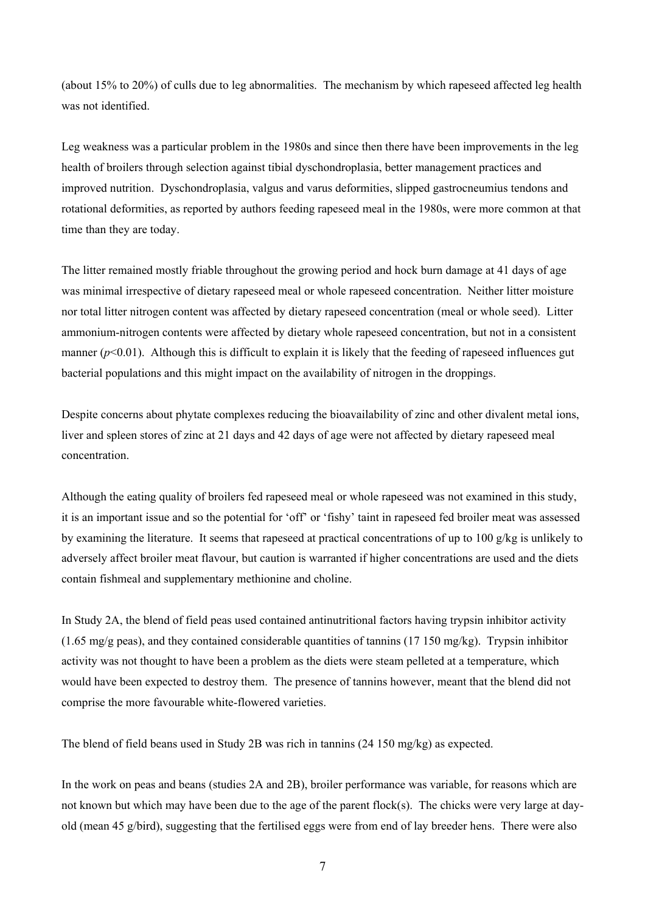(about 15% to 20%) of culls due to leg abnormalities. The mechanism by which rapeseed affected leg health was not identified.

Leg weakness was a particular problem in the 1980s and since then there have been improvements in the leg health of broilers through selection against tibial dyschondroplasia, better management practices and improved nutrition. Dyschondroplasia, valgus and varus deformities, slipped gastrocneumius tendons and rotational deformities, as reported by authors feeding rapeseed meal in the 1980s, were more common at that time than they are today.

The litter remained mostly friable throughout the growing period and hock burn damage at 41 days of age was minimal irrespective of dietary rapeseed meal or whole rapeseed concentration. Neither litter moisture nor total litter nitrogen content was affected by dietary rapeseed concentration (meal or whole seed). Litter ammonium-nitrogen contents were affected by dietary whole rapeseed concentration, but not in a consistent manner  $(p<0.01)$ . Although this is difficult to explain it is likely that the feeding of rapeseed influences gut bacterial populations and this might impact on the availability of nitrogen in the droppings.

Despite concerns about phytate complexes reducing the bioavailability of zinc and other divalent metal ions, liver and spleen stores of zinc at 21 days and 42 days of age were not affected by dietary rapeseed meal concentration.

Although the eating quality of broilers fed rapeseed meal or whole rapeseed was not examined in this study, it is an important issue and so the potential for 'off' or 'fishy' taint in rapeseed fed broiler meat was assessed by examining the literature. It seems that rapeseed at practical concentrations of up to 100 g/kg is unlikely to adversely affect broiler meat flavour, but caution is warranted if higher concentrations are used and the diets contain fishmeal and supplementary methionine and choline.

In Study 2A, the blend of field peas used contained antinutritional factors having trypsin inhibitor activity  $(1.65 \text{ mg/g} \text{ peas})$ , and they contained considerable quantities of tannins  $(17 \text{ 150 mg/kg})$ . Trypsin inhibitor activity was not thought to have been a problem as the diets were steam pelleted at a temperature, which would have been expected to destroy them. The presence of tannins however, meant that the blend did not comprise the more favourable white-flowered varieties.

The blend of field beans used in Study 2B was rich in tannins (24 150 mg/kg) as expected.

In the work on peas and beans (studies 2A and 2B), broiler performance was variable, for reasons which are not known but which may have been due to the age of the parent flock(s). The chicks were very large at dayold (mean 45 g/bird), suggesting that the fertilised eggs were from end of lay breeder hens. There were also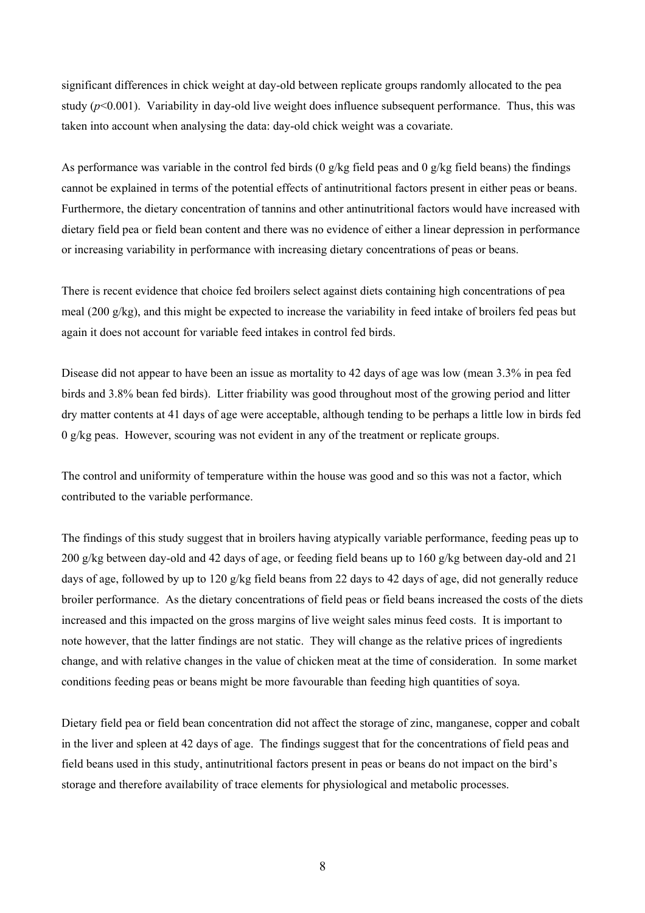significant differences in chick weight at day-old between replicate groups randomly allocated to the pea study  $(p<0.001)$ . Variability in day-old live weight does influence subsequent performance. Thus, this was taken into account when analysing the data: day-old chick weight was a covariate.

As performance was variable in the control fed birds (0 g/kg field peas and 0 g/kg field beans) the findings cannot be explained in terms of the potential effects of antinutritional factors present in either peas or beans. Furthermore, the dietary concentration of tannins and other antinutritional factors would have increased with dietary field pea or field bean content and there was no evidence of either a linear depression in performance or increasing variability in performance with increasing dietary concentrations of peas or beans.

There is recent evidence that choice fed broilers select against diets containing high concentrations of pea meal (200 g/kg), and this might be expected to increase the variability in feed intake of broilers fed peas but again it does not account for variable feed intakes in control fed birds.

Disease did not appear to have been an issue as mortality to 42 days of age was low (mean 3.3% in pea fed birds and 3.8% bean fed birds). Litter friability was good throughout most of the growing period and litter dry matter contents at 41 days of age were acceptable, although tending to be perhaps a little low in birds fed 0 g/kg peas. However, scouring was not evident in any of the treatment or replicate groups.

The control and uniformity of temperature within the house was good and so this was not a factor, which contributed to the variable performance.

The findings of this study suggest that in broilers having atypically variable performance, feeding peas up to 200 g/kg between day-old and 42 days of age, or feeding field beans up to 160 g/kg between day-old and 21 days of age, followed by up to 120 g/kg field beans from 22 days to 42 days of age, did not generally reduce broiler performance. As the dietary concentrations of field peas or field beans increased the costs of the diets increased and this impacted on the gross margins of live weight sales minus feed costs. It is important to note however, that the latter findings are not static. They will change as the relative prices of ingredients change, and with relative changes in the value of chicken meat at the time of consideration. In some market conditions feeding peas or beans might be more favourable than feeding high quantities of soya.

Dietary field pea or field bean concentration did not affect the storage of zinc, manganese, copper and cobalt in the liver and spleen at 42 days of age. The findings suggest that for the concentrations of field peas and field beans used in this study, antinutritional factors present in peas or beans do not impact on the bird's storage and therefore availability of trace elements for physiological and metabolic processes.

8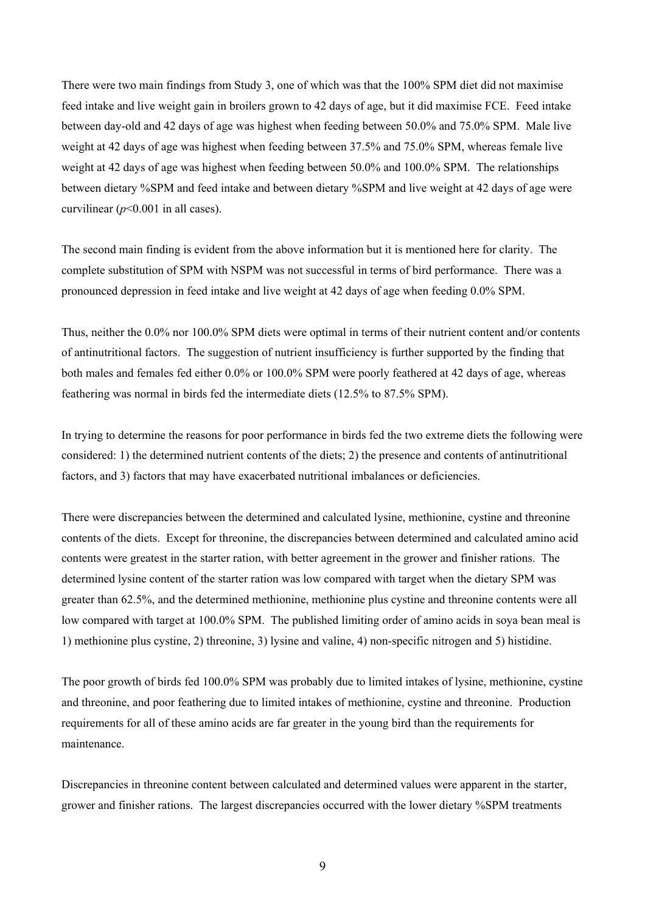There were two main findings from Study 3, one of which was that the 100% SPM diet did not maximise feed intake and live weight gain in broilers grown to 42 days of age, but it did maximise FCE. Feed intake between day-old and 42 days of age was highest when feeding between 50.0% and 75.0% SPM. Male live weight at 42 days of age was highest when feeding between 37.5% and 75.0% SPM, whereas female live weight at 42 days of age was highest when feeding between 50.0% and 100.0% SPM. The relationships between dietary %SPM and feed intake and between dietary %SPM and live weight at 42 days of age were curvilinear (*p*<0.001 in all cases).

The second main finding is evident from the above information but it is mentioned here for clarity. The complete substitution of SPM with NSPM was not successful in terms of bird performance. There was a pronounced depression in feed intake and live weight at 42 days of age when feeding 0.0% SPM.

Thus, neither the 0.0% nor 100.0% SPM diets were optimal in terms of their nutrient content and/or contents of antinutritional factors. The suggestion of nutrient insufficiency is further supported by the finding that both males and females fed either 0.0% or 100.0% SPM were poorly feathered at 42 days of age, whereas feathering was normal in birds fed the intermediate diets (12.5% to 87.5% SPM).

In trying to determine the reasons for poor performance in birds fed the two extreme diets the following were considered: 1) the determined nutrient contents of the diets; 2) the presence and contents of antinutritional factors, and 3) factors that may have exacerbated nutritional imbalances or deficiencies.

There were discrepancies between the determined and calculated lysine, methionine, cystine and threonine contents of the diets. Except for threonine, the discrepancies between determined and calculated amino acid contents were greatest in the starter ration, with better agreement in the grower and finisher rations. The determined lysine content of the starter ration was low compared with target when the dietary SPM was greater than 62.5%, and the determined methionine, methionine plus cystine and threonine contents were all low compared with target at 100.0% SPM. The published limiting order of amino acids in soya bean meal is 1) methionine plus cystine, 2) threonine, 3) lysine and valine, 4) non-specific nitrogen and 5) histidine.

The poor growth of birds fed 100.0% SPM was probably due to limited intakes of lysine, methionine, cystine and threonine, and poor feathering due to limited intakes of methionine, cystine and threonine. Production requirements for all of these amino acids are far greater in the young bird than the requirements for maintenance.

Discrepancies in threonine content between calculated and determined values were apparent in the starter, grower and finisher rations. The largest discrepancies occurred with the lower dietary %SPM treatments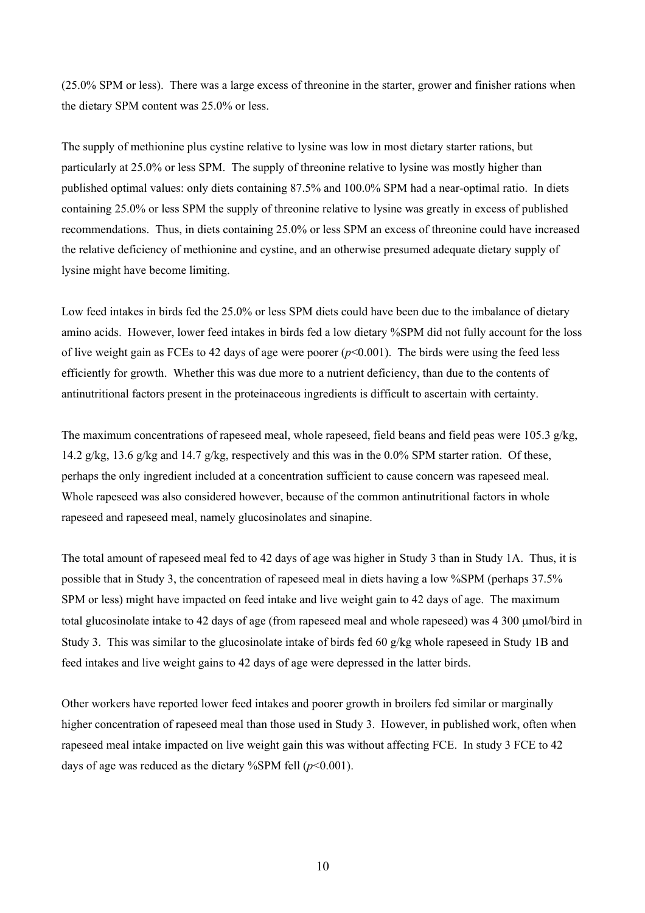(25.0% SPM or less). There was a large excess of threonine in the starter, grower and finisher rations when the dietary SPM content was 25.0% or less.

The supply of methionine plus cystine relative to lysine was low in most dietary starter rations, but particularly at 25.0% or less SPM. The supply of threonine relative to lysine was mostly higher than published optimal values: only diets containing 87.5% and 100.0% SPM had a near-optimal ratio. In diets containing 25.0% or less SPM the supply of threonine relative to lysine was greatly in excess of published recommendations. Thus, in diets containing 25.0% or less SPM an excess of threonine could have increased the relative deficiency of methionine and cystine, and an otherwise presumed adequate dietary supply of lysine might have become limiting.

Low feed intakes in birds fed the 25.0% or less SPM diets could have been due to the imbalance of dietary amino acids. However, lower feed intakes in birds fed a low dietary %SPM did not fully account for the loss of live weight gain as FCEs to 42 days of age were poorer  $(p<0.001)$ . The birds were using the feed less efficiently for growth. Whether this was due more to a nutrient deficiency, than due to the contents of antinutritional factors present in the proteinaceous ingredients is difficult to ascertain with certainty.

The maximum concentrations of rapeseed meal, whole rapeseed, field beans and field peas were 105.3 g/kg, 14.2 g/kg, 13.6 g/kg and 14.7 g/kg, respectively and this was in the 0.0% SPM starter ration. Of these, perhaps the only ingredient included at a concentration sufficient to cause concern was rapeseed meal. Whole rapeseed was also considered however, because of the common antinutritional factors in whole rapeseed and rapeseed meal, namely glucosinolates and sinapine.

The total amount of rapeseed meal fed to 42 days of age was higher in Study 3 than in Study 1A. Thus, it is possible that in Study 3, the concentration of rapeseed meal in diets having a low %SPM (perhaps 37.5% SPM or less) might have impacted on feed intake and live weight gain to 42 days of age. The maximum total glucosinolate intake to 42 days of age (from rapeseed meal and whole rapeseed) was 4 300 µmol/bird in Study 3. This was similar to the glucosinolate intake of birds fed 60 g/kg whole rapeseed in Study 1B and feed intakes and live weight gains to 42 days of age were depressed in the latter birds.

Other workers have reported lower feed intakes and poorer growth in broilers fed similar or marginally higher concentration of rapeseed meal than those used in Study 3. However, in published work, often when rapeseed meal intake impacted on live weight gain this was without affecting FCE. In study 3 FCE to 42 days of age was reduced as the dietary %SPM fell  $(p<0.001)$ .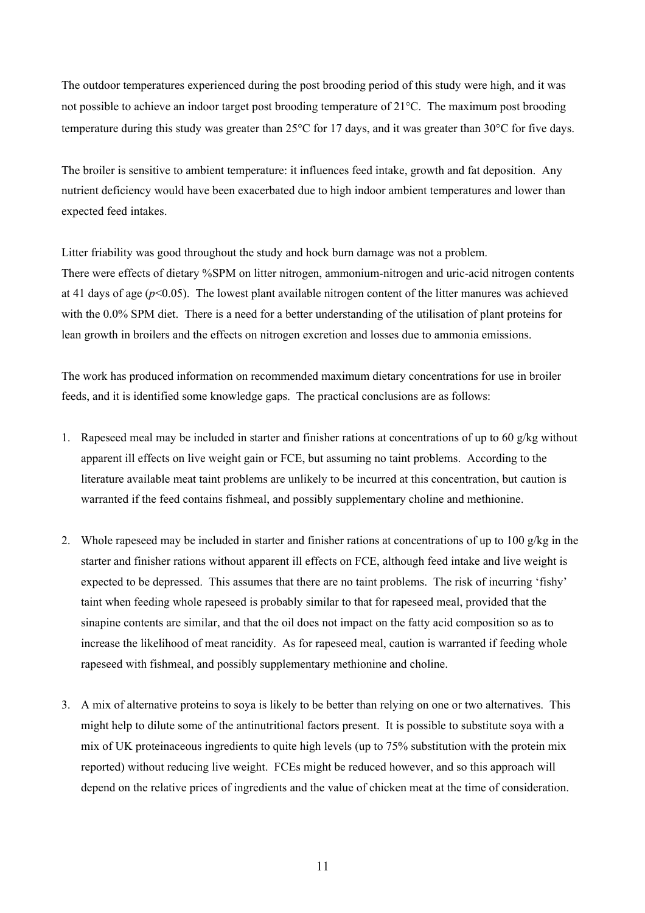The outdoor temperatures experienced during the post brooding period of this study were high, and it was not possible to achieve an indoor target post brooding temperature of 21°C. The maximum post brooding temperature during this study was greater than 25°C for 17 days, and it was greater than 30°C for five days.

The broiler is sensitive to ambient temperature: it influences feed intake, growth and fat deposition. Any nutrient deficiency would have been exacerbated due to high indoor ambient temperatures and lower than expected feed intakes.

Litter friability was good throughout the study and hock burn damage was not a problem. There were effects of dietary %SPM on litter nitrogen, ammonium-nitrogen and uric-acid nitrogen contents at 41 days of age  $(p<0.05)$ . The lowest plant available nitrogen content of the litter manures was achieved with the 0.0% SPM diet. There is a need for a better understanding of the utilisation of plant proteins for lean growth in broilers and the effects on nitrogen excretion and losses due to ammonia emissions.

The work has produced information on recommended maximum dietary concentrations for use in broiler feeds, and it is identified some knowledge gaps. The practical conclusions are as follows:

- 1. Rapeseed meal may be included in starter and finisher rations at concentrations of up to 60  $g/kg$  without apparent ill effects on live weight gain or FCE, but assuming no taint problems. According to the literature available meat taint problems are unlikely to be incurred at this concentration, but caution is warranted if the feed contains fishmeal, and possibly supplementary choline and methionine.
- 2. Whole rapeseed may be included in starter and finisher rations at concentrations of up to 100  $g/kg$  in the starter and finisher rations without apparent ill effects on FCE, although feed intake and live weight is expected to be depressed. This assumes that there are no taint problems. The risk of incurring 'fishy' taint when feeding whole rapeseed is probably similar to that for rapeseed meal, provided that the sinapine contents are similar, and that the oil does not impact on the fatty acid composition so as to increase the likelihood of meat rancidity. As for rapeseed meal, caution is warranted if feeding whole rapeseed with fishmeal, and possibly supplementary methionine and choline.
- 3. A mix of alternative proteins to soya is likely to be better than relying on one or two alternatives. This might help to dilute some of the antinutritional factors present. It is possible to substitute soya with a mix of UK proteinaceous ingredients to quite high levels (up to 75% substitution with the protein mix reported) without reducing live weight. FCEs might be reduced however, and so this approach will depend on the relative prices of ingredients and the value of chicken meat at the time of consideration.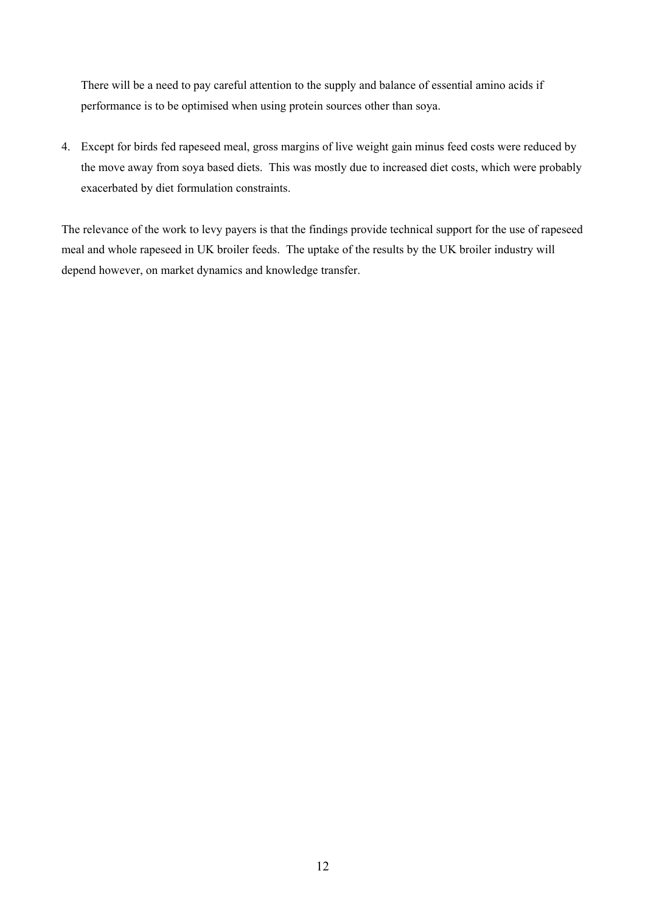There will be a need to pay careful attention to the supply and balance of essential amino acids if performance is to be optimised when using protein sources other than soya.

4. Except for birds fed rapeseed meal, gross margins of live weight gain minus feed costs were reduced by the move away from soya based diets. This was mostly due to increased diet costs, which were probably exacerbated by diet formulation constraints.

The relevance of the work to levy payers is that the findings provide technical support for the use of rapeseed meal and whole rapeseed in UK broiler feeds. The uptake of the results by the UK broiler industry will depend however, on market dynamics and knowledge transfer.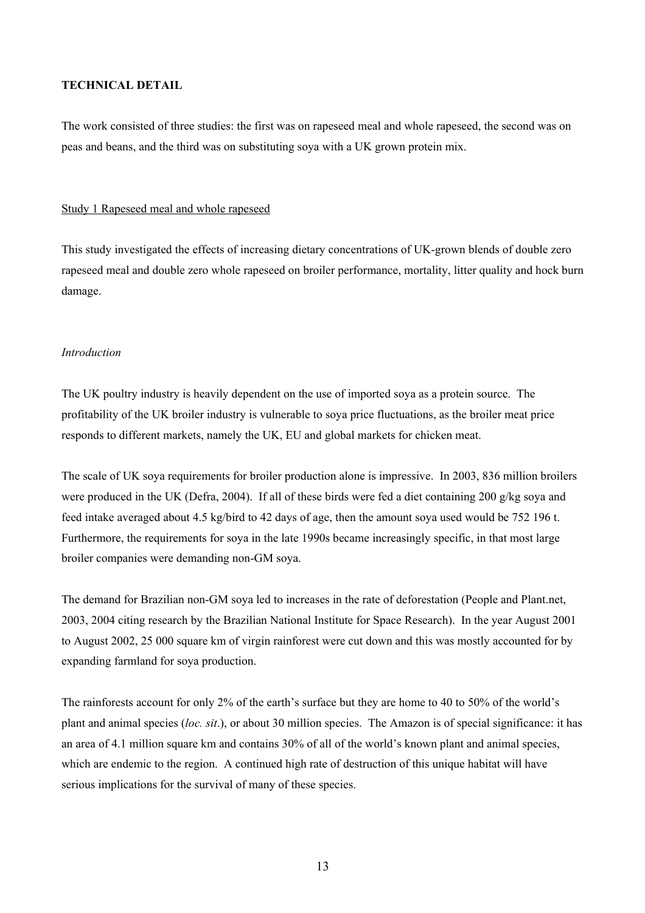#### **TECHNICAL DETAIL**

The work consisted of three studies: the first was on rapeseed meal and whole rapeseed, the second was on peas and beans, and the third was on substituting soya with a UK grown protein mix.

### Study 1 Rapeseed meal and whole rapeseed

This study investigated the effects of increasing dietary concentrations of UK-grown blends of double zero rapeseed meal and double zero whole rapeseed on broiler performance, mortality, litter quality and hock burn damage.

#### *Introduction*

The UK poultry industry is heavily dependent on the use of imported soya as a protein source. The profitability of the UK broiler industry is vulnerable to soya price fluctuations, as the broiler meat price responds to different markets, namely the UK, EU and global markets for chicken meat.

The scale of UK soya requirements for broiler production alone is impressive. In 2003, 836 million broilers were produced in the UK (Defra, 2004). If all of these birds were fed a diet containing 200 g/kg soya and feed intake averaged about 4.5 kg/bird to 42 days of age, then the amount soya used would be 752 196 t. Furthermore, the requirements for soya in the late 1990s became increasingly specific, in that most large broiler companies were demanding non-GM soya.

The demand for Brazilian non-GM soya led to increases in the rate of deforestation (People and Plant.net, 2003, 2004 citing research by the Brazilian National Institute for Space Research). In the year August 2001 to August 2002, 25 000 square km of virgin rainforest were cut down and this was mostly accounted for by expanding farmland for soya production.

The rainforests account for only 2% of the earth's surface but they are home to 40 to 50% of the world's plant and animal species (*loc. sit*.), or about 30 million species. The Amazon is of special significance: it has an area of 4.1 million square km and contains 30% of all of the world's known plant and animal species, which are endemic to the region. A continued high rate of destruction of this unique habitat will have serious implications for the survival of many of these species.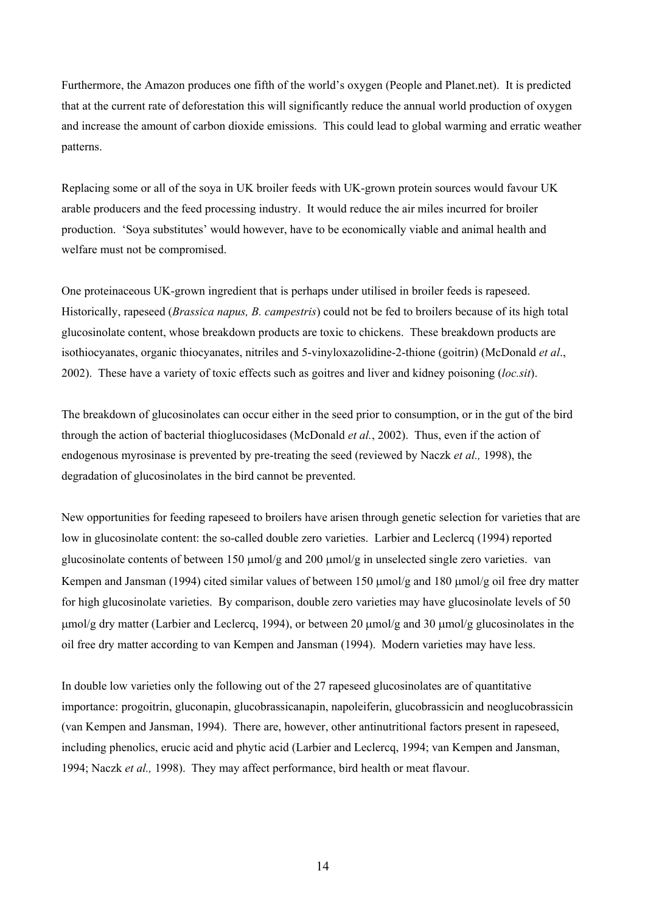Furthermore, the Amazon produces one fifth of the world's oxygen (People and Planet.net). It is predicted that at the current rate of deforestation this will significantly reduce the annual world production of oxygen and increase the amount of carbon dioxide emissions. This could lead to global warming and erratic weather patterns.

Replacing some or all of the soya in UK broiler feeds with UK-grown protein sources would favour UK arable producers and the feed processing industry. It would reduce the air miles incurred for broiler production. 'Soya substitutes' would however, have to be economically viable and animal health and welfare must not be compromised.

One proteinaceous UK-grown ingredient that is perhaps under utilised in broiler feeds is rapeseed. Historically, rapeseed (*Brassica napus, B. campestris*) could not be fed to broilers because of its high total glucosinolate content, whose breakdown products are toxic to chickens. These breakdown products are isothiocyanates, organic thiocyanates, nitriles and 5-vinyloxazolidine-2-thione (goitrin) (McDonald *et al*., 2002). These have a variety of toxic effects such as goitres and liver and kidney poisoning (*loc.sit*).

The breakdown of glucosinolates can occur either in the seed prior to consumption, or in the gut of the bird through the action of bacterial thioglucosidases (McDonald *et al.*, 2002). Thus, even if the action of endogenous myrosinase is prevented by pre-treating the seed (reviewed by Naczk *et al.,* 1998), the degradation of glucosinolates in the bird cannot be prevented.

New opportunities for feeding rapeseed to broilers have arisen through genetic selection for varieties that are low in glucosinolate content: the so-called double zero varieties. Larbier and Leclercq (1994) reported glucosinolate contents of between  $150 \mu m/s$  and  $200 \mu m/s$  in unselected single zero varieties. van Kempen and Jansman (1994) cited similar values of between 150  $\mu$ mol/g and 180  $\mu$ mol/g oil free dry matter for high glucosinolate varieties. By comparison, double zero varieties may have glucosinolate levels of 50 umol/g dry matter (Larbier and Leclercq, 1994), or between 20  $\mu$ mol/g and 30  $\mu$ mol/g glucosinolates in the oil free dry matter according to van Kempen and Jansman (1994). Modern varieties may have less.

In double low varieties only the following out of the 27 rapeseed glucosinolates are of quantitative importance: progoitrin, gluconapin, glucobrassicanapin, napoleiferin, glucobrassicin and neoglucobrassicin (van Kempen and Jansman, 1994). There are, however, other antinutritional factors present in rapeseed, including phenolics, erucic acid and phytic acid (Larbier and Leclercq, 1994; van Kempen and Jansman, 1994; Naczk *et al.,* 1998). They may affect performance, bird health or meat flavour.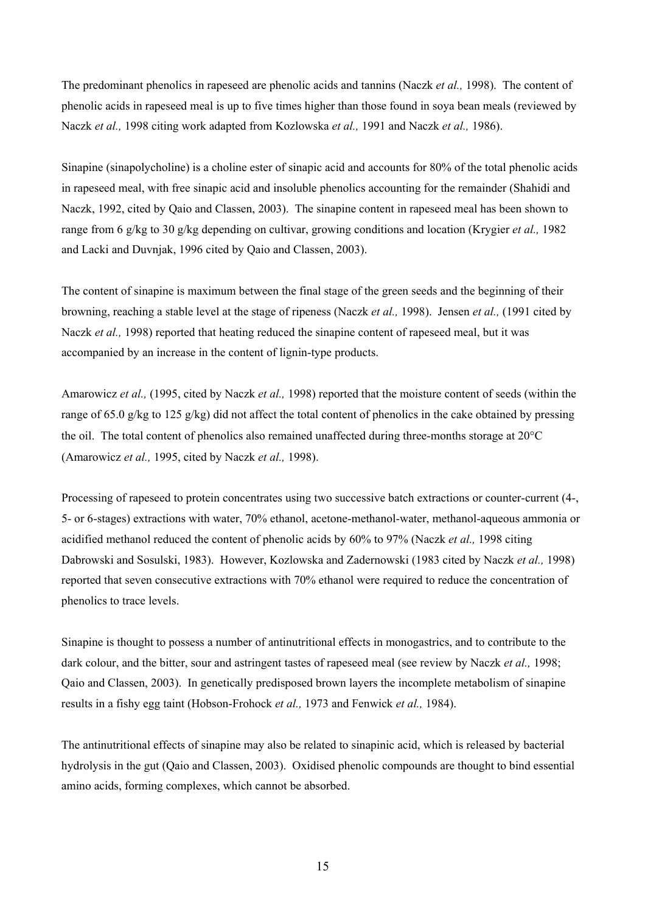The predominant phenolics in rapeseed are phenolic acids and tannins (Naczk *et al.,* 1998). The content of phenolic acids in rapeseed meal is up to five times higher than those found in soya bean meals (reviewed by Naczk *et al.,* 1998 citing work adapted from Kozlowska *et al.,* 1991 and Naczk *et al.,* 1986).

Sinapine (sinapolycholine) is a choline ester of sinapic acid and accounts for 80% of the total phenolic acids in rapeseed meal, with free sinapic acid and insoluble phenolics accounting for the remainder (Shahidi and Naczk, 1992, cited by Qaio and Classen, 2003). The sinapine content in rapeseed meal has been shown to range from 6 g/kg to 30 g/kg depending on cultivar, growing conditions and location (Krygier *et al.,* 1982 and Lacki and Duvnjak, 1996 cited by Qaio and Classen, 2003).

The content of sinapine is maximum between the final stage of the green seeds and the beginning of their browning, reaching a stable level at the stage of ripeness (Naczk *et al.,* 1998). Jensen *et al.,* (1991 cited by Naczk *et al.*, 1998) reported that heating reduced the sinapine content of rapeseed meal, but it was accompanied by an increase in the content of lignin-type products.

Amarowicz *et al.,* (1995, cited by Naczk *et al.,* 1998) reported that the moisture content of seeds (within the range of 65.0 g/kg to 125 g/kg) did not affect the total content of phenolics in the cake obtained by pressing the oil. The total content of phenolics also remained unaffected during three-months storage at 20°C (Amarowicz *et al.,* 1995, cited by Naczk *et al.,* 1998).

Processing of rapeseed to protein concentrates using two successive batch extractions or counter-current (4-, 5- or 6-stages) extractions with water, 70% ethanol, acetone-methanol-water, methanol-aqueous ammonia or acidified methanol reduced the content of phenolic acids by 60% to 97% (Naczk *et al.,* 1998 citing Dabrowski and Sosulski, 1983). However, Kozlowska and Zadernowski (1983 cited by Naczk *et al.,* 1998) reported that seven consecutive extractions with 70% ethanol were required to reduce the concentration of phenolics to trace levels.

Sinapine is thought to possess a number of antinutritional effects in monogastrics, and to contribute to the dark colour, and the bitter, sour and astringent tastes of rapeseed meal (see review by Naczk *et al.,* 1998; Qaio and Classen, 2003). In genetically predisposed brown layers the incomplete metabolism of sinapine results in a fishy egg taint (Hobson-Frohock *et al.,* 1973 and Fenwick *et al.,* 1984).

The antinutritional effects of sinapine may also be related to sinapinic acid, which is released by bacterial hydrolysis in the gut (Qaio and Classen, 2003). Oxidised phenolic compounds are thought to bind essential amino acids, forming complexes, which cannot be absorbed.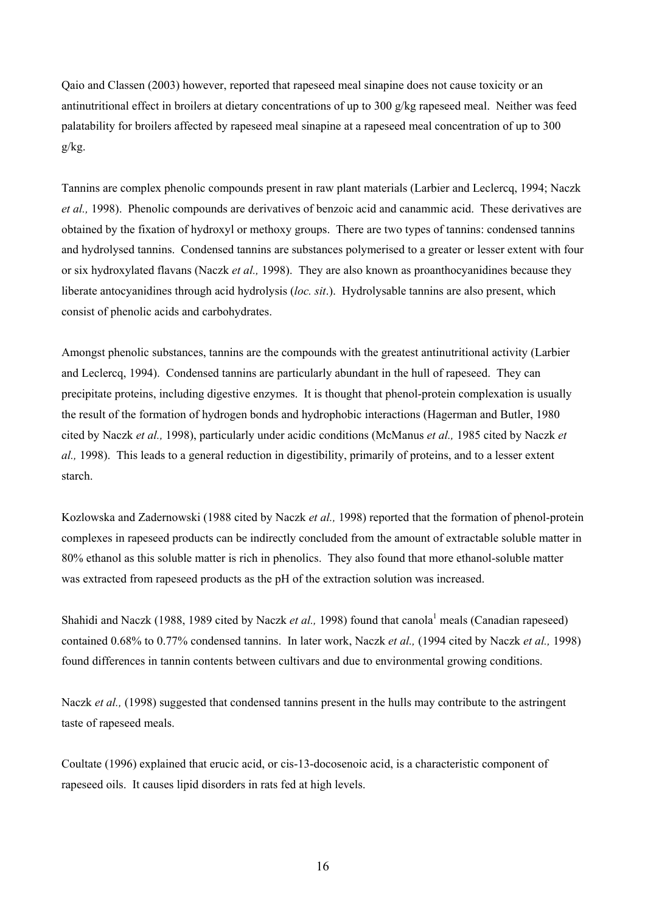Qaio and Classen (2003) however, reported that rapeseed meal sinapine does not cause toxicity or an antinutritional effect in broilers at dietary concentrations of up to 300 g/kg rapeseed meal. Neither was feed palatability for broilers affected by rapeseed meal sinapine at a rapeseed meal concentration of up to 300 g/kg.

Tannins are complex phenolic compounds present in raw plant materials (Larbier and Leclercq, 1994; Naczk *et al.,* 1998). Phenolic compounds are derivatives of benzoic acid and canammic acid. These derivatives are obtained by the fixation of hydroxyl or methoxy groups. There are two types of tannins: condensed tannins and hydrolysed tannins. Condensed tannins are substances polymerised to a greater or lesser extent with four or six hydroxylated flavans (Naczk *et al.,* 1998). They are also known as proanthocyanidines because they liberate antocyanidines through acid hydrolysis (*loc. sit*.). Hydrolysable tannins are also present, which consist of phenolic acids and carbohydrates.

Amongst phenolic substances, tannins are the compounds with the greatest antinutritional activity (Larbier and Leclercq, 1994). Condensed tannins are particularly abundant in the hull of rapeseed. They can precipitate proteins, including digestive enzymes. It is thought that phenol-protein complexation is usually the result of the formation of hydrogen bonds and hydrophobic interactions (Hagerman and Butler, 1980 cited by Naczk *et al.,* 1998), particularly under acidic conditions (McManus *et al.,* 1985 cited by Naczk *et al.,* 1998). This leads to a general reduction in digestibility, primarily of proteins, and to a lesser extent starch.

Kozlowska and Zadernowski (1988 cited by Naczk *et al.,* 1998) reported that the formation of phenol-protein complexes in rapeseed products can be indirectly concluded from the amount of extractable soluble matter in 80% ethanol as this soluble matter is rich in phenolics. They also found that more ethanol-soluble matter was extracted from rapeseed products as the pH of the extraction solution was increased.

Shahidi and Naczk (1988, 1989 cited by Naczk *et al.*, 1998) found that canola<sup>1</sup> meals (Canadian rapeseed) contained 0.68% to 0.77% condensed tannins. In later work, Naczk *et al.,* (1994 cited by Naczk *et al.,* 1998) found differences in tannin contents between cultivars and due to environmental growing conditions.

Naczk *et al.*, (1998) suggested that condensed tannins present in the hulls may contribute to the astringent taste of rapeseed meals.

Coultate (1996) explained that erucic acid, or cis-13-docosenoic acid, is a characteristic component of rapeseed oils. It causes lipid disorders in rats fed at high levels.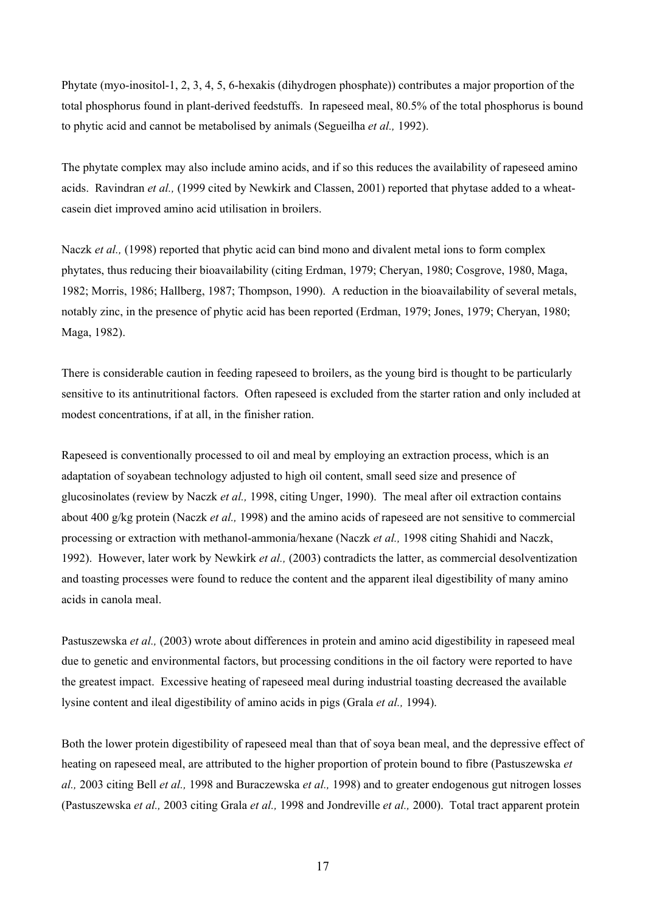Phytate (myo-inositol-1, 2, 3, 4, 5, 6-hexakis (dihydrogen phosphate)) contributes a major proportion of the total phosphorus found in plant-derived feedstuffs. In rapeseed meal, 80.5% of the total phosphorus is bound to phytic acid and cannot be metabolised by animals (Segueilha *et al.,* 1992).

The phytate complex may also include amino acids, and if so this reduces the availability of rapeseed amino acids. Ravindran *et al.,* (1999 cited by Newkirk and Classen, 2001) reported that phytase added to a wheatcasein diet improved amino acid utilisation in broilers.

Naczk *et al.*, (1998) reported that phytic acid can bind mono and divalent metal ions to form complex phytates, thus reducing their bioavailability (citing Erdman, 1979; Cheryan, 1980; Cosgrove, 1980, Maga, 1982; Morris, 1986; Hallberg, 1987; Thompson, 1990). A reduction in the bioavailability of several metals, notably zinc, in the presence of phytic acid has been reported (Erdman, 1979; Jones, 1979; Cheryan, 1980; Maga, 1982).

There is considerable caution in feeding rapeseed to broilers, as the young bird is thought to be particularly sensitive to its antinutritional factors. Often rapeseed is excluded from the starter ration and only included at modest concentrations, if at all, in the finisher ration.

Rapeseed is conventionally processed to oil and meal by employing an extraction process, which is an adaptation of soyabean technology adjusted to high oil content, small seed size and presence of glucosinolates (review by Naczk *et al.,* 1998, citing Unger, 1990). The meal after oil extraction contains about 400 g/kg protein (Naczk *et al.,* 1998) and the amino acids of rapeseed are not sensitive to commercial processing or extraction with methanol-ammonia/hexane (Naczk *et al.,* 1998 citing Shahidi and Naczk, 1992). However, later work by Newkirk *et al.,* (2003) contradicts the latter, as commercial desolventization and toasting processes were found to reduce the content and the apparent ileal digestibility of many amino acids in canola meal.

Pastuszewska *et al.,* (2003) wrote about differences in protein and amino acid digestibility in rapeseed meal due to genetic and environmental factors, but processing conditions in the oil factory were reported to have the greatest impact. Excessive heating of rapeseed meal during industrial toasting decreased the available lysine content and ileal digestibility of amino acids in pigs (Grala *et al.,* 1994).

Both the lower protein digestibility of rapeseed meal than that of soya bean meal, and the depressive effect of heating on rapeseed meal, are attributed to the higher proportion of protein bound to fibre (Pastuszewska *et al.,* 2003 citing Bell *et al.,* 1998 and Buraczewska *et al.,* 1998) and to greater endogenous gut nitrogen losses (Pastuszewska *et al.,* 2003 citing Grala *et al.,* 1998 and Jondreville *et al.,* 2000). Total tract apparent protein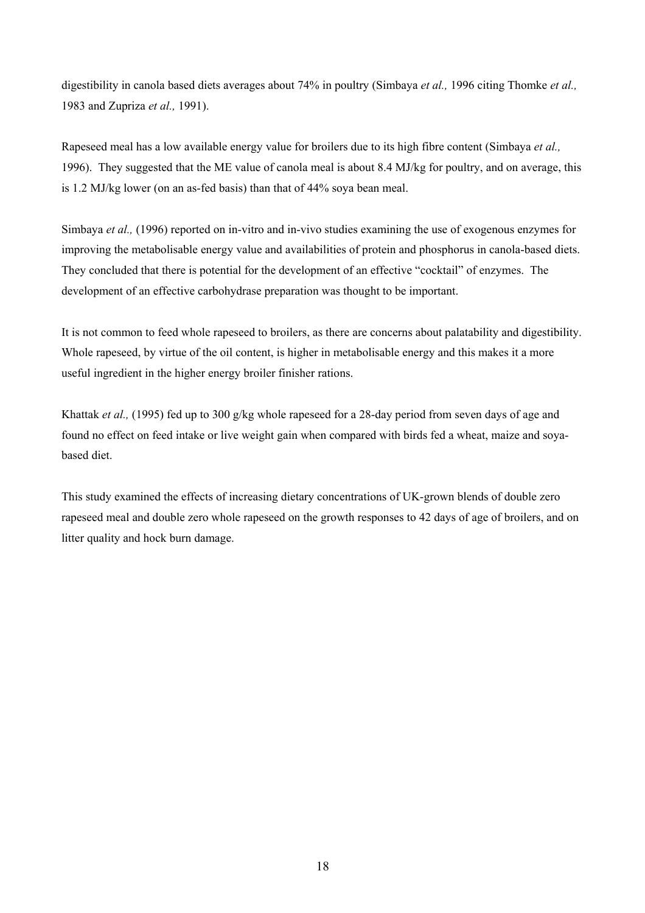digestibility in canola based diets averages about 74% in poultry (Simbaya *et al.,* 1996 citing Thomke *et al.,* 1983 and Zupriza *et al.,* 1991).

Rapeseed meal has a low available energy value for broilers due to its high fibre content (Simbaya *et al.,* 1996). They suggested that the ME value of canola meal is about 8.4 MJ/kg for poultry, and on average, this is 1.2 MJ/kg lower (on an as-fed basis) than that of 44% soya bean meal.

Simbaya *et al.,* (1996) reported on in-vitro and in-vivo studies examining the use of exogenous enzymes for improving the metabolisable energy value and availabilities of protein and phosphorus in canola-based diets. They concluded that there is potential for the development of an effective "cocktail" of enzymes. The development of an effective carbohydrase preparation was thought to be important.

It is not common to feed whole rapeseed to broilers, as there are concerns about palatability and digestibility. Whole rapeseed, by virtue of the oil content, is higher in metabolisable energy and this makes it a more useful ingredient in the higher energy broiler finisher rations.

Khattak *et al.,* (1995) fed up to 300 g/kg whole rapeseed for a 28-day period from seven days of age and found no effect on feed intake or live weight gain when compared with birds fed a wheat, maize and soyabased diet.

This study examined the effects of increasing dietary concentrations of UK-grown blends of double zero rapeseed meal and double zero whole rapeseed on the growth responses to 42 days of age of broilers, and on litter quality and hock burn damage.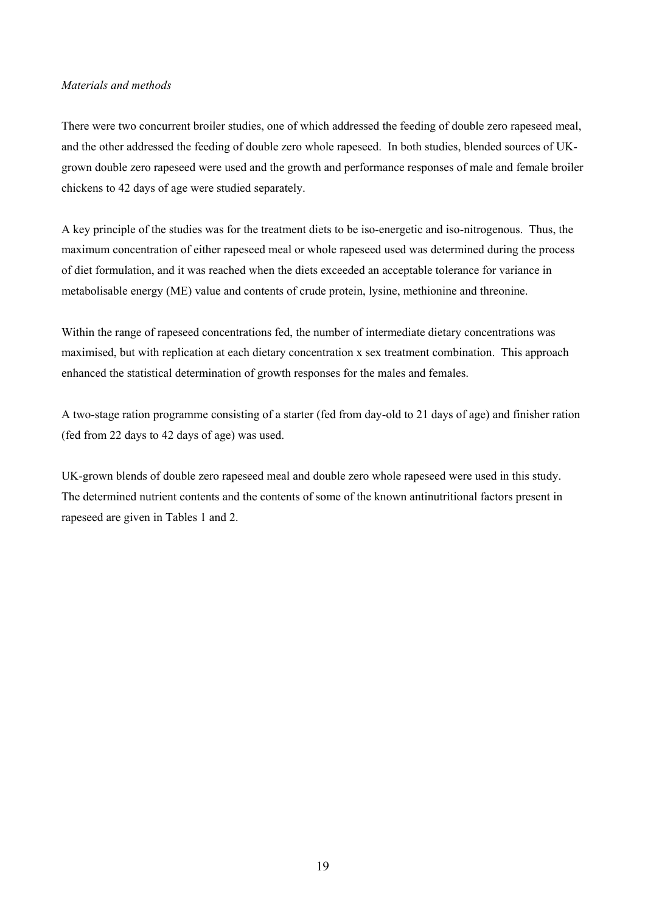### *Materials and methods*

There were two concurrent broiler studies, one of which addressed the feeding of double zero rapeseed meal, and the other addressed the feeding of double zero whole rapeseed. In both studies, blended sources of UKgrown double zero rapeseed were used and the growth and performance responses of male and female broiler chickens to 42 days of age were studied separately.

A key principle of the studies was for the treatment diets to be iso-energetic and iso-nitrogenous. Thus, the maximum concentration of either rapeseed meal or whole rapeseed used was determined during the process of diet formulation, and it was reached when the diets exceeded an acceptable tolerance for variance in metabolisable energy (ME) value and contents of crude protein, lysine, methionine and threonine.

Within the range of rapeseed concentrations fed, the number of intermediate dietary concentrations was maximised, but with replication at each dietary concentration x sex treatment combination. This approach enhanced the statistical determination of growth responses for the males and females.

A two-stage ration programme consisting of a starter (fed from day-old to 21 days of age) and finisher ration (fed from 22 days to 42 days of age) was used.

UK-grown blends of double zero rapeseed meal and double zero whole rapeseed were used in this study. The determined nutrient contents and the contents of some of the known antinutritional factors present in rapeseed are given in Tables 1 and 2.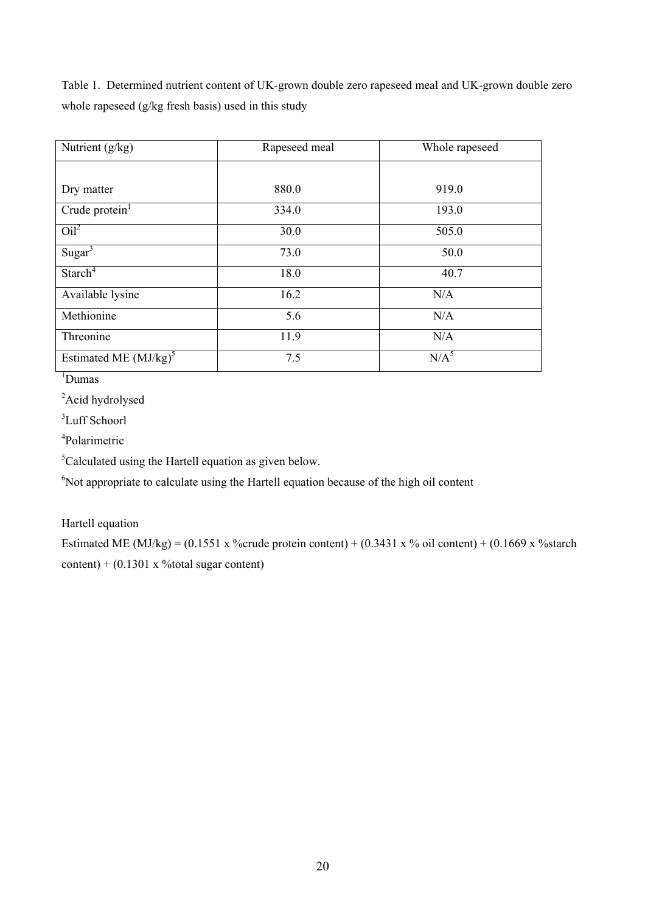Table 1. Determined nutrient content of UK-grown double zero rapeseed meal and UK-grown double zero whole rapeseed (g/kg fresh basis) used in this study

| Nutrient (g/kg)          | Rapeseed meal | Whole rapeseed |
|--------------------------|---------------|----------------|
|                          |               |                |
| Dry matter               | 880.0         | 919.0          |
| Crude $protein1$         | 334.0         | 193.0          |
| $Oil^2$                  | 30.0          | 505.0          |
| Sugar $3$                | 73.0          | 50.0           |
| Starch <sup>4</sup>      | 18.0          | 40.7           |
| Available lysine         | 16.2          | N/A            |
| Methionine               | 5.6           | N/A            |
| Threonine                | 11.9          | N/A            |
| Estimated ME $(MJ/kg)^5$ | 7.5           | $N/A^5$        |

1 Dumas

<sup>2</sup>Acid hydrolysed

<sup>3</sup>Luff Schoorl

4 Polarimetric

 ${}^{5}$ Calculated using the Hartell equation as given below.

<sup>6</sup>Not appropriate to calculate using the Hartell equation because of the high oil content

Hartell equation

Estimated ME (MJ/kg) = (0.1551 x %crude protein content) + (0.3431 x % oil content) + (0.1669 x % starch content) +  $(0.1301 \times$ %total sugar content)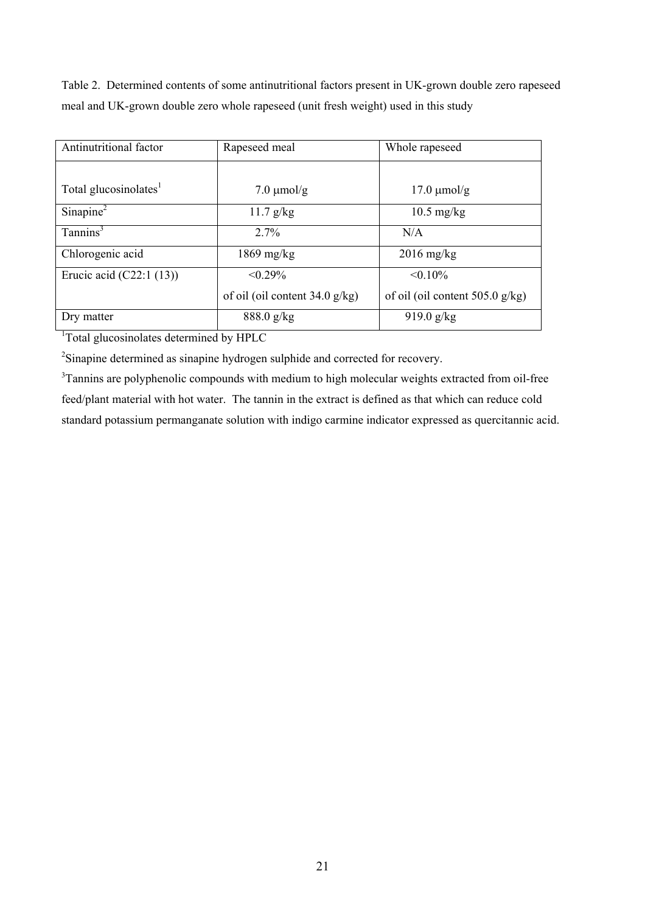Table 2. Determined contents of some antinutritional factors present in UK-grown double zero rapeseed meal and UK-grown double zero whole rapeseed (unit fresh weight) used in this study

| Antinutritional factor            | Rapeseed meal                    | Whole rapeseed                    |
|-----------------------------------|----------------------------------|-----------------------------------|
|                                   |                                  |                                   |
| Total glucosinolates <sup>1</sup> | $7.0 \mu \text{mol/g}$           | $17.0 \mu$ mol/g                  |
| Sinapine <sup>2</sup>             | $11.7 \text{ g/kg}$              | $10.5 \text{ mg/kg}$              |
| Tannins <sup>3</sup>              | $2.7\%$                          | N/A                               |
| Chlorogenic acid                  | $1869$ mg/kg                     | $2016$ mg/kg                      |
| Erucic acid $(C22:1(13))$         | $< 0.29\%$                       | $< 0.10\%$                        |
|                                   | of oil (oil content $34.0$ g/kg) | of oil (oil content $505.0$ g/kg) |
| Dry matter                        | $888.0$ g/kg                     | 919.0 $g/kg$                      |

<sup>1</sup>Total glucosinolates determined by HPLC

<sup>2</sup>Sinapine determined as sinapine hydrogen sulphide and corrected for recovery.

<sup>3</sup>Tannins are polyphenolic compounds with medium to high molecular weights extracted from oil-free feed/plant material with hot water. The tannin in the extract is defined as that which can reduce cold standard potassium permanganate solution with indigo carmine indicator expressed as quercitannic acid.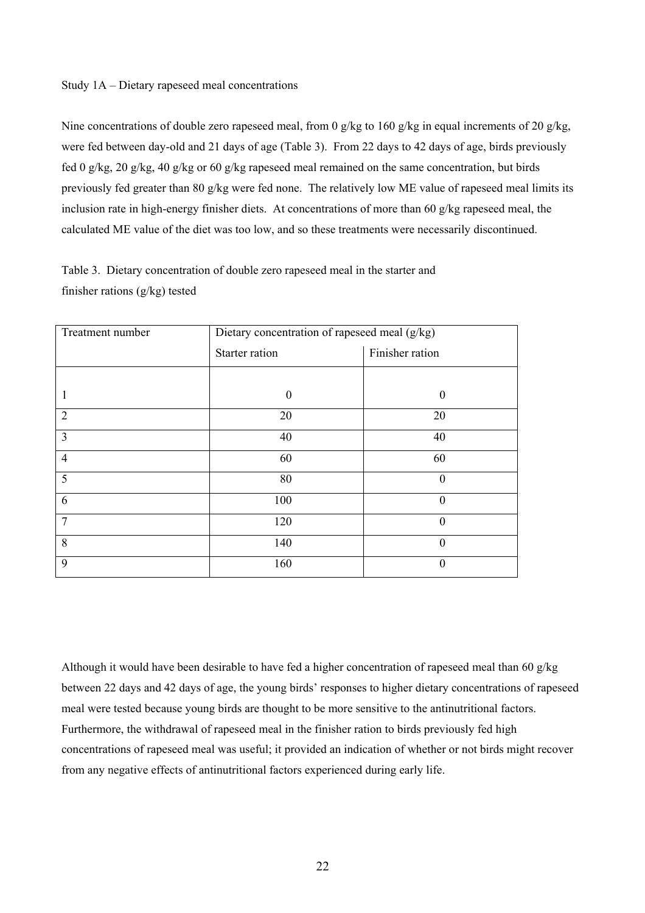#### Study 1A – Dietary rapeseed meal concentrations

Nine concentrations of double zero rapeseed meal, from 0 g/kg to 160 g/kg in equal increments of 20 g/kg, were fed between day-old and 21 days of age (Table 3). From 22 days to 42 days of age, birds previously fed 0 g/kg, 20 g/kg, 40 g/kg or 60 g/kg rapeseed meal remained on the same concentration, but birds previously fed greater than 80 g/kg were fed none. The relatively low ME value of rapeseed meal limits its inclusion rate in high-energy finisher diets. At concentrations of more than 60 g/kg rapeseed meal, the calculated ME value of the diet was too low, and so these treatments were necessarily discontinued.

Table 3. Dietary concentration of double zero rapeseed meal in the starter and finisher rations (g/kg) tested

| Treatment number | Dietary concentration of rapeseed meal (g/kg) |                 |  |
|------------------|-----------------------------------------------|-----------------|--|
|                  | Starter ration                                | Finisher ration |  |
|                  |                                               |                 |  |
|                  | $\Omega$                                      | $\Omega$        |  |
| $\overline{2}$   | 20                                            | 20              |  |
| $\overline{3}$   | 40                                            | 40              |  |
| $\overline{4}$   | 60                                            | 60              |  |
| 5                | 80                                            | $\theta$        |  |
| 6                | 100                                           | $\theta$        |  |
| $\overline{7}$   | 120                                           | $\theta$        |  |
| 8                | 140                                           | $\theta$        |  |
| 9                | 160                                           | $\theta$        |  |

Although it would have been desirable to have fed a higher concentration of rapeseed meal than 60 g/kg between 22 days and 42 days of age, the young birds' responses to higher dietary concentrations of rapeseed meal were tested because young birds are thought to be more sensitive to the antinutritional factors. Furthermore, the withdrawal of rapeseed meal in the finisher ration to birds previously fed high concentrations of rapeseed meal was useful; it provided an indication of whether or not birds might recover from any negative effects of antinutritional factors experienced during early life.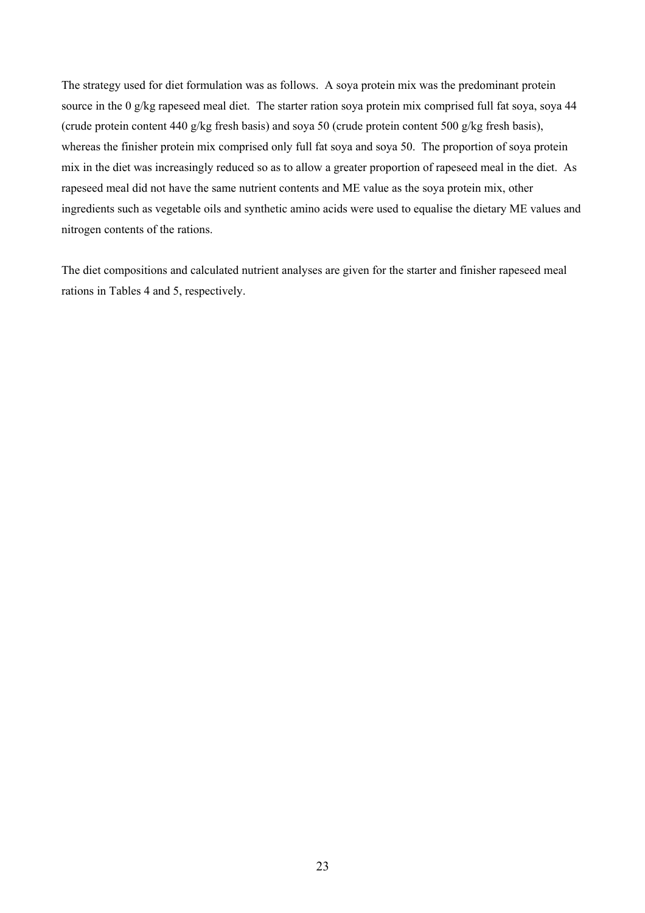The strategy used for diet formulation was as follows. A soya protein mix was the predominant protein source in the 0 g/kg rapeseed meal diet. The starter ration soya protein mix comprised full fat soya, soya 44 (crude protein content 440 g/kg fresh basis) and soya 50 (crude protein content 500 g/kg fresh basis), whereas the finisher protein mix comprised only full fat soya and soya 50. The proportion of soya protein mix in the diet was increasingly reduced so as to allow a greater proportion of rapeseed meal in the diet. As rapeseed meal did not have the same nutrient contents and ME value as the soya protein mix, other ingredients such as vegetable oils and synthetic amino acids were used to equalise the dietary ME values and nitrogen contents of the rations.

The diet compositions and calculated nutrient analyses are given for the starter and finisher rapeseed meal rations in Tables 4 and 5, respectively.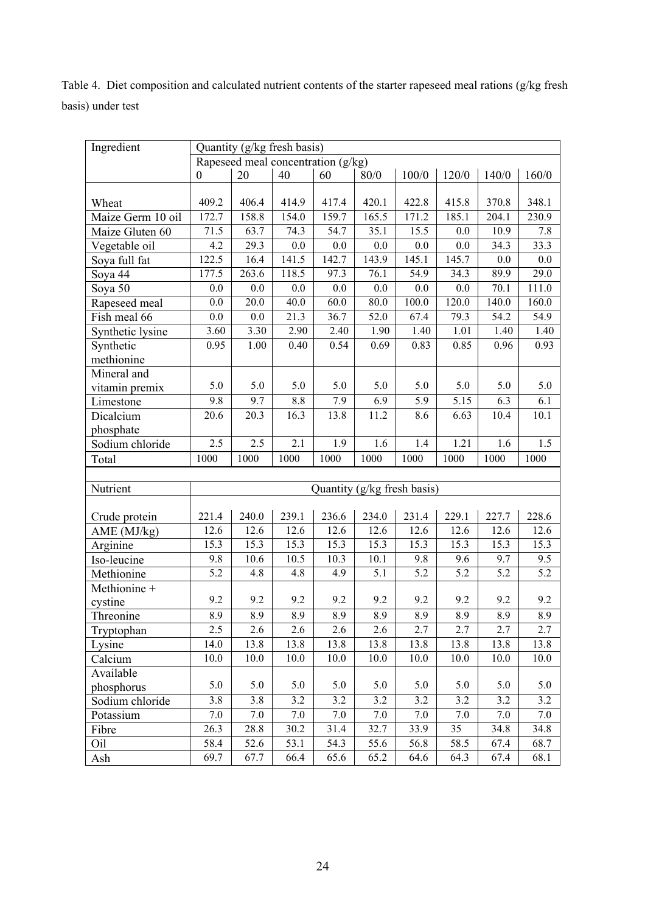Table 4. Diet composition and calculated nutrient contents of the starter rapeseed meal rations (g/kg fresh basis) under test

| Ingredient        |                  | Quantity (g/kg fresh basis) |         |                                    |         |         |       |       |       |
|-------------------|------------------|-----------------------------|---------|------------------------------------|---------|---------|-------|-------|-------|
|                   |                  |                             |         | Rapeseed meal concentration (g/kg) |         |         |       |       |       |
|                   | $\boldsymbol{0}$ | 20                          | 40      | 60                                 | 80/0    | 100/0   | 120/0 | 140/0 | 160/0 |
|                   |                  |                             |         |                                    |         |         |       |       |       |
| Wheat             | 409.2            | 406.4                       | 414.9   | 417.4                              | 420.1   | 422.8   | 415.8 | 370.8 | 348.1 |
| Maize Germ 10 oil | 172.7            | 158.8                       | 154.0   | 159.7                              | 165.5   | 171.2   | 185.1 | 204.1 | 230.9 |
| Maize Gluten 60   | 71.5             | 63.7                        | 74.3    | 54.7                               | 35.1    | 15.5    | 0.0   | 10.9  | 7.8   |
| Vegetable oil     | 4.2              | 29.3                        | $0.0\,$ | $0.0\,$                            | $0.0\,$ | $0.0\,$ | 0.0   | 34.3  | 33.3  |
| Soya full fat     | 122.5            | 16.4                        | 141.5   | 142.7                              | 143.9   | 145.1   | 145.7 | 0.0   | 0.0   |
| Soya 44           | 177.5            | 263.6                       | 118.5   | 97.3                               | 76.1    | 54.9    | 34.3  | 89.9  | 29.0  |
| Soya 50           | 0.0              | 0.0                         | 0.0     | 0.0                                | 0.0     | 0.0     | 0.0   | 70.1  | 111.0 |
| Rapeseed meal     | 0.0              | 20.0                        | 40.0    | 60.0                               | 80.0    | 100.0   | 120.0 | 140.0 | 160.0 |
| Fish meal 66      | $0.0\,$          | $0.0\,$                     | 21.3    | 36.7                               | 52.0    | 67.4    | 79.3  | 54.2  | 54.9  |
| Synthetic lysine  | 3.60             | 3.30                        | 2.90    | 2.40                               | 1.90    | 1.40    | 1.01  | 1.40  | 1.40  |
| Synthetic         | 0.95             | 1.00                        | 0.40    | 0.54                               | 0.69    | 0.83    | 0.85  | 0.96  | 0.93  |
| methionine        |                  |                             |         |                                    |         |         |       |       |       |
| Mineral and       |                  |                             |         |                                    |         |         |       |       |       |
| vitamin premix    | 5.0              | 5.0                         | 5.0     | 5.0                                | 5.0     | 5.0     | 5.0   | 5.0   | 5.0   |
| Limestone         | 9.8              | 9.7                         | 8.8     | 7.9                                | 6.9     | 5.9     | 5.15  | 6.3   | 6.1   |
| Dicalcium         | 20.6             | 20.3                        | 16.3    | 13.8                               | 11.2    | 8.6     | 6.63  | 10.4  | 10.1  |
| phosphate         |                  |                             |         |                                    |         |         |       |       |       |
| Sodium chloride   | 2.5              | 2.5                         | 2.1     | 1.9                                | 1.6     | 1.4     | 1.21  | 1.6   | 1.5   |
|                   |                  |                             |         |                                    |         |         |       |       |       |
| Total             | 1000             | 1000                        | 1000    | 1000                               | 1000    | 1000    | 1000  | 1000  | 1000  |
|                   |                  |                             |         |                                    |         |         |       |       |       |
| Nutrient          |                  |                             |         | Quantity (g/kg fresh basis)        |         |         |       |       |       |
|                   |                  |                             |         |                                    |         |         |       |       |       |
| Crude protein     | 221.4            | 240.0                       | 239.1   | 236.6                              | 234.0   | 231.4   | 229.1 | 227.7 | 228.6 |
| AME (MJ/kg)       | 12.6             | 12.6                        | 12.6    | 12.6                               | 12.6    | 12.6    | 12.6  | 12.6  | 12.6  |
| Arginine          | 15.3             | 15.3                        | 15.3    | 15.3                               | 15.3    | 15.3    | 15.3  | 15.3  | 15.3  |
| Iso-leucine       | 9.8              | 10.6                        | 10.5    | 10.3                               | 10.1    | 9.8     | 9.6   | 9.7   | 9.5   |
| Methionine        | 5.2              | 4.8                         | 4.8     | 4.9                                | 5.1     | 5.2     | 5.2   | 5.2   | 5.2   |
| Methionine +      |                  |                             |         |                                    |         |         |       |       |       |
| cystine           | 9.2              | 9.2                         | 9.2     | 9.2                                | 9.2     | 9.2     | 9.2   | 9.2   | 9.2   |
| Threonine         | 8.9              | 8.9                         | 8.9     | 8.9                                | 8.9     | 8.9     | 8.9   | 8.9   | 8.9   |
| Tryptophan        | 2.5              | 2.6                         | 2.6     | 2.6                                | 2.6     | 2.7     | 2.7   | 2.7   | 2.7   |
| Lysine            | 14.0             | 13.8                        | 13.8    | 13.8                               | 13.8    | 13.8    | 13.8  | 13.8  | 13.8  |
| Calcium           | 10.0             | 10.0                        | 10.0    | 10.0                               | 10.0    | 10.0    | 10.0  | 10.0  | 10.0  |
| Available         |                  |                             |         |                                    |         |         |       |       |       |
| phosphorus        | 5.0              | 5.0                         | 5.0     | 5.0                                | 5.0     | 5.0     | 5.0   | 5.0   | 5.0   |
| Sodium chloride   | 3.8              | 3.8                         | 3.2     | 3.2                                | 3.2     | 3.2     | 3.2   | 3.2   | 3.2   |
| Potassium         | 7.0              | 7.0                         | 7.0     | 7.0                                | 7.0     | 7.0     | 7.0   | 7.0   | 7.0   |
| Fibre             | 26.3             | 28.8                        | 30.2    | 31.4                               | 32.7    | 33.9    | 35    | 34.8  | 34.8  |
| Oil               | 58.4             | 52.6                        | 53.1    | 54.3                               | 55.6    | 56.8    | 58.5  | 67.4  | 68.7  |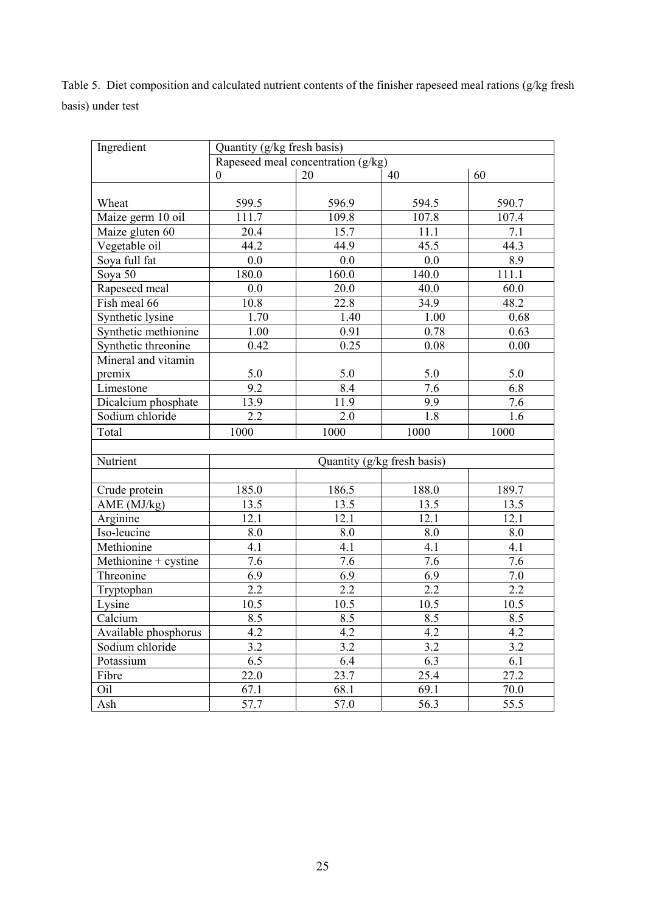Table 5. Diet composition and calculated nutrient contents of the finisher rapeseed meal rations (g/kg fresh basis) under test

| Ingredient           | Quantity (g/kg fresh basis)        |       |                             |       |  |
|----------------------|------------------------------------|-------|-----------------------------|-------|--|
|                      | Rapeseed meal concentration (g/kg) |       |                             |       |  |
|                      | $\boldsymbol{0}$                   | 20    | 40                          | 60    |  |
|                      |                                    |       |                             |       |  |
| Wheat                | 599.5                              | 596.9 | 594.5                       | 590.7 |  |
| Maize germ 10 oil    | 111.7                              | 109.8 | 107.8                       | 107.4 |  |
| Maize gluten 60      | 20.4                               | 15.7  | 11.1                        | 7.1   |  |
| Vegetable oil        | 44.2                               | 44.9  | 45.5                        | 44.3  |  |
| Soya full fat        | 0.0                                | 0.0   | 0.0                         | 8.9   |  |
| Soya 50              | 180.0                              | 160.0 | 140.0                       | 111.1 |  |
| Rapeseed meal        | 0.0                                | 20.0  | 40.0                        | 60.0  |  |
| Fish meal 66         | 10.8                               | 22.8  | 34.9                        | 48.2  |  |
| Synthetic lysine     | 1.70                               | 1.40  | 1.00                        | 0.68  |  |
| Synthetic methionine | 1.00                               | 0.91  | 0.78                        | 0.63  |  |
| Synthetic threonine  | 0.42                               | 0.25  | 0.08                        | 0.00  |  |
| Mineral and vitamin  |                                    |       |                             |       |  |
| premix               | 5.0                                | 5.0   | 5.0                         | 5.0   |  |
| Limestone            | 9.2                                | 8.4   | 7.6                         | 6.8   |  |
| Dicalcium phosphate  | 13.9                               | 11.9  | 9.9                         | 7.6   |  |
| Sodium chloride      | 2.2                                | 2.0   | 1.8                         | 1.6   |  |
| Total                | 1000                               | 1000  | 1000                        | 1000  |  |
|                      |                                    |       |                             |       |  |
|                      |                                    |       |                             |       |  |
| Nutrient             |                                    |       | Quantity (g/kg fresh basis) |       |  |
|                      |                                    |       |                             |       |  |
| Crude protein        | 185.0                              | 186.5 | 188.0                       | 189.7 |  |
| AME (MJ/kg)          | 13.5                               | 13.5  | 13.5                        | 13.5  |  |
| Arginine             | 12.1                               | 12.1  | 12.1                        | 12.1  |  |
| Iso-leucine          | 8.0                                | 8.0   | 8.0                         | 8.0   |  |
| Methionine           | 4.1                                | 4.1   | 4.1                         | 4.1   |  |
| Methionine + cystine | 7.6                                | 7.6   | 7.6                         | 7.6   |  |
| Threonine            | 6.9                                | 6.9   | 6.9                         | 7.0   |  |
| Tryptophan           | 2.2                                | 2.2   | 2.2                         | 2.2   |  |
| Lysine               | 10.5                               | 10.5  | 10.5                        | 10.5  |  |
| Calcium              | 8.5                                | 8.5   | 8.5                         | 8.5   |  |
| Available phosphorus | 4.2                                | 4.2   | 4.2                         | 4.2   |  |
| Sodium chloride      | 3.2                                | 3.2   | 3.2                         | 3.2   |  |
| Potassium            | 6.5                                | 6.4   | 6.3                         | 6.1   |  |
| Fibre                | 22.0                               | 23.7  | 25.4                        | 27.2  |  |
| Oil                  | 67.1                               | 68.1  | 69.1                        | 70.0  |  |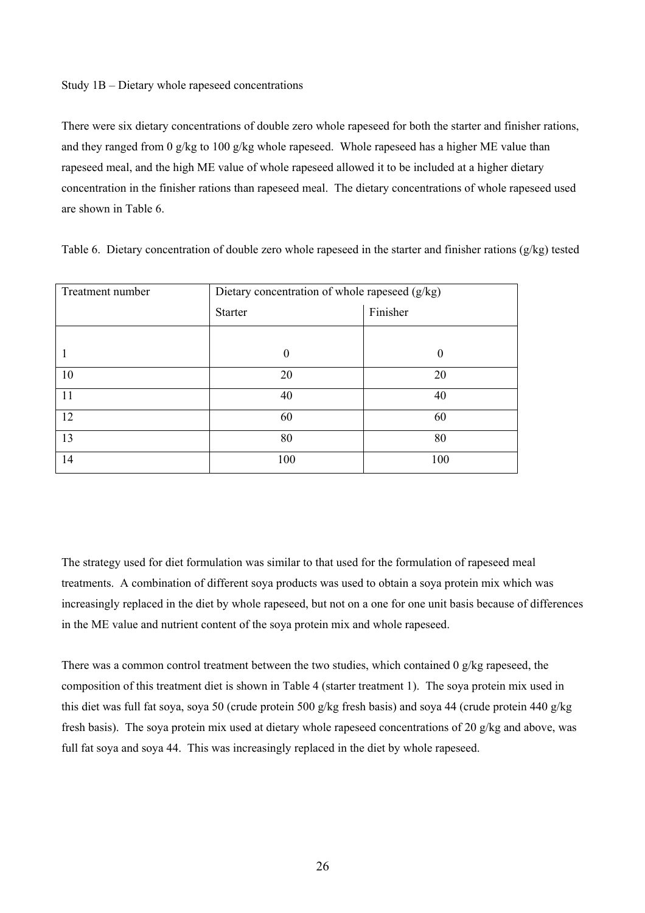### Study 1B – Dietary whole rapeseed concentrations

There were six dietary concentrations of double zero whole rapeseed for both the starter and finisher rations, and they ranged from 0 g/kg to 100 g/kg whole rapeseed. Whole rapeseed has a higher ME value than rapeseed meal, and the high ME value of whole rapeseed allowed it to be included at a higher dietary concentration in the finisher rations than rapeseed meal. The dietary concentrations of whole rapeseed used are shown in Table 6.

| Treatment number | Dietary concentration of whole rapeseed (g/kg) |          |  |
|------------------|------------------------------------------------|----------|--|
|                  | <b>Starter</b>                                 | Finisher |  |
|                  |                                                |          |  |
|                  | 0                                              | 0        |  |
| 10               | 20                                             | 20       |  |
| 11               | 40                                             | 40       |  |
| 12               | 60                                             | 60       |  |
| 13               | 80                                             | 80       |  |
| 14               | 100                                            | 100      |  |

Table 6. Dietary concentration of double zero whole rapeseed in the starter and finisher rations (g/kg) tested

The strategy used for diet formulation was similar to that used for the formulation of rapeseed meal treatments. A combination of different soya products was used to obtain a soya protein mix which was increasingly replaced in the diet by whole rapeseed, but not on a one for one unit basis because of differences in the ME value and nutrient content of the soya protein mix and whole rapeseed.

There was a common control treatment between the two studies, which contained 0 g/kg rapeseed, the composition of this treatment diet is shown in Table 4 (starter treatment 1). The soya protein mix used in this diet was full fat soya, soya 50 (crude protein 500 g/kg fresh basis) and soya 44 (crude protein 440 g/kg fresh basis). The soya protein mix used at dietary whole rapeseed concentrations of 20 g/kg and above, was full fat soya and soya 44. This was increasingly replaced in the diet by whole rapeseed.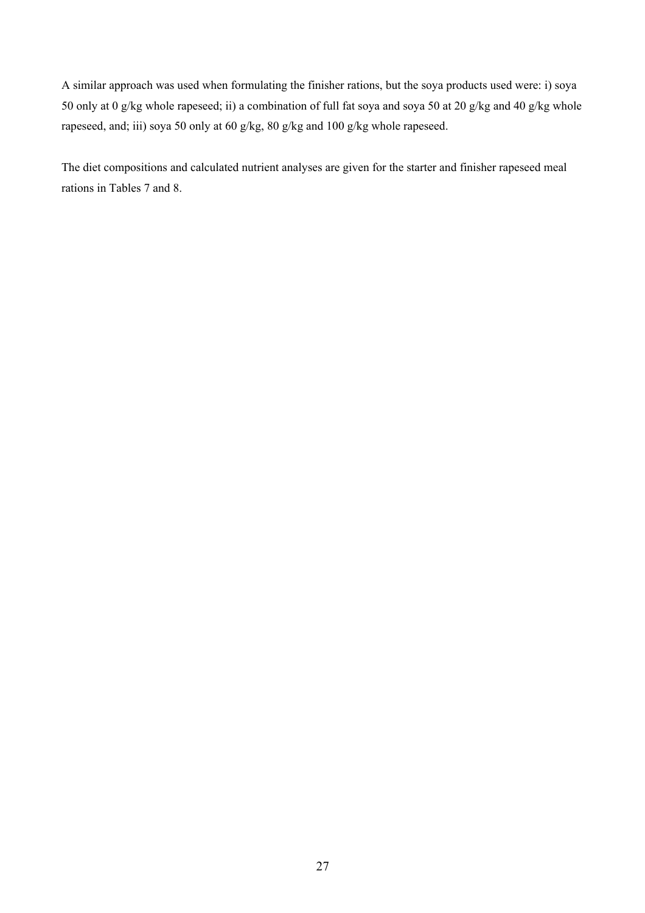A similar approach was used when formulating the finisher rations, but the soya products used were: i) soya 50 only at 0 g/kg whole rapeseed; ii) a combination of full fat soya and soya 50 at 20 g/kg and 40 g/kg whole rapeseed, and; iii) soya 50 only at 60 g/kg, 80 g/kg and 100 g/kg whole rapeseed.

The diet compositions and calculated nutrient analyses are given for the starter and finisher rapeseed meal rations in Tables 7 and 8.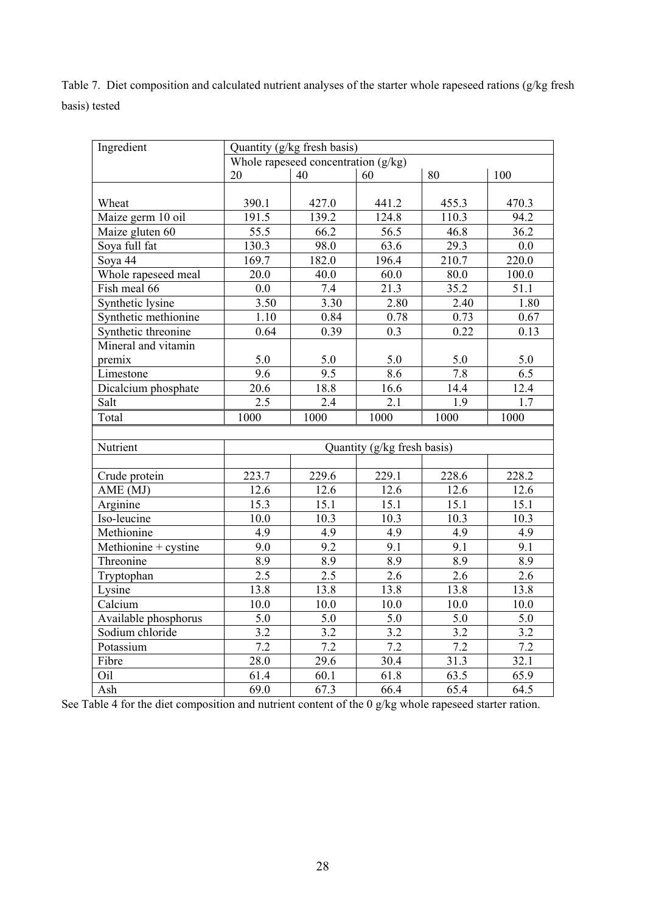Table 7. Diet composition and calculated nutrient analyses of the starter whole rapeseed rations (g/kg fresh basis) tested

| Ingredient           | Quantity (g/kg fresh basis)         |       |                             |                   |                  |
|----------------------|-------------------------------------|-------|-----------------------------|-------------------|------------------|
|                      | Whole rapeseed concentration (g/kg) |       |                             |                   |                  |
|                      | 20                                  | 40    | 60                          | 80                | 100              |
|                      |                                     |       |                             |                   |                  |
| Wheat                | 390.1                               | 427.0 | 441.2                       | 455.3             | 470.3            |
| Maize germ 10 oil    | 191.5                               | 139.2 | 124.8                       | 110.3             | 94.2             |
| Maize gluten 60      | 55.5                                | 66.2  | 56.5                        | 46.8              | 36.2             |
| Soya full fat        | 130.3                               | 98.0  | 63.6                        | $29.\overline{3}$ | 0.0              |
| Soya 44              | 169.7                               | 182.0 | 196.4                       | 210.7             | 220.0            |
| Whole rapeseed meal  | 20.0                                | 40.0  | 60.0                        | 80.0              | 100.0            |
| Fish meal 66         | 0.0                                 | 7.4   | 21.3                        | 35.2              | 51.1             |
| Synthetic lysine     | 3.50                                | 3.30  | 2.80                        | 2.40              | 1.80             |
| Synthetic methionine | 1.10                                | 0.84  | 0.78                        | 0.73              | 0.67             |
| Synthetic threonine  | 0.64                                | 0.39  | 0.3                         | 0.22              | 0.13             |
| Mineral and vitamin  |                                     |       |                             |                   |                  |
| premix               | 5.0                                 | 5.0   | 5.0                         | 5.0               | 5.0              |
| Limestone            | $\overline{9.6}$                    | 9.5   | 8.6                         | 7.8               | $\overline{6.5}$ |
| Dicalcium phosphate  | 20.6                                | 18.8  | 16.6                        | 14.4              | 12.4             |
| Salt                 | 2.5                                 | 2.4   | $\overline{2.1}$            | 1.9               | 1.7              |
| Total                | 1000                                | 1000  | 1000                        | 1000              | 1000             |
|                      |                                     |       |                             |                   |                  |
| Nutrient             |                                     |       | Quantity (g/kg fresh basis) |                   |                  |
|                      |                                     |       |                             |                   |                  |
| Crude protein        | 223.7                               | 229.6 | 229.1                       | 228.6             | 228.2            |
| AME (MJ)             | 12.6                                | 12.6  | 12.6                        | 12.6              | 12.6             |
| Arginine             | 15.3                                | 15.1  | 15.1                        | 15.1              | 15.1             |
| Iso-leucine          | 10.0                                | 10.3  | 10.3                        | 10.3              | 10.3             |
| Methionine           | 4.9                                 | 4.9   | 4.9                         | 4.9               | 4.9              |
| Methionine + cystine | 9.0                                 | 9.2   | 9.1                         | 9.1               | 9.1              |
| Threonine            | 8.9                                 | 8.9   | 8.9                         | 8.9               | 8.9              |
| Tryptophan           | 2.5                                 | 2.5   | 2.6                         | 2.6               | 2.6              |
| Lysine               | 13.8                                | 13.8  | 13.8                        | 13.8              | 13.8             |
| Calcium              | 10.0                                | 10.0  | 10.0                        | 10.0              | 10.0             |
| Available phosphorus | 5.0                                 | 5.0   | 5.0                         | 5.0               | 5.0              |
| Sodium chloride      | 3.2                                 | 3.2   | 3.2                         | 3.2               | 3.2              |
| Potassium            | 7.2                                 | 7.2   | 7.2                         | 7.2               | 7.2              |
| Fibre                | 28.0                                | 29.6  | 30.4                        | 31.3              | 32.1             |
| Oil                  | 61.4                                | 60.1  | 61.8                        | 63.5              | 65.9             |
| Ash                  | 69.0                                | 67.3  | 66.4                        | 65.4              | 64.5             |

See Table 4 for the diet composition and nutrient content of the 0 g/kg whole rapeseed starter ration.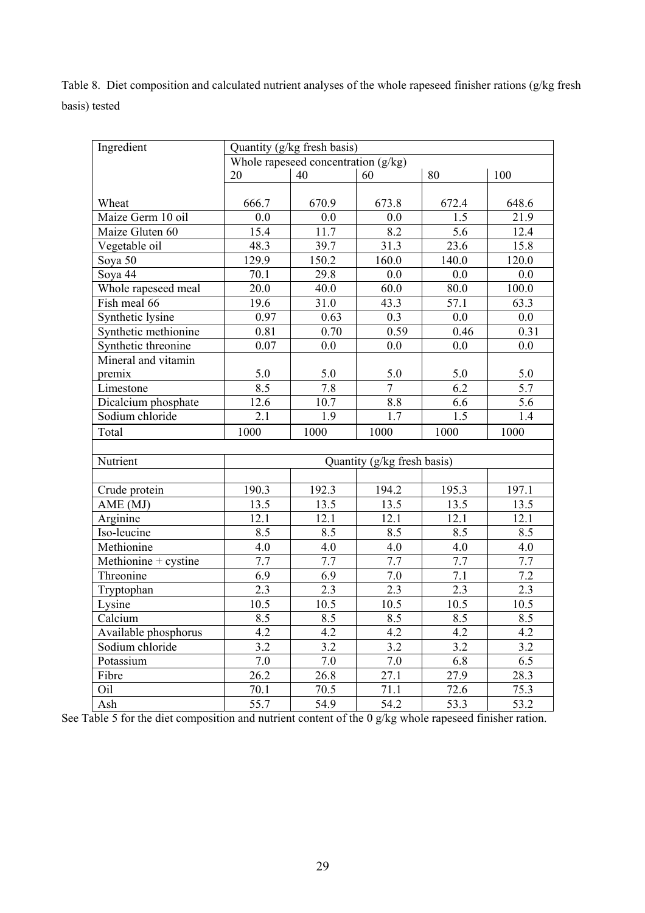Table 8. Diet composition and calculated nutrient analyses of the whole rapeseed finisher rations (g/kg fresh basis) tested

| Ingredient           | Quantity (g/kg fresh basis)           |         |                             |                   |                  |  |
|----------------------|---------------------------------------|---------|-----------------------------|-------------------|------------------|--|
|                      | Whole rapeseed concentration $(g/kg)$ |         |                             |                   |                  |  |
|                      | 20                                    | 40      | 60                          | 80                | 100              |  |
|                      |                                       |         |                             |                   |                  |  |
| Wheat                | 666.7                                 | 670.9   | 673.8                       | 672.4             | 648.6            |  |
| Maize Germ 10 oil    | 0.0                                   | 0.0     | 0.0                         | 1.5               | 21.9             |  |
| Maize Gluten 60      | 15.4                                  | 11.7    | 8.2                         | 5.6               | 12.4             |  |
| Vegetable oil        | 48.3                                  | 39.7    | 31.3                        | 23.6              | 15.8             |  |
| Soya 50              | 129.9                                 | 150.2   | 160.0                       | 140.0             | 120.0            |  |
| Soya 44              | 70.1                                  | 29.8    | 0.0                         | 0.0               | 0.0              |  |
| Whole rapeseed meal  | 20.0                                  | 40.0    | 60.0                        | 80.0              | 100.0            |  |
| Fish meal 66         | 19.6                                  | 31.0    | 43.3                        | $\overline{57.1}$ | 63.3             |  |
| Synthetic lysine     | 0.97                                  | 0.63    | 0.3                         | 0.0               | 0.0              |  |
| Synthetic methionine | 0.81                                  | 0.70    | 0.59                        | 0.46              | 0.31             |  |
| Synthetic threonine  | 0.07                                  | 0.0     | 0.0                         | 0.0               | 0.0              |  |
| Mineral and vitamin  |                                       |         |                             |                   |                  |  |
| premix               | 5.0                                   | 5.0     | 5.0                         | 5.0               | 5.0              |  |
| Limestone            | 8.5                                   | 7.8     | $\overline{7}$              | 6.2               | 5.7              |  |
| Dicalcium phosphate  | 12.6                                  | 10.7    | 8.8                         | 6.6               | $\overline{5.6}$ |  |
| Sodium chloride      | 2.1                                   | 1.9     | 1.7                         | 1.5               | 1.4              |  |
|                      |                                       |         |                             |                   |                  |  |
| Total                | 1000                                  | 1000    | 1000                        | 1000              | 1000             |  |
|                      |                                       |         |                             |                   |                  |  |
| Nutrient             |                                       |         | Quantity (g/kg fresh basis) |                   |                  |  |
|                      |                                       |         |                             |                   |                  |  |
| Crude protein        | 190.3                                 | 192.3   | 194.2                       | 195.3             | 197.1            |  |
| AME (MJ)             | 13.5                                  | 13.5    | 13.5                        | 13.5              | 13.5             |  |
| Arginine             | 12.1                                  | 12.1    | 12.1                        | 12.1              | 12.1             |  |
| Iso-leucine          | 8.5                                   | 8.5     | 8.5                         | 8.5               | 8.5              |  |
| Methionine           | 4.0                                   | 4.0     | 4.0                         | 4.0               | 4.0              |  |
| Methionine + cystine | 7.7                                   | 7.7     | 7.7                         | 7.7               | 7.7              |  |
| Threonine            | 6.9                                   | 6.9     | 7.0                         | 7.1               | 7.2              |  |
| Tryptophan           | 2.3                                   | 2.3     | 2.3                         | 2.3               | 2.3              |  |
| Lysine               | 10.5                                  | 10.5    | 10.5                        | 10.5              | 10.5             |  |
| Calcium              | 8.5                                   | $8.5\,$ | 8.5                         | 8.5               | 8.5              |  |
| Available phosphorus | 4.2                                   | 4.2     | 4.2                         | 4.2               | 4.2              |  |
| Sodium chloride      | 3.2                                   | 3.2     | 3.2                         | 3.2               | 3.2              |  |
| Potassium            | $7.0\,$                               | 7.0     | $7.0\,$                     | 6.8               | 6.5              |  |
| Fibre                | 26.2                                  | 26.8    | 27.1                        | 27.9              | 28.3             |  |
| Oil                  | 70.1                                  | 70.5    | 71.1                        | 72.6              | 75.3             |  |

See Table 5 for the diet composition and nutrient content of the 0 g/kg whole rapeseed finisher ration.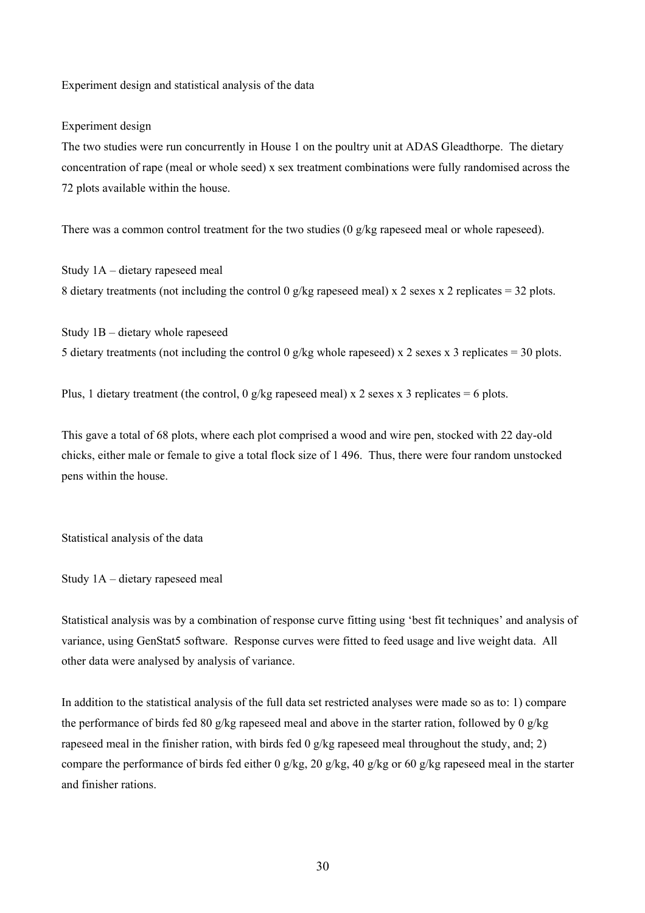Experiment design and statistical analysis of the data

#### Experiment design

The two studies were run concurrently in House 1 on the poultry unit at ADAS Gleadthorpe. The dietary concentration of rape (meal or whole seed) x sex treatment combinations were fully randomised across the 72 plots available within the house.

There was a common control treatment for the two studies (0 g/kg rapeseed meal or whole rapeseed).

Study 1A – dietary rapeseed meal 8 dietary treatments (not including the control 0 g/kg rapeseed meal) x 2 sexes x 2 replicates = 32 plots.

Study 1B – dietary whole rapeseed 5 dietary treatments (not including the control 0 g/kg whole rapeseed) x 2 sexes x 3 replicates = 30 plots.

Plus, 1 dietary treatment (the control, 0 g/kg rapeseed meal) x 2 sexes x 3 replicates = 6 plots.

This gave a total of 68 plots, where each plot comprised a wood and wire pen, stocked with 22 day-old chicks, either male or female to give a total flock size of 1 496. Thus, there were four random unstocked pens within the house.

Statistical analysis of the data

Study 1A – dietary rapeseed meal

Statistical analysis was by a combination of response curve fitting using 'best fit techniques' and analysis of variance, using GenStat5 software. Response curves were fitted to feed usage and live weight data. All other data were analysed by analysis of variance.

In addition to the statistical analysis of the full data set restricted analyses were made so as to: 1) compare the performance of birds fed 80 g/kg rapeseed meal and above in the starter ration, followed by 0 g/kg rapeseed meal in the finisher ration, with birds fed 0 g/kg rapeseed meal throughout the study, and; 2) compare the performance of birds fed either 0 g/kg, 20 g/kg, 40 g/kg or 60 g/kg rapeseed meal in the starter and finisher rations.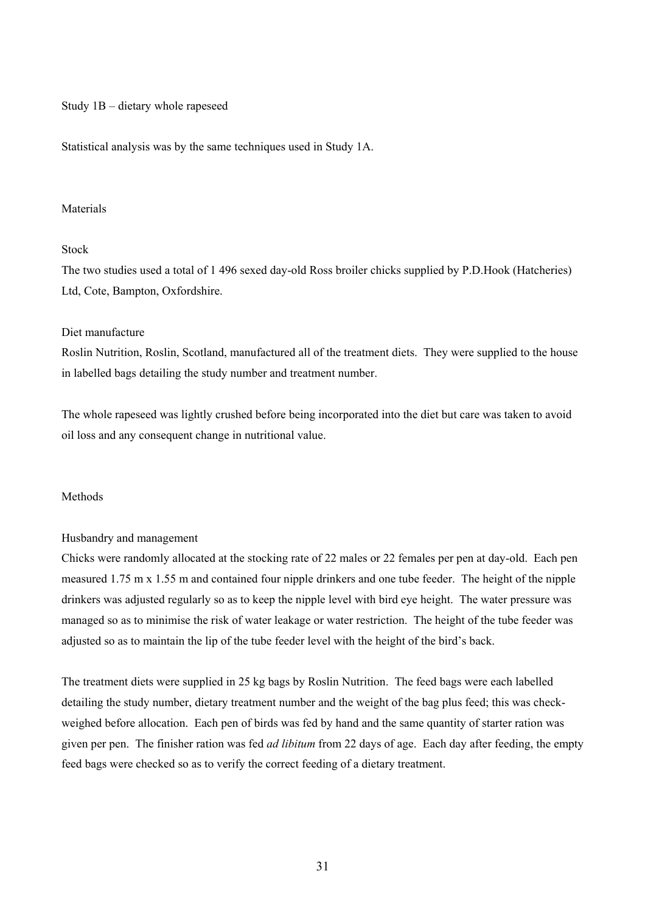Study 1B – dietary whole rapeseed

Statistical analysis was by the same techniques used in Study 1A.

# Materials

# Stock

The two studies used a total of 1 496 sexed day-old Ross broiler chicks supplied by P.D.Hook (Hatcheries) Ltd, Cote, Bampton, Oxfordshire.

#### Diet manufacture

Roslin Nutrition, Roslin, Scotland, manufactured all of the treatment diets. They were supplied to the house in labelled bags detailing the study number and treatment number.

The whole rapeseed was lightly crushed before being incorporated into the diet but care was taken to avoid oil loss and any consequent change in nutritional value.

### Methods

#### Husbandry and management

Chicks were randomly allocated at the stocking rate of 22 males or 22 females per pen at day-old. Each pen measured 1.75 m x 1.55 m and contained four nipple drinkers and one tube feeder. The height of the nipple drinkers was adjusted regularly so as to keep the nipple level with bird eye height. The water pressure was managed so as to minimise the risk of water leakage or water restriction. The height of the tube feeder was adjusted so as to maintain the lip of the tube feeder level with the height of the bird's back.

The treatment diets were supplied in 25 kg bags by Roslin Nutrition. The feed bags were each labelled detailing the study number, dietary treatment number and the weight of the bag plus feed; this was checkweighed before allocation. Each pen of birds was fed by hand and the same quantity of starter ration was given per pen. The finisher ration was fed *ad libitum* from 22 days of age. Each day after feeding, the empty feed bags were checked so as to verify the correct feeding of a dietary treatment.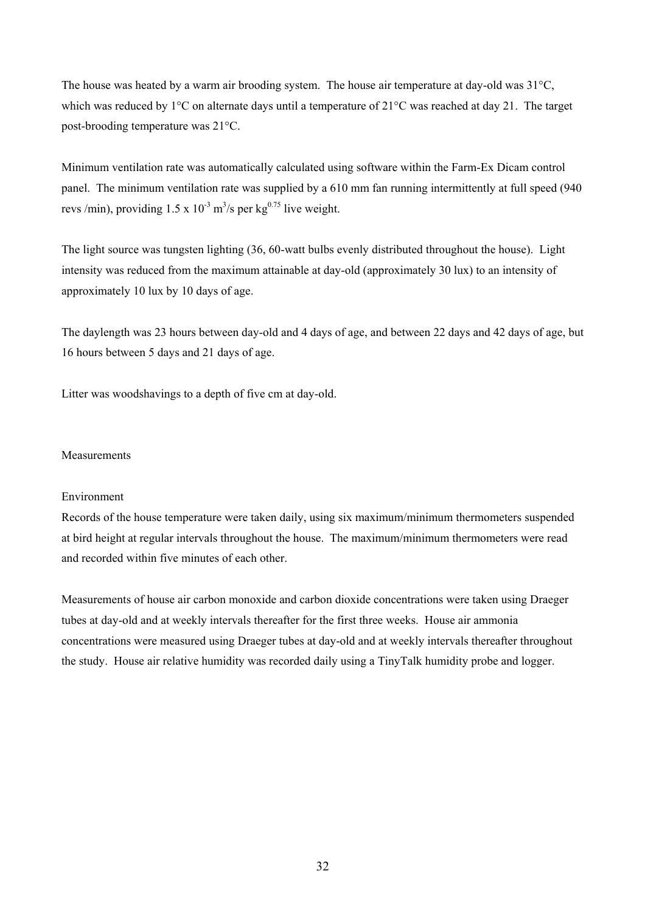The house was heated by a warm air brooding system. The house air temperature at day-old was 31°C, which was reduced by 1<sup>o</sup>C on alternate days until a temperature of 21<sup>o</sup>C was reached at day 21. The target post-brooding temperature was 21°C.

Minimum ventilation rate was automatically calculated using software within the Farm-Ex Dicam control panel. The minimum ventilation rate was supplied by a 610 mm fan running intermittently at full speed (940 revs /min), providing  $1.5 \times 10^{-3}$  m<sup>3</sup>/s per kg<sup>0.75</sup> live weight.

The light source was tungsten lighting (36, 60-watt bulbs evenly distributed throughout the house). Light intensity was reduced from the maximum attainable at day-old (approximately 30 lux) to an intensity of approximately 10 lux by 10 days of age.

The daylength was 23 hours between day-old and 4 days of age, and between 22 days and 42 days of age, but 16 hours between 5 days and 21 days of age.

Litter was woodshavings to a depth of five cm at day-old.

# Measurements

# Environment

Records of the house temperature were taken daily, using six maximum/minimum thermometers suspended at bird height at regular intervals throughout the house. The maximum/minimum thermometers were read and recorded within five minutes of each other.

Measurements of house air carbon monoxide and carbon dioxide concentrations were taken using Draeger tubes at day-old and at weekly intervals thereafter for the first three weeks. House air ammonia concentrations were measured using Draeger tubes at day-old and at weekly intervals thereafter throughout the study. House air relative humidity was recorded daily using a TinyTalk humidity probe and logger.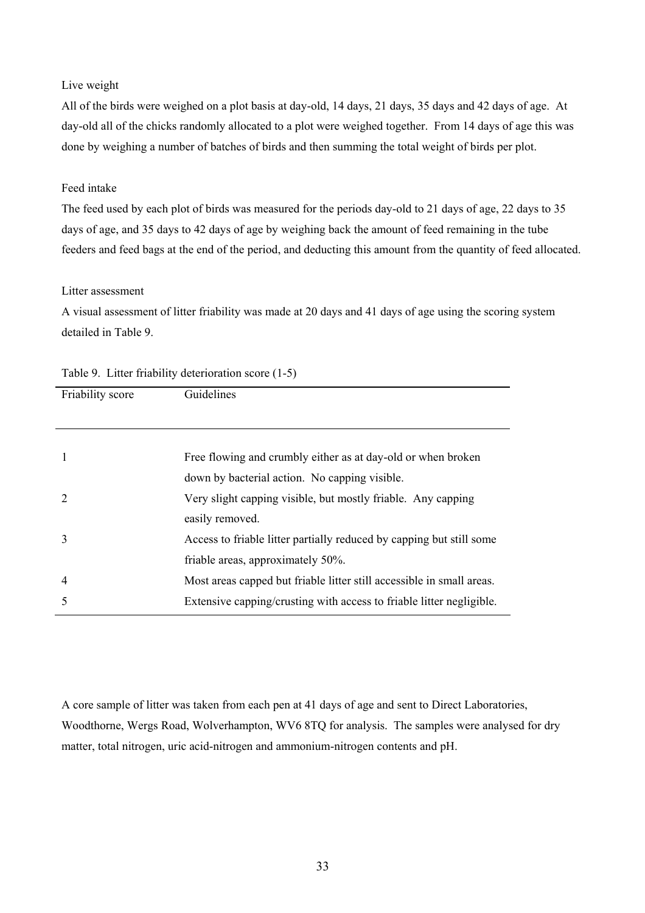# Live weight

All of the birds were weighed on a plot basis at day-old, 14 days, 21 days, 35 days and 42 days of age. At day-old all of the chicks randomly allocated to a plot were weighed together. From 14 days of age this was done by weighing a number of batches of birds and then summing the total weight of birds per plot.

# Feed intake

The feed used by each plot of birds was measured for the periods day-old to 21 days of age, 22 days to 35 days of age, and 35 days to 42 days of age by weighing back the amount of feed remaining in the tube feeders and feed bags at the end of the period, and deducting this amount from the quantity of feed allocated.

# Litter assessment

A visual assessment of litter friability was made at 20 days and 41 days of age using the scoring system detailed in Table 9.

|                  | $1.001$ $\sqrt{1.001}$ $\sqrt{1.0001}$ $\sqrt{1.0001}$ $\sqrt{1.0001}$ |  |  |  |
|------------------|------------------------------------------------------------------------|--|--|--|
| Friability score | Guidelines                                                             |  |  |  |
|                  |                                                                        |  |  |  |
|                  |                                                                        |  |  |  |
|                  |                                                                        |  |  |  |
| -1               | Free flowing and crumbly either as at day-old or when broken           |  |  |  |
|                  | down by bacterial action. No capping visible.                          |  |  |  |
| 2                | Very slight capping visible, but mostly friable. Any capping           |  |  |  |
|                  | easily removed.                                                        |  |  |  |
| 3                | Access to friable litter partially reduced by capping but still some   |  |  |  |
|                  | friable areas, approximately 50%.                                      |  |  |  |
| $\overline{4}$   | Most areas capped but friable litter still accessible in small areas.  |  |  |  |
| 5                | Extensive capping/crusting with access to friable litter negligible.   |  |  |  |
|                  |                                                                        |  |  |  |

|  | Table 9. Litter friability deterioration score (1-5) |  |  |
|--|------------------------------------------------------|--|--|
|  |                                                      |  |  |

A core sample of litter was taken from each pen at 41 days of age and sent to Direct Laboratories, Woodthorne, Wergs Road, Wolverhampton, WV6 8TQ for analysis. The samples were analysed for dry matter, total nitrogen, uric acid-nitrogen and ammonium-nitrogen contents and pH.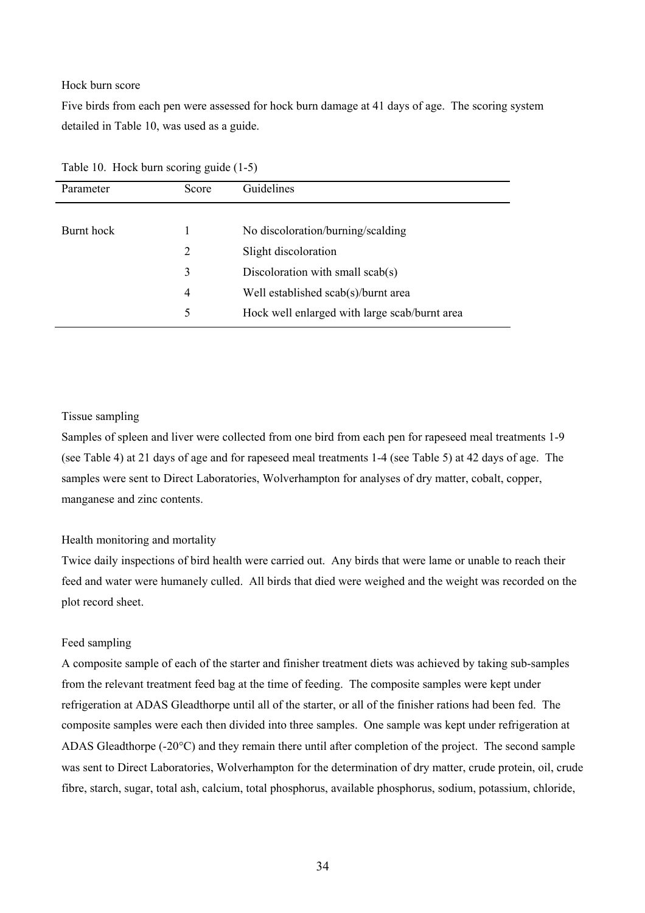#### Hock burn score

Five birds from each pen were assessed for hock burn damage at 41 days of age. The scoring system detailed in Table 10, was used as a guide.

| Parameter  | Score | <b>Guidelines</b>                             |
|------------|-------|-----------------------------------------------|
|            |       |                                               |
| Burnt hock |       | No discoloration/burning/scalding             |
|            | 2     | Slight discoloration                          |
|            | 3     | Discoloration with small $scab(s)$            |
|            | 4     | Well established scab(s)/burnt area           |
|            | 5     | Hock well enlarged with large scab/burnt area |

Table 10. Hock burn scoring guide (1-5)

#### Tissue sampling

Samples of spleen and liver were collected from one bird from each pen for rapeseed meal treatments 1-9 (see Table 4) at 21 days of age and for rapeseed meal treatments 1-4 (see Table 5) at 42 days of age. The samples were sent to Direct Laboratories, Wolverhampton for analyses of dry matter, cobalt, copper, manganese and zinc contents.

# Health monitoring and mortality

Twice daily inspections of bird health were carried out. Any birds that were lame or unable to reach their feed and water were humanely culled. All birds that died were weighed and the weight was recorded on the plot record sheet.

#### Feed sampling

A composite sample of each of the starter and finisher treatment diets was achieved by taking sub-samples from the relevant treatment feed bag at the time of feeding. The composite samples were kept under refrigeration at ADAS Gleadthorpe until all of the starter, or all of the finisher rations had been fed. The composite samples were each then divided into three samples. One sample was kept under refrigeration at ADAS Gleadthorpe (-20°C) and they remain there until after completion of the project. The second sample was sent to Direct Laboratories, Wolverhampton for the determination of dry matter, crude protein, oil, crude fibre, starch, sugar, total ash, calcium, total phosphorus, available phosphorus, sodium, potassium, chloride,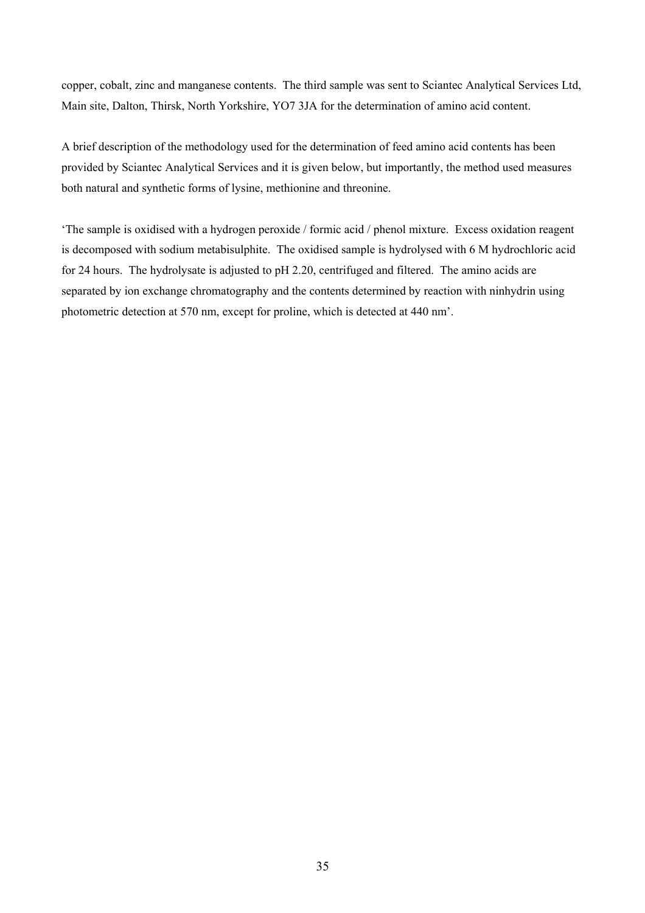copper, cobalt, zinc and manganese contents. The third sample was sent to Sciantec Analytical Services Ltd, Main site, Dalton, Thirsk, North Yorkshire, YO7 3JA for the determination of amino acid content.

A brief description of the methodology used for the determination of feed amino acid contents has been provided by Sciantec Analytical Services and it is given below, but importantly, the method used measures both natural and synthetic forms of lysine, methionine and threonine.

'The sample is oxidised with a hydrogen peroxide / formic acid / phenol mixture. Excess oxidation reagent is decomposed with sodium metabisulphite. The oxidised sample is hydrolysed with 6 M hydrochloric acid for 24 hours. The hydrolysate is adjusted to pH 2.20, centrifuged and filtered. The amino acids are separated by ion exchange chromatography and the contents determined by reaction with ninhydrin using photometric detection at 570 nm, except for proline, which is detected at 440 nm'.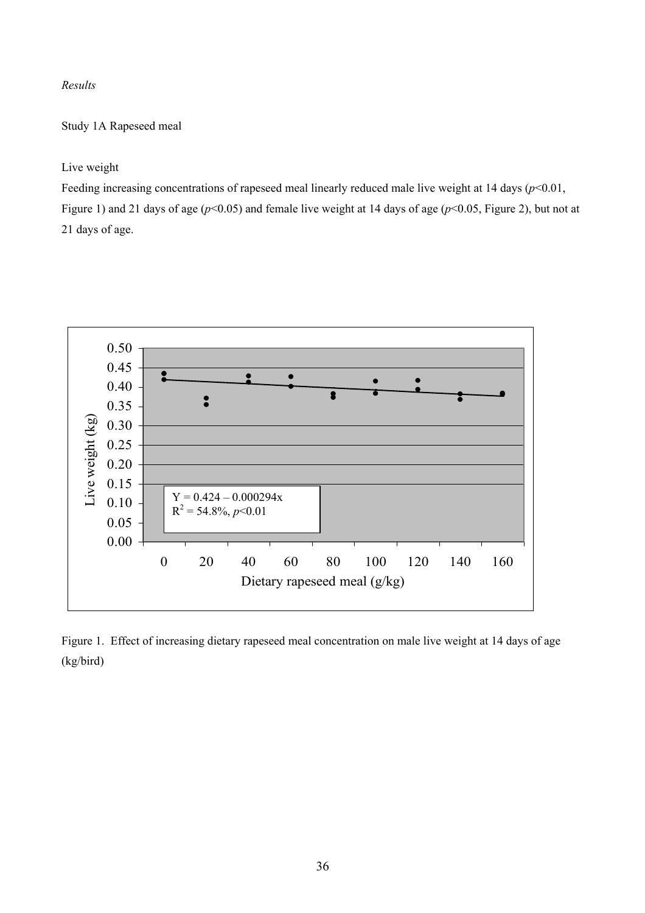### *Results*

### Study 1A Rapeseed meal

### Live weight

Feeding increasing concentrations of rapeseed meal linearly reduced male live weight at 14 days  $(p<0.01)$ , Figure 1) and 21 days of age ( $p$ <0.05) and female live weight at 14 days of age ( $p$ <0.05, Figure 2), but not at 21 days of age.



Figure 1. Effect of increasing dietary rapeseed meal concentration on male live weight at 14 days of age (kg/bird)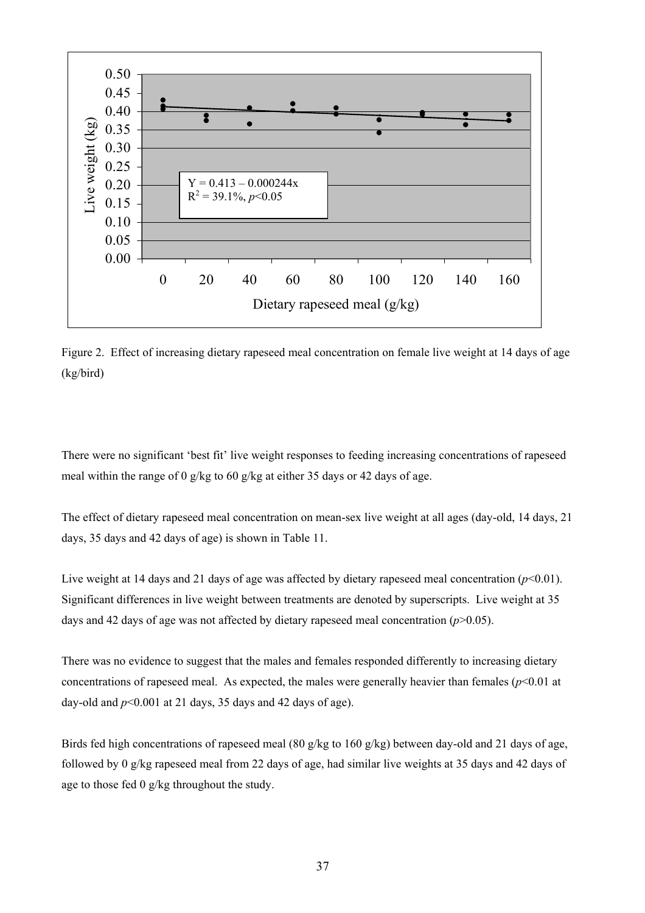

Figure 2. Effect of increasing dietary rapeseed meal concentration on female live weight at 14 days of age (kg/bird)

There were no significant 'best fit' live weight responses to feeding increasing concentrations of rapeseed meal within the range of 0 g/kg to 60 g/kg at either 35 days or 42 days of age.

The effect of dietary rapeseed meal concentration on mean-sex live weight at all ages (day-old, 14 days, 21 days, 35 days and 42 days of age) is shown in Table 11.

Live weight at 14 days and 21 days of age was affected by dietary rapeseed meal concentration  $(p<0.01)$ . Significant differences in live weight between treatments are denoted by superscripts. Live weight at 35 days and 42 days of age was not affected by dietary rapeseed meal concentration (*p*>0.05).

There was no evidence to suggest that the males and females responded differently to increasing dietary concentrations of rapeseed meal. As expected, the males were generally heavier than females  $(p<0.01$  at day-old and  $p<0.001$  at 21 days, 35 days and 42 days of age).

Birds fed high concentrations of rapeseed meal (80 g/kg to 160 g/kg) between day-old and 21 days of age, followed by 0 g/kg rapeseed meal from 22 days of age, had similar live weights at 35 days and 42 days of age to those fed 0 g/kg throughout the study.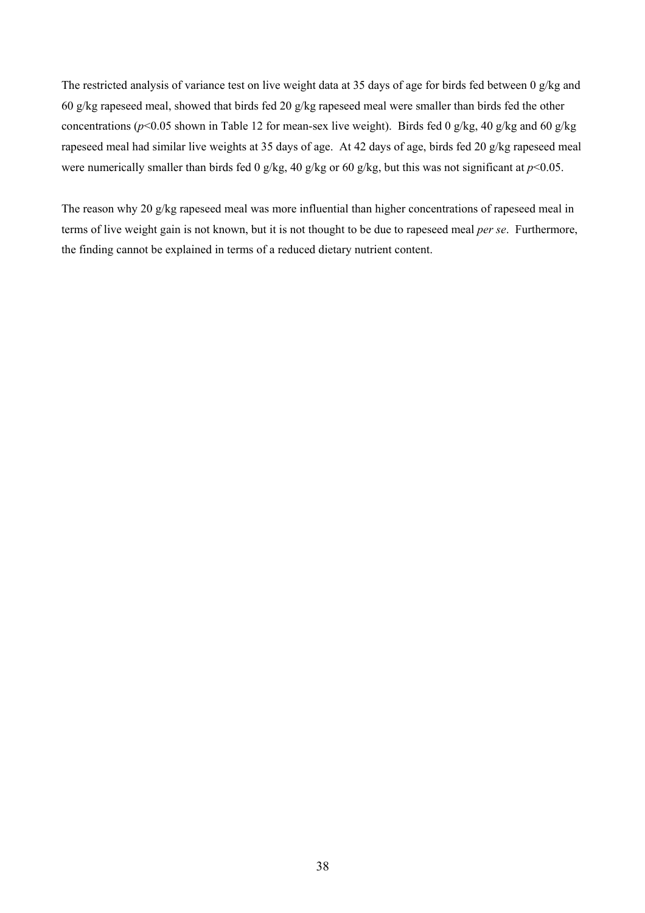The restricted analysis of variance test on live weight data at 35 days of age for birds fed between 0 g/kg and 60 g/kg rapeseed meal, showed that birds fed 20 g/kg rapeseed meal were smaller than birds fed the other concentrations (*p*<0.05 shown in Table 12 for mean-sex live weight). Birds fed 0 g/kg, 40 g/kg and 60 g/kg rapeseed meal had similar live weights at 35 days of age. At 42 days of age, birds fed 20 g/kg rapeseed meal were numerically smaller than birds fed 0 g/kg, 40 g/kg or 60 g/kg, but this was not significant at *p*<0.05.

The reason why 20 g/kg rapeseed meal was more influential than higher concentrations of rapeseed meal in terms of live weight gain is not known, but it is not thought to be due to rapeseed meal *per se*. Furthermore, the finding cannot be explained in terms of a reduced dietary nutrient content.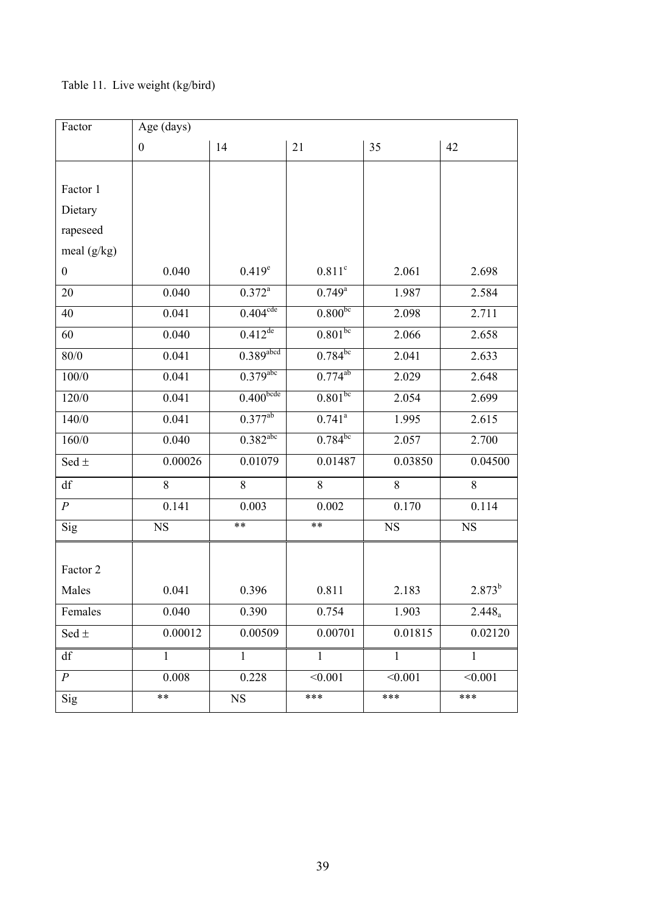# Table 11. Live weight (kg/bird)

| Factor           | Age (days)       |                        |                      |              |                    |
|------------------|------------------|------------------------|----------------------|--------------|--------------------|
|                  | $\boldsymbol{0}$ | 14                     | 21                   | 35           | 42                 |
|                  |                  |                        |                      |              |                    |
| Factor 1         |                  |                        |                      |              |                    |
| Dietary          |                  |                        |                      |              |                    |
| rapeseed         |                  |                        |                      |              |                    |
| meal (g/kg)      |                  |                        |                      |              |                    |
| $\boldsymbol{0}$ | 0.040            | $0.419^e$              | $0.811^c$            | 2.061        | 2.698              |
| 20               | 0.040            | $0.372^{a}$            | $0.749^{a}$          | 1.987        | 2.584              |
| 40               | 0.041            | $0.404$ <sup>cde</sup> | 0.800 <sub>pc</sub>  | 2.098        | 2.711              |
| 60               | 0.040            | $0.412^{de}$           | $0.801^{bc}$         | 2.066        | 2.658              |
| $80/0$           | 0.041            | $0.389$ abcd           | $0.784^{bc}$         | 2.041        | 2.633              |
| 100/0            | 0.041            | $0.379$ <sup>abc</sup> | $0.774^{ab}$         | 2.029        | 2.648              |
| $120/0$          | 0.041            | 0.400 <sub>bcde</sub>  | $0.801^{bc}$         | 2.054        | 2.699              |
| 140/0            | 0.041            | $0.377^{ab}$           | $0.741$ <sup>a</sup> | 1.995        | 2.615              |
| 160/0            | 0.040            | $0.382$ <sup>abc</sup> | $0.784^{bc}$         | 2.057        | 2.700              |
| Sed $\pm$        | 0.00026          | 0.01079                | 0.01487              | 0.03850      | 0.04500            |
| df               | 8                | 8                      | 8                    | 8            | 8                  |
| $\boldsymbol{P}$ | 0.141            | 0.003                  | 0.002                | 0.170        | 0.114              |
| Sig              | <b>NS</b>        | **                     | **                   | $_{\rm NS}$  | <b>NS</b>          |
|                  |                  |                        |                      |              |                    |
| Factor 2         |                  |                        |                      |              |                    |
| Males            | 0.041            | 0.396                  | 0.811                | 2.183        | $2.873^{b}$        |
| Females          | 0.040            | 0.390                  | 0.754                | 1.903        | 2.448 <sub>a</sub> |
| Sed $\pm$        | 0.00012          | 0.00509                | 0.00701              | 0.01815      | 0.02120            |
| df               | $\mathbf{1}$     | $\mathbf{1}$           | $\mathbf{1}$         | $\mathbf{1}$ | $\mathbf{1}$       |
| $\boldsymbol{P}$ | 0.008            | 0.228                  | < 0.001              | < 0.001      | < 0.001            |
| Sig              | $***$            | NS                     | ***                  | ***          | ***                |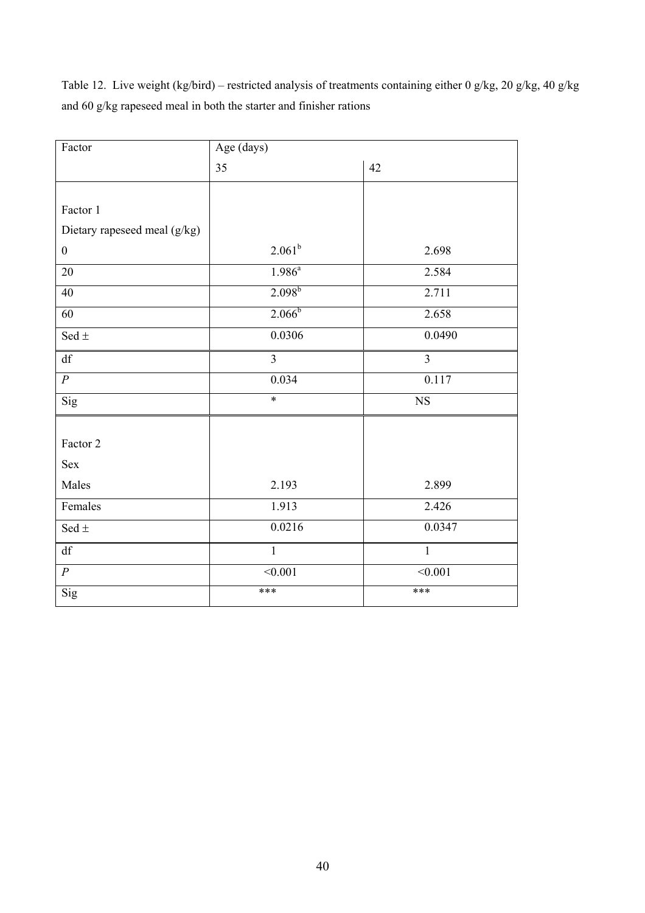Table 12. Live weight (kg/bird) – restricted analysis of treatments containing either 0 g/kg, 20 g/kg, 40 g/kg and 60 g/kg rapeseed meal in both the starter and finisher rations

| Factor                       | Age (days)     |                |  |  |  |
|------------------------------|----------------|----------------|--|--|--|
|                              | 35             | 42             |  |  |  |
|                              |                |                |  |  |  |
| Factor 1                     |                |                |  |  |  |
| Dietary rapeseed meal (g/kg) |                |                |  |  |  |
| $\boldsymbol{0}$             | $2.061^{b}$    | 2.698          |  |  |  |
| 20                           | $1.986^{a}$    | 2.584          |  |  |  |
| 40                           | $2.098^{b}$    | 2.711          |  |  |  |
| 60                           | $2.066^b$      | 2.658          |  |  |  |
| Sed $\pm$                    | 0.0306         | 0.0490         |  |  |  |
| $\mathrm{d}\mathbf{f}$       | $\overline{3}$ | $\overline{3}$ |  |  |  |
| $\overline{P}$               | 0.034          | 0.117          |  |  |  |
| Sig                          | $\ast$         | $_{\rm NS}$    |  |  |  |
|                              |                |                |  |  |  |
| Factor 2                     |                |                |  |  |  |
| <b>Sex</b>                   |                |                |  |  |  |
| Males                        | 2.193          | 2.899          |  |  |  |
| Females                      | 1.913          | 2.426          |  |  |  |
| Sed $\pm$                    | 0.0216         | 0.0347         |  |  |  |
| df                           | $\overline{1}$ | $\overline{1}$ |  |  |  |
| $\cal P$                     | < 0.001        | < 0.001        |  |  |  |
| Sig                          | ***            | ***            |  |  |  |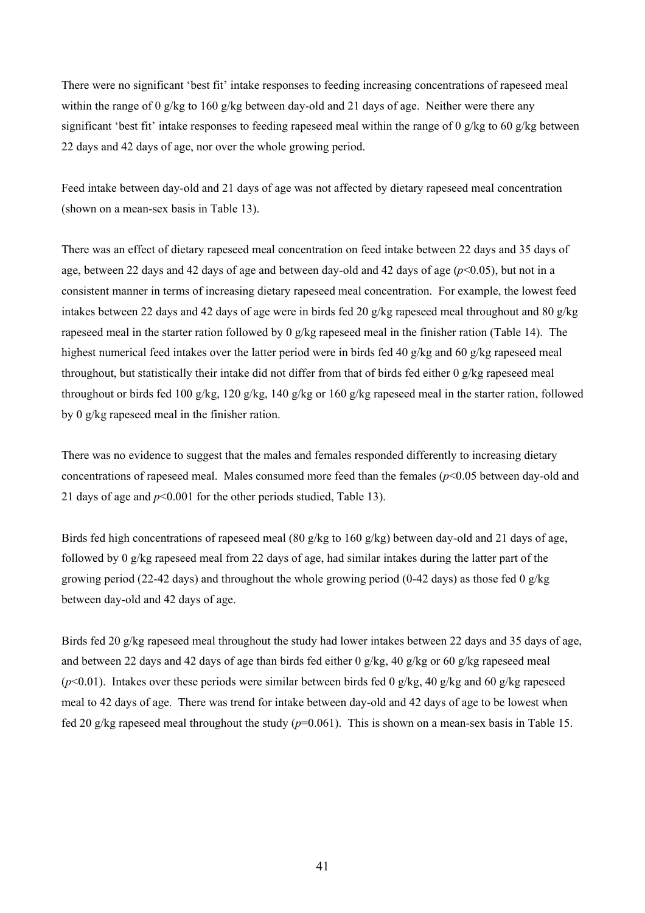There were no significant 'best fit' intake responses to feeding increasing concentrations of rapeseed meal within the range of 0 g/kg to 160 g/kg between day-old and 21 days of age. Neither were there any significant 'best fit' intake responses to feeding rapeseed meal within the range of 0 g/kg to 60 g/kg between 22 days and 42 days of age, nor over the whole growing period.

Feed intake between day-old and 21 days of age was not affected by dietary rapeseed meal concentration (shown on a mean-sex basis in Table 13).

There was an effect of dietary rapeseed meal concentration on feed intake between 22 days and 35 days of age, between 22 days and 42 days of age and between day-old and 42 days of age  $(p< 0.05)$ , but not in a consistent manner in terms of increasing dietary rapeseed meal concentration. For example, the lowest feed intakes between 22 days and 42 days of age were in birds fed 20 g/kg rapeseed meal throughout and 80 g/kg rapeseed meal in the starter ration followed by 0 g/kg rapeseed meal in the finisher ration (Table 14). The highest numerical feed intakes over the latter period were in birds fed 40 g/kg and 60 g/kg rapeseed meal throughout, but statistically their intake did not differ from that of birds fed either 0 g/kg rapeseed meal throughout or birds fed 100 g/kg, 120 g/kg, 140 g/kg or 160 g/kg rapeseed meal in the starter ration, followed by 0 g/kg rapeseed meal in the finisher ration.

There was no evidence to suggest that the males and females responded differently to increasing dietary concentrations of rapeseed meal. Males consumed more feed than the females (*p*<0.05 between day-old and 21 days of age and *p*<0.001 for the other periods studied, Table 13).

Birds fed high concentrations of rapeseed meal (80 g/kg to 160 g/kg) between day-old and 21 days of age, followed by 0 g/kg rapeseed meal from 22 days of age, had similar intakes during the latter part of the growing period (22-42 days) and throughout the whole growing period (0-42 days) as those fed 0 g/kg between day-old and 42 days of age.

Birds fed 20 g/kg rapeseed meal throughout the study had lower intakes between 22 days and 35 days of age, and between 22 days and 42 days of age than birds fed either 0  $g/kg$ , 40  $g/kg$  or 60  $g/kg$  rapeseed meal  $(p<0.01)$ . Intakes over these periods were similar between birds fed 0 g/kg, 40 g/kg and 60 g/kg rapeseed meal to 42 days of age. There was trend for intake between day-old and 42 days of age to be lowest when fed 20 g/kg rapeseed meal throughout the study (*p*=0.061). This is shown on a mean-sex basis in Table 15.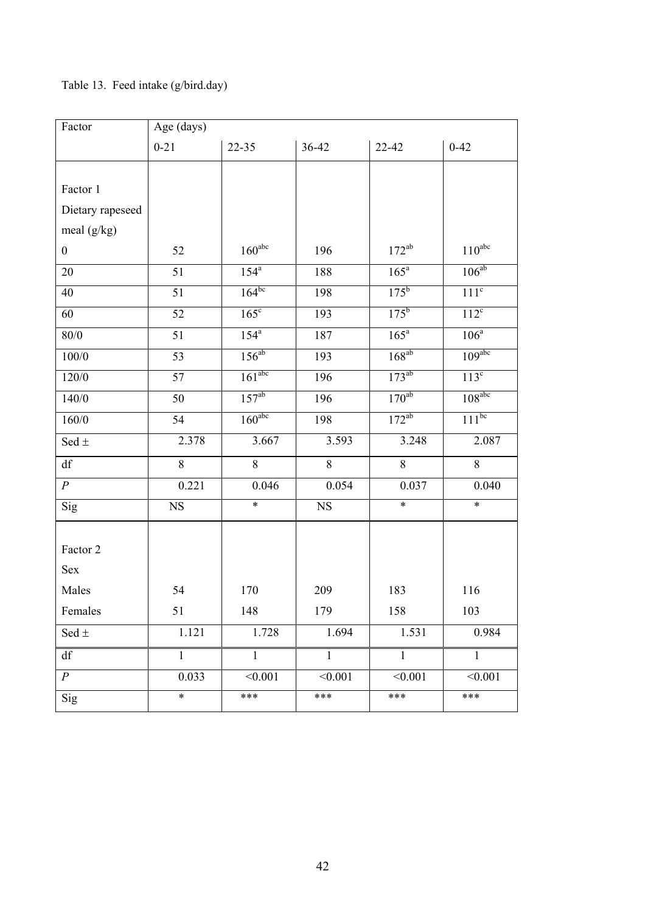## Table 13. Feed intake (g/bird.day)

| Factor           | Age (days)   |                    |              |                    |                    |
|------------------|--------------|--------------------|--------------|--------------------|--------------------|
|                  | $0 - 21$     | $22 - 35$          | 36-42        | $22 - 42$          | $0 - 42$           |
|                  |              |                    |              |                    |                    |
| Factor 1         |              |                    |              |                    |                    |
| Dietary rapeseed |              |                    |              |                    |                    |
| meal (g/kg)      |              |                    |              |                    |                    |
| $\boldsymbol{0}$ | 52           | $160^{\text{abc}}$ | 196          | $172^{ab}$         | $110^{\text{abc}}$ |
| 20               | 51           | $154^{\circ}$      | 188          | $165^{\circ}$      | $106^{ab}$         |
| 40               | 51           | $164^{bc}$         | 198          | $175^{\mathrm{b}}$ | 111 <sup>c</sup>   |
| 60               | 52           | $165^\circ$        | 193          | $175^{\mathrm{b}}$ | $112^c$            |
| 80/0             | 51           | $154^a$            | 187          | 165 <sup>a</sup>   | 106 <sup>a</sup>   |
| 100/0            | 53           | $156^{ab}$         | 193          | $168^{ab}$         | 109 <sup>abc</sup> |
| 120/0            | 57           | 161 <sup>abc</sup> | 196          | $173^{ab}$         | $113^c$            |
| 140/0            | 50           | $157^{ab}$         | 196          | $170^{ab}$         | 108 <sup>abc</sup> |
| 160/0            | 54           | 160 <sup>abc</sup> | 198          | $172^{ab}$         | $111^{bc}$         |
| Sed $\pm$        | 2.378        | 3.667              | 3.593        | 3.248              | 2.087              |
| df               | 8            | 8                  | 8            | $\,8\,$            | $8\,$              |
| $\boldsymbol{P}$ | 0.221        | 0.046              | 0.054        | 0.037              | 0.040              |
| Sig              | $_{\rm NS}$  | $\ast$             | $_{\rm NS}$  | $\ast$             | $\ast$             |
|                  |              |                    |              |                    |                    |
| Factor 2         |              |                    |              |                    |                    |
| Sex              |              |                    |              |                    |                    |
| Males            | 54           | 170                | 209          | 183                | 116                |
| Females          | 51           | 148                | 179          | 158                | 103                |
| Sed $\pm$        | 1.121        | 1.728              | 1.694        | 1.531              | 0.984              |
| df               | $\mathbf{1}$ | $\mathbf{1}$       | $\mathbf{1}$ | $\mathbf{1}$       | $\mathbf{1}$       |
| $\boldsymbol{P}$ | 0.033        | < 0.001            | < 0.001      | < 0.001            | < 0.001            |
| Sig              | $\ast$       | ***                | ***          | ***                | ***                |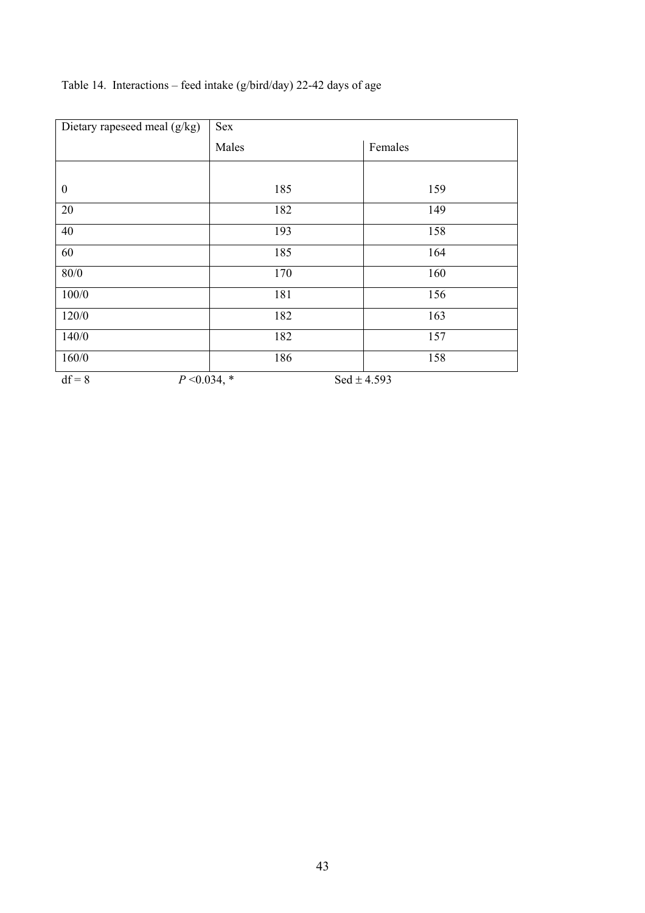| Dietary rapeseed meal (g/kg) | Sex   |                 |  |
|------------------------------|-------|-----------------|--|
|                              | Males | Females         |  |
|                              |       |                 |  |
| $\boldsymbol{0}$             | 185   | 159             |  |
| 20                           | 182   | 149             |  |
| 40                           | 193   | 158             |  |
| 60                           | 185   | 164             |  |
| $80/0$                       | 170   | 160             |  |
| 100/0                        | 181   | 156             |  |
| 120/0                        | 182   | 163             |  |
| 140/0                        | 182   | 157             |  |
| 160/0                        | 186   | 158             |  |
| $df = 8$<br>$P < 0.034$ , *  |       | Sed $\pm$ 4.593 |  |

| Table 14. Interactions – feed intake $(g/bird/day)$ 22-42 days of age |  |  |  |
|-----------------------------------------------------------------------|--|--|--|
|                                                                       |  |  |  |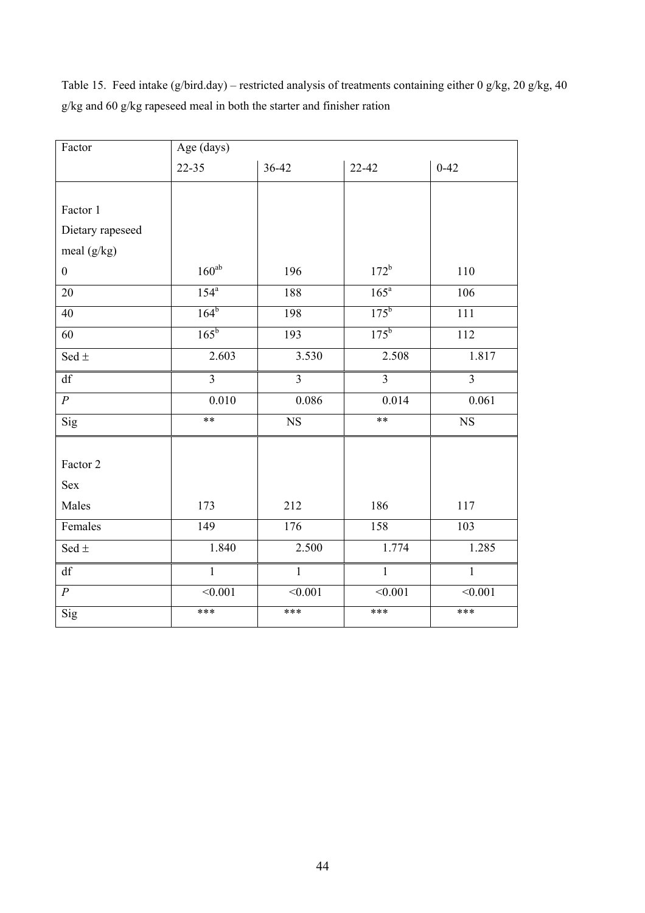Table 15. Feed intake (g/bird.day) – restricted analysis of treatments containing either 0 g/kg, 20 g/kg, 40 g/kg and 60 g/kg rapeseed meal in both the starter and finisher ration

| Factor           | Age (days)       |                        |                    |                        |  |
|------------------|------------------|------------------------|--------------------|------------------------|--|
|                  | 22-35            | 36-42                  | $22 - 42$          | $0 - 42$               |  |
|                  |                  |                        |                    |                        |  |
| Factor 1         |                  |                        |                    |                        |  |
| Dietary rapeseed |                  |                        |                    |                        |  |
| meal (g/kg)      |                  |                        |                    |                        |  |
| $\boldsymbol{0}$ | $160^{ab}$       | 196                    | $172^b$            | 110                    |  |
| 20               | 154 <sup>a</sup> | 188                    | $165^{\circ}$      | 106                    |  |
| 40               | 164 <sup>b</sup> | 198                    | $175^{\mathrm{b}}$ | 111                    |  |
| 60               | $165^{\rm b}$    | 193                    | $175^{\rm b}$      | 112                    |  |
| Sed $\pm$        | 2.603            | 3.530                  | 2.508              | 1.817                  |  |
| df               | $\overline{3}$   | $\overline{3}$         | $\overline{3}$     | $\overline{3}$         |  |
| $\boldsymbol{P}$ | 0.010            | 0.086                  | 0.014              | 0.061                  |  |
| Sig              | $***$            | $\overline{\text{NS}}$ | $***$              | $\overline{\text{NS}}$ |  |
|                  |                  |                        |                    |                        |  |
| Factor 2         |                  |                        |                    |                        |  |
| Sex              |                  |                        |                    |                        |  |
| Males            | 173              | 212                    | 186                | 117                    |  |
| Females          | 149              | 176                    | 158                | 103                    |  |
| Sed $\pm$        | 1.840            | 2.500                  | 1.774              | 1.285                  |  |
| df               | $\mathbf{1}$     | $\mathbf{1}$           | $\mathbf{1}$       | $\mathbf{1}$           |  |
| $\overline{P}$   | < 0.001          | < 0.001                | < 0.001            | < 0.001                |  |
| Sig              | $***$            | ***                    | ***                | ***                    |  |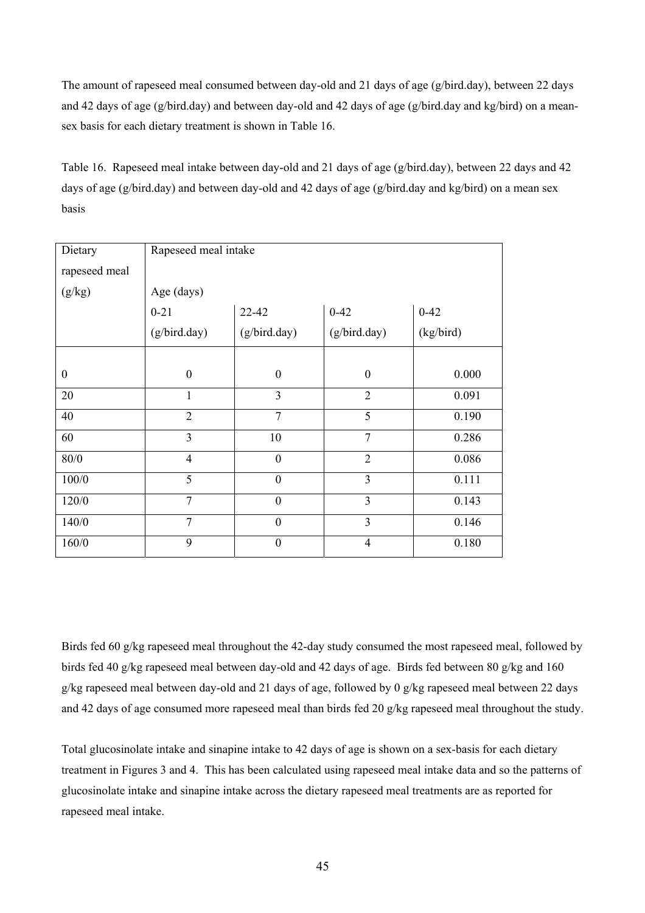The amount of rapeseed meal consumed between day-old and 21 days of age (g/bird.day), between 22 days and 42 days of age (g/bird.day) and between day-old and 42 days of age (g/bird.day and kg/bird) on a meansex basis for each dietary treatment is shown in Table 16.

Table 16. Rapeseed meal intake between day-old and 21 days of age (g/bird.day), between 22 days and 42 days of age (g/bird.day) and between day-old and 42 days of age (g/bird.day and kg/bird) on a mean sex basis

| Dietary          | Rapeseed meal intake |                                   |                  |           |  |  |  |
|------------------|----------------------|-----------------------------------|------------------|-----------|--|--|--|
| rapeseed meal    |                      |                                   |                  |           |  |  |  |
| (g/kg)           | Age (days)           |                                   |                  |           |  |  |  |
|                  | $0 - 21$             | $0 - 42$<br>$0 - 42$<br>$22 - 42$ |                  |           |  |  |  |
|                  | (g/bird.day)         | (g/bird.day)                      | (g/bird.day)     | (kg/bird) |  |  |  |
|                  |                      |                                   |                  |           |  |  |  |
| $\boldsymbol{0}$ | $\boldsymbol{0}$     | $\boldsymbol{0}$                  | $\boldsymbol{0}$ | 0.000     |  |  |  |
| 20               | $\mathbf{1}$         | 3                                 | $\overline{2}$   | 0.091     |  |  |  |
| 40               | $\overline{2}$       | $\overline{7}$                    | 5                | 0.190     |  |  |  |
| 60               | 3                    | 10                                | $\overline{7}$   | 0.286     |  |  |  |
| 80/0             | $\overline{4}$       | $\mathbf{0}$                      | $\overline{2}$   | 0.086     |  |  |  |
| 100/0            | 5                    | $\mathbf{0}$                      | 3                | 0.111     |  |  |  |
| 120/0            | $\overline{7}$       | $\boldsymbol{0}$                  | 3                | 0.143     |  |  |  |
| 140/0            | 7                    | $\mathbf{0}$                      | 3                | 0.146     |  |  |  |
| 160/0            | 9                    | $\boldsymbol{0}$                  | $\overline{4}$   | 0.180     |  |  |  |

Birds fed 60 g/kg rapeseed meal throughout the 42-day study consumed the most rapeseed meal, followed by birds fed 40 g/kg rapeseed meal between day-old and 42 days of age. Birds fed between 80 g/kg and 160 g/kg rapeseed meal between day-old and 21 days of age, followed by 0 g/kg rapeseed meal between 22 days and 42 days of age consumed more rapeseed meal than birds fed 20 g/kg rapeseed meal throughout the study.

Total glucosinolate intake and sinapine intake to 42 days of age is shown on a sex-basis for each dietary treatment in Figures 3 and 4. This has been calculated using rapeseed meal intake data and so the patterns of glucosinolate intake and sinapine intake across the dietary rapeseed meal treatments are as reported for rapeseed meal intake.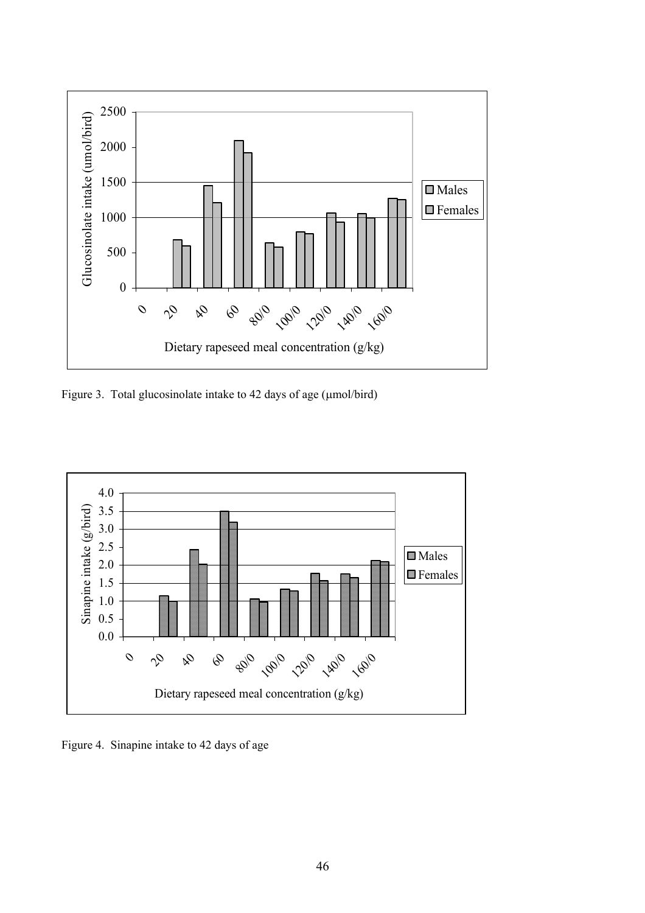

Figure 3. Total glucosinolate intake to 42 days of age ( $\mu$ mol/bird)



Figure 4. Sinapine intake to 42 days of age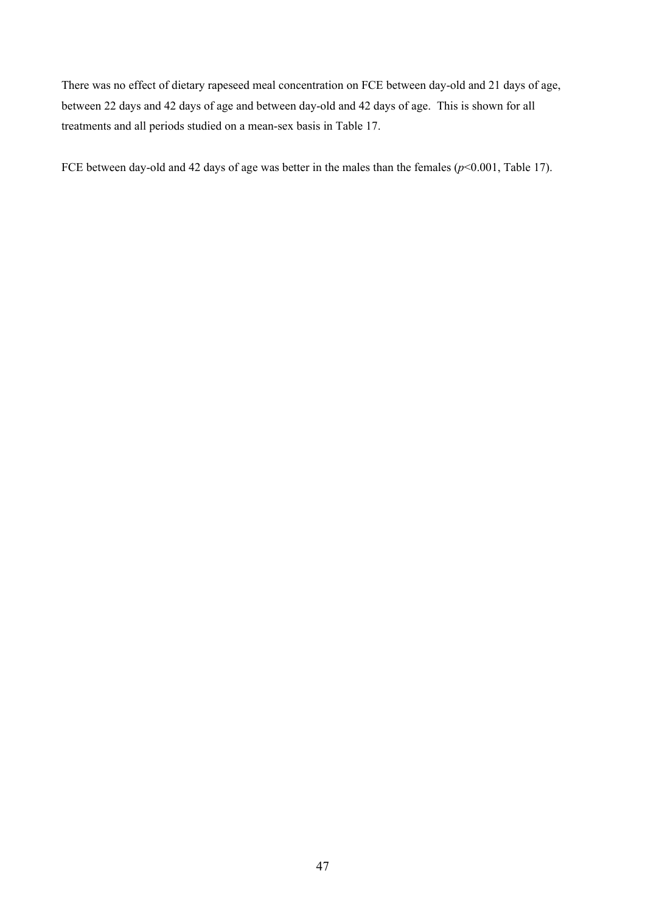There was no effect of dietary rapeseed meal concentration on FCE between day-old and 21 days of age, between 22 days and 42 days of age and between day-old and 42 days of age. This is shown for all treatments and all periods studied on a mean-sex basis in Table 17.

FCE between day-old and 42 days of age was better in the males than the females (*p*<0.001, Table 17).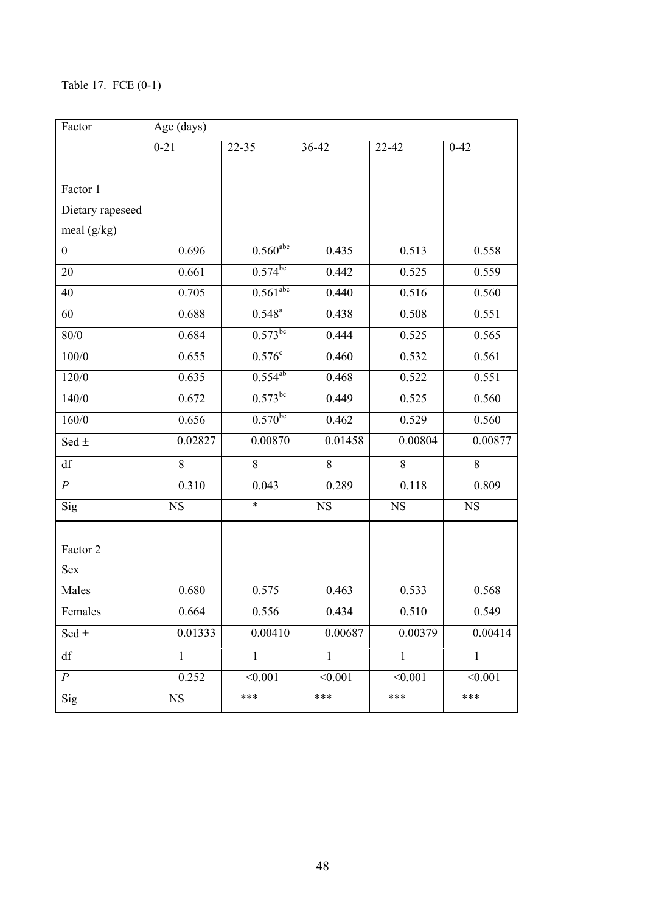## Table 17. FCE (0-1)

| Factor                 | Age (days)   |                        |              |              |              |
|------------------------|--------------|------------------------|--------------|--------------|--------------|
|                        | $0 - 21$     | $22 - 35$              | 36-42        | $22 - 42$    | $0 - 42$     |
|                        |              |                        |              |              |              |
| Factor 1               |              |                        |              |              |              |
| Dietary rapeseed       |              |                        |              |              |              |
| meal $(g/kg)$          |              |                        |              |              |              |
| $\boldsymbol{0}$       | 0.696        | $0.560^{\rm abc}$      | 0.435        | 0.513        | 0.558        |
| 20                     | 0.661        | $0.574^{bc}$           | 0.442        | 0.525        | 0.559        |
| 40                     | 0.705        | $0.561$ <sup>abc</sup> | 0.440        | 0.516        | 0.560        |
| 60                     | 0.688        | $0.548^{a}$            | 0.438        | 0.508        | 0.551        |
| $80/0$                 | 0.684        | $0.573^{bc}$           | 0.444        | 0.525        | 0.565        |
| 100/0                  | 0.655        | $0.576$ c              | 0.460        | 0.532        | 0.561        |
| 120/0                  | 0.635        | $0.554^{ab}$           | 0.468        | 0.522        | 0.551        |
| 140/0                  | 0.672        | $0.573^{bc}$           | 0.449        | 0.525        | 0.560        |
| 160/0                  | 0.656        | $0.570^{bc}$           | 0.462        | 0.529        | 0.560        |
| Sed $\pm$              | 0.02827      | 0.00870                | 0.01458      | 0.00804      | 0.00877      |
| df                     | 8            | 8                      | 8            | 8            | $8\,$        |
| $\cal P$               | 0.310        | 0.043                  | 0.289        | 0.118        | 0.809        |
| Sig                    | $_{\rm NS}$  | $\ast$                 | $_{\rm NS}$  | $_{\rm NS}$  | $_{\rm NS}$  |
|                        |              |                        |              |              |              |
| Factor 2               |              |                        |              |              |              |
| Sex                    |              |                        |              |              |              |
| Males                  | 0.680        | 0.575                  | 0.463        | 0.533        | 0.568        |
| Females                | 0.664        | 0.556                  | 0.434        | 0.510        | 0.549        |
| Sed $\pm$              | 0.01333      | 0.00410                | 0.00687      | 0.00379      | 0.00414      |
| $\mathrm{d}\mathbf{f}$ | $\mathbf{1}$ | $\mathbf{1}$           | $\mathbf{1}$ | $\mathbf{1}$ | $\mathbf{1}$ |
| $\boldsymbol{P}$       | 0.252        | < 0.001                | < 0.001      | < 0.001      | < 0.001      |
| Sig                    | NS           | ***                    | ***          | ***          | ***          |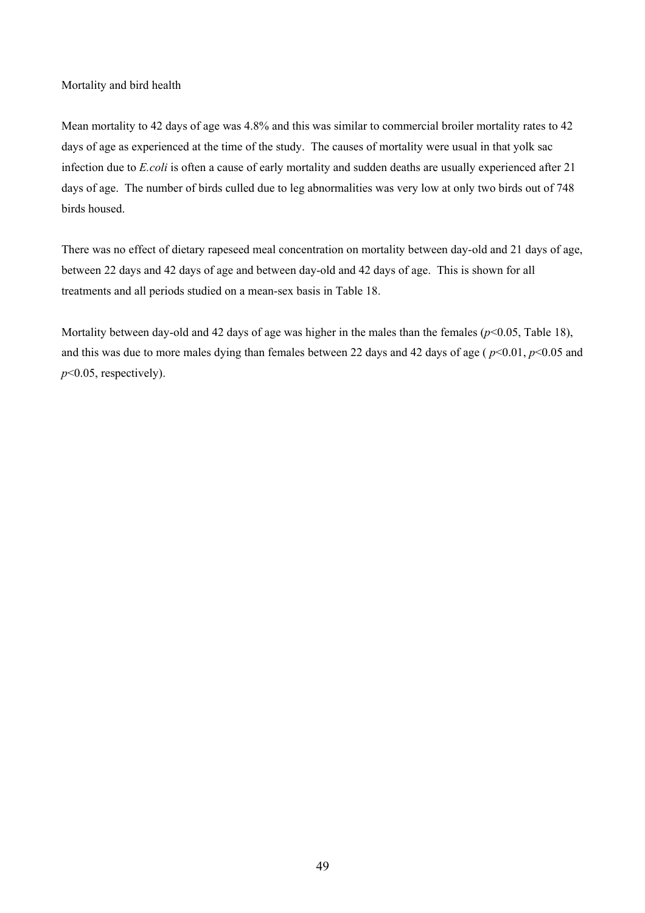Mortality and bird health

Mean mortality to 42 days of age was 4.8% and this was similar to commercial broiler mortality rates to 42 days of age as experienced at the time of the study. The causes of mortality were usual in that yolk sac infection due to *E.coli* is often a cause of early mortality and sudden deaths are usually experienced after 21 days of age. The number of birds culled due to leg abnormalities was very low at only two birds out of 748 birds housed.

There was no effect of dietary rapeseed meal concentration on mortality between day-old and 21 days of age, between 22 days and 42 days of age and between day-old and 42 days of age. This is shown for all treatments and all periods studied on a mean-sex basis in Table 18.

Mortality between day-old and 42 days of age was higher in the males than the females ( $p$ <0.05, Table 18), and this was due to more males dying than females between 22 days and 42 days of age ( $p<0.01, p<0.05$  and *p*<0.05, respectively).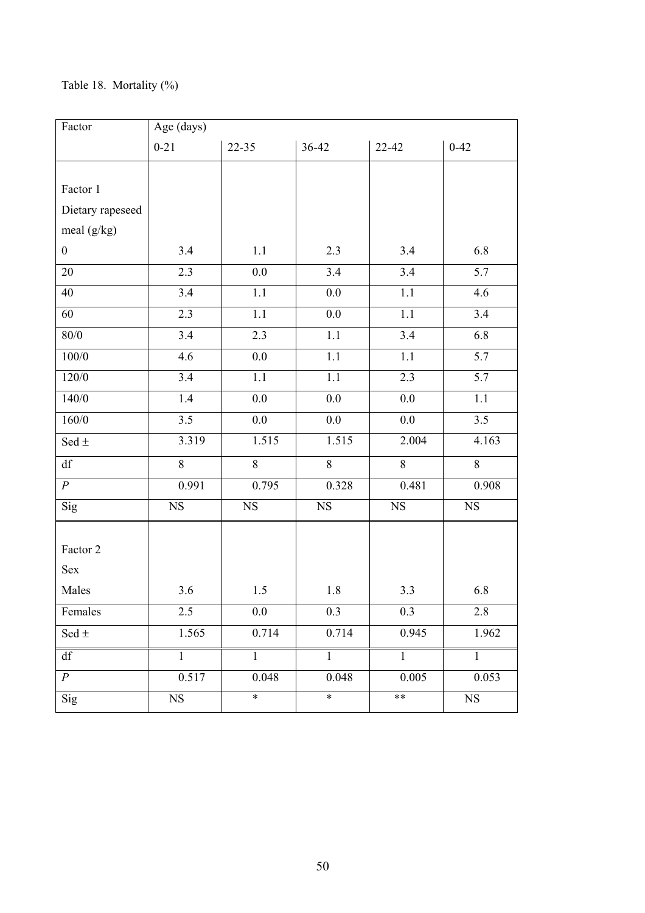# Table 18. Mortality (%)

| Factor           | Age (days)     |             |                |                |                        |
|------------------|----------------|-------------|----------------|----------------|------------------------|
|                  | $0 - 21$       | $22 - 35$   | $36 - 42$      | 22-42          | $0 - 42$               |
|                  |                |             |                |                |                        |
| Factor 1         |                |             |                |                |                        |
| Dietary rapeseed |                |             |                |                |                        |
| meal $(g/kg)$    |                |             |                |                |                        |
| $\boldsymbol{0}$ | 3.4            | 1.1         | 2.3            | 3.4            | 6.8                    |
| 20               | 2.3            | 0.0         | 3.4            | 3.4            | 5.7                    |
| 40               | 3.4            | 1.1         | $0.0\,$        | 1.1            | 4.6                    |
| 60               | 2.3            | 1.1         | 0.0            | 1.1            | 3.4                    |
| 80/0             | 3.4            | 2.3         | 1.1            | 3.4            | 6.8                    |
| $100/0$          | 4.6            | 0.0         | 1.1            | 1.1            | 5.7                    |
| 120/0            | 3.4            | $1.1\,$     | $1.1\,$        | 2.3            | 5.7                    |
| 140/0            | $1.4\,$        | 0.0         | $0.0\,$        | 0.0            | 1.1                    |
| 160/0            | 3.5            | 0.0         | 0.0            | 0.0            | 3.5                    |
| Sed $\pm$        | 3.319          | 1.515       | 1.515          | 2.004          | 4.163                  |
| df               | 8              | 8           | $8\,$          | 8              | $\overline{8}$         |
| $\boldsymbol{P}$ | 0.991          | 0.795       | 0.328          | 0.481          | 0.908                  |
| Sig              | $_{\rm NS}$    | $_{\rm NS}$ | $_{\rm NS}$    | $_{\rm NS}$    | $_{\rm NS}$            |
|                  |                |             |                |                |                        |
| Factor 2         |                |             |                |                |                        |
| Sex              |                |             |                |                |                        |
| Males            | 3.6            | 1.5         | 1.8            | 3.3            | 6.8                    |
| Females          | 2.5            | $0.0\,$     | 0.3            | 0.3            | 2.8                    |
| Sed $\pm$        | 1.565          | 0.714       | 0.714          | 0.945          | 1.962                  |
| df               | $\overline{1}$ | $\mathbf 1$ | $\overline{1}$ | $\overline{1}$ | $\overline{1}$         |
| $\boldsymbol{P}$ | 0.517          | 0.048       | 0.048          | 0.005          | 0.053                  |
| Sig              | NS             | $\ast$      | $\ast$         | $***$          | $\overline{\text{NS}}$ |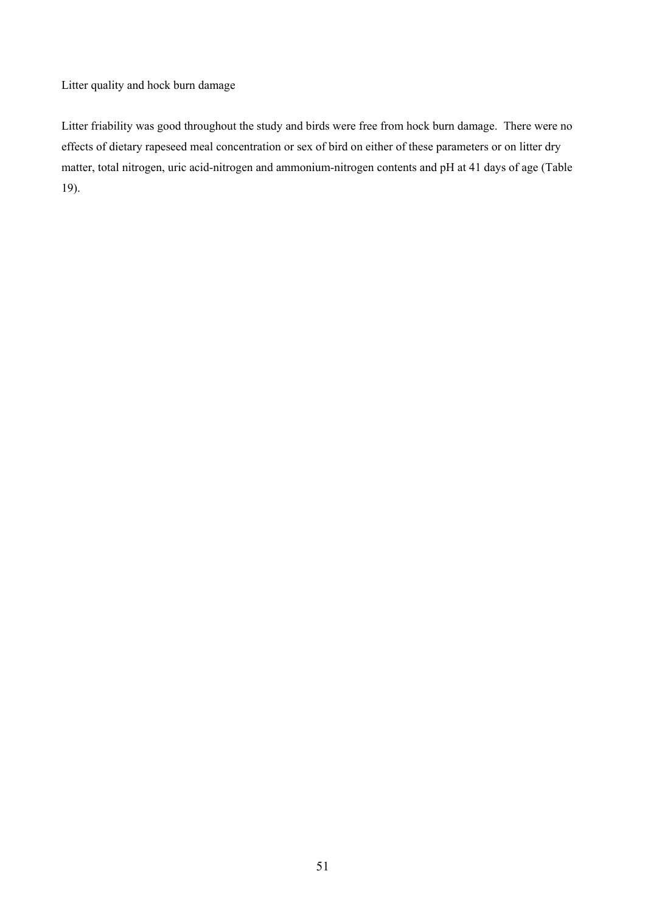Litter quality and hock burn damage

Litter friability was good throughout the study and birds were free from hock burn damage. There were no effects of dietary rapeseed meal concentration or sex of bird on either of these parameters or on litter dry matter, total nitrogen, uric acid-nitrogen and ammonium-nitrogen contents and pH at 41 days of age (Table 19).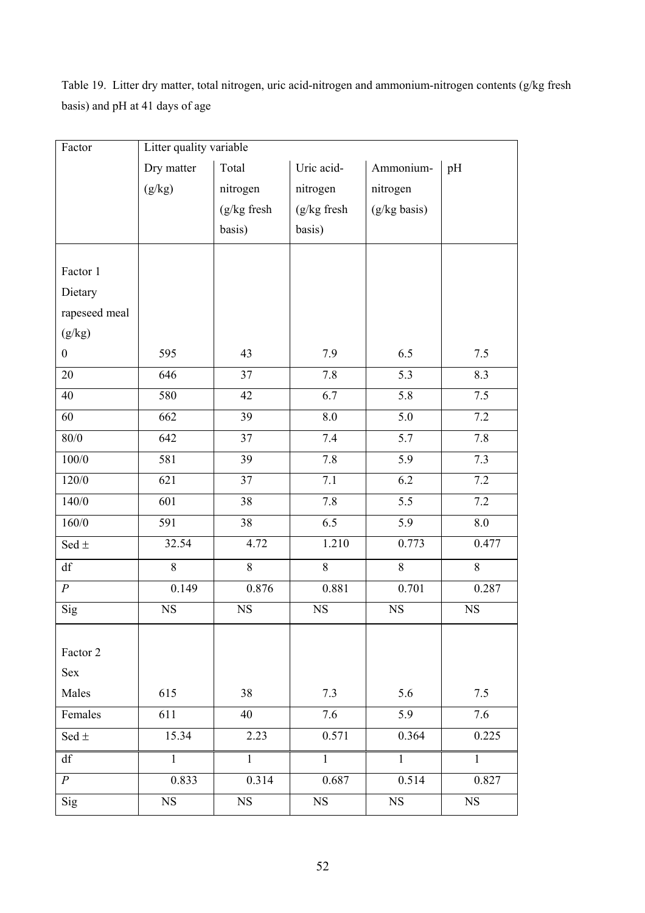Table 19. Litter dry matter, total nitrogen, uric acid-nitrogen and ammonium-nitrogen contents (g/kg fresh basis) and pH at 41 days of age

| Factor                 | Litter quality variable |                |                |                |                |
|------------------------|-------------------------|----------------|----------------|----------------|----------------|
|                        | Dry matter              | Total          | Uric acid-     | Ammonium-      | pH             |
|                        | (g/kg)                  | nitrogen       | nitrogen       | nitrogen       |                |
|                        |                         | $(g/kg$ fresh  | $(g/kg$ fresh  | (g/kg basis)   |                |
|                        |                         | basis)         | basis)         |                |                |
|                        |                         |                |                |                |                |
| Factor 1               |                         |                |                |                |                |
| Dietary                |                         |                |                |                |                |
| rapeseed meal          |                         |                |                |                |                |
| (g/kg)                 |                         |                |                |                |                |
| $\boldsymbol{0}$       | 595                     | 43             | 7.9            | 6.5            | 7.5            |
| 20                     | 646                     | 37             | 7.8            | 5.3            | 8.3            |
| 40                     | 580                     | 42             | 6.7            | 5.8            | 7.5            |
| 60                     | 662                     | 39             | 8.0            | 5.0            | 7.2            |
| $80/0$                 | 642                     | 37             | 7.4            | 5.7            | 7.8            |
| $100/0$                | 581                     | 39             | 7.8            | 5.9            | 7.3            |
| 120/0                  | 621                     | 37             | 7.1            | 6.2            | 7.2            |
| 140/0                  | 601                     | 38             | 7.8            | 5.5            | 7.2            |
| 160/0                  | 591                     | 38             | 6.5            | 5.9            | 8.0            |
| Sed $\pm$              | 32.54                   | 4.72           | 1.210          | 0.773          | 0.477          |
| $\mathrm{d}\mathbf{f}$ | $\overline{8}$          | $\overline{8}$ | $\overline{8}$ | 8              | 8              |
| $\cal P$               | 0.149                   | 0.876          | 0.881          | 0.701          | 0.287          |
| Sig                    | <b>NS</b>               | <b>NS</b>      | NS             | $_{\rm NS}$    | $_{\rm NS}$    |
|                        |                         |                |                |                |                |
| Factor 2               |                         |                |                |                |                |
| Sex                    |                         |                |                |                |                |
| Males                  | 615                     | 38             | 7.3            | 5.6            | 7.5            |
| Females                | 611                     | 40             | 7.6            | 5.9            | 7.6            |
| Sed $\pm$              | 15.34                   | 2.23           | 0.571          | 0.364          | 0.225          |
| df                     | $\mathbf{1}$            | $\overline{1}$ | $\mathbf{1}$   | $\overline{1}$ | $\overline{1}$ |
| $\boldsymbol{P}$       | 0.833                   | 0.314          | 0.687          | 0.514          | 0.827          |
| Sig                    | <b>NS</b>               | NS             | NS             | NS             | $_{\rm NS}$    |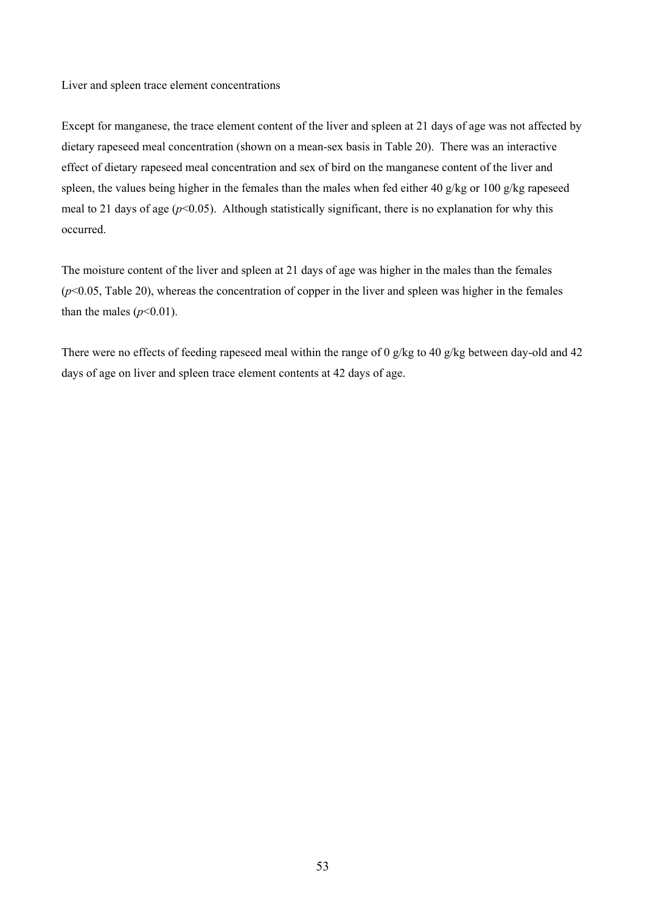Liver and spleen trace element concentrations

Except for manganese, the trace element content of the liver and spleen at 21 days of age was not affected by dietary rapeseed meal concentration (shown on a mean-sex basis in Table 20). There was an interactive effect of dietary rapeseed meal concentration and sex of bird on the manganese content of the liver and spleen, the values being higher in the females than the males when fed either 40 g/kg or 100 g/kg rapeseed meal to 21 days of age  $(p<0.05)$ . Although statistically significant, there is no explanation for why this occurred.

The moisture content of the liver and spleen at 21 days of age was higher in the males than the females  $(p<0.05$ , Table 20), whereas the concentration of copper in the liver and spleen was higher in the females than the males  $(p<0.01)$ .

There were no effects of feeding rapeseed meal within the range of 0 g/kg to 40 g/kg between day-old and 42 days of age on liver and spleen trace element contents at 42 days of age.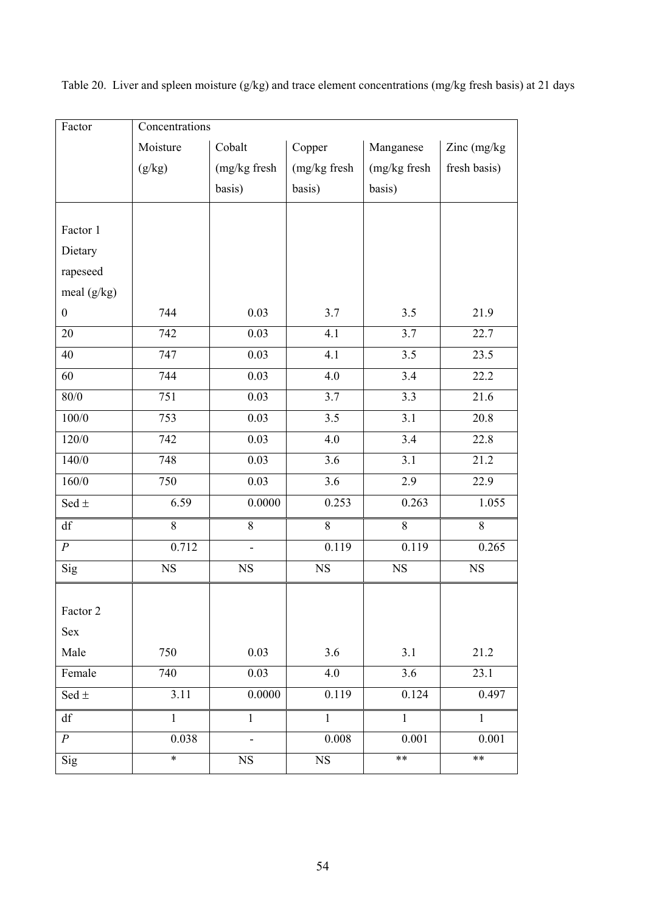| Factor                 | Concentrations |              |                  |                  |              |
|------------------------|----------------|--------------|------------------|------------------|--------------|
|                        | Moisture       | Cobalt       | Copper           | Manganese        | Zinc (mg/kg) |
|                        | (g/kg)         | (mg/kg fresh | (mg/kg fresh     | (mg/kg fresh     | fresh basis) |
|                        |                | basis)       | basis)           | basis)           |              |
|                        |                |              |                  |                  |              |
| Factor 1               |                |              |                  |                  |              |
| Dietary                |                |              |                  |                  |              |
| rapeseed               |                |              |                  |                  |              |
| meal (g/kg)            |                |              |                  |                  |              |
| $\boldsymbol{0}$       | 744            | 0.03         | 3.7              | 3.5              | 21.9         |
| 20                     | 742            | 0.03         | 4.1              | $\overline{3.7}$ | 22.7         |
| 40                     | 747            | 0.03         | 4.1              | 3.5              | 23.5         |
| 60                     | 744            | 0.03         | 4.0              | $\overline{3.4}$ | 22.2         |
| 80/0                   | 751            | 0.03         | 3.7              | 3.3              | 21.6         |
| $100/0$                | 753            | 0.03         | $\overline{3.5}$ | $\overline{3.1}$ | 20.8         |
| 120/0                  | 742            | 0.03         | 4.0              | 3.4              | 22.8         |
| 140/0                  | 748            | 0.03         | 3.6              | 3.1              | 21.2         |
| 160/0                  | 750            | 0.03         | 3.6              | 2.9              | 22.9         |
| Sed $\pm$              | 6.59           | 0.0000       | 0.253            | 0.263            | 1.055        |
| $\mathrm{d}\mathbf{f}$ | 8              | 8            | $8\,$            | 8                | $\,8\,$      |
| $\overline{P}$         | 0.712          |              | 0.119            | 0.119            | 0.265        |
| Sig                    | $_{\rm NS}$    | <b>NS</b>    | $_{\rm NS}$      | <b>NS</b>        | $_{\rm NS}$  |
|                        |                |              |                  |                  |              |
| Factor 2               |                |              |                  |                  |              |
| Sex                    |                |              |                  |                  |              |
| Male                   | 750            | 0.03         | 3.6              | 3.1              | 21.2         |
| Female                 | 740            | 0.03         | 4.0              | 3.6              | 23.1         |
| Sed $\pm$              | 3.11           | 0.0000       | 0.119            | 0.124            | 0.497        |
| $\mathrm{d}\mathbf{f}$ | $\overline{1}$ | $\mathbf{1}$ | $\mathbf{1}$     | $\mathbf{1}$     | $\mathbf{1}$ |
| $\boldsymbol{P}$       | 0.038          |              | 0.008            | 0.001            | 0.001        |
| Sig                    | $\ast$         | <b>NS</b>    | $_{\rm NS}$      | $***$            | $***$        |

Table 20. Liver and spleen moisture (g/kg) and trace element concentrations (mg/kg fresh basis) at 21 days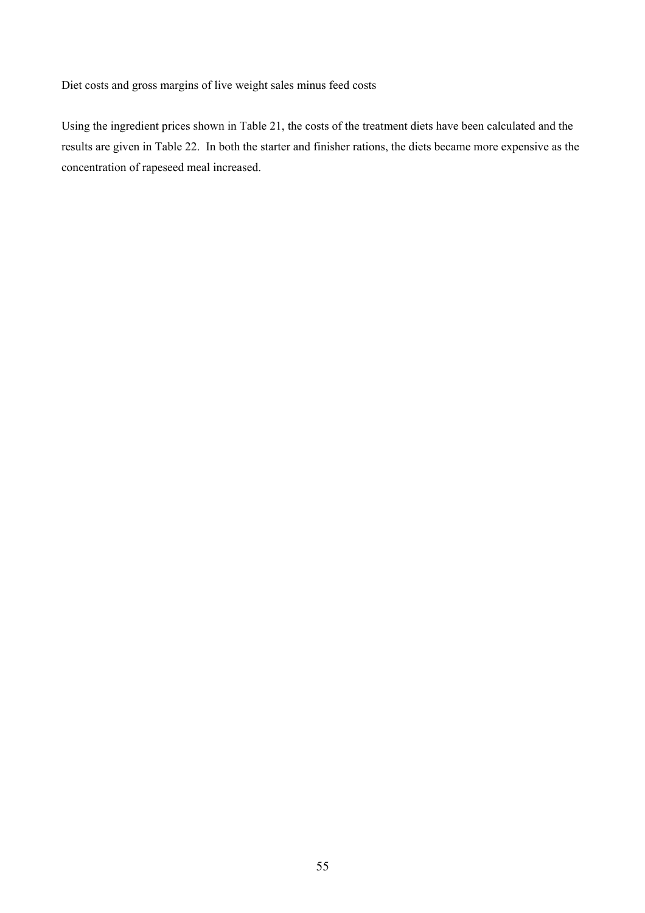Diet costs and gross margins of live weight sales minus feed costs

Using the ingredient prices shown in Table 21, the costs of the treatment diets have been calculated and the results are given in Table 22. In both the starter and finisher rations, the diets became more expensive as the concentration of rapeseed meal increased.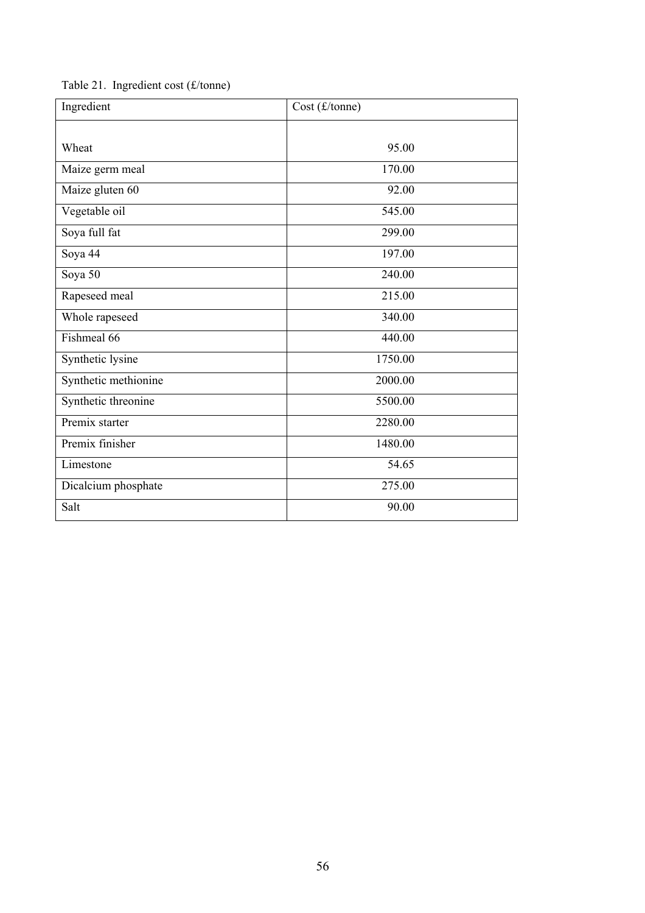|  | Table 21. Ingredient cost $(f/tonne)$ |  |  |
|--|---------------------------------------|--|--|
|--|---------------------------------------|--|--|

| Ingredient           | Cost (£/tonne) |
|----------------------|----------------|
|                      |                |
| Wheat                | 95.00          |
| Maize germ meal      | 170.00         |
| Maize gluten 60      | 92.00          |
| Vegetable oil        | 545.00         |
| Soya full fat        | 299.00         |
| Soya 44              | 197.00         |
| Soya 50              | 240.00         |
| Rapeseed meal        | 215.00         |
| Whole rapeseed       | 340.00         |
| Fishmeal 66          | 440.00         |
| Synthetic lysine     | 1750.00        |
| Synthetic methionine | 2000.00        |
| Synthetic threonine  | 5500.00        |
| Premix starter       | 2280.00        |
| Premix finisher      | 1480.00        |
| Limestone            | 54.65          |
| Dicalcium phosphate  | 275.00         |
| Salt                 | 90.00          |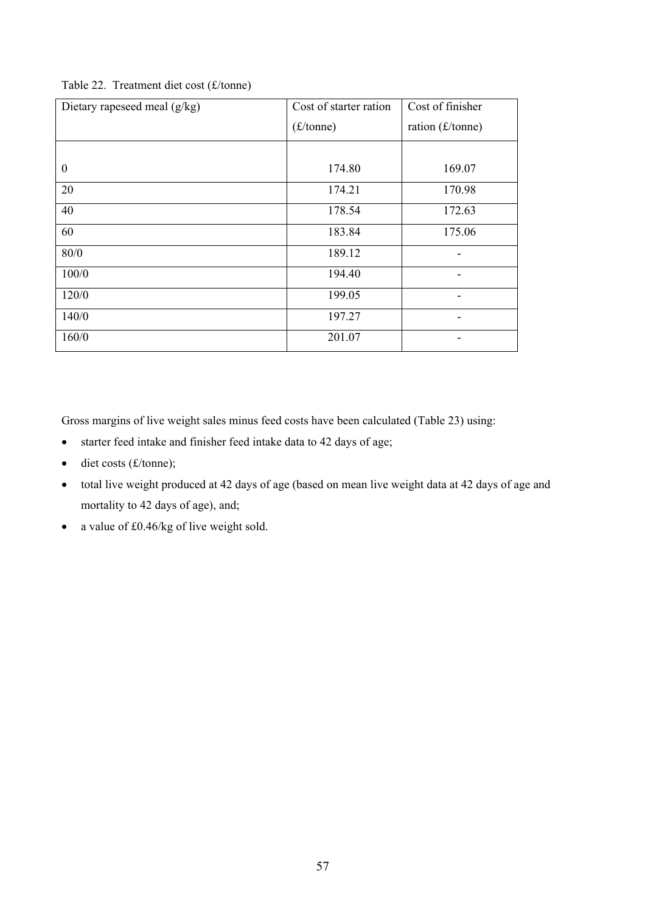| Dietary rapeseed meal $(g/kg)$ | Cost of starter ration | Cost of finisher   |
|--------------------------------|------------------------|--------------------|
|                                | (f/tonne)              | ration $(f/tonne)$ |
|                                |                        |                    |
| $\boldsymbol{0}$               | 174.80                 | 169.07             |
| 20                             | 174.21                 | 170.98             |
| 40                             | 178.54                 | 172.63             |
| 60                             | 183.84                 | 175.06             |
| 80/0                           | 189.12                 |                    |
| 100/0                          | 194.40                 |                    |
| 120/0                          | 199.05                 |                    |
| 140/0                          | 197.27                 |                    |
| 160/0                          | 201.07                 |                    |

Table 22. Treatment diet cost (£/tonne)

Gross margins of live weight sales minus feed costs have been calculated (Table 23) using:

- starter feed intake and finisher feed intake data to 42 days of age;
- diet costs (£/tonne);
- total live weight produced at 42 days of age (based on mean live weight data at 42 days of age and mortality to 42 days of age), and;
- a value of £0.46/kg of live weight sold.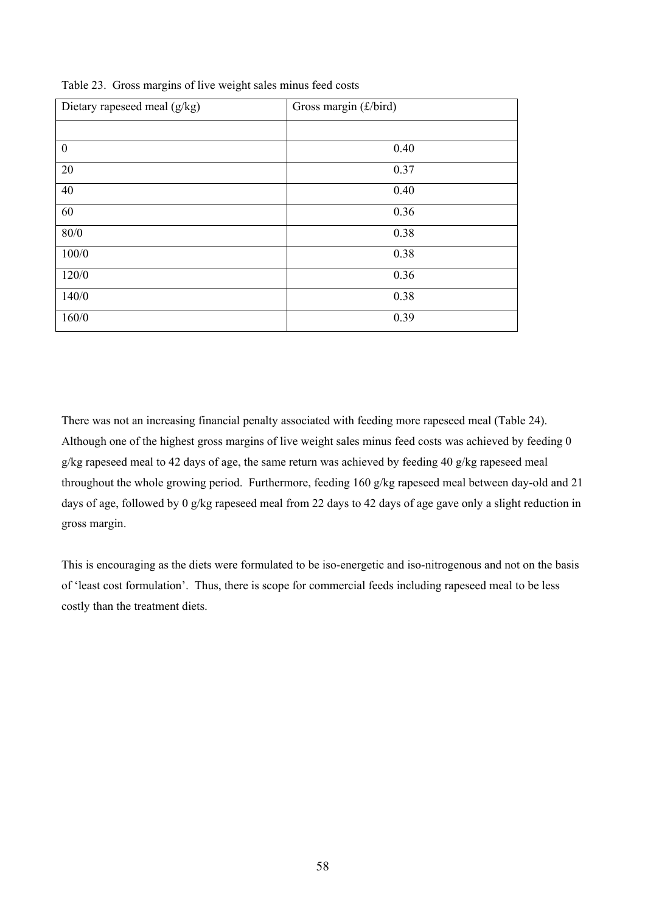| Dietary rapeseed meal (g/kg) | Gross margin (£/bird) |
|------------------------------|-----------------------|
|                              |                       |
| $\boldsymbol{0}$             | 0.40                  |
| 20                           | 0.37                  |
| 40                           | 0.40                  |
| 60                           | 0.36                  |
| $80/0$                       | 0.38                  |
| 100/0                        | 0.38                  |
| 120/0                        | 0.36                  |
| 140/0                        | 0.38                  |
| 160/0                        | 0.39                  |

Table 23. Gross margins of live weight sales minus feed costs

There was not an increasing financial penalty associated with feeding more rapeseed meal (Table 24). Although one of the highest gross margins of live weight sales minus feed costs was achieved by feeding 0 g/kg rapeseed meal to 42 days of age, the same return was achieved by feeding 40 g/kg rapeseed meal throughout the whole growing period. Furthermore, feeding 160 g/kg rapeseed meal between day-old and 21 days of age, followed by 0 g/kg rapeseed meal from 22 days to 42 days of age gave only a slight reduction in gross margin.

This is encouraging as the diets were formulated to be iso-energetic and iso-nitrogenous and not on the basis of 'least cost formulation'. Thus, there is scope for commercial feeds including rapeseed meal to be less costly than the treatment diets.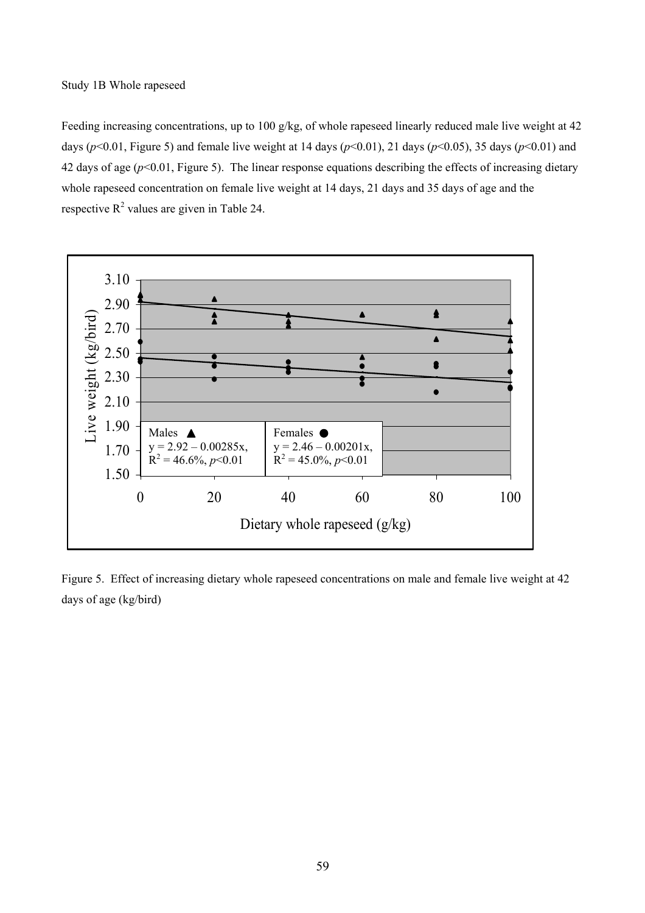#### Study 1B Whole rapeseed

Feeding increasing concentrations, up to 100 g/kg, of whole rapeseed linearly reduced male live weight at 42 days ( $p$ <0.01, Figure 5) and female live weight at 14 days ( $p$ <0.01), 21 days ( $p$ <0.05), 35 days ( $p$ <0.01) and 42 days of age ( $p$ <0.01, Figure 5). The linear response equations describing the effects of increasing dietary whole rapeseed concentration on female live weight at 14 days, 21 days and 35 days of age and the respective  $R^2$  values are given in Table 24.



Figure 5. Effect of increasing dietary whole rapeseed concentrations on male and female live weight at 42 days of age (kg/bird)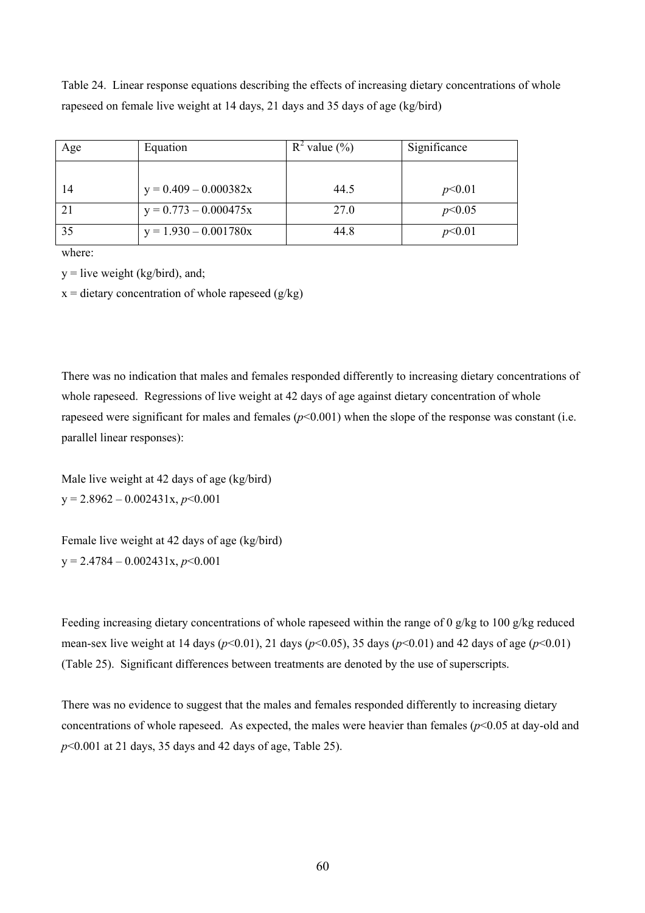Table 24. Linear response equations describing the effects of increasing dietary concentrations of whole rapeseed on female live weight at 14 days, 21 days and 35 days of age (kg/bird)

| Age | Equation                | $R^2$ value $(\%)$ | Significance |
|-----|-------------------------|--------------------|--------------|
|     |                         |                    |              |
| 14  | $y = 0.409 - 0.000382x$ | 44.5               | p<0.01       |
| 21  | $y = 0.773 - 0.000475x$ | 27.0               | p<0.05       |
| 35  | $y = 1.930 - 0.001780x$ | 44.8               | p<0.01       |

where:

 $y =$  live weight (kg/bird), and;

 $x =$  dietary concentration of whole rapeseed ( $g/kg$ )

There was no indication that males and females responded differently to increasing dietary concentrations of whole rapeseed. Regressions of live weight at 42 days of age against dietary concentration of whole rapeseed were significant for males and females ( $p$ <0.001) when the slope of the response was constant (i.e. parallel linear responses):

Male live weight at 42 days of age (kg/bird) y = 2.8962 – 0.002431x, *p*<0.001

Female live weight at 42 days of age (kg/bird) y = 2.4784 – 0.002431x, *p*<0.001

Feeding increasing dietary concentrations of whole rapeseed within the range of 0 g/kg to 100 g/kg reduced mean-sex live weight at 14 days ( $p$ <0.01), 21 days ( $p$ <0.05), 35 days ( $p$ <0.01) and 42 days of age ( $p$ <0.01) (Table 25). Significant differences between treatments are denoted by the use of superscripts.

There was no evidence to suggest that the males and females responded differently to increasing dietary concentrations of whole rapeseed. As expected, the males were heavier than females (*p*<0.05 at day-old and *p*<0.001 at 21 days, 35 days and 42 days of age, Table 25).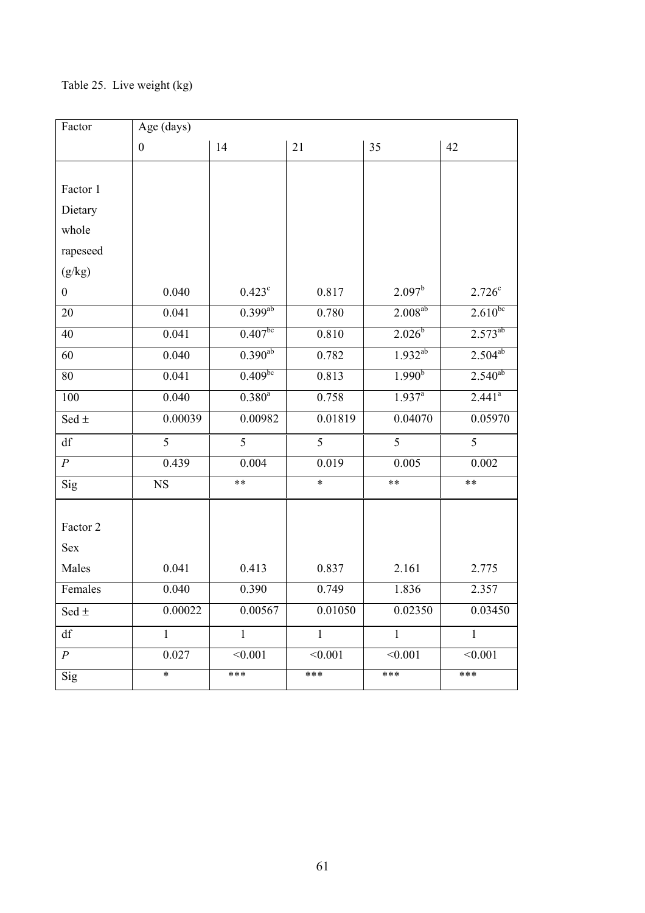# Table 25. Live weight (kg)

| Factor                 | Age (days)       |                 |              |                    |                      |
|------------------------|------------------|-----------------|--------------|--------------------|----------------------|
|                        | $\boldsymbol{0}$ | 14              | 21           | 35                 | 42                   |
|                        |                  |                 |              |                    |                      |
| Factor 1               |                  |                 |              |                    |                      |
| Dietary                |                  |                 |              |                    |                      |
| whole                  |                  |                 |              |                    |                      |
| rapeseed               |                  |                 |              |                    |                      |
| (g/kg)                 |                  |                 |              |                    |                      |
| $\boldsymbol{0}$       | 0.040            | $0.423^{\circ}$ | 0.817        | 2.097 <sup>b</sup> | $2.726^c$            |
| 20                     | 0.041            | $0.399^{ab}$    | 0.780        | $2.008^{ab}$       | $2.610^{bc}$         |
| 40                     | 0.041            | $0.407^{bc}$    | 0.810        | $2.026^b$          | $2.573^{ab}$         |
| 60                     | 0.040            | $0.390^{ab}$    | 0.782        | $1.932^{ab}$       | $2.504^{ab}$         |
| 80                     | 0.041            | $0.409^{bc}$    | 0.813        | 1.990 <sup>b</sup> | $2.540^{ab}$         |
| 100                    | 0.040            | $0.380^{a}$     | 0.758        | $1.937^{a}$        | $2.441$ <sup>a</sup> |
| Sed $\pm$              | 0.00039          | 0.00982         | 0.01819      | 0.04070            | 0.05970              |
| $\mathrm{d}\mathbf{f}$ | 5                | 5               | 5            | 5                  | 5                    |
| $\boldsymbol{P}$       | 0.439            | 0.004           | 0.019        | 0.005              | 0.002                |
| Sig                    | $_{\rm NS}$      | $***$           | $\ast$       | **                 | **                   |
|                        |                  |                 |              |                    |                      |
| Factor 2               |                  |                 |              |                    |                      |
| Sex                    |                  |                 |              |                    |                      |
| Males                  | 0.041            | 0.413           | 0.837        | 2.161              | 2.775                |
| Females                | 0.040            | 0.390           | 0.749        | 1.836              | 2.357                |
| Sed $\pm$              | 0.00022          | 0.00567         | 0.01050      | 0.02350            | 0.03450              |
| df                     | $\mathbf{1}$     | $\mathbf{1}$    | $\mathbf{1}$ | $\mathbf{1}$       | $\mathbf{1}$         |
| $\boldsymbol{P}$       | 0.027            | < 0.001         | < 0.001      | < 0.001            | < 0.001              |
| Sig                    | $\ast$           | ***             | ***          | ***                | ***                  |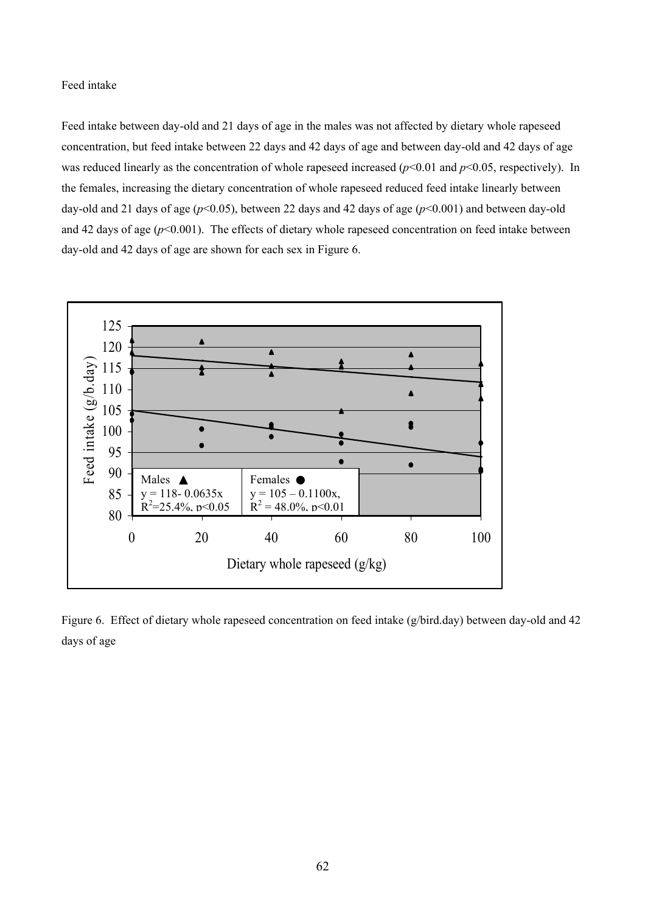#### Feed intake

Feed intake between day-old and 21 days of age in the males was not affected by dietary whole rapeseed concentration, but feed intake between 22 days and 42 days of age and between day-old and 42 days of age was reduced linearly as the concentration of whole rapeseed increased ( $p$ <0.01 and  $p$ <0.05, respectively). In the females, increasing the dietary concentration of whole rapeseed reduced feed intake linearly between day-old and 21 days of age ( $p$ <0.05), between 22 days and 42 days of age ( $p$ <0.001) and between day-old and 42 days of age ( $p$ <0.001). The effects of dietary whole rapeseed concentration on feed intake between day-old and 42 days of age are shown for each sex in Figure 6.



Figure 6. Effect of dietary whole rapeseed concentration on feed intake (g/bird.day) between day-old and 42 days of age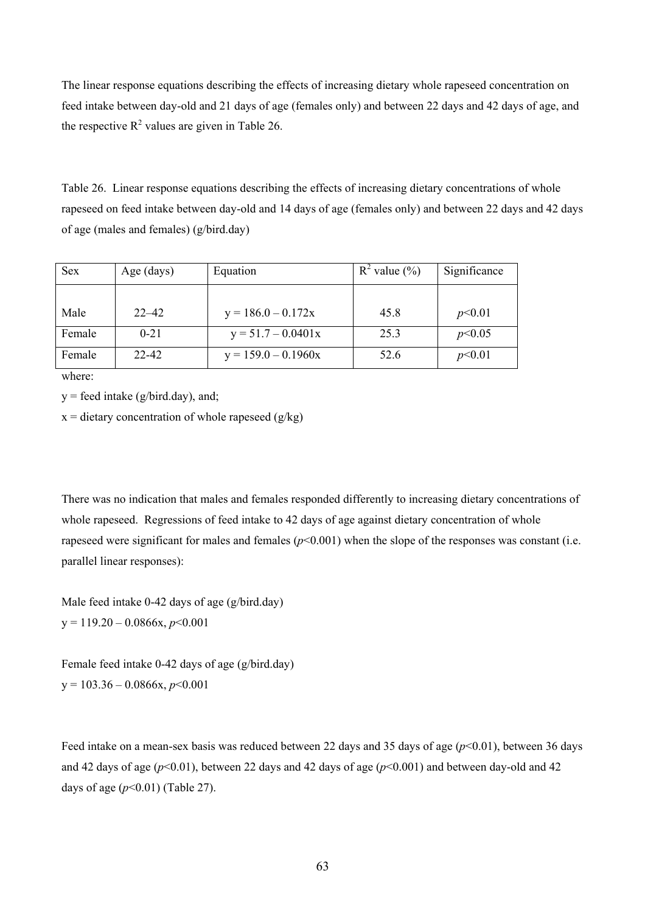The linear response equations describing the effects of increasing dietary whole rapeseed concentration on feed intake between day-old and 21 days of age (females only) and between 22 days and 42 days of age, and the respective  $R^2$  values are given in Table 26.

Table 26. Linear response equations describing the effects of increasing dietary concentrations of whole rapeseed on feed intake between day-old and 14 days of age (females only) and between 22 days and 42 days of age (males and females) (g/bird.day)

| <b>Sex</b> | Age (days) | Equation              | $R^2$ value $(\% )$ | Significance |
|------------|------------|-----------------------|---------------------|--------------|
|            |            |                       |                     |              |
| Male       | $22 - 42$  | $y = 186.0 - 0.172x$  | 45.8                | p<0.01       |
| Female     | $0 - 21$   | $y = 51.7 - 0.0401x$  | 25.3                | p<0.05       |
| Female     | $22 - 42$  | $y = 159.0 - 0.1960x$ | 52.6                | p<0.01       |

where:

 $y =$  feed intake (g/bird.day), and;

 $x =$  dietary concentration of whole rapeseed ( $g/kg$ )

There was no indication that males and females responded differently to increasing dietary concentrations of whole rapeseed. Regressions of feed intake to 42 days of age against dietary concentration of whole rapeseed were significant for males and females  $(p<0.001)$  when the slope of the responses was constant (i.e. parallel linear responses):

Male feed intake 0-42 days of age (g/bird.day) y = 119.20 – 0.0866x, *p*<0.001

Female feed intake 0-42 days of age (g/bird.day)  $y = 103.36 - 0.0866x, p < 0.001$ 

Feed intake on a mean-sex basis was reduced between 22 days and 35 days of age (*p*<0.01), between 36 days and 42 days of age  $(p<0.01)$ , between 22 days and 42 days of age  $(p<0.001)$  and between day-old and 42 days of age (*p*<0.01) (Table 27).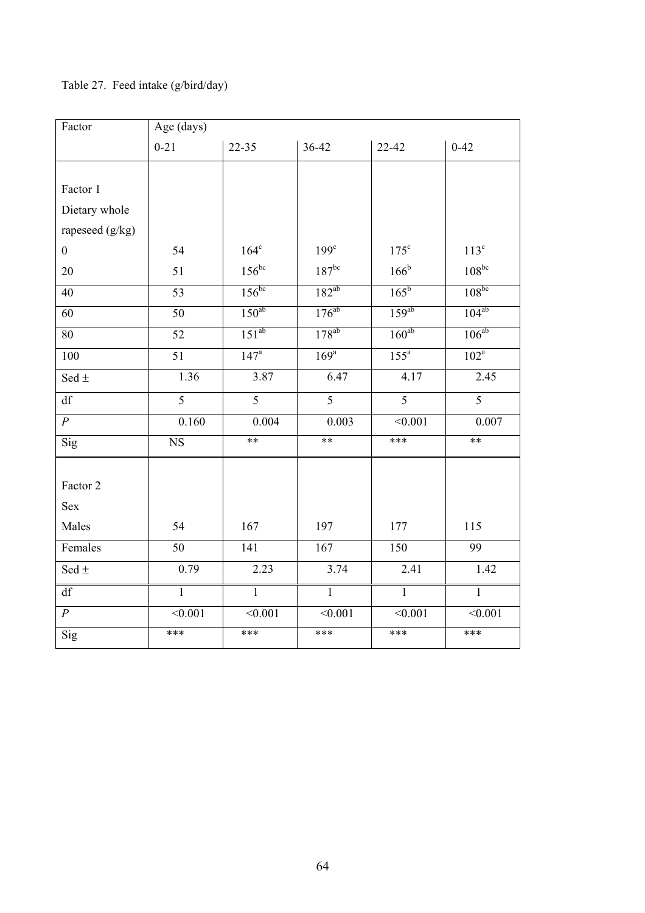## Table 27. Feed intake (g/bird/day)

| Factor            | Age (days)             |                  |                  |                  |                  |
|-------------------|------------------------|------------------|------------------|------------------|------------------|
|                   | $0 - 21$               | $22 - 35$        | $36 - 42$        | 22-42            | $0 - 42$         |
|                   |                        |                  |                  |                  |                  |
| Factor 1          |                        |                  |                  |                  |                  |
| Dietary whole     |                        |                  |                  |                  |                  |
| rapeseed $(g/kg)$ |                        |                  |                  |                  |                  |
| $\boldsymbol{0}$  | 54                     | $164^{\circ}$    | 199 <sup>c</sup> | $175^{\circ}$    | $113^{\circ}$    |
| 20                | 51                     | $156^{bc}$       | $187^{bc}$       | 166 <sup>b</sup> | $108^{bc}$       |
| 40                | 53                     | $156^{bc}$       | $182^{ab}$       | $165^b$          | $108^{bc}$       |
| 60                | 50                     | $150^{ab}$       | $176^{ab}$       | $159^{ab}$       | $104^{ab}$       |
| 80                | 52                     | $151^{ab}$       | $178^{ab}$       | $160^{ab}$       | $106^{ab}$       |
| 100               | $\overline{51}$        | 147 <sup>a</sup> | 169 <sup>a</sup> | $155^a$          | 102 <sup>a</sup> |
| Sed $\pm$         | 1.36                   | 3.87             | 6.47             | 4.17             | 2.45             |
| df                | $\overline{5}$         | $\overline{5}$   | $\overline{5}$   | $\overline{5}$   | $\overline{5}$   |
| $\boldsymbol{P}$  | 0.160                  | 0.004            | 0.003            | < 0.001          | 0.007            |
| Sig               | $\overline{\text{NS}}$ | $*$              | $**$             | ***              | $**$             |
|                   |                        |                  |                  |                  |                  |
| Factor 2          |                        |                  |                  |                  |                  |
| Sex               |                        |                  |                  |                  |                  |
| Males             | 54                     | 167              | 197              | 177              | 115              |
| Females           | 50                     | 141              | 167              | 150              | 99               |
| Sed $\pm$         | 0.79                   | 2.23             | 3.74             | 2.41             | 1.42             |
| df                | $\overline{1}$         | $\overline{1}$   | $\overline{1}$   | $\overline{1}$   | $\overline{1}$   |
| $\boldsymbol{P}$  | < 0.001                | < 0.001          | < 0.001          | < 0.001          | < 0.001          |
| Sig               | ***                    | ***              | ***              | ***              | ***              |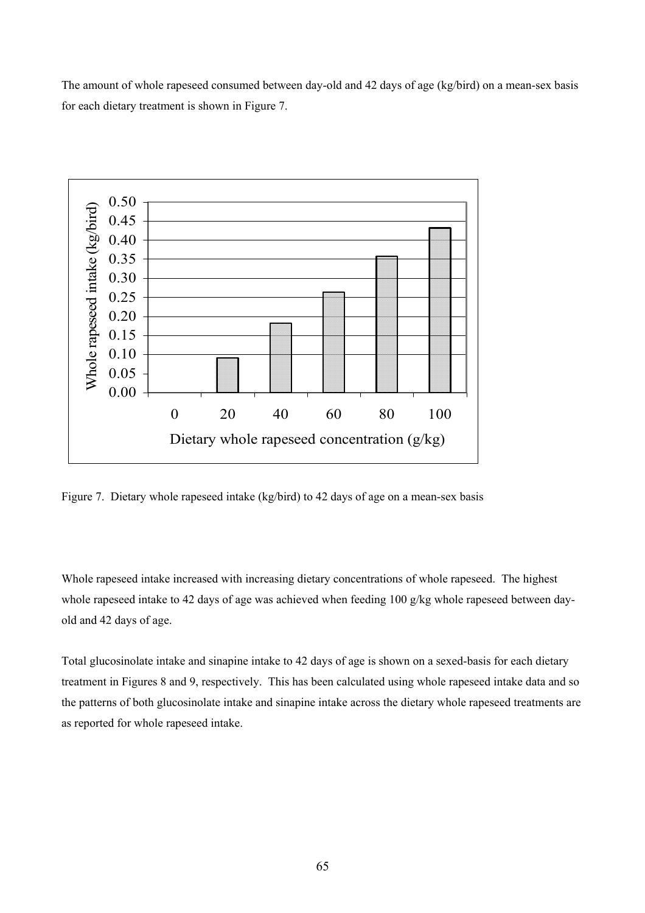The amount of whole rapeseed consumed between day-old and 42 days of age (kg/bird) on a mean-sex basis for each dietary treatment is shown in Figure 7.



Figure 7. Dietary whole rapeseed intake (kg/bird) to 42 days of age on a mean-sex basis

Whole rapeseed intake increased with increasing dietary concentrations of whole rapeseed. The highest whole rapeseed intake to 42 days of age was achieved when feeding 100 g/kg whole rapeseed between dayold and 42 days of age.

Total glucosinolate intake and sinapine intake to 42 days of age is shown on a sexed-basis for each dietary treatment in Figures 8 and 9, respectively. This has been calculated using whole rapeseed intake data and so the patterns of both glucosinolate intake and sinapine intake across the dietary whole rapeseed treatments are as reported for whole rapeseed intake.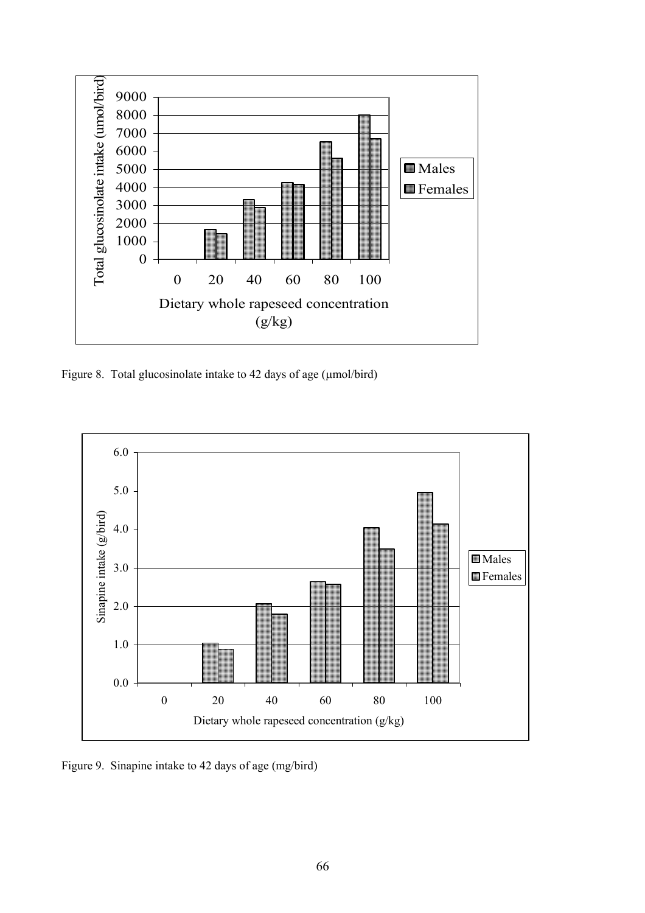

Figure 8. Total glucosinolate intake to 42 days of age  $(\mu \text{mol/bird})$ 



Figure 9. Sinapine intake to 42 days of age (mg/bird)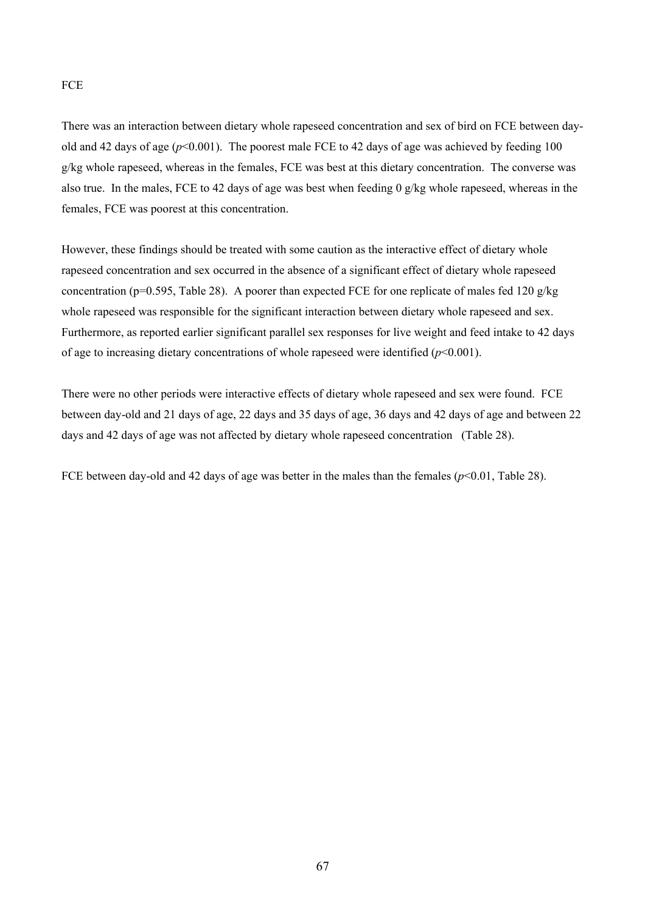#### FCE

There was an interaction between dietary whole rapeseed concentration and sex of bird on FCE between dayold and 42 days of age  $(p<0.001)$ . The poorest male FCE to 42 days of age was achieved by feeding 100 g/kg whole rapeseed, whereas in the females, FCE was best at this dietary concentration. The converse was also true. In the males, FCE to 42 days of age was best when feeding 0  $g/kg$  whole rapeseed, whereas in the females, FCE was poorest at this concentration.

However, these findings should be treated with some caution as the interactive effect of dietary whole rapeseed concentration and sex occurred in the absence of a significant effect of dietary whole rapeseed concentration (p=0.595, Table 28). A poorer than expected FCE for one replicate of males fed 120 g/kg whole rapeseed was responsible for the significant interaction between dietary whole rapeseed and sex. Furthermore, as reported earlier significant parallel sex responses for live weight and feed intake to 42 days of age to increasing dietary concentrations of whole rapeseed were identified  $(p<0.001)$ .

There were no other periods were interactive effects of dietary whole rapeseed and sex were found. FCE between day-old and 21 days of age, 22 days and 35 days of age, 36 days and 42 days of age and between 22 days and 42 days of age was not affected by dietary whole rapeseed concentration (Table 28).

FCE between day-old and 42 days of age was better in the males than the females ( $p<0.01$ , Table 28).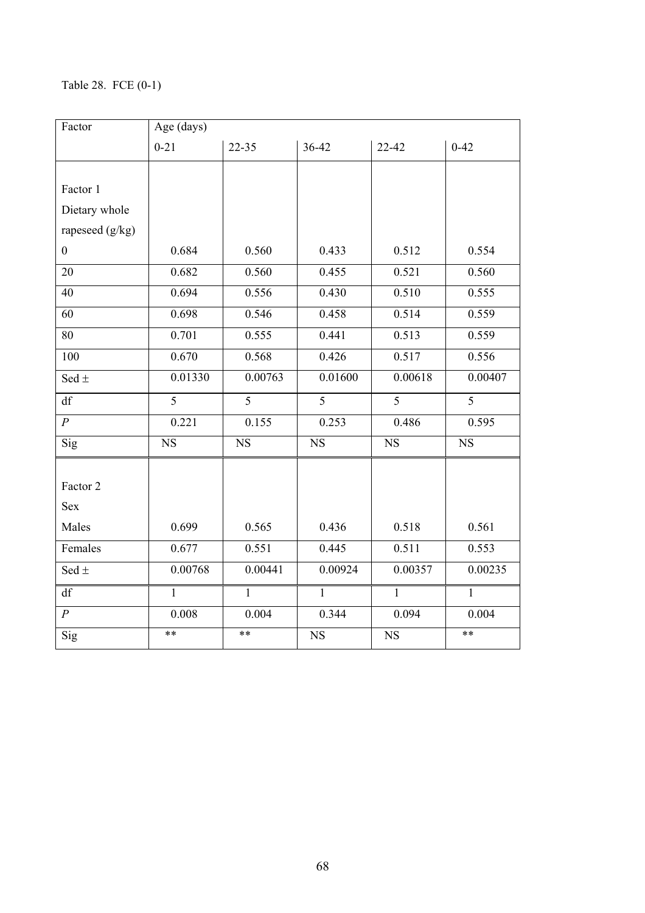## Table 28. FCE (0-1)

| Factor            | Age (days)     |                |                |                |                |
|-------------------|----------------|----------------|----------------|----------------|----------------|
|                   | $0 - 21$       | $22 - 35$      | 36-42          | $22 - 42$      | $0 - 42$       |
|                   |                |                |                |                |                |
| Factor 1          |                |                |                |                |                |
| Dietary whole     |                |                |                |                |                |
| rapeseed $(g/kg)$ |                |                |                |                |                |
| $\boldsymbol{0}$  | 0.684          | 0.560          | 0.433          | 0.512          | 0.554          |
| 20                | 0.682          | 0.560          | 0.455          | 0.521          | 0.560          |
| 40                | 0.694          | 0.556          | 0.430          | 0.510          | 0.555          |
| 60                | 0.698          | 0.546          | 0.458          | 0.514          | 0.559          |
| $\overline{80}$   | 0.701          | 0.555          | 0.441          | 0.513          | 0.559          |
| 100               | 0.670          | 0.568          | 0.426          | 0.517          | 0.556          |
| Sed $\pm$         | 0.01330        | 0.00763        | 0.01600        | 0.00618        | 0.00407        |
| $\overline{df}$   | $\overline{5}$ | $\overline{5}$ | $\overline{5}$ | $\overline{5}$ | $\overline{5}$ |
| $\overline{P}$    | 0.221          | 0.155          | 0.253          | 0.486          | 0.595          |
| Sig               | NS             | <b>NS</b>      | <b>NS</b>      | <b>NS</b>      | <b>NS</b>      |
|                   |                |                |                |                |                |
| Factor 2          |                |                |                |                |                |
| Sex               |                |                |                |                |                |
| Males             | 0.699          | 0.565          | 0.436          | 0.518          | 0.561          |
| Females           | 0.677          | 0.551          | 0.445          | 0.511          | 0.553          |
| Sed $\pm$         | 0.00768        | 0.00441        | 0.00924        | 0.00357        | 0.00235        |
| df                | $\mathbf{1}$   | $\mathbf{1}$   | $\mathbf{1}$   | $\mathbf{1}$   | $\mathbf{1}$   |
| $\overline{P}$    | 0.008          | 0.004          | 0.344          | 0.094          | 0.004          |
| Sig               | $***$          | $***$          | <b>NS</b>      | <b>NS</b>      | $***$          |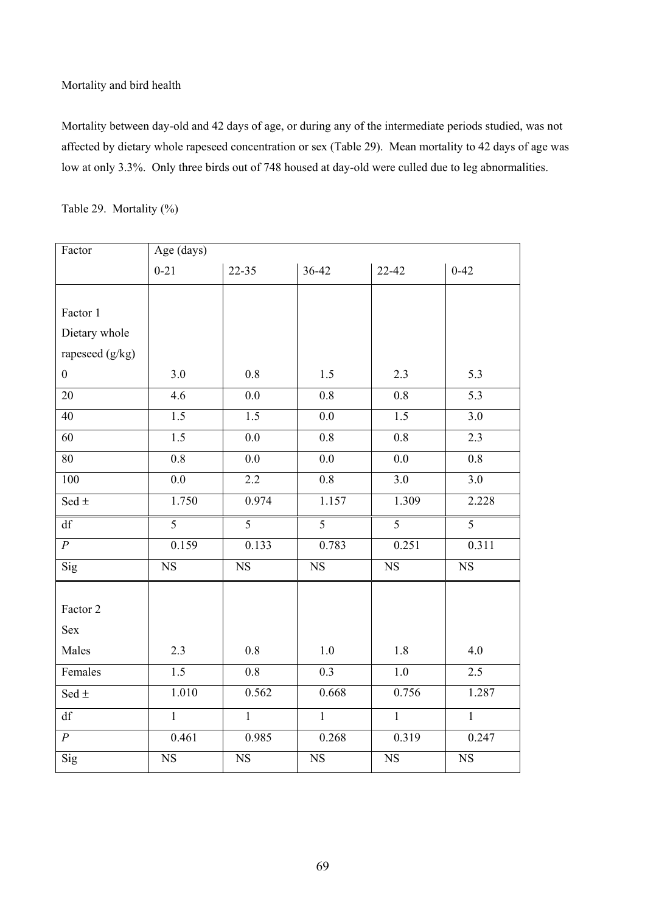## Mortality and bird health

Mortality between day-old and 42 days of age, or during any of the intermediate periods studied, was not affected by dietary whole rapeseed concentration or sex (Table 29). Mean mortality to 42 days of age was low at only 3.3%. Only three birds out of 748 housed at day-old were culled due to leg abnormalities.

|  | Table 29. Mortality $(\%)$ |  |
|--|----------------------------|--|
|--|----------------------------|--|

| Factor           | Age (days)             |                        |                        |                        |                        |
|------------------|------------------------|------------------------|------------------------|------------------------|------------------------|
|                  | $0 - 21$               | $22 - 35$              | 36-42                  | $22 - 42$              | $0 - 42$               |
|                  |                        |                        |                        |                        |                        |
| Factor 1         |                        |                        |                        |                        |                        |
| Dietary whole    |                        |                        |                        |                        |                        |
| rapeseed (g/kg)  |                        |                        |                        |                        |                        |
| $\boldsymbol{0}$ | 3.0                    | 0.8                    | 1.5                    | 2.3                    | 5.3                    |
| $\overline{20}$  | 4.6                    | $\overline{0.0}$       | $\overline{0.8}$       | $\overline{0.8}$       | 5.3                    |
| 40               | 1.5                    | 1.5                    | $\overline{0.0}$       | 1.5                    | 3.0                    |
| 60               | 1.5                    | 0.0                    | $\overline{0.8}$       | $\overline{0.8}$       | $\overline{2.3}$       |
| 80               | 0.8                    | 0.0                    | 0.0                    | 0.0                    | 0.8                    |
| 100              | 0.0                    | 2.2                    | $\overline{0.8}$       | 3.0                    | 3.0                    |
| Sed $\pm$        | 1.750                  | 0.974                  | 1.157                  | 1.309                  | 2.228                  |
| df               | $\overline{5}$         | $\overline{5}$         | $\overline{5}$         | $\overline{5}$         | $\overline{5}$         |
| $\overline{P}$   | 0.159                  | 0.133                  | 0.783                  | 0.251                  | 0.311                  |
| Sig              | $\overline{\text{NS}}$ | $\overline{\text{NS}}$ | $\overline{\text{NS}}$ | <b>NS</b>              | <b>NS</b>              |
|                  |                        |                        |                        |                        |                        |
| Factor 2         |                        |                        |                        |                        |                        |
| Sex              |                        |                        |                        |                        |                        |
| Males            | 2.3                    | 0.8                    | $1.0\,$                | 1.8                    | 4.0                    |
| Females          | 1.5                    | 0.8                    | 0.3                    | $1.0\,$                | 2.5                    |
| Sed $\pm$        | 1.010                  | 0.562                  | 0.668                  | 0.756                  | 1.287                  |
| df               | $\mathbf{1}$           | $\mathbf{1}$           | $\mathbf{1}$           | $\mathbf{1}$           | $\mathbf{1}$           |
| $\overline{P}$   | 0.461                  | 0.985                  | 0.268                  | 0.319                  | 0.247                  |
| Sig              | $\overline{\text{NS}}$ | $\overline{\text{NS}}$ | $\overline{\text{NS}}$ | $\overline{\text{NS}}$ | $\overline{\text{NS}}$ |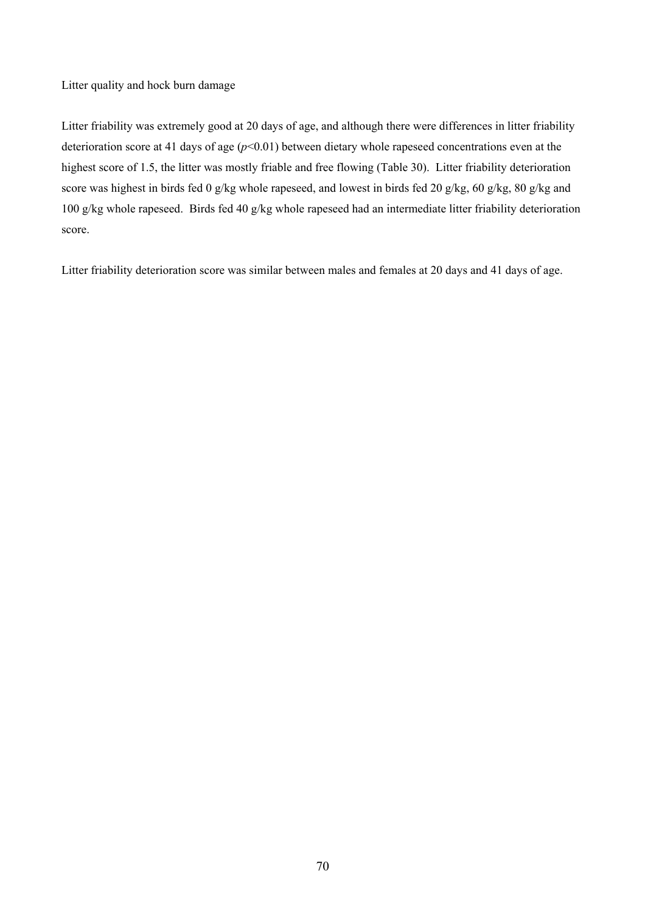Litter quality and hock burn damage

Litter friability was extremely good at 20 days of age, and although there were differences in litter friability deterioration score at 41 days of age (*p*<0.01) between dietary whole rapeseed concentrations even at the highest score of 1.5, the litter was mostly friable and free flowing (Table 30). Litter friability deterioration score was highest in birds fed 0 g/kg whole rapeseed, and lowest in birds fed 20 g/kg, 60 g/kg, 80 g/kg and 100 g/kg whole rapeseed. Birds fed 40 g/kg whole rapeseed had an intermediate litter friability deterioration score.

Litter friability deterioration score was similar between males and females at 20 days and 41 days of age.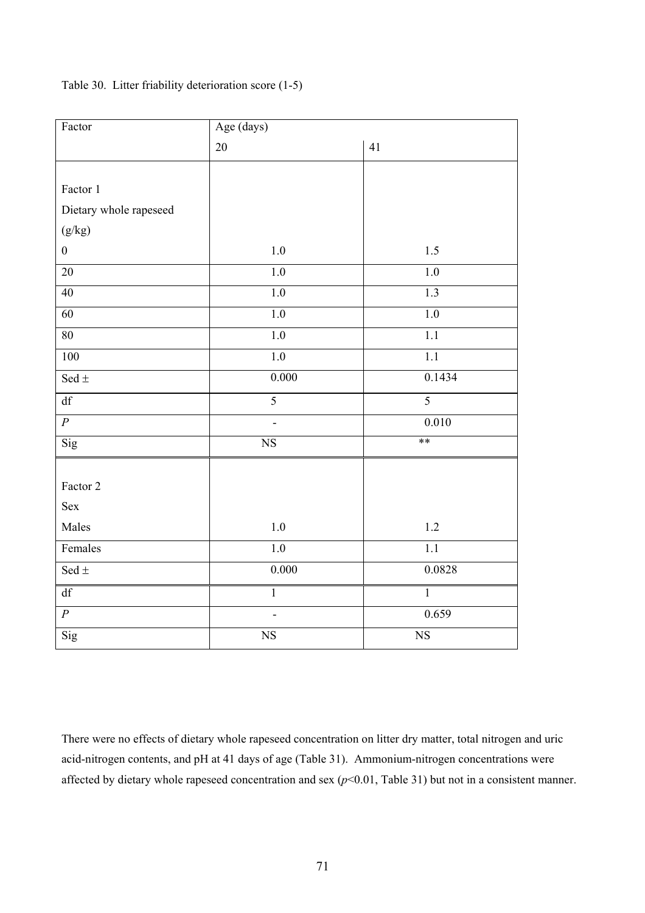|  | Table 30. Litter friability deterioration score (1-5) |  |  |  |
|--|-------------------------------------------------------|--|--|--|
|--|-------------------------------------------------------|--|--|--|

| Factor                 | Age (days)             |                        |  |  |  |
|------------------------|------------------------|------------------------|--|--|--|
|                        | 20                     | 41                     |  |  |  |
|                        |                        |                        |  |  |  |
| Factor 1               |                        |                        |  |  |  |
| Dietary whole rapeseed |                        |                        |  |  |  |
| (g/kg)                 |                        |                        |  |  |  |
| $\boldsymbol{0}$       | $1.0\,$                | 1.5                    |  |  |  |
| $\overline{20}$        | $\overline{1.0}$       | $\overline{1.0}$       |  |  |  |
| 40                     | $\overline{1.0}$       | $\overline{1.3}$       |  |  |  |
| 60                     | 1.0                    | 1.0                    |  |  |  |
| 80                     | 1.0                    | $\overline{1.1}$       |  |  |  |
| 100                    | $\overline{1.0}$       | $\overline{1.1}$       |  |  |  |
| Sed $\pm$              | 0.000                  | 0.1434                 |  |  |  |
| df                     | 5                      | $\overline{5}$         |  |  |  |
| $\overline{P}$         | $\overline{a}$         | 0.010                  |  |  |  |
| Sig                    | $\overline{\text{NS}}$ | **                     |  |  |  |
| Factor 2               |                        |                        |  |  |  |
| Sex                    |                        |                        |  |  |  |
| Males                  | $1.0\,$                | 1.2                    |  |  |  |
| Females                | $\overline{1.0}$       | $\overline{1.1}$       |  |  |  |
| Sed $\pm$              | 0.000                  | 0.0828                 |  |  |  |
| df                     | $\mathbf{1}$           | $\mathbf{1}$           |  |  |  |
| $\overline{P}$         |                        | 0.659                  |  |  |  |
| Sig                    | $_{\rm NS}$            | $\overline{\text{NS}}$ |  |  |  |

There were no effects of dietary whole rapeseed concentration on litter dry matter, total nitrogen and uric acid-nitrogen contents, and pH at 41 days of age (Table 31). Ammonium-nitrogen concentrations were affected by dietary whole rapeseed concentration and sex (*p*<0.01, Table 31) but not in a consistent manner.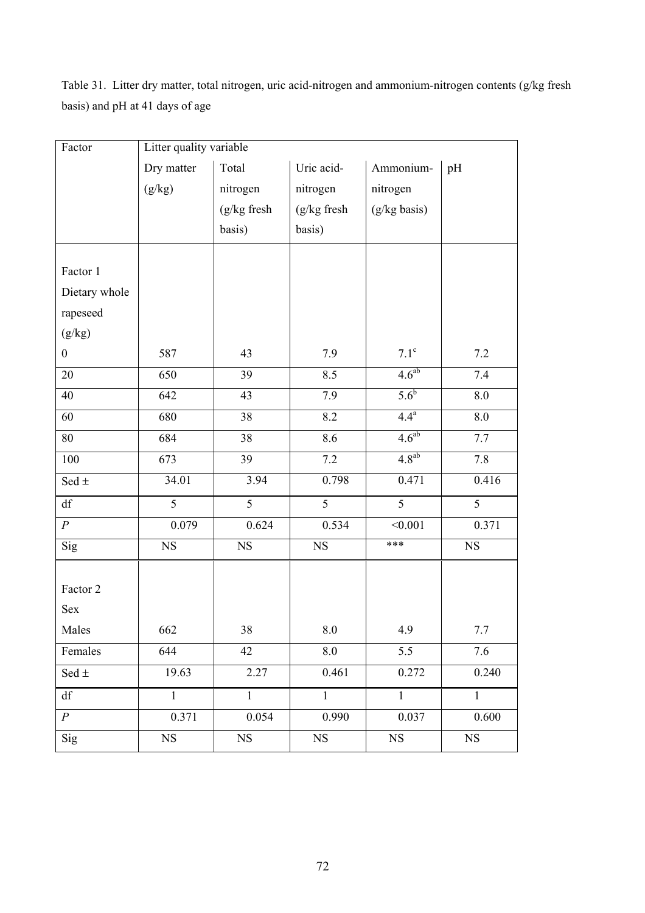Table 31. Litter dry matter, total nitrogen, uric acid-nitrogen and ammonium-nitrogen contents (g/kg fresh basis) and pH at 41 days of age

| Factor                 | Litter quality variable |              |               |                   |                |  |
|------------------------|-------------------------|--------------|---------------|-------------------|----------------|--|
|                        | Dry matter              | Total        | Uric acid-    | Ammonium-         | pH             |  |
|                        | (g/kg)                  | nitrogen     | nitrogen      | nitrogen          |                |  |
|                        |                         | (g/kg fresh  | $(g/kg$ fresh | (g/kg basis)      |                |  |
|                        |                         | basis)       | basis)        |                   |                |  |
|                        |                         |              |               |                   |                |  |
| Factor 1               |                         |              |               |                   |                |  |
| Dietary whole          |                         |              |               |                   |                |  |
| rapeseed               |                         |              |               |                   |                |  |
| (g/kg)                 |                         |              |               |                   |                |  |
| $\boldsymbol{0}$       | 587                     | 43           | 7.9           | $7.1^\circ$       | 7.2            |  |
| 20                     | 650                     | 39           | 8.5           | 4.6 <sup>ab</sup> | 7.4            |  |
| 40                     | 642                     | 43           | 7.9           | $5.6^b$           | 8.0            |  |
| 60                     | 680                     | 38           | 8.2           | $4.4^a$           | 8.0            |  |
| 80                     | 684                     | 38           | 8.6           | 4.6 <sup>ab</sup> | 7.7            |  |
| $100\,$                | 673                     | 39           | 7.2           | $4.8^{ab}$        | 7.8            |  |
| Sed $\pm$              | 34.01                   | 3.94         | 0.798         | 0.471             | 0.416          |  |
| $\mathrm{d}\mathrm{f}$ | 5                       | 5            | 5             | $\overline{5}$    | $\overline{5}$ |  |
| $\overline{P}$         | 0.079                   | 0.624        | 0.534         | < 0.001           | 0.371          |  |
| Sig                    | $_{\rm NS}$             | $_{\rm NS}$  | $_{\rm NS}$   | ***               | $_{\rm NS}$    |  |
|                        |                         |              |               |                   |                |  |
| Factor 2               |                         |              |               |                   |                |  |
| Sex                    |                         |              |               |                   |                |  |
| Males                  | 662                     | 38           | 8.0           | 4.9               | 7.7            |  |
| Females                | 644                     | 42           | 8.0           | 5.5               | 7.6            |  |
| Sed $\pm$              | 19.63                   | 2.27         | 0.461         | 0.272             | 0.240          |  |
| df                     | $\mathbf{1}$            | $\mathbf{1}$ | $\mathbf{1}$  | $\mathbf 1$       | $\mathbf{1}$   |  |
| $\boldsymbol{P}$       | 0.371                   | 0.054        | 0.990         | 0.037             | 0.600          |  |
| Sig                    | $_{\rm NS}$             | $_{\rm NS}$  | $_{\rm NS}$   | $_{\rm NS}$       | $_{\rm NS}$    |  |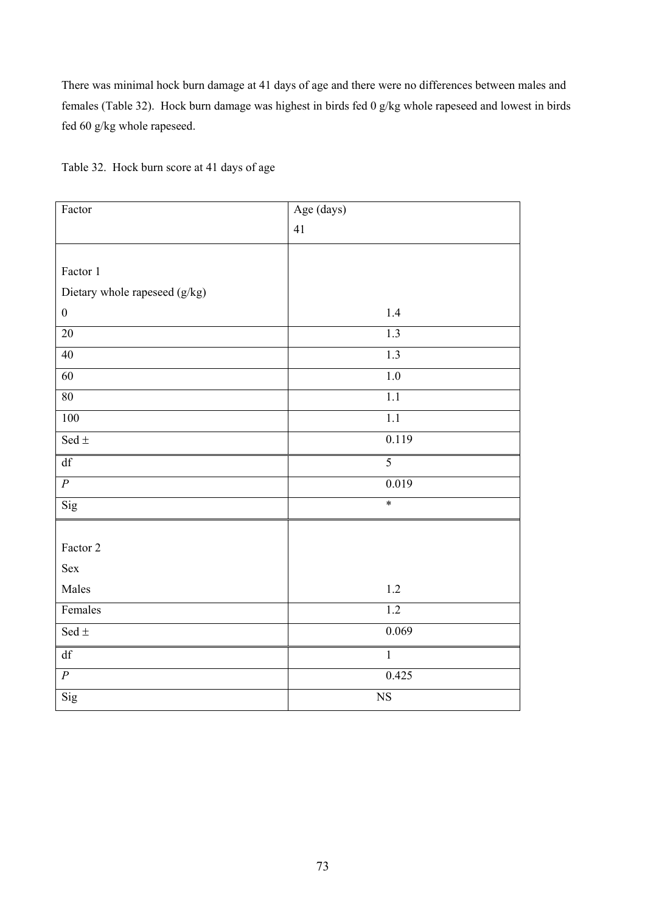There was minimal hock burn damage at 41 days of age and there were no differences between males and females (Table 32). Hock burn damage was highest in birds fed 0 g/kg whole rapeseed and lowest in birds fed 60 g/kg whole rapeseed.

| Table 32. Hock burn score at 41 days of age |  |  |  |  |  |
|---------------------------------------------|--|--|--|--|--|
|---------------------------------------------|--|--|--|--|--|

| Factor                        | Age (days)             |
|-------------------------------|------------------------|
|                               | 41                     |
|                               |                        |
| Factor 1                      |                        |
| Dietary whole rapeseed (g/kg) |                        |
| $\boldsymbol{0}$              | $1.4$                  |
| $\overline{20}$               | 1.3                    |
| 40                            | $\overline{1.3}$       |
| 60                            | 1.0                    |
| 80                            | $\overline{1.1}$       |
| 100                           | 1.1                    |
| Sed $\pm$                     | 0.119                  |
| df                            | $\overline{5}$         |
| $\overline{P}$                | 0.019                  |
| Sig                           | $\ast$                 |
|                               |                        |
| Factor 2                      |                        |
| Sex                           |                        |
| Males                         | $1.2\,$                |
| Females                       | $\overline{1.2}$       |
| Sed $\pm$                     | 0.069                  |
| df                            | $\mathbf{1}$           |
| $\overline{P}$                | 0.425                  |
| Sig                           | $\overline{\text{NS}}$ |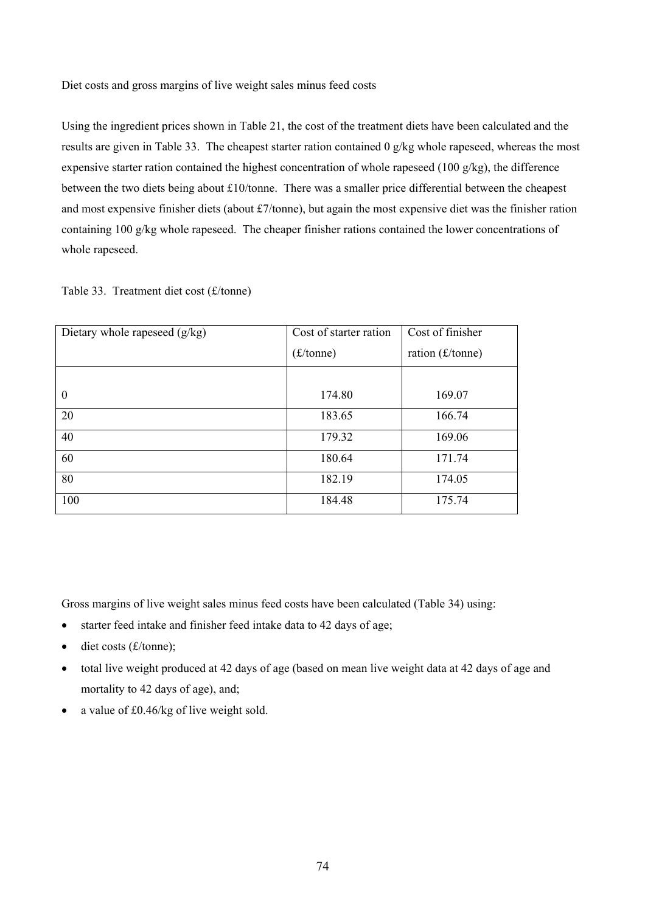Diet costs and gross margins of live weight sales minus feed costs

Using the ingredient prices shown in Table 21, the cost of the treatment diets have been calculated and the results are given in Table 33. The cheapest starter ration contained 0 g/kg whole rapeseed, whereas the most expensive starter ration contained the highest concentration of whole rapeseed (100 g/kg), the difference between the two diets being about £10/tonne. There was a smaller price differential between the cheapest and most expensive finisher diets (about £7/tonne), but again the most expensive diet was the finisher ration containing 100 g/kg whole rapeseed. The cheaper finisher rations contained the lower concentrations of whole rapeseed.

|  | Table 33. Treatment diet cost (£/tonne) |  |  |  |
|--|-----------------------------------------|--|--|--|
|--|-----------------------------------------|--|--|--|

| Dietary whole rapeseed (g/kg) | Cost of starter ration          | Cost of finisher   |
|-------------------------------|---------------------------------|--------------------|
|                               | $(\text{\pounds}/\text{tonne})$ | ration $(f/tonne)$ |
|                               |                                 |                    |
| $\boldsymbol{0}$              | 174.80                          | 169.07             |
| 20                            | 183.65                          | 166.74             |
| 40                            | 179.32                          | 169.06             |
| 60                            | 180.64                          | 171.74             |
| 80                            | 182.19                          | 174.05             |
| 100                           | 184.48                          | 175.74             |

Gross margins of live weight sales minus feed costs have been calculated (Table 34) using:

- starter feed intake and finisher feed intake data to 42 days of age;
- $\bullet$  diet costs (£/tonne);
- total live weight produced at 42 days of age (based on mean live weight data at 42 days of age and mortality to 42 days of age), and;
- a value of £0.46/kg of live weight sold.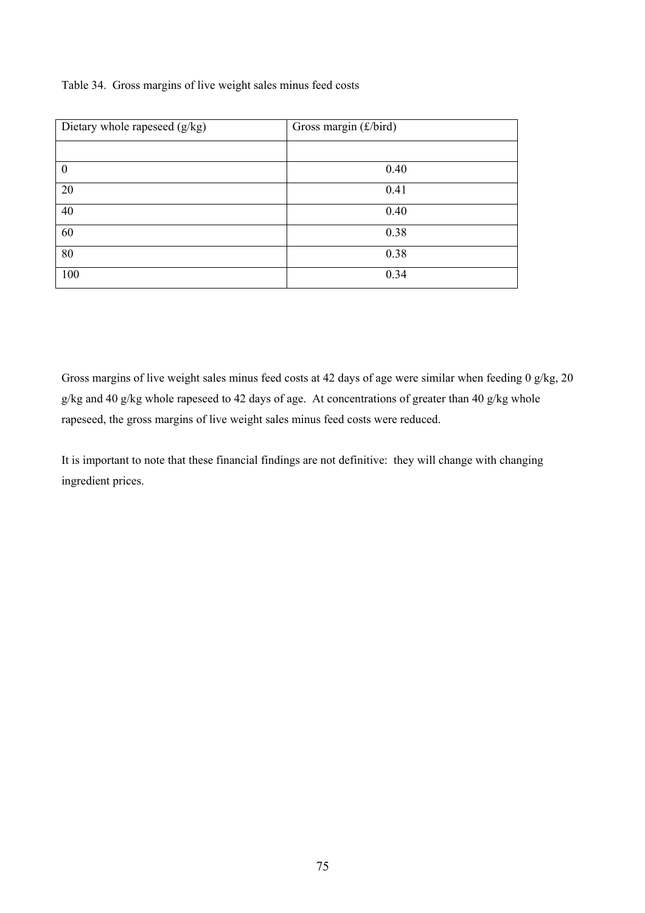Table 34. Gross margins of live weight sales minus feed costs

| Dietary whole rapeseed (g/kg) | Gross margin $(f/bird)$ |
|-------------------------------|-------------------------|
|                               |                         |
| $\boldsymbol{0}$              | 0.40                    |
| 20                            | 0.41                    |
| 40                            | 0.40                    |
| 60                            | 0.38                    |
| 80                            | 0.38                    |
| 100                           | 0.34                    |

Gross margins of live weight sales minus feed costs at 42 days of age were similar when feeding 0 g/kg, 20 g/kg and 40 g/kg whole rapeseed to 42 days of age. At concentrations of greater than 40 g/kg whole rapeseed, the gross margins of live weight sales minus feed costs were reduced.

It is important to note that these financial findings are not definitive: they will change with changing ingredient prices.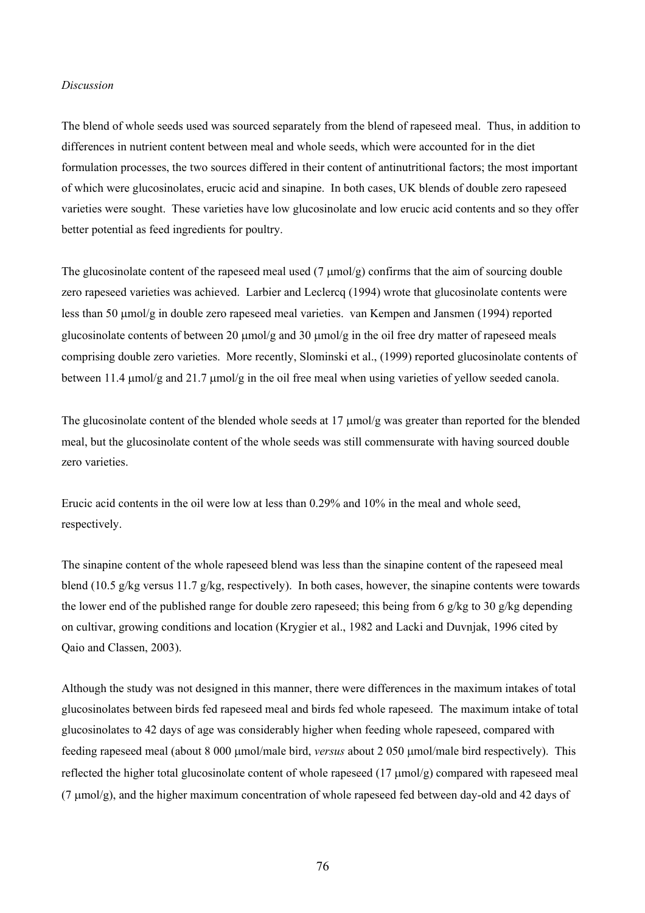#### *Discussion*

The blend of whole seeds used was sourced separately from the blend of rapeseed meal. Thus, in addition to differences in nutrient content between meal and whole seeds, which were accounted for in the diet formulation processes, the two sources differed in their content of antinutritional factors; the most important of which were glucosinolates, erucic acid and sinapine. In both cases, UK blends of double zero rapeseed varieties were sought. These varieties have low glucosinolate and low erucic acid contents and so they offer better potential as feed ingredients for poultry.

The glucosinolate content of the rapeseed meal used  $(7 \text{ mmol/g})$  confirms that the aim of sourcing double zero rapeseed varieties was achieved. Larbier and Leclercq (1994) wrote that glucosinolate contents were less than 50 µmol/g in double zero rapeseed meal varieties. van Kempen and Jansmen (1994) reported glucosinolate contents of between 20  $\mu$ mol/g and 30  $\mu$ mol/g in the oil free dry matter of rapeseed meals comprising double zero varieties. More recently, Slominski et al., (1999) reported glucosinolate contents of between 11.4  $\mu$ mol/g and 21.7  $\mu$ mol/g in the oil free meal when using varieties of yellow seeded canola.

The glucosinolate content of the blended whole seeds at 17  $\mu$ mol/g was greater than reported for the blended meal, but the glucosinolate content of the whole seeds was still commensurate with having sourced double zero varieties.

Erucic acid contents in the oil were low at less than 0.29% and 10% in the meal and whole seed, respectively.

The sinapine content of the whole rapeseed blend was less than the sinapine content of the rapeseed meal blend (10.5 g/kg versus 11.7 g/kg, respectively). In both cases, however, the sinapine contents were towards the lower end of the published range for double zero rapeseed; this being from 6 g/kg to 30 g/kg depending on cultivar, growing conditions and location (Krygier et al., 1982 and Lacki and Duvnjak, 1996 cited by Qaio and Classen, 2003).

Although the study was not designed in this manner, there were differences in the maximum intakes of total glucosinolates between birds fed rapeseed meal and birds fed whole rapeseed. The maximum intake of total glucosinolates to 42 days of age was considerably higher when feeding whole rapeseed, compared with feeding rapeseed meal (about 8 000 µmol/male bird, *versus* about 2 050 µmol/male bird respectively). This reflected the higher total glucosinolate content of whole rapeseed (17 µmol/g) compared with rapeseed meal (7 µmol/g), and the higher maximum concentration of whole rapeseed fed between day-old and 42 days of

76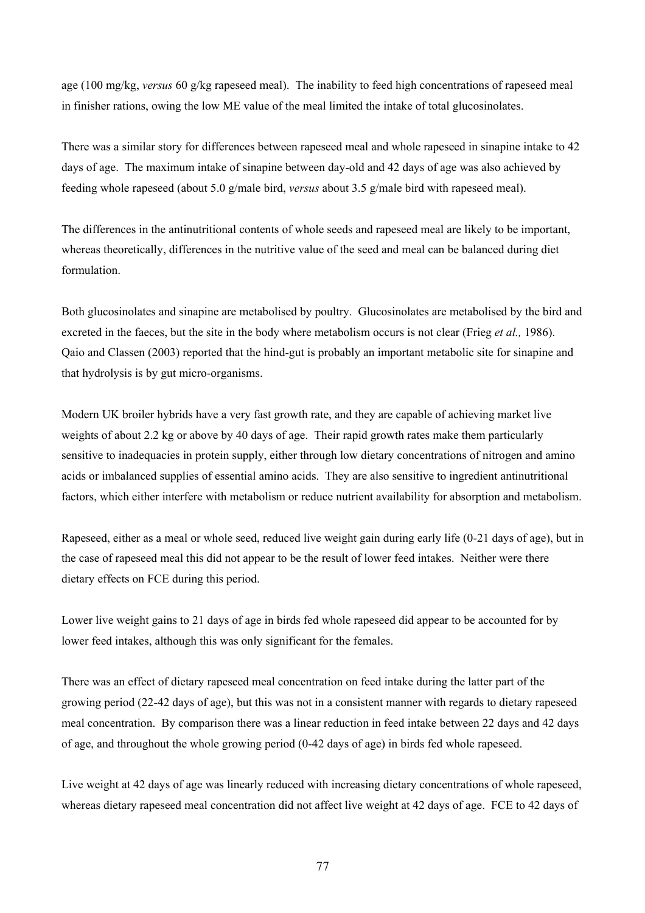age (100 mg/kg, *versus* 60 g/kg rapeseed meal). The inability to feed high concentrations of rapeseed meal in finisher rations, owing the low ME value of the meal limited the intake of total glucosinolates.

There was a similar story for differences between rapeseed meal and whole rapeseed in sinapine intake to 42 days of age. The maximum intake of sinapine between day-old and 42 days of age was also achieved by feeding whole rapeseed (about 5.0 g/male bird, *versus* about 3.5 g/male bird with rapeseed meal).

The differences in the antinutritional contents of whole seeds and rapeseed meal are likely to be important, whereas theoretically, differences in the nutritive value of the seed and meal can be balanced during diet formulation.

Both glucosinolates and sinapine are metabolised by poultry. Glucosinolates are metabolised by the bird and excreted in the faeces, but the site in the body where metabolism occurs is not clear (Frieg *et al.,* 1986). Qaio and Classen (2003) reported that the hind-gut is probably an important metabolic site for sinapine and that hydrolysis is by gut micro-organisms.

Modern UK broiler hybrids have a very fast growth rate, and they are capable of achieving market live weights of about 2.2 kg or above by 40 days of age. Their rapid growth rates make them particularly sensitive to inadequacies in protein supply, either through low dietary concentrations of nitrogen and amino acids or imbalanced supplies of essential amino acids. They are also sensitive to ingredient antinutritional factors, which either interfere with metabolism or reduce nutrient availability for absorption and metabolism.

Rapeseed, either as a meal or whole seed, reduced live weight gain during early life (0-21 days of age), but in the case of rapeseed meal this did not appear to be the result of lower feed intakes. Neither were there dietary effects on FCE during this period.

Lower live weight gains to 21 days of age in birds fed whole rapeseed did appear to be accounted for by lower feed intakes, although this was only significant for the females.

There was an effect of dietary rapeseed meal concentration on feed intake during the latter part of the growing period (22-42 days of age), but this was not in a consistent manner with regards to dietary rapeseed meal concentration. By comparison there was a linear reduction in feed intake between 22 days and 42 days of age, and throughout the whole growing period (0-42 days of age) in birds fed whole rapeseed.

Live weight at 42 days of age was linearly reduced with increasing dietary concentrations of whole rapeseed, whereas dietary rapeseed meal concentration did not affect live weight at 42 days of age. FCE to 42 days of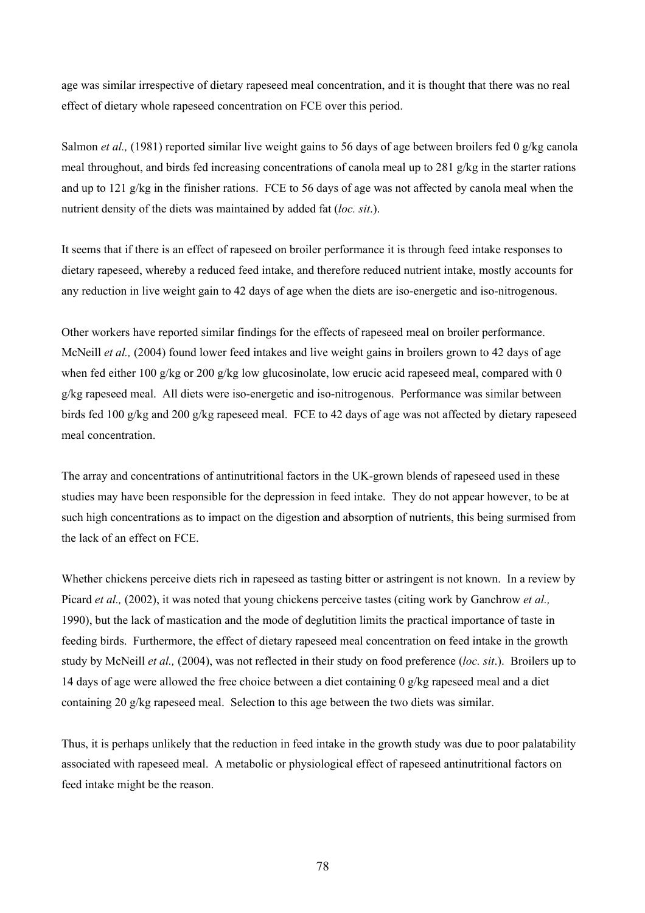age was similar irrespective of dietary rapeseed meal concentration, and it is thought that there was no real effect of dietary whole rapeseed concentration on FCE over this period.

Salmon *et al.*, (1981) reported similar live weight gains to 56 days of age between broilers fed 0 g/kg canola meal throughout, and birds fed increasing concentrations of canola meal up to 281  $g/kg$  in the starter rations and up to 121  $g/kg$  in the finisher rations. FCE to 56 days of age was not affected by canola meal when the nutrient density of the diets was maintained by added fat (*loc. sit*.).

It seems that if there is an effect of rapeseed on broiler performance it is through feed intake responses to dietary rapeseed, whereby a reduced feed intake, and therefore reduced nutrient intake, mostly accounts for any reduction in live weight gain to 42 days of age when the diets are iso-energetic and iso-nitrogenous.

Other workers have reported similar findings for the effects of rapeseed meal on broiler performance. McNeill *et al.*, (2004) found lower feed intakes and live weight gains in broilers grown to 42 days of age when fed either 100 g/kg or 200 g/kg low glucosinolate, low erucic acid rapeseed meal, compared with 0 g/kg rapeseed meal. All diets were iso-energetic and iso-nitrogenous. Performance was similar between birds fed 100 g/kg and 200 g/kg rapeseed meal. FCE to 42 days of age was not affected by dietary rapeseed meal concentration.

The array and concentrations of antinutritional factors in the UK-grown blends of rapeseed used in these studies may have been responsible for the depression in feed intake. They do not appear however, to be at such high concentrations as to impact on the digestion and absorption of nutrients, this being surmised from the lack of an effect on FCE.

Whether chickens perceive diets rich in rapeseed as tasting bitter or astringent is not known. In a review by Picard *et al.,* (2002), it was noted that young chickens perceive tastes (citing work by Ganchrow *et al.,* 1990), but the lack of mastication and the mode of deglutition limits the practical importance of taste in feeding birds. Furthermore, the effect of dietary rapeseed meal concentration on feed intake in the growth study by McNeill *et al.,* (2004), was not reflected in their study on food preference (*loc. sit*.). Broilers up to 14 days of age were allowed the free choice between a diet containing 0 g/kg rapeseed meal and a diet containing 20 g/kg rapeseed meal. Selection to this age between the two diets was similar.

Thus, it is perhaps unlikely that the reduction in feed intake in the growth study was due to poor palatability associated with rapeseed meal. A metabolic or physiological effect of rapeseed antinutritional factors on feed intake might be the reason.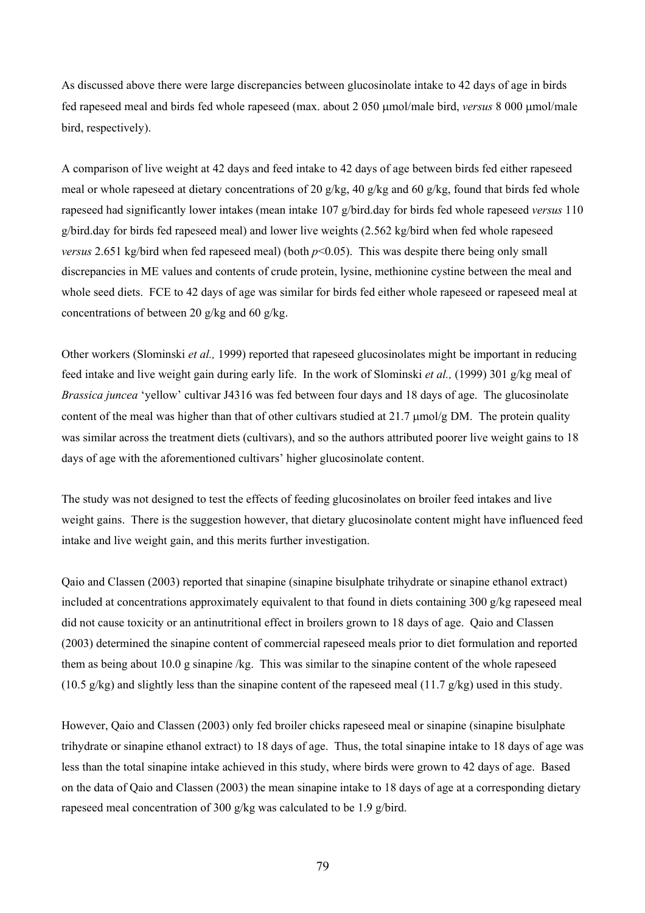As discussed above there were large discrepancies between glucosinolate intake to 42 days of age in birds fed rapeseed meal and birds fed whole rapeseed (max. about 2 050 µmol/male bird, *versus* 8 000 µmol/male bird, respectively).

A comparison of live weight at 42 days and feed intake to 42 days of age between birds fed either rapeseed meal or whole rapeseed at dietary concentrations of 20 g/kg, 40 g/kg and 60 g/kg, found that birds fed whole rapeseed had significantly lower intakes (mean intake 107 g/bird.day for birds fed whole rapeseed *versus* 110 g/bird.day for birds fed rapeseed meal) and lower live weights (2.562 kg/bird when fed whole rapeseed *versus* 2.651 kg/bird when fed rapeseed meal) (both  $p<0.05$ ). This was despite there being only small discrepancies in ME values and contents of crude protein, lysine, methionine cystine between the meal and whole seed diets. FCE to 42 days of age was similar for birds fed either whole rapeseed or rapeseed meal at concentrations of between 20 g/kg and 60 g/kg.

Other workers (Slominski *et al.,* 1999) reported that rapeseed glucosinolates might be important in reducing feed intake and live weight gain during early life. In the work of Slominski *et al.,* (1999) 301 g/kg meal of *Brassica juncea* 'yellow' cultivar J4316 was fed between four days and 18 days of age. The glucosinolate content of the meal was higher than that of other cultivars studied at  $21.7 \mu mol/g DM$ . The protein quality was similar across the treatment diets (cultivars), and so the authors attributed poorer live weight gains to 18 days of age with the aforementioned cultivars' higher glucosinolate content.

The study was not designed to test the effects of feeding glucosinolates on broiler feed intakes and live weight gains. There is the suggestion however, that dietary glucosinolate content might have influenced feed intake and live weight gain, and this merits further investigation.

Qaio and Classen (2003) reported that sinapine (sinapine bisulphate trihydrate or sinapine ethanol extract) included at concentrations approximately equivalent to that found in diets containing 300 g/kg rapeseed meal did not cause toxicity or an antinutritional effect in broilers grown to 18 days of age. Qaio and Classen (2003) determined the sinapine content of commercial rapeseed meals prior to diet formulation and reported them as being about 10.0 g sinapine /kg. This was similar to the sinapine content of the whole rapeseed (10.5 g/kg) and slightly less than the sinapine content of the rapeseed meal (11.7 g/kg) used in this study.

However, Qaio and Classen (2003) only fed broiler chicks rapeseed meal or sinapine (sinapine bisulphate trihydrate or sinapine ethanol extract) to 18 days of age. Thus, the total sinapine intake to 18 days of age was less than the total sinapine intake achieved in this study, where birds were grown to 42 days of age. Based on the data of Qaio and Classen (2003) the mean sinapine intake to 18 days of age at a corresponding dietary rapeseed meal concentration of 300 g/kg was calculated to be 1.9 g/bird.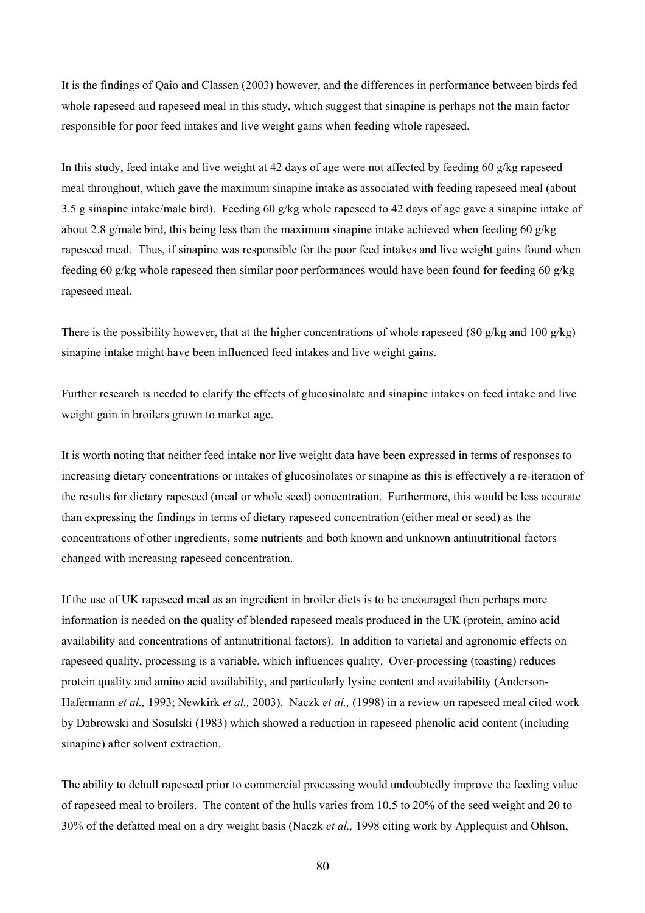It is the findings of Qaio and Classen (2003) however, and the differences in performance between birds fed whole rapeseed and rapeseed meal in this study, which suggest that sinapine is perhaps not the main factor responsible for poor feed intakes and live weight gains when feeding whole rapeseed.

In this study, feed intake and live weight at 42 days of age were not affected by feeding 60 g/kg rapeseed meal throughout, which gave the maximum sinapine intake as associated with feeding rapeseed meal (about 3.5 g sinapine intake/male bird). Feeding 60 g/kg whole rapeseed to 42 days of age gave a sinapine intake of about 2.8 g/male bird, this being less than the maximum sinapine intake achieved when feeding 60 g/kg rapeseed meal. Thus, if sinapine was responsible for the poor feed intakes and live weight gains found when feeding 60 g/kg whole rapeseed then similar poor performances would have been found for feeding 60 g/kg rapeseed meal.

There is the possibility however, that at the higher concentrations of whole rapeseed (80 g/kg and 100 g/kg) sinapine intake might have been influenced feed intakes and live weight gains.

Further research is needed to clarify the effects of glucosinolate and sinapine intakes on feed intake and live weight gain in broilers grown to market age.

It is worth noting that neither feed intake nor live weight data have been expressed in terms of responses to increasing dietary concentrations or intakes of glucosinolates or sinapine as this is effectively a re-iteration of the results for dietary rapeseed (meal or whole seed) concentration. Furthermore, this would be less accurate than expressing the findings in terms of dietary rapeseed concentration (either meal or seed) as the concentrations of other ingredients, some nutrients and both known and unknown antinutritional factors changed with increasing rapeseed concentration.

If the use of UK rapeseed meal as an ingredient in broiler diets is to be encouraged then perhaps more information is needed on the quality of blended rapeseed meals produced in the UK (protein, amino acid availability and concentrations of antinutritional factors). In addition to varietal and agronomic effects on rapeseed quality, processing is a variable, which influences quality. Over-processing (toasting) reduces protein quality and amino acid availability, and particularly lysine content and availability (Anderson-Hafermann *et al.,* 1993; Newkirk *et al.,* 2003). Naczk *et al.,* (1998) in a review on rapeseed meal cited work by Dabrowski and Sosulski (1983) which showed a reduction in rapeseed phenolic acid content (including sinapine) after solvent extraction.

The ability to dehull rapeseed prior to commercial processing would undoubtedly improve the feeding value of rapeseed meal to broilers. The content of the hulls varies from 10.5 to 20% of the seed weight and 20 to 30% of the defatted meal on a dry weight basis (Naczk *et al.,* 1998 citing work by Applequist and Ohlson,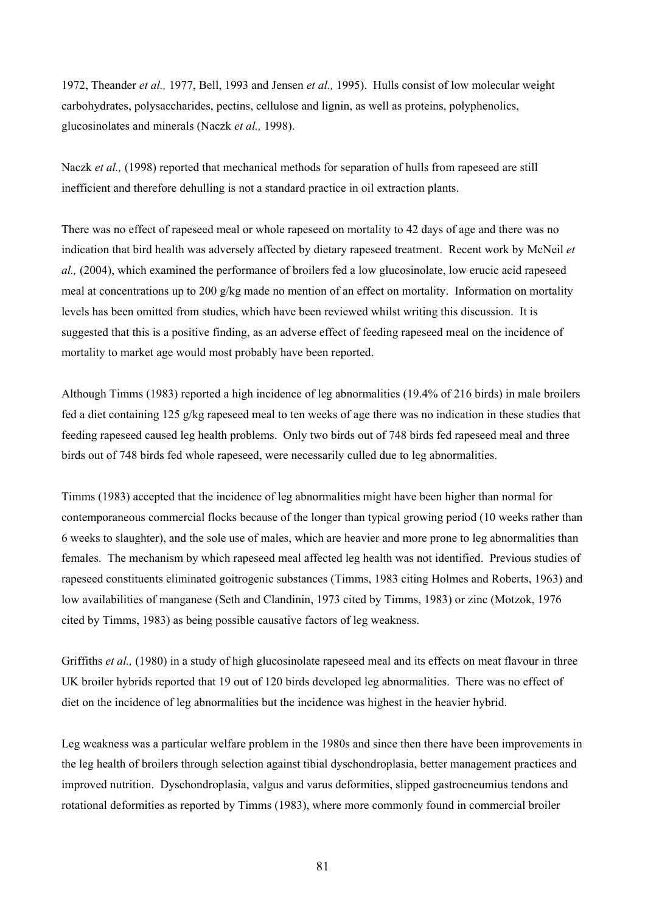1972, Theander *et al.,* 1977, Bell, 1993 and Jensen *et al.,* 1995). Hulls consist of low molecular weight carbohydrates, polysaccharides, pectins, cellulose and lignin, as well as proteins, polyphenolics, glucosinolates and minerals (Naczk *et al.,* 1998).

Naczk *et al.*, (1998) reported that mechanical methods for separation of hulls from rapeseed are still inefficient and therefore dehulling is not a standard practice in oil extraction plants.

There was no effect of rapeseed meal or whole rapeseed on mortality to 42 days of age and there was no indication that bird health was adversely affected by dietary rapeseed treatment. Recent work by McNeil *et al.,* (2004), which examined the performance of broilers fed a low glucosinolate, low erucic acid rapeseed meal at concentrations up to 200 g/kg made no mention of an effect on mortality. Information on mortality levels has been omitted from studies, which have been reviewed whilst writing this discussion. It is suggested that this is a positive finding, as an adverse effect of feeding rapeseed meal on the incidence of mortality to market age would most probably have been reported.

Although Timms (1983) reported a high incidence of leg abnormalities (19.4% of 216 birds) in male broilers fed a diet containing 125 g/kg rapeseed meal to ten weeks of age there was no indication in these studies that feeding rapeseed caused leg health problems. Only two birds out of 748 birds fed rapeseed meal and three birds out of 748 birds fed whole rapeseed, were necessarily culled due to leg abnormalities.

Timms (1983) accepted that the incidence of leg abnormalities might have been higher than normal for contemporaneous commercial flocks because of the longer than typical growing period (10 weeks rather than 6 weeks to slaughter), and the sole use of males, which are heavier and more prone to leg abnormalities than females. The mechanism by which rapeseed meal affected leg health was not identified. Previous studies of rapeseed constituents eliminated goitrogenic substances (Timms, 1983 citing Holmes and Roberts, 1963) and low availabilities of manganese (Seth and Clandinin, 1973 cited by Timms, 1983) or zinc (Motzok, 1976 cited by Timms, 1983) as being possible causative factors of leg weakness.

Griffiths *et al.*, (1980) in a study of high glucosinolate rapeseed meal and its effects on meat flavour in three UK broiler hybrids reported that 19 out of 120 birds developed leg abnormalities. There was no effect of diet on the incidence of leg abnormalities but the incidence was highest in the heavier hybrid.

Leg weakness was a particular welfare problem in the 1980s and since then there have been improvements in the leg health of broilers through selection against tibial dyschondroplasia, better management practices and improved nutrition. Dyschondroplasia, valgus and varus deformities, slipped gastrocneumius tendons and rotational deformities as reported by Timms (1983), where more commonly found in commercial broiler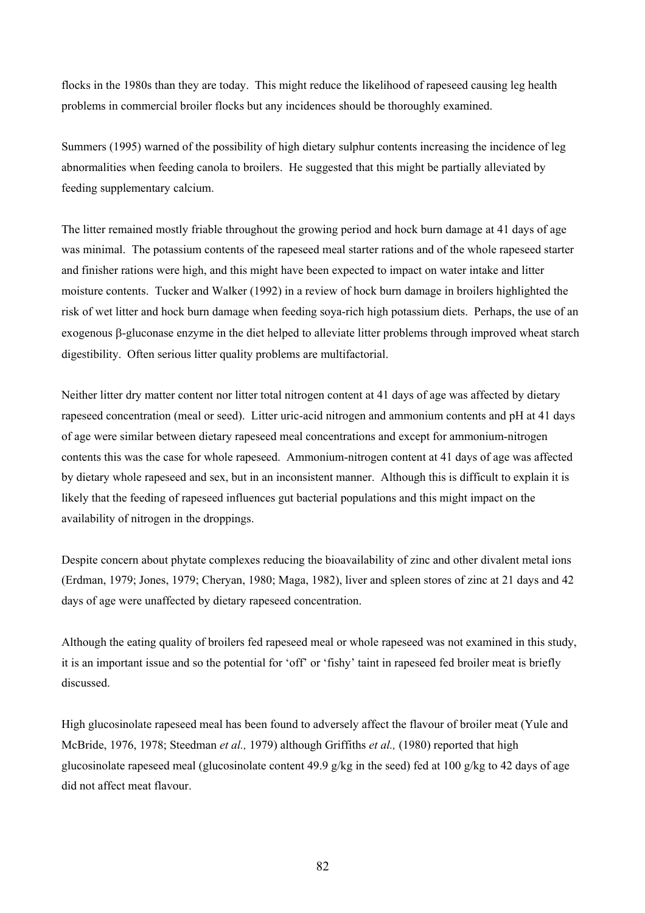flocks in the 1980s than they are today. This might reduce the likelihood of rapeseed causing leg health problems in commercial broiler flocks but any incidences should be thoroughly examined.

Summers (1995) warned of the possibility of high dietary sulphur contents increasing the incidence of leg abnormalities when feeding canola to broilers. He suggested that this might be partially alleviated by feeding supplementary calcium.

The litter remained mostly friable throughout the growing period and hock burn damage at 41 days of age was minimal. The potassium contents of the rapeseed meal starter rations and of the whole rapeseed starter and finisher rations were high, and this might have been expected to impact on water intake and litter moisture contents. Tucker and Walker (1992) in a review of hock burn damage in broilers highlighted the risk of wet litter and hock burn damage when feeding soya-rich high potassium diets. Perhaps, the use of an exogenous β-gluconase enzyme in the diet helped to alleviate litter problems through improved wheat starch digestibility. Often serious litter quality problems are multifactorial.

Neither litter dry matter content nor litter total nitrogen content at 41 days of age was affected by dietary rapeseed concentration (meal or seed). Litter uric-acid nitrogen and ammonium contents and pH at 41 days of age were similar between dietary rapeseed meal concentrations and except for ammonium-nitrogen contents this was the case for whole rapeseed. Ammonium-nitrogen content at 41 days of age was affected by dietary whole rapeseed and sex, but in an inconsistent manner. Although this is difficult to explain it is likely that the feeding of rapeseed influences gut bacterial populations and this might impact on the availability of nitrogen in the droppings.

Despite concern about phytate complexes reducing the bioavailability of zinc and other divalent metal ions (Erdman, 1979; Jones, 1979; Cheryan, 1980; Maga, 1982), liver and spleen stores of zinc at 21 days and 42 days of age were unaffected by dietary rapeseed concentration.

Although the eating quality of broilers fed rapeseed meal or whole rapeseed was not examined in this study, it is an important issue and so the potential for 'off' or 'fishy' taint in rapeseed fed broiler meat is briefly discussed.

High glucosinolate rapeseed meal has been found to adversely affect the flavour of broiler meat (Yule and McBride, 1976, 1978; Steedman *et al.,* 1979) although Griffiths *et al.,* (1980) reported that high glucosinolate rapeseed meal (glucosinolate content 49.9 g/kg in the seed) fed at 100 g/kg to 42 days of age did not affect meat flavour.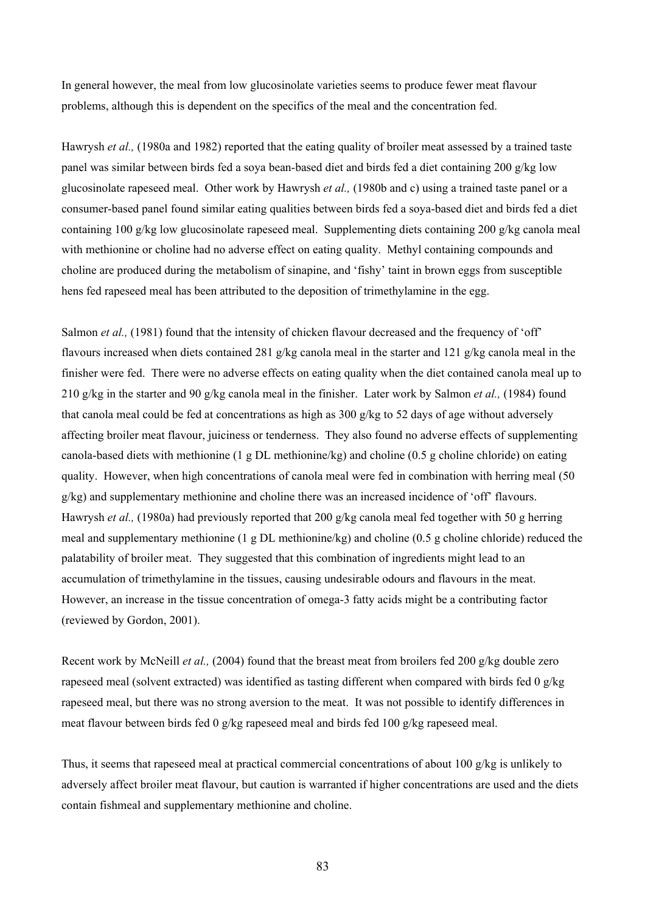In general however, the meal from low glucosinolate varieties seems to produce fewer meat flavour problems, although this is dependent on the specifics of the meal and the concentration fed.

Hawrysh *et al.,* (1980a and 1982) reported that the eating quality of broiler meat assessed by a trained taste panel was similar between birds fed a soya bean-based diet and birds fed a diet containing 200 g/kg low glucosinolate rapeseed meal. Other work by Hawrysh *et al.,* (1980b and c) using a trained taste panel or a consumer-based panel found similar eating qualities between birds fed a soya-based diet and birds fed a diet containing 100 g/kg low glucosinolate rapeseed meal. Supplementing diets containing 200 g/kg canola meal with methionine or choline had no adverse effect on eating quality. Methyl containing compounds and choline are produced during the metabolism of sinapine, and 'fishy' taint in brown eggs from susceptible hens fed rapeseed meal has been attributed to the deposition of trimethylamine in the egg.

Salmon *et al.*, (1981) found that the intensity of chicken flavour decreased and the frequency of 'off' flavours increased when diets contained 281 g/kg canola meal in the starter and 121 g/kg canola meal in the finisher were fed. There were no adverse effects on eating quality when the diet contained canola meal up to 210 g/kg in the starter and 90 g/kg canola meal in the finisher. Later work by Salmon *et al.,* (1984) found that canola meal could be fed at concentrations as high as 300 g/kg to 52 days of age without adversely affecting broiler meat flavour, juiciness or tenderness. They also found no adverse effects of supplementing canola-based diets with methionine (1 g DL methionine/kg) and choline (0.5 g choline chloride) on eating quality. However, when high concentrations of canola meal were fed in combination with herring meal (50 g/kg) and supplementary methionine and choline there was an increased incidence of 'off' flavours. Hawrysh *et al.,* (1980a) had previously reported that 200 g/kg canola meal fed together with 50 g herring meal and supplementary methionine (1 g DL methionine/kg) and choline (0.5 g choline chloride) reduced the palatability of broiler meat. They suggested that this combination of ingredients might lead to an accumulation of trimethylamine in the tissues, causing undesirable odours and flavours in the meat. However, an increase in the tissue concentration of omega-3 fatty acids might be a contributing factor (reviewed by Gordon, 2001).

Recent work by McNeill *et al.,* (2004) found that the breast meat from broilers fed 200 g/kg double zero rapeseed meal (solvent extracted) was identified as tasting different when compared with birds fed 0 g/kg rapeseed meal, but there was no strong aversion to the meat. It was not possible to identify differences in meat flavour between birds fed 0 g/kg rapeseed meal and birds fed 100 g/kg rapeseed meal.

Thus, it seems that rapeseed meal at practical commercial concentrations of about 100 g/kg is unlikely to adversely affect broiler meat flavour, but caution is warranted if higher concentrations are used and the diets contain fishmeal and supplementary methionine and choline.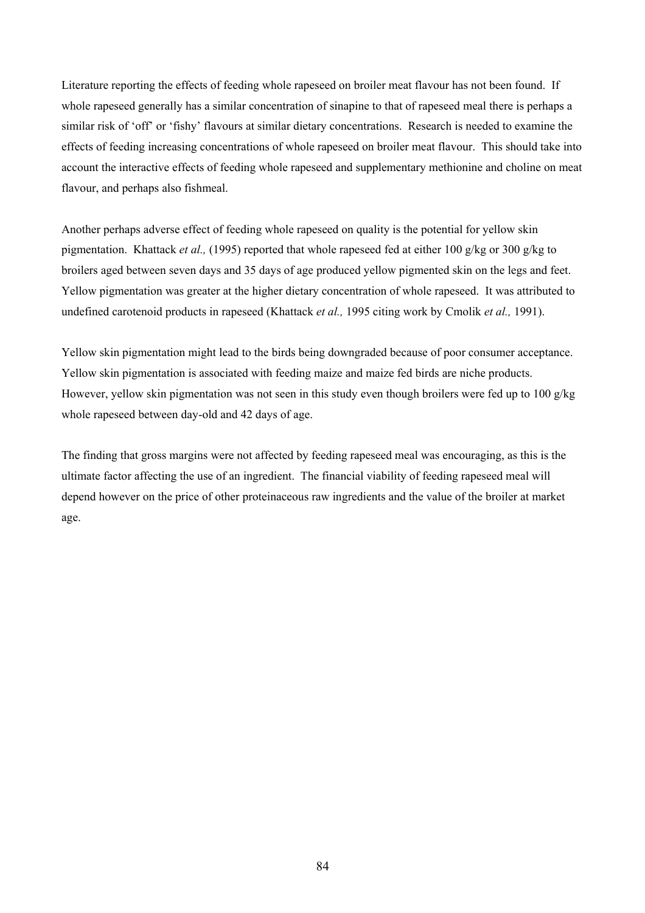Literature reporting the effects of feeding whole rapeseed on broiler meat flavour has not been found. If whole rapeseed generally has a similar concentration of sinapine to that of rapeseed meal there is perhaps a similar risk of 'off' or 'fishy' flavours at similar dietary concentrations. Research is needed to examine the effects of feeding increasing concentrations of whole rapeseed on broiler meat flavour. This should take into account the interactive effects of feeding whole rapeseed and supplementary methionine and choline on meat flavour, and perhaps also fishmeal.

Another perhaps adverse effect of feeding whole rapeseed on quality is the potential for yellow skin pigmentation. Khattack *et al.,* (1995) reported that whole rapeseed fed at either 100 g/kg or 300 g/kg to broilers aged between seven days and 35 days of age produced yellow pigmented skin on the legs and feet. Yellow pigmentation was greater at the higher dietary concentration of whole rapeseed. It was attributed to undefined carotenoid products in rapeseed (Khattack *et al.,* 1995 citing work by Cmolik *et al.,* 1991).

Yellow skin pigmentation might lead to the birds being downgraded because of poor consumer acceptance. Yellow skin pigmentation is associated with feeding maize and maize fed birds are niche products. However, yellow skin pigmentation was not seen in this study even though broilers were fed up to 100 g/kg whole rapeseed between day-old and 42 days of age.

The finding that gross margins were not affected by feeding rapeseed meal was encouraging, as this is the ultimate factor affecting the use of an ingredient. The financial viability of feeding rapeseed meal will depend however on the price of other proteinaceous raw ingredients and the value of the broiler at market age.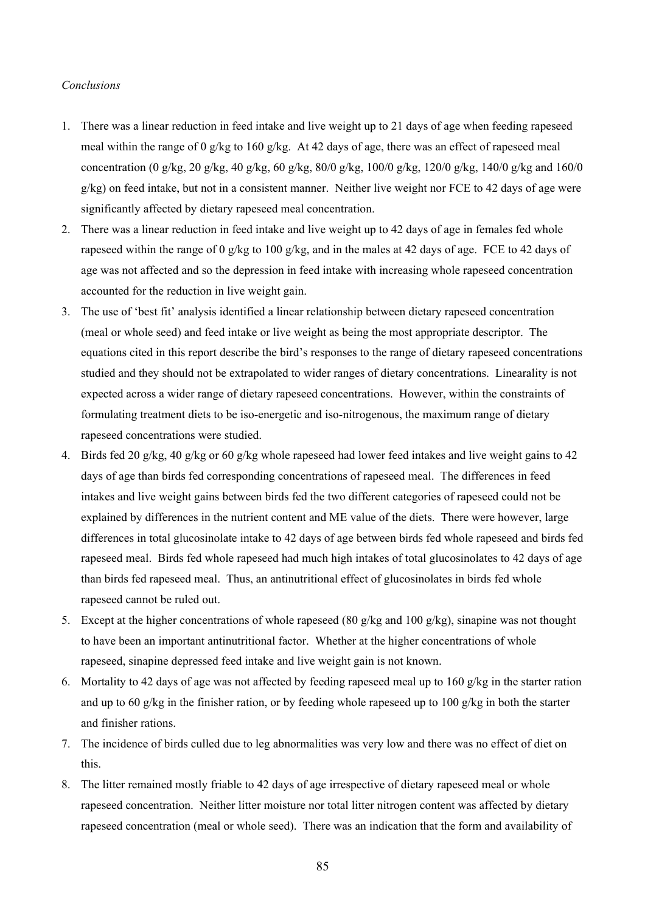#### *Conclusions*

- 1. There was a linear reduction in feed intake and live weight up to 21 days of age when feeding rapeseed meal within the range of 0 g/kg to 160 g/kg. At 42 days of age, there was an effect of rapeseed meal concentration (0 g/kg, 20 g/kg, 40 g/kg, 60 g/kg, 80/0 g/kg, 100/0 g/kg, 120/0 g/kg, 140/0 g/kg and 160/0 g/kg) on feed intake, but not in a consistent manner. Neither live weight nor FCE to 42 days of age were significantly affected by dietary rapeseed meal concentration.
- 2. There was a linear reduction in feed intake and live weight up to 42 days of age in females fed whole rapeseed within the range of 0 g/kg to 100 g/kg, and in the males at 42 days of age. FCE to 42 days of age was not affected and so the depression in feed intake with increasing whole rapeseed concentration accounted for the reduction in live weight gain.
- 3. The use of 'best fit' analysis identified a linear relationship between dietary rapeseed concentration (meal or whole seed) and feed intake or live weight as being the most appropriate descriptor. The equations cited in this report describe the bird's responses to the range of dietary rapeseed concentrations studied and they should not be extrapolated to wider ranges of dietary concentrations. Linearality is not expected across a wider range of dietary rapeseed concentrations. However, within the constraints of formulating treatment diets to be iso-energetic and iso-nitrogenous, the maximum range of dietary rapeseed concentrations were studied.
- 4. Birds fed 20 g/kg, 40 g/kg or 60 g/kg whole rapeseed had lower feed intakes and live weight gains to 42 days of age than birds fed corresponding concentrations of rapeseed meal. The differences in feed intakes and live weight gains between birds fed the two different categories of rapeseed could not be explained by differences in the nutrient content and ME value of the diets. There were however, large differences in total glucosinolate intake to 42 days of age between birds fed whole rapeseed and birds fed rapeseed meal. Birds fed whole rapeseed had much high intakes of total glucosinolates to 42 days of age than birds fed rapeseed meal. Thus, an antinutritional effect of glucosinolates in birds fed whole rapeseed cannot be ruled out.
- 5. Except at the higher concentrations of whole rapeseed (80 g/kg and 100 g/kg), sinapine was not thought to have been an important antinutritional factor. Whether at the higher concentrations of whole rapeseed, sinapine depressed feed intake and live weight gain is not known.
- 6. Mortality to 42 days of age was not affected by feeding rapeseed meal up to 160 g/kg in the starter ration and up to 60 g/kg in the finisher ration, or by feeding whole rapeseed up to 100 g/kg in both the starter and finisher rations.
- 7. The incidence of birds culled due to leg abnormalities was very low and there was no effect of diet on this.
- 8. The litter remained mostly friable to 42 days of age irrespective of dietary rapeseed meal or whole rapeseed concentration. Neither litter moisture nor total litter nitrogen content was affected by dietary rapeseed concentration (meal or whole seed). There was an indication that the form and availability of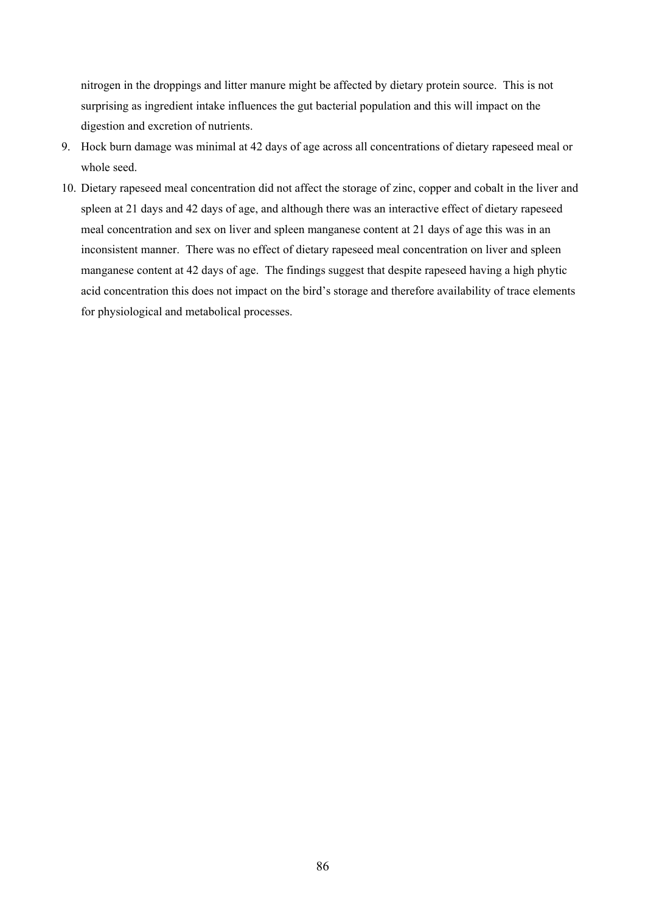nitrogen in the droppings and litter manure might be affected by dietary protein source. This is not surprising as ingredient intake influences the gut bacterial population and this will impact on the digestion and excretion of nutrients.

- 9. Hock burn damage was minimal at 42 days of age across all concentrations of dietary rapeseed meal or whole seed.
- 10. Dietary rapeseed meal concentration did not affect the storage of zinc, copper and cobalt in the liver and spleen at 21 days and 42 days of age, and although there was an interactive effect of dietary rapeseed meal concentration and sex on liver and spleen manganese content at 21 days of age this was in an inconsistent manner. There was no effect of dietary rapeseed meal concentration on liver and spleen manganese content at 42 days of age. The findings suggest that despite rapeseed having a high phytic acid concentration this does not impact on the bird's storage and therefore availability of trace elements for physiological and metabolical processes.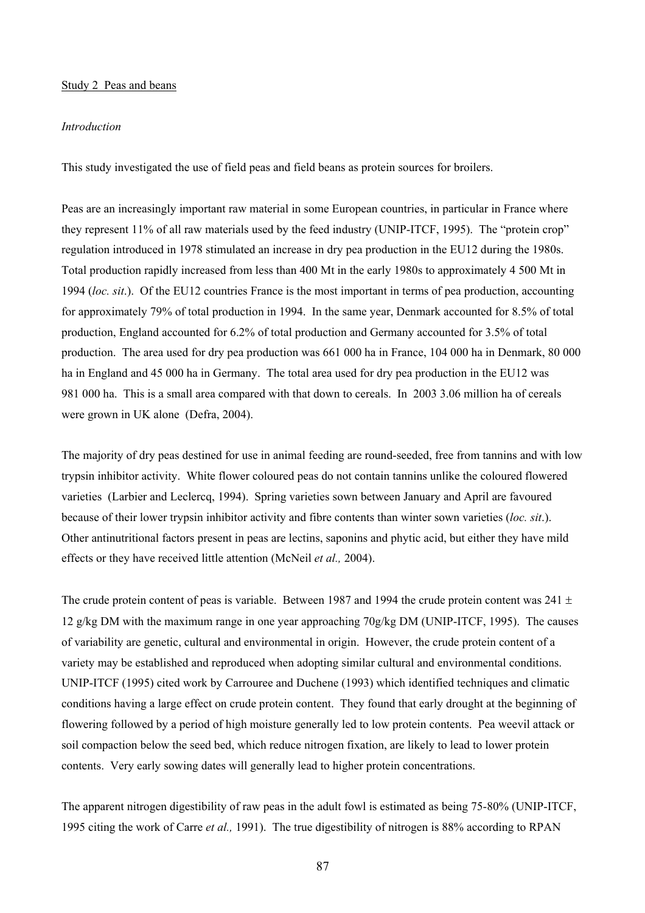#### Study 2 Peas and beans

## *Introduction*

This study investigated the use of field peas and field beans as protein sources for broilers.

Peas are an increasingly important raw material in some European countries, in particular in France where they represent 11% of all raw materials used by the feed industry (UNIP-ITCF, 1995). The "protein crop" regulation introduced in 1978 stimulated an increase in dry pea production in the EU12 during the 1980s. Total production rapidly increased from less than 400 Mt in the early 1980s to approximately 4 500 Mt in 1994 (*loc. sit*.). Of the EU12 countries France is the most important in terms of pea production, accounting for approximately 79% of total production in 1994. In the same year, Denmark accounted for 8.5% of total production, England accounted for 6.2% of total production and Germany accounted for 3.5% of total production. The area used for dry pea production was 661 000 ha in France, 104 000 ha in Denmark, 80 000 ha in England and 45 000 ha in Germany. The total area used for dry pea production in the EU12 was 981 000 ha. This is a small area compared with that down to cereals. In 2003 3.06 million ha of cereals were grown in UK alone (Defra, 2004).

The majority of dry peas destined for use in animal feeding are round-seeded, free from tannins and with low trypsin inhibitor activity. White flower coloured peas do not contain tannins unlike the coloured flowered varieties (Larbier and Leclercq, 1994). Spring varieties sown between January and April are favoured because of their lower trypsin inhibitor activity and fibre contents than winter sown varieties (*loc. sit*.). Other antinutritional factors present in peas are lectins, saponins and phytic acid, but either they have mild effects or they have received little attention (McNeil *et al.,* 2004).

The crude protein content of peas is variable. Between 1987 and 1994 the crude protein content was  $241 \pm$ 12 g/kg DM with the maximum range in one year approaching 70g/kg DM (UNIP-ITCF, 1995). The causes of variability are genetic, cultural and environmental in origin. However, the crude protein content of a variety may be established and reproduced when adopting similar cultural and environmental conditions. UNIP-ITCF (1995) cited work by Carrouree and Duchene (1993) which identified techniques and climatic conditions having a large effect on crude protein content. They found that early drought at the beginning of flowering followed by a period of high moisture generally led to low protein contents. Pea weevil attack or soil compaction below the seed bed, which reduce nitrogen fixation, are likely to lead to lower protein contents. Very early sowing dates will generally lead to higher protein concentrations.

The apparent nitrogen digestibility of raw peas in the adult fowl is estimated as being 75-80% (UNIP-ITCF, 1995 citing the work of Carre *et al.,* 1991). The true digestibility of nitrogen is 88% according to RPAN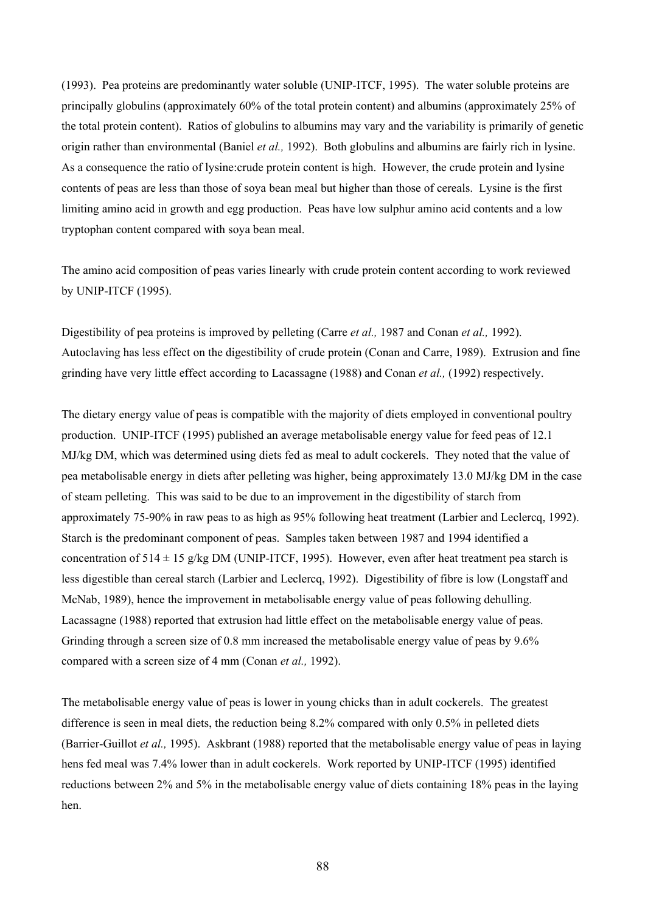(1993). Pea proteins are predominantly water soluble (UNIP-ITCF, 1995). The water soluble proteins are principally globulins (approximately 60% of the total protein content) and albumins (approximately 25% of the total protein content). Ratios of globulins to albumins may vary and the variability is primarily of genetic origin rather than environmental (Baniel *et al.,* 1992). Both globulins and albumins are fairly rich in lysine. As a consequence the ratio of lysine:crude protein content is high. However, the crude protein and lysine contents of peas are less than those of soya bean meal but higher than those of cereals. Lysine is the first limiting amino acid in growth and egg production. Peas have low sulphur amino acid contents and a low tryptophan content compared with soya bean meal.

The amino acid composition of peas varies linearly with crude protein content according to work reviewed by UNIP-ITCF (1995).

Digestibility of pea proteins is improved by pelleting (Carre *et al.,* 1987 and Conan *et al.,* 1992). Autoclaving has less effect on the digestibility of crude protein (Conan and Carre, 1989). Extrusion and fine grinding have very little effect according to Lacassagne (1988) and Conan *et al.,* (1992) respectively.

The dietary energy value of peas is compatible with the majority of diets employed in conventional poultry production. UNIP-ITCF (1995) published an average metabolisable energy value for feed peas of 12.1 MJ/kg DM, which was determined using diets fed as meal to adult cockerels. They noted that the value of pea metabolisable energy in diets after pelleting was higher, being approximately 13.0 MJ/kg DM in the case of steam pelleting. This was said to be due to an improvement in the digestibility of starch from approximately 75-90% in raw peas to as high as 95% following heat treatment (Larbier and Leclercq, 1992). Starch is the predominant component of peas. Samples taken between 1987 and 1994 identified a concentration of  $514 \pm 15$  g/kg DM (UNIP-ITCF, 1995). However, even after heat treatment pea starch is less digestible than cereal starch (Larbier and Leclercq, 1992). Digestibility of fibre is low (Longstaff and McNab, 1989), hence the improvement in metabolisable energy value of peas following dehulling. Lacassagne (1988) reported that extrusion had little effect on the metabolisable energy value of peas. Grinding through a screen size of 0.8 mm increased the metabolisable energy value of peas by 9.6% compared with a screen size of 4 mm (Conan *et al.,* 1992).

The metabolisable energy value of peas is lower in young chicks than in adult cockerels. The greatest difference is seen in meal diets, the reduction being 8.2% compared with only 0.5% in pelleted diets (Barrier-Guillot *et al.,* 1995). Askbrant (1988) reported that the metabolisable energy value of peas in laying hens fed meal was 7.4% lower than in adult cockerels. Work reported by UNIP-ITCF (1995) identified reductions between 2% and 5% in the metabolisable energy value of diets containing 18% peas in the laying hen.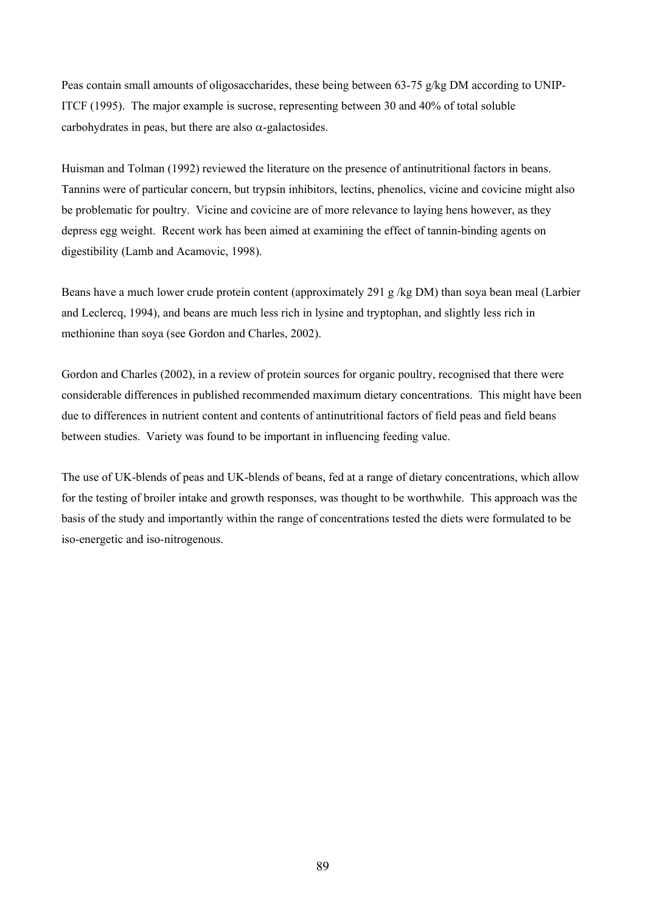Peas contain small amounts of oligosaccharides, these being between 63-75 g/kg DM according to UNIP-ITCF (1995). The major example is sucrose, representing between 30 and 40% of total soluble carbohydrates in peas, but there are also  $\alpha$ -galactosides.

Huisman and Tolman (1992) reviewed the literature on the presence of antinutritional factors in beans. Tannins were of particular concern, but trypsin inhibitors, lectins, phenolics, vicine and covicine might also be problematic for poultry. Vicine and covicine are of more relevance to laying hens however, as they depress egg weight. Recent work has been aimed at examining the effect of tannin-binding agents on digestibility (Lamb and Acamovic, 1998).

Beans have a much lower crude protein content (approximately 291 g /kg DM) than soya bean meal (Larbier and Leclercq, 1994), and beans are much less rich in lysine and tryptophan, and slightly less rich in methionine than soya (see Gordon and Charles, 2002).

Gordon and Charles (2002), in a review of protein sources for organic poultry, recognised that there were considerable differences in published recommended maximum dietary concentrations. This might have been due to differences in nutrient content and contents of antinutritional factors of field peas and field beans between studies. Variety was found to be important in influencing feeding value.

The use of UK-blends of peas and UK-blends of beans, fed at a range of dietary concentrations, which allow for the testing of broiler intake and growth responses, was thought to be worthwhile. This approach was the basis of the study and importantly within the range of concentrations tested the diets were formulated to be iso-energetic and iso-nitrogenous.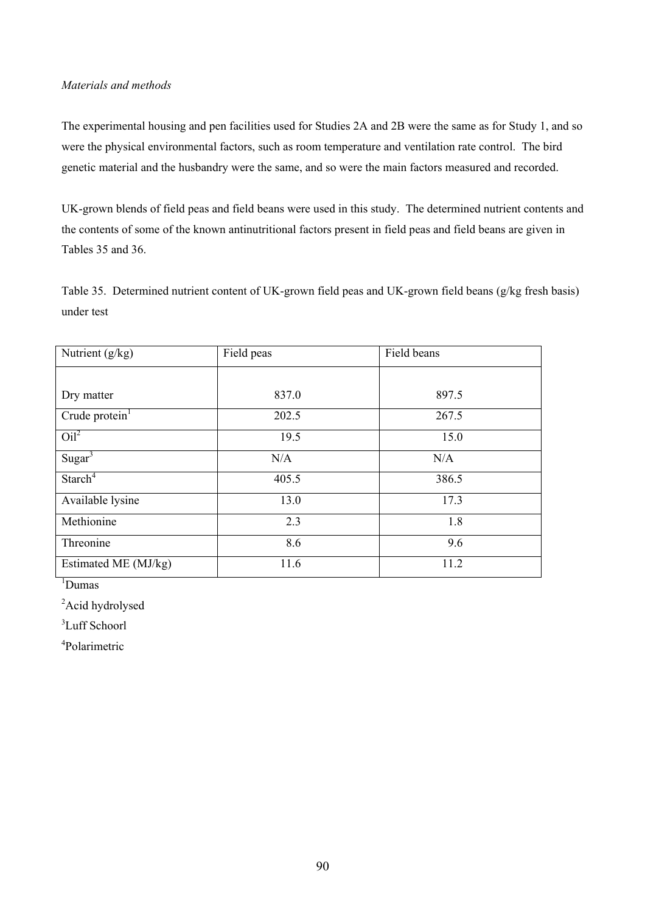# *Materials and methods*

The experimental housing and pen facilities used for Studies 2A and 2B were the same as for Study 1, and so were the physical environmental factors, such as room temperature and ventilation rate control. The bird genetic material and the husbandry were the same, and so were the main factors measured and recorded.

UK-grown blends of field peas and field beans were used in this study. The determined nutrient contents and the contents of some of the known antinutritional factors present in field peas and field beans are given in Tables 35 and 36.

Table 35. Determined nutrient content of UK-grown field peas and UK-grown field beans (g/kg fresh basis) under test

| Nutrient (g/kg)      | Field peas | Field beans |
|----------------------|------------|-------------|
|                      |            |             |
| Dry matter           | 837.0      | 897.5       |
| Crude $protein1$     | 202.5      | 267.5       |
| $Oil^2$              | 19.5       | 15.0        |
| Sugar $3$            | N/A        | N/A         |
| Start <sup>4</sup>   | 405.5      | 386.5       |
| Available lysine     | 13.0       | 17.3        |
| Methionine           | 2.3        | 1.8         |
| Threonine            | 8.6        | 9.6         |
| Estimated ME (MJ/kg) | 11.6       | 11.2        |

1 Dumas

<sup>2</sup>Acid hydrolysed

<sup>3</sup>Luff Schoorl

4 Polarimetric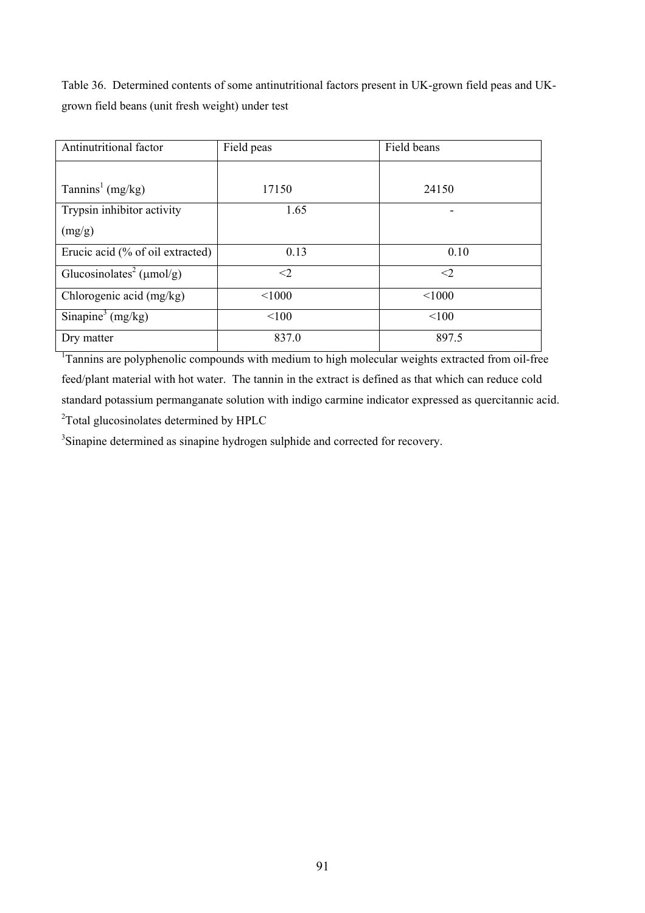Table 36. Determined contents of some antinutritional factors present in UK-grown field peas and UKgrown field beans (unit fresh weight) under test

| Antinutritional factor                     | Field peas   | Field beans |
|--------------------------------------------|--------------|-------------|
|                                            |              |             |
| Tannins <sup>1</sup> (mg/kg)               | 17150        | 24150       |
| Trypsin inhibitor activity                 | 1.65         |             |
| (mg/g)                                     |              |             |
| Erucic acid (% of oil extracted)           | 0.13         | 0.10        |
| Glucosinolates <sup>2</sup> ( $\mu$ mol/g) | $\langle$ 2. | $<$ 2       |
| Chlorogenic acid (mg/kg)                   | < 1000       | < 1000      |
| $\overline{\text{Sinapine}}^3$ (mg/kg)     | < 100        | < 100       |
| Dry matter                                 | 837.0        | 897.5       |

<sup>1</sup>Tannins are polyphenolic compounds with medium to high molecular weights extracted from oil-free feed/plant material with hot water. The tannin in the extract is defined as that which can reduce cold standard potassium permanganate solution with indigo carmine indicator expressed as quercitannic acid. <sup>2</sup>Total glucosinolates determined by HPLC

<sup>3</sup>Sinapine determined as sinapine hydrogen sulphide and corrected for recovery.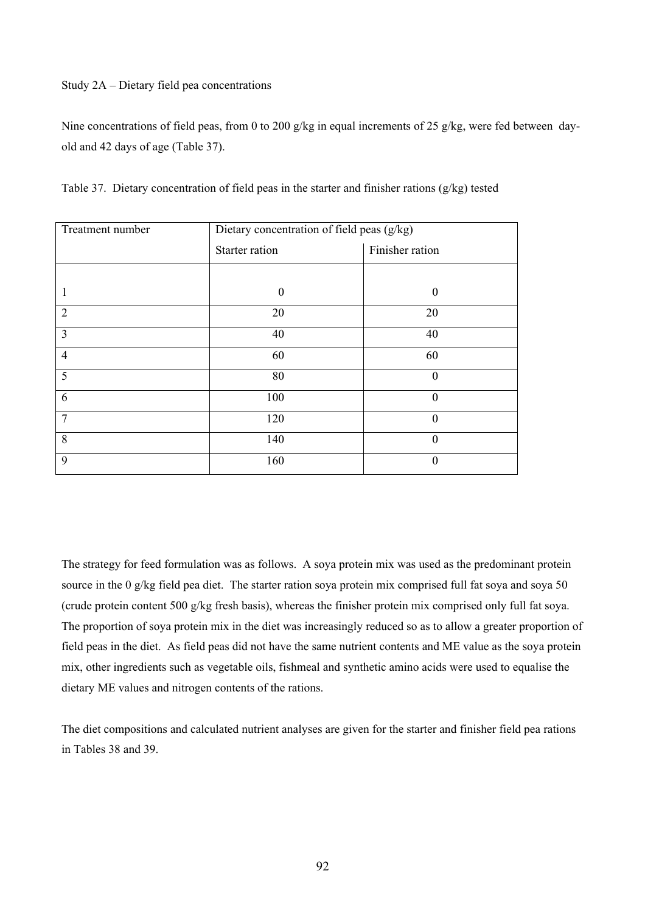### Study 2A – Dietary field pea concentrations

Nine concentrations of field peas, from 0 to 200 g/kg in equal increments of 25 g/kg, were fed between dayold and 42 days of age (Table 37).

| Treatment number | Dietary concentration of field peas (g/kg) |                 |
|------------------|--------------------------------------------|-----------------|
|                  | Starter ration                             | Finisher ration |
|                  |                                            |                 |
|                  | $\boldsymbol{0}$                           | $\theta$        |
| 2                | 20                                         | 20              |
| 3                | 40                                         | 40              |
| $\overline{4}$   | 60                                         | 60              |
| 5                | 80                                         | $\theta$        |
| 6                | 100                                        | $\Omega$        |
| $\overline{7}$   | 120                                        | $\theta$        |
| 8                | 140                                        | $\theta$        |
| 9                | 160                                        | $\theta$        |

Table 37. Dietary concentration of field peas in the starter and finisher rations (g/kg) tested

The strategy for feed formulation was as follows. A soya protein mix was used as the predominant protein source in the 0 g/kg field pea diet. The starter ration soya protein mix comprised full fat soya and soya 50 (crude protein content 500 g/kg fresh basis), whereas the finisher protein mix comprised only full fat soya. The proportion of soya protein mix in the diet was increasingly reduced so as to allow a greater proportion of field peas in the diet. As field peas did not have the same nutrient contents and ME value as the soya protein mix, other ingredients such as vegetable oils, fishmeal and synthetic amino acids were used to equalise the dietary ME values and nitrogen contents of the rations.

The diet compositions and calculated nutrient analyses are given for the starter and finisher field pea rations in Tables 38 and 39.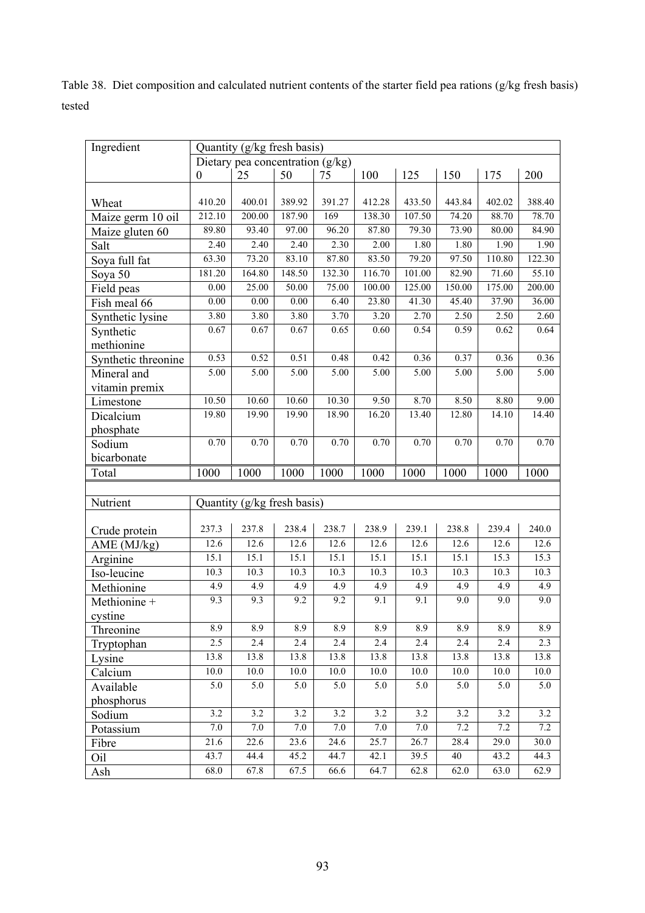Table 38. Diet composition and calculated nutrient contents of the starter field pea rations (g/kg fresh basis) tested

| Ingredient                      |                  | Quantity (g/kg fresh basis)        |                   |                  |                  |                  |                  |              |                  |
|---------------------------------|------------------|------------------------------------|-------------------|------------------|------------------|------------------|------------------|--------------|------------------|
|                                 |                  | Dietary pea concentration $(g/kg)$ |                   |                  |                  |                  |                  |              |                  |
|                                 | $\boldsymbol{0}$ | 25                                 | 50                | 75               | 100              | 125              | 150              | 175          | 200              |
|                                 |                  | 400.01                             | 389.92            | 391.27           |                  | 433.50           | 443.84           | 402.02       | 388.40           |
| Wheat                           | 410.20<br>212.10 | 200.00                             | 187.90            | 169              | 412.28<br>138.30 | 107.50           | 74.20            | 88.70        | 78.70            |
| Maize germ 10 oil               | 89.80            | 93.40                              | 97.00             | 96.20            | 87.80            | 79.30            | 73.90            | 80.00        | 84.90            |
| Maize gluten 60                 | 2.40             | 2.40                               | 2.40              | 2.30             | 2.00             | 1.80             | 1.80             | 1.90         | 1.90             |
| Salt                            | 63.30            | 73.20                              | 83.10             | 87.80            | 83.50            | 79.20            | 97.50            | 110.80       | 122.30           |
| Soya full fat                   | 181.20           | 164.80                             | 148.50            | 132.30           | 116.70           | 101.00           | 82.90            | 71.60        | 55.10            |
| Soya 50                         |                  |                                    | 50.00             | 75.00            | 100.00           | 125.00           | 150.00           | 175.00       | 200.00           |
| Field peas                      | $0.00\,$         | 25.00                              |                   |                  |                  |                  |                  |              |                  |
| Fish meal 66                    | $0.00\,$         | 0.00                               | $0.00\,$          | 6.40             | 23.80            | 41.30            | 45.40            | 37.90        | 36.00            |
| Synthetic lysine                | 3.80             | 3.80                               | 3.80              | 3.70             | 3.20             | 2.70             | 2.50             | 2.50         | 2.60             |
| Synthetic                       | 0.67             | 0.67                               | 0.67              | 0.65             | 0.60             | 0.54             | 0.59             | 0.62         | 0.64             |
| methionine                      |                  |                                    |                   |                  |                  |                  |                  |              |                  |
| Synthetic threonine             | 0.53             | 0.52                               | 0.51              | 0.48             | 0.42             | 0.36             | 0.37             | 0.36         | 0.36             |
| Mineral and                     | 5.00             | 5.00                               | $\overline{5.00}$ | 5.00             | 5.00             | 5.00             | 5.00             | 5.00         | 5.00             |
| vitamin premix                  |                  |                                    |                   |                  |                  |                  |                  |              |                  |
| Limestone                       | 10.50            | 10.60                              | 10.60             | 10.30            | 9.50             | 8.70             | 8.50             | 8.80         | 9.00             |
| Dicalcium                       | 19.80            | 19.90                              | 19.90             | 18.90            | 16.20            | 13.40            | 12.80            | 14.10        | 14.40            |
| phosphate                       |                  |                                    |                   |                  |                  |                  |                  |              |                  |
| Sodium                          | 0.70             | 0.70                               | 0.70              | 0.70             | 0.70             | 0.70             | 0.70             | 0.70         | 0.70             |
| bicarbonate                     |                  |                                    |                   |                  |                  |                  |                  |              |                  |
|                                 |                  |                                    |                   |                  |                  |                  |                  |              |                  |
| Total                           | 1000             | 1000                               | 1000              | 1000             | 1000             | 1000             | 1000             | 1000         | 1000             |
|                                 |                  |                                    |                   |                  |                  |                  |                  |              |                  |
| Nutrient                        |                  | Quantity (g/kg fresh basis)        |                   |                  |                  |                  |                  |              |                  |
|                                 |                  |                                    |                   |                  |                  |                  |                  |              |                  |
| Crude protein                   | 237.3            | 237.8                              | 238.4             | 238.7            | 238.9            | 239.1            | 238.8            | 239.4        | 240.0            |
| $\overline{\text{AME}}$ (MJ/kg) | 12.6             | 12.6                               | 12.6              | 12.6             | 12.6             | 12.6             | 12.6             | 12.6         | 12.6             |
| Arginine                        | 15.1             | 15.1                               | 15.1              | 15.1             | 15.1             | 15.1             | 15.1             | 15.3         | 15.3             |
| Iso-leucine                     | 10.3             | 10.3                               | 10.3              | 10.3             | 10.3             | 10.3             | 10.3             | 10.3         | 10.3             |
| Methionine                      | 4.9              | 4.9                                | 4.9               | 4.9              | 4.9              | 4.9              | 4.9              | 4.9          | 4.9              |
| Methionine +                    | 9.3              | 9.3                                | 9.2               | 9.2              | 9.1              | 9.1              | 9.0              | 9.0          | 9.0              |
| cystine                         |                  |                                    |                   |                  |                  |                  |                  |              |                  |
| Threonine                       | 8.9              | 8.9                                | 8.9               | 8.9              | 8.9              | 8.9              | 8.9              | 8.9          | 8.9              |
| Tryptophan                      | 2.5              | 2.4                                | 2.4               | 2.4              | 2.4              | 2.4              | 2.4              | 2.4          | 2.3              |
| Lysine                          | 13.8             | 13.8                               | 13.8              | 13.8             | 13.8             | 13.8             | 13.8             | 13.8         | 13.8             |
| Calcium                         | 10.0             | 10.0                               | $10.0\,$          | $10.0\,$         | $10.0\,$         | $10.0\,$         | 10.0             | 10.0         | 10.0             |
| Available                       | 5.0              | 5.0                                | 5.0               | 5.0              | 5.0              | 5.0              | 5.0              | 5.0          | 5.0              |
| phosphorus                      |                  |                                    |                   |                  |                  |                  |                  |              |                  |
| Sodium                          | $\overline{3.2}$ | $\overline{3.2}$                   | $\overline{3.2}$  | $\overline{3.2}$ | $\overline{3.2}$ | $\overline{3.2}$ | $\overline{3.2}$ | 3.2          | $\overline{3.2}$ |
| Potassium                       | $7.0\,$          | 7.0                                | 7.0               | 7.0              | $7.0\,$          | 7.0              | 7.2              | 7.2          | 7.2              |
| Fibre                           | 21.6             | 22.6                               | 23.6              | 24.6             | 25.7             | 26.7             | 28.4             | 29.0         | 30.0             |
| Oil<br>Ash                      | 43.7<br>68.0     | 44.4<br>67.8                       | 45.2<br>67.5      | 44.7<br>66.6     | 42.1<br>64.7     | 39.5<br>62.8     | 40<br>62.0       | 43.2<br>63.0 | 44.3<br>62.9     |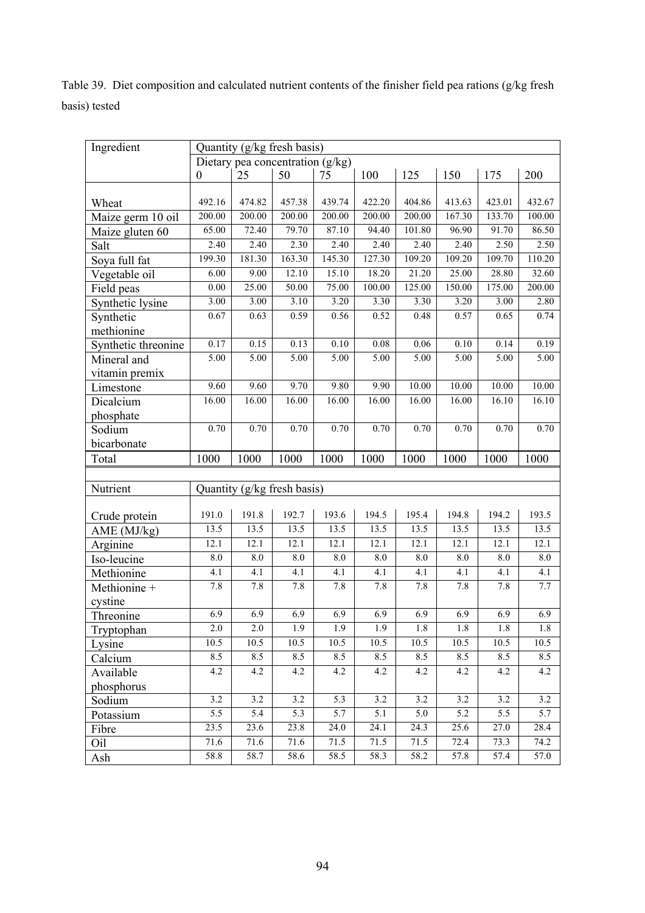Table 39. Diet composition and calculated nutrient contents of the finisher field pea rations (g/kg fresh basis) tested

| Ingredient                      |                  | Quantity (g/kg fresh basis)        |                  |                  |                   |                   |                  |                  |                  |
|---------------------------------|------------------|------------------------------------|------------------|------------------|-------------------|-------------------|------------------|------------------|------------------|
|                                 |                  | Dietary pea concentration $(g/kg)$ |                  |                  |                   |                   |                  |                  |                  |
|                                 | $\boldsymbol{0}$ | 25                                 | 50               | 75               | 100               | 125               | 150              | 175              | 200              |
|                                 |                  |                                    |                  |                  |                   |                   |                  |                  |                  |
| Wheat                           | 492.16           | 474.82                             | 457.38           | 439.74           | 422.20            | 404.86            | 413.63           | 423.01           | 432.67           |
| Maize germ 10 oil               | 200.00           | 200.00                             | 200.00           | 200.00           | 200.00            | 200.00            | 167.30           | 133.70           | 100.00           |
| Maize gluten 60                 | 65.00            | 72.40                              | 79.70            | 87.10            | 94.40             | 101.80            | 96.90            | 91.70            | 86.50            |
| Salt                            | 2.40             | 2.40                               | 2.30             | 2.40             | 2.40              | 2.40              | 2.40             | 2.50             | 2.50             |
| Soya full fat                   | 199.30           | 181.30                             | 163.30           | 145.30           | 127.30            | 109.20            | 109.20           | 109.70           | 110.20           |
| Vegetable oil                   | 6.00             | 9.00                               | 12.10            | 15.10            | 18.20             | 21.20             | 25.00            | 28.80            | 32.60            |
| Field peas                      | $0.00\,$         | 25.00                              | 50.00            | 75.00            | 100.00            | 125.00            | 150.00           | 175.00           | 200.00           |
| Synthetic lysine                | 3.00             | 3.00                               | 3.10             | 3.20             | 3.30              | 3.30              | 3.20             | 3.00             | 2.80             |
| Synthetic                       | 0.67             | 0.63                               | 0.59             | 0.56             | 0.52              | 0.48              | 0.57             | 0.65             | 0.74             |
| methionine                      |                  |                                    |                  |                  |                   |                   |                  |                  |                  |
| Synthetic threonine             | 0.17             | 0.15                               | 0.13             | 0.10             | $\overline{0.08}$ | 0.06              | 0.10             | 0.14             | 0.19             |
| Mineral and                     | 5.00             | 5.00                               | 5.00             | 5.00             | 5.00              | 5.00              | 5.00             | 5.00             | 5.00             |
| vitamin premix                  |                  |                                    |                  |                  |                   |                   |                  |                  |                  |
| Limestone                       | 9.60             | 9.60                               | 9.70             | 9.80             | 9.90              | 10.00             | 10.00            | 10.00            | 10.00            |
| Dicalcium                       | 16.00            | 16.00                              | 16.00            | 16.00            | 16.00             | 16.00             | 16.00            | 16.10            | 16.10            |
| phosphate                       |                  |                                    |                  |                  |                   |                   |                  |                  |                  |
| Sodium                          | 0.70             | 0.70                               | 0.70             | 0.70             | 0.70              | 0.70              | 0.70             | 0.70             | 0.70             |
| bicarbonate                     |                  |                                    |                  |                  |                   |                   |                  |                  |                  |
|                                 |                  |                                    |                  |                  |                   |                   |                  |                  |                  |
| Total                           | 1000             | 1000                               | 1000             | 1000             | 1000              | 1000              | 1000             | 1000             | 1000             |
|                                 |                  |                                    |                  |                  |                   |                   |                  |                  |                  |
|                                 |                  |                                    |                  |                  |                   |                   |                  |                  |                  |
| Nutrient                        |                  | Quantity (g/kg fresh basis)        |                  |                  |                   |                   |                  |                  |                  |
|                                 | 191.0            | 191.8                              | 192.7            | 193.6            | 194.5             | 195.4             | 194.8            | 194.2            | 193.5            |
| Crude protein                   | 13.5             | 13.5                               | 13.5             | 13.5             | 13.5              | 13.5              | 13.5             | 13.5             | 13.5             |
| $\overline{\text{AME}}$ (MJ/kg) | 12.1             | 12.1                               | 12.1             | 12.1             | 12.1              | 12.1              | 12.1             | 12.1             | 12.1             |
| Arginine                        | 8.0              | 8.0                                | 8.0              | 8.0              | 8.0               | 8.0               | 8.0              | 8.0              | 8.0              |
| Iso-leucine                     | 4.1              | 4.1                                | $\overline{4.1}$ | 4.1              | 4.1               | 4.1               | 4.1              | 4.1              | 4.1              |
| Methionine                      | 7.8              | 7.8                                | 7.8              | 7.8              | 7.8               | 7.8               | 7.8              | 7.8              | 7.7              |
| Methionine +                    |                  |                                    |                  |                  |                   |                   |                  |                  |                  |
| cystine                         | 6.9              | 6.9                                | 6.9              | 6.9              | 6.9               | 6.9               | 6.9              | 6.9              | 6.9              |
| Threonine                       | $2.0\,$          | $2.0\,$                            | 1.9              | 1.9              | 1.9               | $1.8\,$           | 1.8              | 1.8              | 1.8              |
| Tryptophan                      |                  |                                    |                  |                  |                   |                   |                  |                  |                  |
| Lysine                          | 10.5             | 10.5                               | 10.5             | 10.5             | 10.5              | 10.5              | 10.5             | 10.5             | 10.5             |
| Calcium                         | 8.5              | 8.5                                | 8.5              | 8.5              | 8.5               | 8.5               | 8.5              | 8.5              | 8.5              |
| Available                       | 4.2              | 4.2                                | 4.2              | $4.2\,$          | 4.2               | 4.2               | 4.2              | 4.2              | 4.2              |
| phosphorus                      |                  |                                    |                  |                  |                   |                   |                  |                  |                  |
| Sodium                          | $\overline{3.2}$ | $\overline{3.2}$                   | 3.2              | 5.3              | $\overline{3.2}$  | $\overline{3.2}$  | 3.2              | 3.2              | $\overline{3.2}$ |
| Potassium                       | $\overline{5.5}$ | $\overline{5.4}$                   | $\overline{5.3}$ | $\overline{5.7}$ | 5.1               | 5.0               | $\overline{5.2}$ | $\overline{5.5}$ | 5.7              |
| Fibre                           | 23.5             | 23.6                               | 23.8             | 24.0             | 24.1              | $\overline{24.3}$ | 25.6             | 27.0             | 28.4             |
| Oil<br>Ash                      | 71.6<br>58.8     | 71.6<br>58.7                       | 71.6<br>58.6     | 71.5<br>58.5     | 71.5<br>58.3      | 71.5<br>58.2      | 72.4<br>57.8     | 73.3<br>57.4     | 74.2<br>57.0     |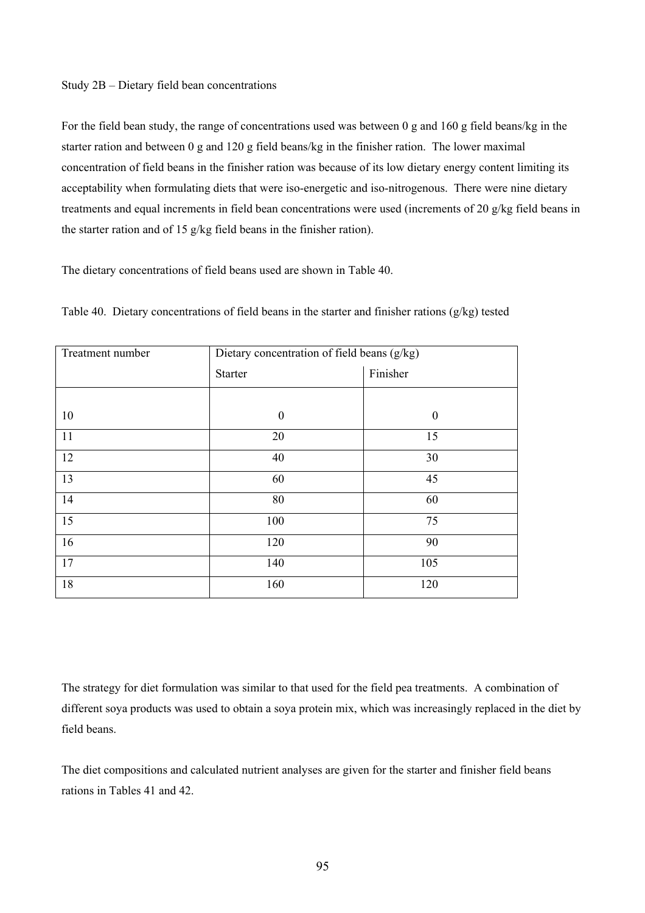### Study 2B – Dietary field bean concentrations

For the field bean study, the range of concentrations used was between 0 g and 160 g field beans/kg in the starter ration and between 0 g and 120 g field beans/kg in the finisher ration. The lower maximal concentration of field beans in the finisher ration was because of its low dietary energy content limiting its acceptability when formulating diets that were iso-energetic and iso-nitrogenous. There were nine dietary treatments and equal increments in field bean concentrations were used (increments of 20 g/kg field beans in the starter ration and of 15 g/kg field beans in the finisher ration).

The dietary concentrations of field beans used are shown in Table 40.

| Treatment number | Dietary concentration of field beans (g/kg) |          |  |  |  |
|------------------|---------------------------------------------|----------|--|--|--|
|                  | <b>Starter</b>                              | Finisher |  |  |  |
|                  |                                             |          |  |  |  |
| 10               | $\boldsymbol{0}$                            | $\theta$ |  |  |  |
| 11               | 20                                          | 15       |  |  |  |
| 12               | 40                                          | 30       |  |  |  |
| 13               | 60                                          | 45       |  |  |  |
| 14               | 80                                          | 60       |  |  |  |
| 15               | 100                                         | 75       |  |  |  |
| 16               | 120                                         | 90       |  |  |  |
| 17               | 140                                         | 105      |  |  |  |
| 18               | 160                                         | 120      |  |  |  |

Table 40. Dietary concentrations of field beans in the starter and finisher rations (g/kg) tested

The strategy for diet formulation was similar to that used for the field pea treatments. A combination of different soya products was used to obtain a soya protein mix, which was increasingly replaced in the diet by field beans.

The diet compositions and calculated nutrient analyses are given for the starter and finisher field beans rations in Tables 41 and 42.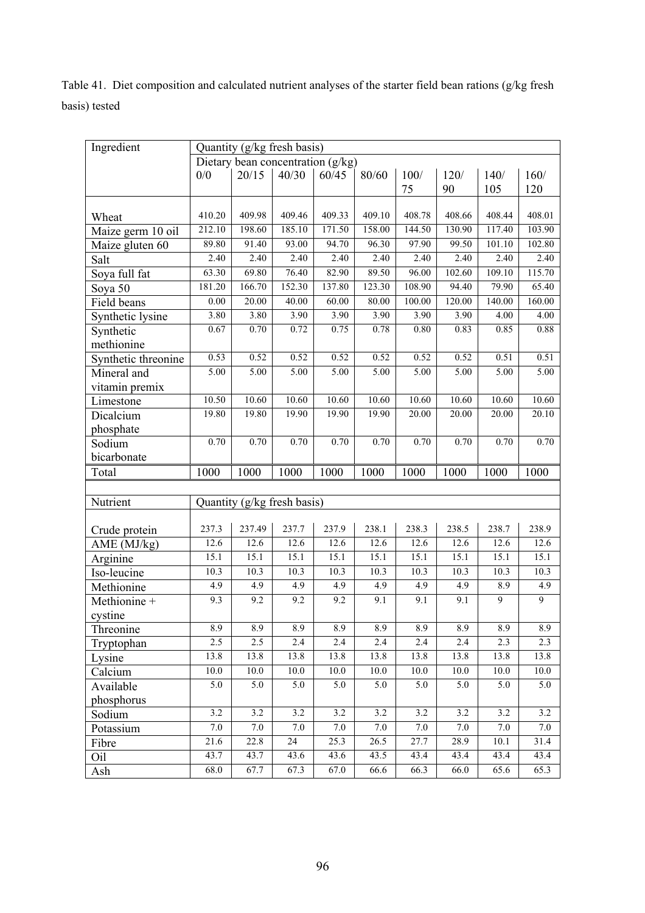Table 41. Diet composition and calculated nutrient analyses of the starter field bean rations (g/kg fresh basis) tested

| Ingredient          | Quantity (g/kg fresh basis) |                    |                             |                                   |                  |              |                  |              |                |
|---------------------|-----------------------------|--------------------|-----------------------------|-----------------------------------|------------------|--------------|------------------|--------------|----------------|
|                     |                             |                    |                             | Dietary bean concentration (g/kg) |                  |              |                  |              |                |
|                     | 0/0                         | 20/15              | 40/30                       | 60/45                             | 80/60            | 100/<br>75   | 120/<br>90       | 140/<br>105  | 160/<br>120    |
|                     |                             |                    |                             |                                   |                  |              |                  |              |                |
| Wheat               | 410.20                      | 409.98             | 409.46                      | 409.33                            | 409.10           | 408.78       | 408.66           | 408.44       | 408.01         |
| Maize germ 10 oil   | 212.10                      | 198.60             | 185.10                      | 171.50                            | 158.00           | 144.50       | 130.90           | 117.40       | 103.90         |
| Maize gluten 60     | 89.80                       | 91.40              | 93.00                       | 94.70                             | 96.30            | 97.90        | 99.50            | 101.10       | 102.80         |
| Salt                | 2.40                        | 2.40               | 2.40                        | 2.40                              | 2.40             | 2.40         | 2.40             | 2.40         | 2.40           |
| Soya full fat       | 63.30                       | $69.\overline{80}$ | 76.40                       | 82.90                             | 89.50            | 96.00        | 102.60           | 109.10       | 115.70         |
| Soya 50             | 181.20                      | 166.70             | 152.30                      | 137.80                            | 123.30           | 108.90       | 94.40            | 79.90        | 65.40          |
| Field beans         | 0.00                        | 20.00              | 40.00                       | 60.00                             | 80.00            | 100.00       | 120.00           | 140.00       | 160.00         |
| Synthetic lysine    | 3.80                        | 3.80               | 3.90                        | 3.90                              | 3.90             | 3.90         | 3.90             | 4.00         | 4.00           |
| Synthetic           | 0.67                        | 0.70               | 0.72                        | 0.75                              | 0.78             | $0.80\,$     | 0.83             | 0.85         | 0.88           |
| methionine          |                             |                    |                             |                                   |                  |              |                  |              |                |
| Synthetic threonine | 0.53                        | 0.52               | 0.52                        | 0.52                              | 0.52             | 0.52         | 0.52             | 0.51         | 0.51           |
| Mineral and         | 5.00                        | 5.00               | 5.00                        | 5.00                              | 5.00             | 5.00         | 5.00             | 5.00         | 5.00           |
| vitamin premix      |                             |                    |                             |                                   |                  |              |                  |              |                |
| Limestone           | 10.50                       | 10.60              | 10.60                       | 10.60                             | 10.60            | 10.60        | 10.60            | 10.60        | 10.60          |
| Dicalcium           | 19.80                       | 19.80              | 19.90                       | 19.90                             | 19.90            | 20.00        | 20.00            | 20.00        | 20.10          |
| phosphate           |                             |                    |                             |                                   |                  |              |                  |              |                |
| Sodium              | 0.70                        | 0.70               | 0.70                        | 0.70                              | 0.70             | 0.70         | 0.70             | 0.70         | 0.70           |
| bicarbonate         |                             |                    |                             |                                   |                  |              |                  |              |                |
|                     |                             |                    |                             |                                   |                  |              |                  |              |                |
| Total               | 1000                        | 1000               | 1000                        | 1000                              | 1000             | 1000         | 1000             | 1000         | 1000           |
|                     |                             |                    |                             |                                   |                  |              |                  |              |                |
| Nutrient            |                             |                    | Quantity (g/kg fresh basis) |                                   |                  |              |                  |              |                |
|                     |                             |                    |                             |                                   |                  |              |                  |              |                |
| Crude protein       | 237.3                       | 237.49             | 237.7                       | 237.9                             | 238.1            | 238.3        | 238.5            | 238.7        | 238.9          |
| AME (MJ/kg)         | 12.6                        | 12.6               | 12.6                        | 12.6                              | 12.6             | 12.6         | 12.6             | 12.6         | 12.6           |
| Arginine            | 15.1                        | 15.1               | 15.1                        | 15.1                              | 15.1             | 15.1         | 15.1             | 15.1         | 15.1           |
| Iso-leucine         | 10.3                        | 10.3               | 10.3                        | 10.3                              | 10.3             | 10.3         | 10.3             | 10.3         | 10.3           |
| Methionine          | 4.9                         | 4.9                | 4.9                         | 4.9                               | 4.9              | 4.9          | 4.9              | 8.9          | 4.9            |
| Methionine +        | 9.3                         | 9.2                | 9.2                         | $\overline{9.2}$                  | $\overline{9.1}$ | 9.1          | $\overline{9.1}$ | 9            | $\overline{9}$ |
| cystine             |                             |                    |                             |                                   |                  |              |                  |              |                |
| Threonine           | 8.9                         | 8.9                | 8.9                         | 8.9                               | 8.9              | 8.9          | 8.9              | 8.9          | 8.9            |
| Tryptophan          | 2.5                         | 2.5                | 2.4                         | 2.4                               | 2.4              | 2.4          | 2.4              | 2.3          | 2.3            |
| Lysine              | 13.8                        | 13.8               | 13.8                        | 13.8                              | 13.8             | 13.8         | 13.8             | 13.8         | 13.8           |
| Calcium             | $10.0\,$                    | 10.0               | $10.0\,$                    | 10.0                              | $10.0\,$         | $10.0\,$     | 10.0             | $10.0\,$     | 10.0           |
| Available           | 5.0                         | 5.0                | 5.0                         | $5.0\,$                           | 5.0              | 5.0          | 5.0              | 5.0          | 5.0            |
| phosphorus          |                             |                    |                             |                                   |                  |              |                  |              |                |
| Sodium              | 3.2                         | 3.2                | 3.2                         | 3.2                               | 3.2              | 3.2          | 3.2              | 3.2          | 3.2            |
| Potassium           | 7.0                         | 7.0                | 7.0                         | 7.0                               | 7.0              | 7.0          | 7.0              | 7.0          | 7.0            |
| Fibre               | $\overline{21.6}$           | 22.8               | $\overline{24}$             | 25.3                              | 26.5             | 27.7         | 28.9             | 10.1         | 31.4           |
| Oil                 | 43.7<br>68.0                | 43.7<br>67.7       | 43.6<br>67.3                | 43.6<br>67.0                      | 43.5<br>66.6     | 43.4<br>66.3 | 43.4<br>66.0     | 43.4<br>65.6 | 43.4<br>65.3   |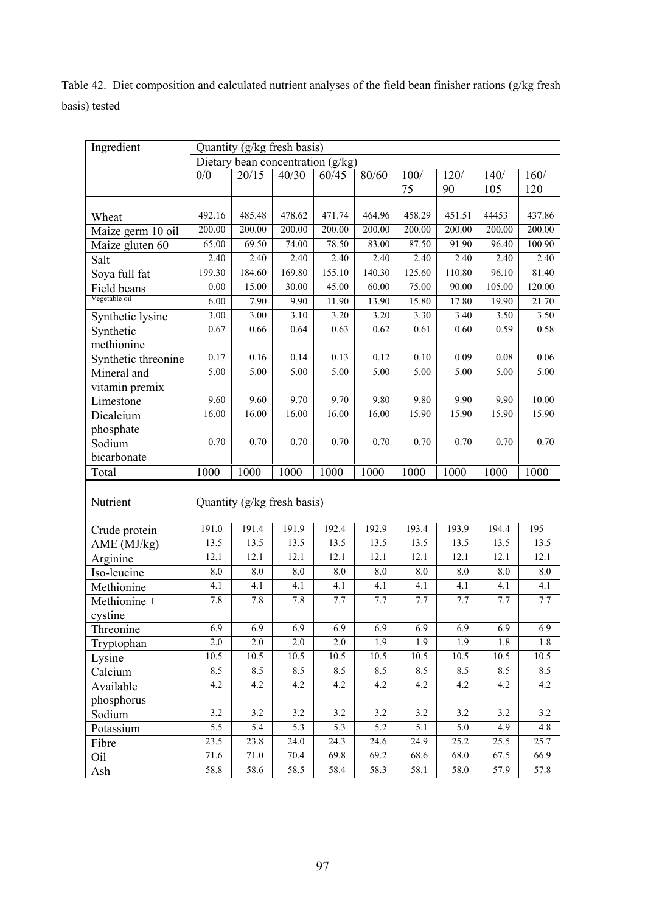Table 42. Diet composition and calculated nutrient analyses of the field bean finisher rations (g/kg fresh basis) tested

| Ingredient          | Quantity (g/kg fresh basis) |              |                                   |                    |              |              |              |              |              |
|---------------------|-----------------------------|--------------|-----------------------------------|--------------------|--------------|--------------|--------------|--------------|--------------|
|                     |                             |              | Dietary bean concentration (g/kg) |                    |              |              |              |              |              |
|                     | 0/0                         | 20/15        | 40/30                             | 60/45              | 80/60        | 100/<br>75   | 120/<br>90   | 140/<br>105  | 160/<br>120  |
|                     |                             |              |                                   |                    |              |              |              |              |              |
| Wheat               | 492.16                      | 485.48       | 478.62                            | 471.74             | 464.96       | 458.29       | 451.51       | 44453        | 437.86       |
| Maize germ 10 oil   | 200.00                      | 200.00       | 200.00                            | 200.00             | 200.00       | 200.00       | 200.00       | 200.00       | 200.00       |
| Maize gluten 60     | 65.00                       | 69.50        | 74.00                             | 78.50              | 83.00        | 87.50        | 91.90        | 96.40        | 100.90       |
| Salt                | 2.40                        | 2.40         | 2.40                              | 2.40               | 2.40         | 2.40         | 2.40         | 2.40         | 2.40         |
| Soya full fat       | 199.30                      | 184.60       | 169.80                            | 155.10             | 140.30       | 125.60       | 110.80       | 96.10        | 81.40        |
| Field beans         | 0.00                        | 15.00        | 30.00                             | 45.00              | 60.00        | 75.00        | 90.00        | 105.00       | 120.00       |
| Vegetable oil       | 6.00                        | 7.90         | 9.90                              | 11.90              | 13.90        | 15.80        | 17.80        | 19.90        | 21.70        |
| Synthetic lysine    | 3.00                        | 3.00         | 3.10                              | 3.20               | 3.20         | 3.30         | 3.40         | 3.50         | 3.50         |
| Synthetic           | 0.67                        | 0.66         | 0.64                              | 0.63               | 0.62         | 0.61         | 0.60         | 0.59         | 0.58         |
| methionine          |                             |              |                                   |                    |              |              |              |              |              |
| Synthetic threonine | 0.17                        | 0.16         | 0.14                              | 0.13               | 0.12         | $0.10\,$     | 0.09         | $0.08\,$     | 0.06         |
| Mineral and         | 5.00                        | 5.00         | 5.00                              | 5.00               | 5.00         | 5.00         | 5.00         | 5.00         | 5.00         |
| vitamin premix      |                             |              |                                   |                    |              |              |              |              |              |
| Limestone           | 9.60                        | 9.60         | 9.70                              | 9.70               | 9.80         | 9.80         | 9.90         | 9.90         | 10.00        |
| Dicalcium           | 16.00                       | 16.00        | 16.00                             | 16.00              | 16.00        | 15.90        | 15.90        | 15.90        | 15.90        |
| phosphate           |                             |              |                                   |                    |              |              |              |              |              |
| Sodium              | 0.70                        | 0.70         | 0.70                              | 0.70               | 0.70         | 0.70         | 0.70         | 0.70         | 0.70         |
| bicarbonate         |                             |              |                                   |                    |              |              |              |              |              |
|                     |                             |              |                                   |                    |              |              |              |              |              |
| Total               | 1000                        | 1000         | 1000                              | 1000               | 1000         | 1000         | 1000         | 1000         | 1000         |
|                     |                             |              |                                   |                    |              |              |              |              |              |
| Nutrient            |                             |              | Quantity (g/kg fresh basis)       |                    |              |              |              |              |              |
|                     |                             |              |                                   |                    |              |              |              |              |              |
| Crude protein       | 191.0                       | 191.4        | 191.9                             | 192.4              | 192.9        | 193.4        | 193.9        | 194.4        | 195          |
| AME (MJ/kg)         | 13.5                        | 13.5         | 13.5                              | 13.5               | 13.5         | 13.5         | 13.5         | 13.5         | 13.5         |
| Arginine            | 12.1                        | 12.1         | 12.1                              | 12.1               | 12.1         | 12.1         | 12.1         | 12.1         | 12.1         |
| Iso-leucine         | $8.0\,$                     | 8.0          | $\boldsymbol{8.0}$                | $\boldsymbol{8.0}$ | $8.0\,$      | $8.0\,$      | $8.0\,$      | 8.0          | $8.0\,$      |
| Methionine          | 4.1                         | 4.1          | 4.1                               | 4.1                | 4.1          | 4.1          | 4.1          | 4.1          | 4.1          |
| Methionine +        | 7.8                         | 7.8          | 7.8                               | 7.7                | 7.7          | 7.7          | 7.7          | 7.7          | 7.7          |
| cystine             |                             |              |                                   |                    |              |              |              |              |              |
| Threonine           | 6.9                         | 6.9          | 6.9                               | 6.9                | 6.9          | 6.9          | 6.9          | 6.9          | 6.9          |
| Tryptophan          | 2.0                         | 2.0          | $2.0\,$                           | $2.0\,$            | 1.9          | 1.9          | 1.9          | 1.8          | 1.8          |
| Lysine              | 10.5                        | 10.5         | 10.5                              | 10.5               | 10.5         | 10.5         | 10.5         | 10.5         | 10.5         |
| Calcium             | 8.5                         | 8.5          | 8.5                               | 8.5                | 8.5          | 8.5          | 8.5          | 8.5          | 8.5          |
| Available           | 4.2                         | 4.2          | 4.2                               | 4.2                | 4.2          | 4.2          | 4.2          | 4.2          | 4.2          |
| phosphorus          |                             |              |                                   |                    |              |              |              |              |              |
| Sodium              | 3.2                         | 3.2          | 3.2                               | 3.2                | 3.2          | 3.2          | 3.2          | 3.2          | 3.2          |
| Potassium           | 5.5                         | 5.4          | 5.3                               | $\overline{5.3}$   | 5.2          | 5.1          | 5.0          | 4.9          | 4.8          |
| Fibre               | 23.5                        | 23.8         | 24.0                              | 24.3               | 24.6         | 24.9         | 25.2         | 25.5         | 25.7         |
| Oil                 | 71.6<br>58.8                | 71.0<br>58.6 | 70.4<br>58.5                      | 69.8<br>58.4       | 69.2<br>58.3 | 68.6<br>58.1 | 68.0<br>58.0 | 67.5<br>57.9 | 66.9<br>57.8 |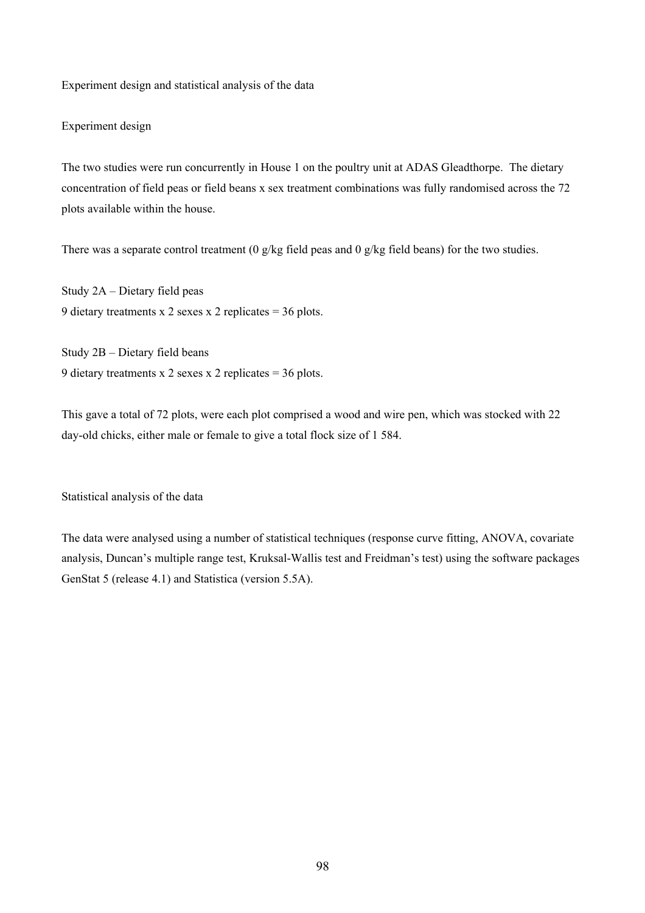Experiment design and statistical analysis of the data

## Experiment design

The two studies were run concurrently in House 1 on the poultry unit at ADAS Gleadthorpe. The dietary concentration of field peas or field beans x sex treatment combinations was fully randomised across the 72 plots available within the house.

There was a separate control treatment (0 g/kg field peas and 0 g/kg field beans) for the two studies.

Study 2A – Dietary field peas 9 dietary treatments x 2 sexes x 2 replicates = 36 plots.

Study 2B – Dietary field beans 9 dietary treatments x 2 sexes x 2 replicates = 36 plots.

This gave a total of 72 plots, were each plot comprised a wood and wire pen, which was stocked with 22 day-old chicks, either male or female to give a total flock size of 1 584.

Statistical analysis of the data

The data were analysed using a number of statistical techniques (response curve fitting, ANOVA, covariate analysis, Duncan's multiple range test, Kruksal-Wallis test and Freidman's test) using the software packages GenStat 5 (release 4.1) and Statistica (version 5.5A).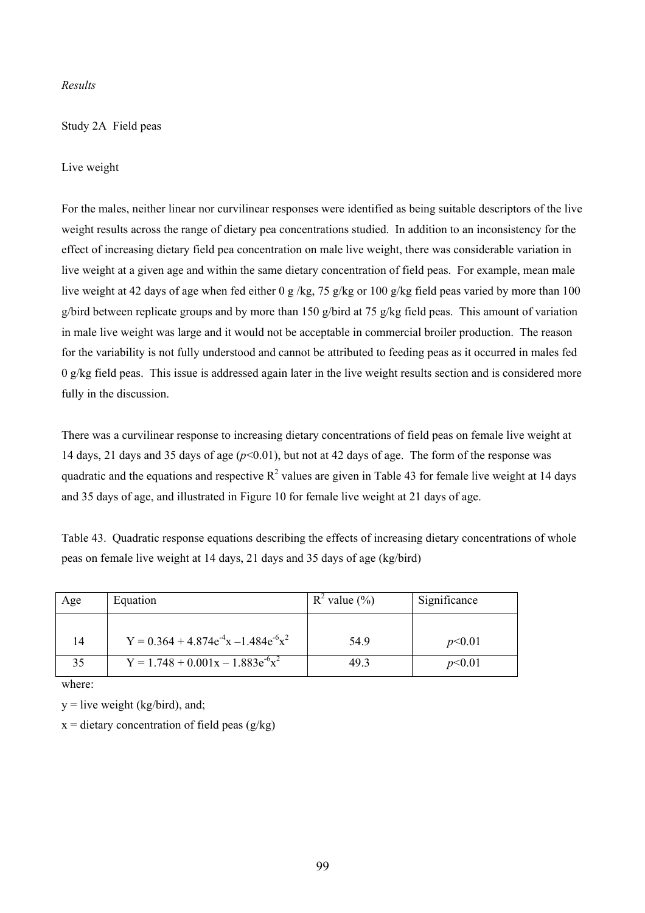## *Results*

# Study 2A Field peas

# Live weight

For the males, neither linear nor curvilinear responses were identified as being suitable descriptors of the live weight results across the range of dietary pea concentrations studied. In addition to an inconsistency for the effect of increasing dietary field pea concentration on male live weight, there was considerable variation in live weight at a given age and within the same dietary concentration of field peas. For example, mean male live weight at 42 days of age when fed either 0 g /kg, 75 g/kg or 100 g/kg field peas varied by more than 100 g/bird between replicate groups and by more than 150 g/bird at 75 g/kg field peas. This amount of variation in male live weight was large and it would not be acceptable in commercial broiler production. The reason for the variability is not fully understood and cannot be attributed to feeding peas as it occurred in males fed 0 g/kg field peas. This issue is addressed again later in the live weight results section and is considered more fully in the discussion.

There was a curvilinear response to increasing dietary concentrations of field peas on female live weight at 14 days, 21 days and 35 days of age (*p*<0.01), but not at 42 days of age. The form of the response was quadratic and the equations and respective  $R^2$  values are given in Table 43 for female live weight at 14 days and 35 days of age, and illustrated in Figure 10 for female live weight at 21 days of age.

Table 43. Quadratic response equations describing the effects of increasing dietary concentrations of whole peas on female live weight at 14 days, 21 days and 35 days of age (kg/bird)

| Age | Equation                                    | $R^2$ value $(\%)$ | Significance |
|-----|---------------------------------------------|--------------------|--------------|
| 14  | $Y = 0.364 + 4.874e^{4}x - 1.484e^{6}x^{2}$ | 54.9               | p<0.01       |
| 35  | $Y = 1.748 + 0.001x - 1.883e^{-6}x^{2}$     | 49.3               | p<0.01       |

where:

 $y =$  live weight (kg/bird), and;

 $x =$  dietary concentration of field peas (g/kg)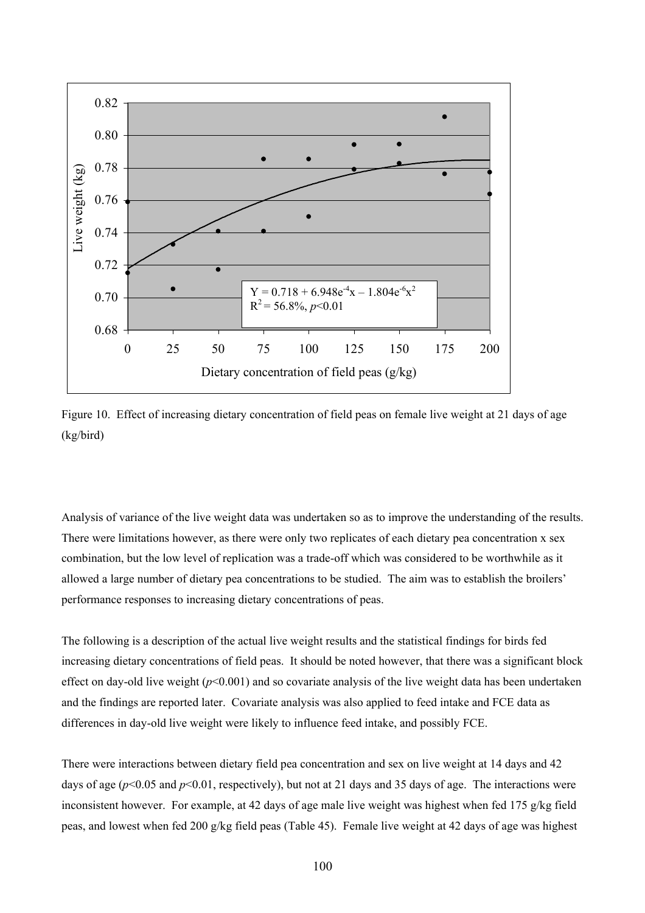



Analysis of variance of the live weight data was undertaken so as to improve the understanding of the results. There were limitations however, as there were only two replicates of each dietary pea concentration x sex combination, but the low level of replication was a trade-off which was considered to be worthwhile as it allowed a large number of dietary pea concentrations to be studied. The aim was to establish the broilers' performance responses to increasing dietary concentrations of peas.

The following is a description of the actual live weight results and the statistical findings for birds fed increasing dietary concentrations of field peas. It should be noted however, that there was a significant block effect on day-old live weight (*p*<0.001) and so covariate analysis of the live weight data has been undertaken and the findings are reported later. Covariate analysis was also applied to feed intake and FCE data as differences in day-old live weight were likely to influence feed intake, and possibly FCE.

There were interactions between dietary field pea concentration and sex on live weight at 14 days and 42 days of age ( $p$ <0.05 and  $p$ <0.01, respectively), but not at 21 days and 35 days of age. The interactions were inconsistent however. For example, at 42 days of age male live weight was highest when fed 175 g/kg field peas, and lowest when fed 200 g/kg field peas (Table 45). Female live weight at 42 days of age was highest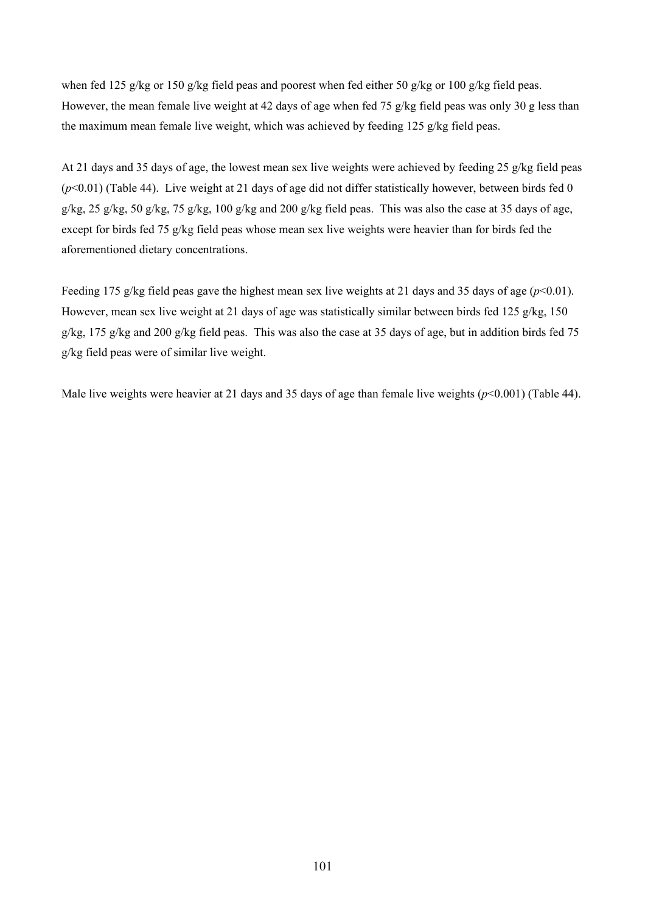when fed 125 g/kg or 150 g/kg field peas and poorest when fed either 50 g/kg or 100 g/kg field peas. However, the mean female live weight at 42 days of age when fed 75 g/kg field peas was only 30 g less than the maximum mean female live weight, which was achieved by feeding 125 g/kg field peas.

At 21 days and 35 days of age, the lowest mean sex live weights were achieved by feeding 25 g/kg field peas (*p*<0.01) (Table 44). Live weight at 21 days of age did not differ statistically however, between birds fed 0 g/kg, 25 g/kg, 50 g/kg, 75 g/kg, 100 g/kg and 200 g/kg field peas. This was also the case at 35 days of age, except for birds fed 75 g/kg field peas whose mean sex live weights were heavier than for birds fed the aforementioned dietary concentrations.

Feeding 175 g/kg field peas gave the highest mean sex live weights at 21 days and 35 days of age ( $p<0.01$ ). However, mean sex live weight at 21 days of age was statistically similar between birds fed 125 g/kg, 150 g/kg, 175 g/kg and 200 g/kg field peas. This was also the case at 35 days of age, but in addition birds fed 75 g/kg field peas were of similar live weight.

Male live weights were heavier at 21 days and 35 days of age than female live weights ( $p$ <0.001) (Table 44).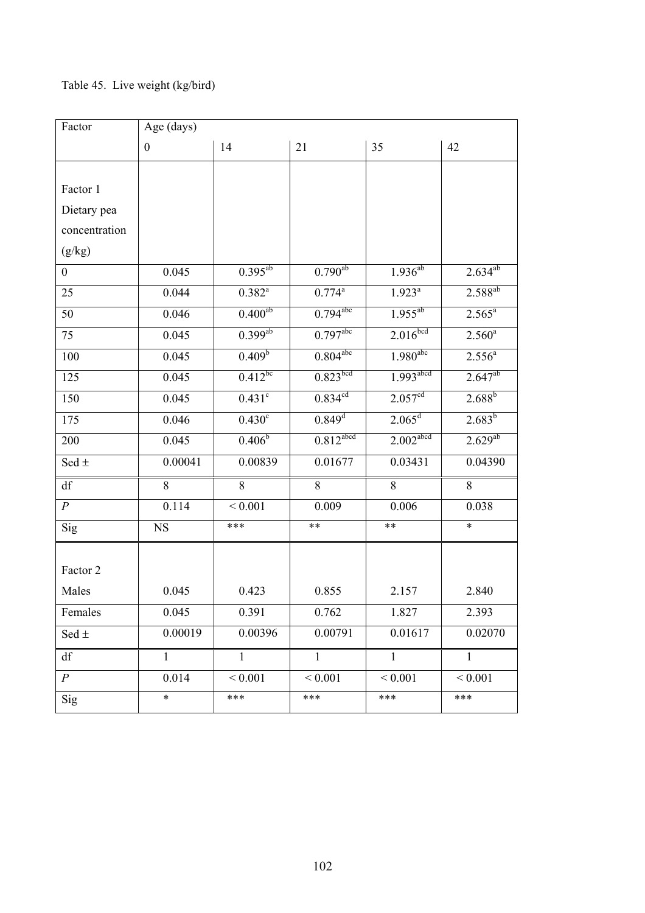# Table 45. Live weight (kg/bird)

| Factor           | Age (days)       |                    |                         |                         |                     |  |  |  |
|------------------|------------------|--------------------|-------------------------|-------------------------|---------------------|--|--|--|
|                  | $\boldsymbol{0}$ | 14                 | 21                      | 35                      | 42                  |  |  |  |
|                  |                  |                    |                         |                         |                     |  |  |  |
| Factor 1         |                  |                    |                         |                         |                     |  |  |  |
| Dietary pea      |                  |                    |                         |                         |                     |  |  |  |
| concentration    |                  |                    |                         |                         |                     |  |  |  |
| (g/kg)           |                  |                    |                         |                         |                     |  |  |  |
| $\boldsymbol{0}$ | 0.045            | $0.395^{ab}$       | $0.790^{ab}$            | $1.936^{ab}$            | $2.634^{ab}$        |  |  |  |
| 25               | 0.044            | $0.382^{a}$        | $0.774$ <sup>a</sup>    | $1.923$ <sup>a</sup>    | 2.588 <sup>ab</sup> |  |  |  |
| 50               | 0.046            | $0.400^{ab}$       | $0.794$ <sup>abc</sup>  | $1.955^{ab}$            | $2.565^{\circ}$     |  |  |  |
| 75               | 0.045            | $0.399^{ab}$       | $0.797$ <sup>abc</sup>  | 2.016 <sup>bcd</sup>    | $2.560^{\circ}$     |  |  |  |
| 100              | 0.045            | 0.409 <sup>b</sup> | $0.804$ <sup>abc</sup>  | $1.980$ <sup>abc</sup>  | $2.556^a$           |  |  |  |
| 125              | 0.045            | $0.412^{bc}$       | $0.823$ bcd             | $1.993$ <sup>abcd</sup> | $2.647^{ab}$        |  |  |  |
| 150              | 0.045            | $0.431$ c          | $0.834^{cd}$            | 2.057 <sup>cd</sup>     | $2.688^{b}$         |  |  |  |
| 175              | 0.046            | 0.430 <sup>c</sup> | $0.849$ <sup>d</sup>    | $2.065^d$               | $2.683^{b}$         |  |  |  |
| 200              | 0.045            | $0.406^b$          | $0.812$ <sup>abcd</sup> | $2.002$ abcd            | $2.629^{ab}$        |  |  |  |
| Sed $\pm$        | 0.00041          | 0.00839            | 0.01677                 | 0.03431                 | 0.04390             |  |  |  |
| df               | 8                | 8                  | 8                       | $\overline{8}$          | $\overline{8}$      |  |  |  |
| $\overline{P}$   | 0.114            | ${}< 0.001$        | 0.009                   | 0.006                   | 0.038               |  |  |  |
| Sig              | NS               | ***                | **                      | **                      | $\ast$              |  |  |  |
|                  |                  |                    |                         |                         |                     |  |  |  |
| Factor 2         |                  |                    |                         |                         |                     |  |  |  |
| Males            | 0.045            | 0.423              | 0.855                   | 2.157                   | 2.840               |  |  |  |
| Females          | 0.045            | 0.391              | 0.762                   | 1.827                   | 2.393               |  |  |  |
| Sed $\pm$        | 0.00019          | 0.00396            | 0.00791                 | 0.01617                 | 0.02070             |  |  |  |
| df               | $\mathbf{1}$     | $\mathbf{1}$       | $\mathbf{1}$            | $\mathbf{1}$            | $\mathbf{1}$        |  |  |  |
| $\boldsymbol{P}$ | 0.014            | ${}< 0.001$        | ${}< 0.001$             | ${}< 0.001$             | ${}< 0.001$         |  |  |  |
| Sig              | $\ast$           | ***                | ***                     | ***                     | ***                 |  |  |  |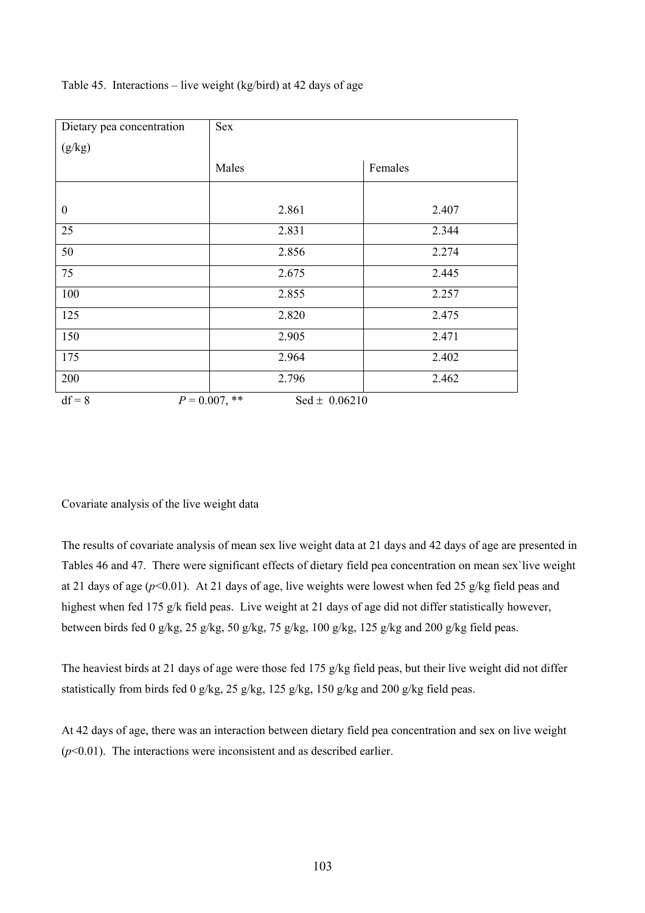| Dietary pea concentration | Sex                                   |         |
|---------------------------|---------------------------------------|---------|
| (g/kg)                    |                                       |         |
|                           | Males                                 | Females |
|                           |                                       |         |
| $\boldsymbol{0}$          | 2.861                                 | 2.407   |
| 25                        | 2.831                                 | 2.344   |
| 50                        | 2.856                                 | 2.274   |
| 75                        | 2.675                                 | 2.445   |
| 100                       | 2.855                                 | 2.257   |
| 125                       | 2.820                                 | 2.475   |
| 150                       | 2.905                                 | 2.471   |
| 175                       | 2.964                                 | 2.402   |
| 200                       | 2.796                                 | 2.462   |
| $df = 8$                  | $P = 0.007$ , **<br>Sed $\pm 0.06210$ |         |

Table 45. Interactions – live weight (kg/bird) at 42 days of age

Covariate analysis of the live weight data

The results of covariate analysis of mean sex live weight data at 21 days and 42 days of age are presented in Tables 46 and 47. There were significant effects of dietary field pea concentration on mean sex`live weight at 21 days of age (*p*<0.01). At 21 days of age, live weights were lowest when fed 25 g/kg field peas and highest when fed 175 g/k field peas. Live weight at 21 days of age did not differ statistically however, between birds fed 0 g/kg, 25 g/kg, 50 g/kg, 75 g/kg, 100 g/kg, 125 g/kg and 200 g/kg field peas.

The heaviest birds at 21 days of age were those fed 175 g/kg field peas, but their live weight did not differ statistically from birds fed 0 g/kg, 25 g/kg, 125 g/kg, 150 g/kg and 200 g/kg field peas.

At 42 days of age, there was an interaction between dietary field pea concentration and sex on live weight  $(p<0.01)$ . The interactions were inconsistent and as described earlier.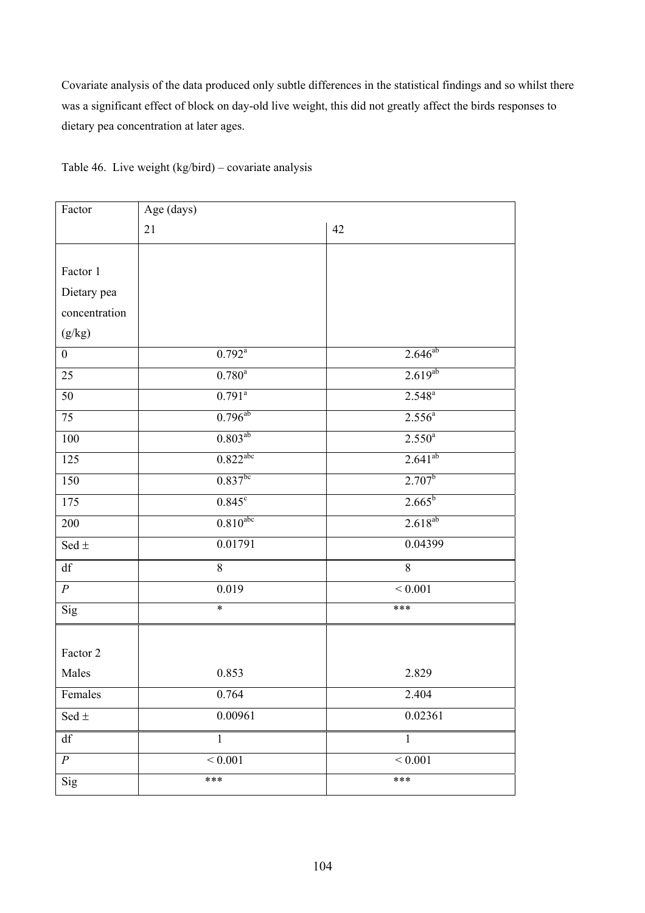Covariate analysis of the data produced only subtle differences in the statistical findings and so whilst there was a significant effect of block on day-old live weight, this did not greatly affect the birds responses to dietary pea concentration at later ages.

| Factor                 | Age (days)             |                    |
|------------------------|------------------------|--------------------|
|                        | 21                     | 42                 |
|                        |                        |                    |
| Factor 1               |                        |                    |
| Dietary pea            |                        |                    |
| concentration          |                        |                    |
| (g/kg)                 |                        |                    |
| $\boldsymbol{0}$       | $0.792^{\text{a}}$     | $2.646^{ab}$       |
| 25                     | $0.780^{a}$            | $2.619^{ab}$       |
| 50                     | $0.791^{\circ}$        | $2.548^{a}$        |
| 75                     | $0.796^{ab}$           | $2.556^{a}$        |
| $100\,$                | $0.803^{ab}$           | $2.550^{a}$        |
| 125                    | $0.822$ <sup>abc</sup> | $2.641^{ab}$       |
| 150                    | $0.837^{bc}$           | 2.707 <sup>b</sup> |
| 175                    | 0.845                  | $2.665^b$          |
| 200                    | $0.810$ <sup>abc</sup> | $2.618^{ab}$       |
| Sed $\pm$              | 0.01791                | 0.04399            |
| $\mathrm{d}\mathbf{f}$ | 8                      | $8\,$              |
| $\overline{P}$         | 0.019                  | $< 0.001$          |
| Sig                    | $\ast$                 | ***                |
|                        |                        |                    |
| Factor 2               |                        |                    |
| Males                  | 0.853                  | 2.829              |
| Females                | 0.764                  | 2.404              |
| Sed $\pm$              | 0.00961                | 0.02361            |
| df                     | $\mathbf{1}$           | $\mathbf 1$        |
| $\boldsymbol{P}$       | $\leq 0.001$           | $\leq 0.001$       |
| Sig                    | $***$                  | ***                |

Table 46. Live weight (kg/bird) – covariate analysis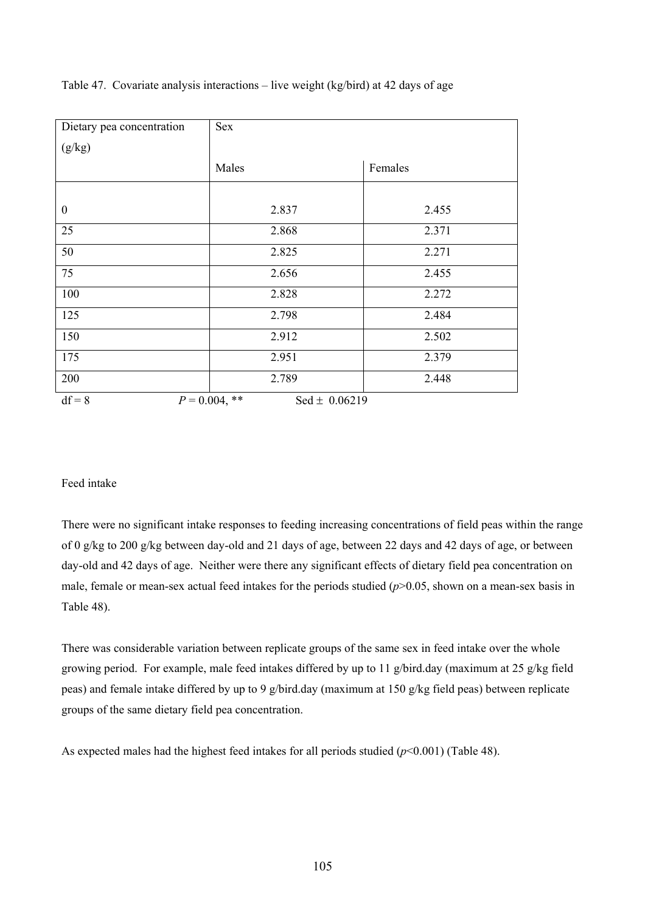| Dietary pea concentration | Sex                                   |         |
|---------------------------|---------------------------------------|---------|
| (g/kg)                    |                                       |         |
|                           | Males                                 | Females |
|                           |                                       |         |
| $\boldsymbol{0}$          | 2.837                                 | 2.455   |
| 25                        | 2.868                                 | 2.371   |
| 50                        | 2.825                                 | 2.271   |
| 75                        | 2.656                                 | 2.455   |
| 100                       | 2.828                                 | 2.272   |
| 125                       | 2.798                                 | 2.484   |
| 150                       | 2.912                                 | 2.502   |
| 175                       | 2.951                                 | 2.379   |
| 200                       | 2.789                                 | 2.448   |
| $df = 8$                  | $P = 0.004$ , **<br>Sed $\pm$ 0.06219 |         |

Table 47. Covariate analysis interactions – live weight (kg/bird) at 42 days of age

## Feed intake

There were no significant intake responses to feeding increasing concentrations of field peas within the range of 0 g/kg to 200 g/kg between day-old and 21 days of age, between 22 days and 42 days of age, or between day-old and 42 days of age. Neither were there any significant effects of dietary field pea concentration on male, female or mean-sex actual feed intakes for the periods studied (*p*>0.05, shown on a mean-sex basis in Table 48).

There was considerable variation between replicate groups of the same sex in feed intake over the whole growing period. For example, male feed intakes differed by up to 11 g/bird.day (maximum at 25 g/kg field peas) and female intake differed by up to 9 g/bird.day (maximum at 150 g/kg field peas) between replicate groups of the same dietary field pea concentration.

As expected males had the highest feed intakes for all periods studied ( $p<0.001$ ) (Table 48).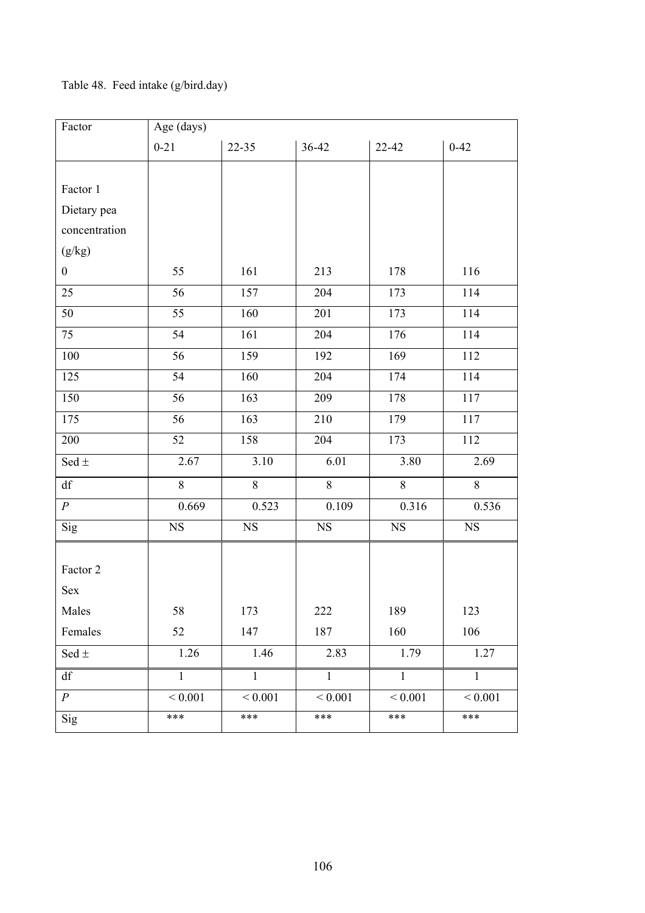# Table 48. Feed intake (g/bird.day)

| Factor           | Age (days)   |              |              |              |                  |  |  |  |
|------------------|--------------|--------------|--------------|--------------|------------------|--|--|--|
|                  | $0 - 21$     | $22 - 35$    | $36 - 42$    | 22-42        | $0 - 42$         |  |  |  |
|                  |              |              |              |              |                  |  |  |  |
| Factor 1         |              |              |              |              |                  |  |  |  |
| Dietary pea      |              |              |              |              |                  |  |  |  |
| concentration    |              |              |              |              |                  |  |  |  |
| (g/kg)           |              |              |              |              |                  |  |  |  |
| $\boldsymbol{0}$ | 55           | 161          | 213          | 178          | 116              |  |  |  |
| 25               | 56           | 157          | 204          | 173          | 114              |  |  |  |
| 50               | 55           | 160          | 201          | 173          | 114              |  |  |  |
| 75               | 54           | 161          | 204          | 176          | 114              |  |  |  |
| 100              | 56           | 159          | 192          | 169          | 112              |  |  |  |
| 125              | 54           | 160          | 204          | 174          | $\overline{1}14$ |  |  |  |
| 150              | 56           | 163          | 209          | 178          | 117              |  |  |  |
| 175              | 56           | 163          | 210          | 179          | 117              |  |  |  |
| 200              | 52           | 158          | 204          | 173          | 112              |  |  |  |
| Sed $\pm$        | 2.67         | 3.10         | 6.01         | 3.80         | 2.69             |  |  |  |
| df               | $\,8\,$      | $8\,$        | 8            | $8\,$        | 8                |  |  |  |
| $\boldsymbol{P}$ | 0.669        | 0.523        | 0.109        | 0.316        | 0.536            |  |  |  |
| Sig              | $_{\rm NS}$  | $_{\rm NS}$  | $_{\rm NS}$  | $_{\rm NS}$  | $_{\rm NS}$      |  |  |  |
|                  |              |              |              |              |                  |  |  |  |
| Factor 2         |              |              |              |              |                  |  |  |  |
| Sex              |              |              |              |              |                  |  |  |  |
| Males            | 58           | 173          | 222          | 189          | 123              |  |  |  |
| Females          | 52           | 147          | 187          | 160          | 106              |  |  |  |
| Sed $\pm$        | 1.26         | 1.46         | 2.83         | 1.79         | 1.27             |  |  |  |
| df               | $\mathbf{1}$ | $\mathbf{1}$ | $\mathbf{1}$ | $\mathbf{1}$ | $\mathbf{1}$     |  |  |  |
| $\boldsymbol{P}$ | ${}< 0.001$  | ${}< 0.001$  | ${}< 0.001$  | ${}_{0.001}$ | < 0.001          |  |  |  |
| Sig              | ***          | ***          | ***          | ***          | ***              |  |  |  |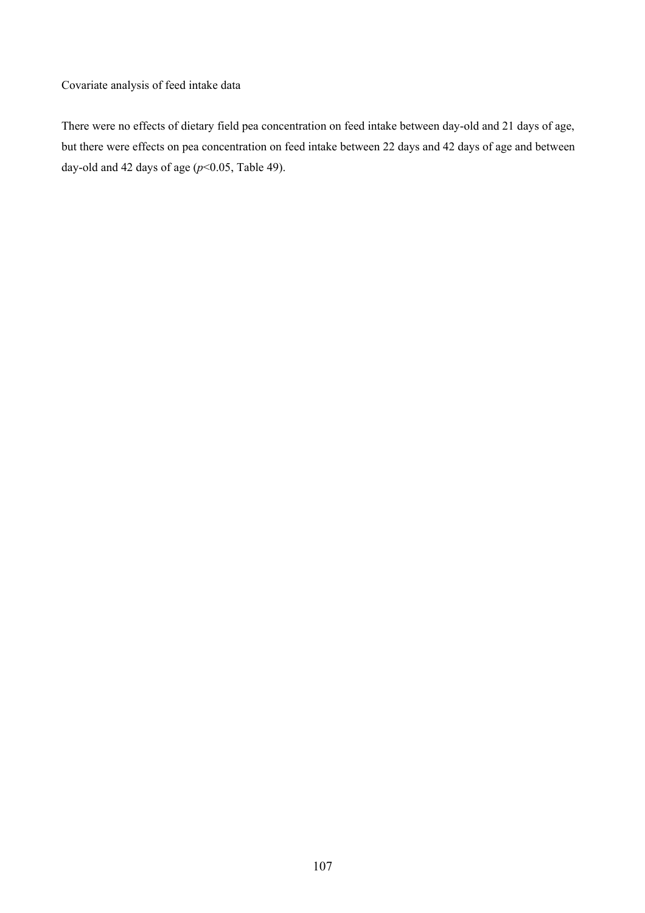Covariate analysis of feed intake data

There were no effects of dietary field pea concentration on feed intake between day-old and 21 days of age, but there were effects on pea concentration on feed intake between 22 days and 42 days of age and between day-old and 42 days of age (*p*<0.05, Table 49).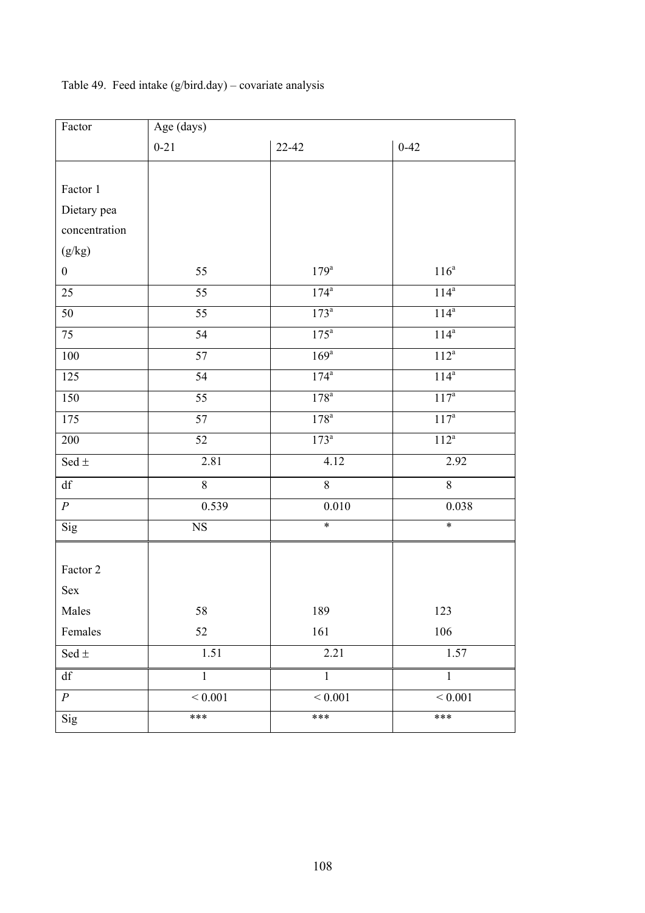# Table 49. Feed intake (g/bird.day) – covariate analysis

| Factor                 | Age (days)      |                  |                  |  |  |
|------------------------|-----------------|------------------|------------------|--|--|
|                        | $0 - 21$        | 22-42            | $0 - 42$         |  |  |
|                        |                 |                  |                  |  |  |
| Factor 1               |                 |                  |                  |  |  |
| Dietary pea            |                 |                  |                  |  |  |
| concentration          |                 |                  |                  |  |  |
| (g/kg)                 |                 |                  |                  |  |  |
| $\boldsymbol{0}$       | 55              | $179^a$          | $116^a$          |  |  |
| 25                     | $\overline{55}$ | 174 <sup>a</sup> | 114 <sup>a</sup> |  |  |
| 50                     | 55              | 173 <sup>a</sup> | 114 <sup>a</sup> |  |  |
| 75                     | 54              | 175 <sup>a</sup> | $114^a$          |  |  |
| $100\,$                | 57              | 169 <sup>a</sup> | $112^a$          |  |  |
| 125                    | $\overline{54}$ | $174^a$          | 114 <sup>a</sup> |  |  |
| $150\,$                | 55              | 178 <sup>a</sup> | $117^a$          |  |  |
| 175                    | $\overline{57}$ | 178 <sup>a</sup> | 117 <sup>a</sup> |  |  |
| 200                    | $\overline{52}$ | 173 <sup>a</sup> | $112^a$          |  |  |
| Sed $\pm$              | 2.81            | 4.12             | 2.92             |  |  |
| df                     | 8               | $\overline{8}$   | 8                |  |  |
| $\overline{P}$         | 0.539           | 0.010            | 0.038            |  |  |
| Sig                    | $_{\rm NS}$     | $\ast$           | $\ast$           |  |  |
|                        |                 |                  |                  |  |  |
| Factor 2               |                 |                  |                  |  |  |
| Sex                    |                 |                  |                  |  |  |
| Males                  | 58              | 189              | 123              |  |  |
| Females                | 52              | 161              | 106              |  |  |
| Sed $\pm$              | 1.51            | 2.21             | 1.57             |  |  |
| $\mathrm{d}\mathbf{f}$ | $\mathbf{1}$    | $\mathbf{1}$     | $\mathbf{1}$     |  |  |
| $\boldsymbol{P}$       | ${}< 0.001$     | ${}< 0.001$      | ${}< 0.001$      |  |  |
| Sig                    | $***$           | ***              | $***$            |  |  |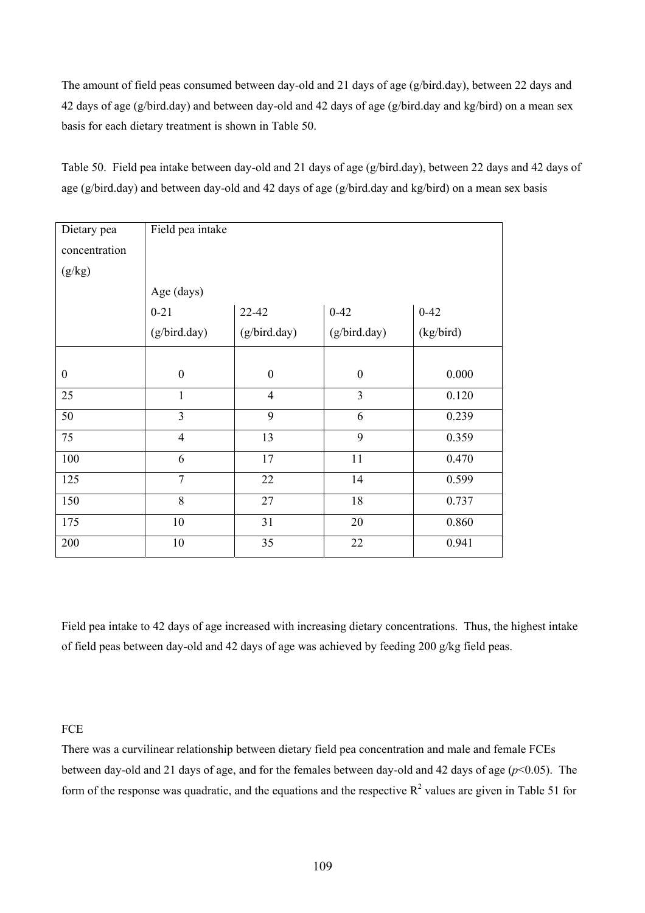The amount of field peas consumed between day-old and 21 days of age (g/bird.day), between 22 days and 42 days of age (g/bird.day) and between day-old and 42 days of age (g/bird.day and kg/bird) on a mean sex basis for each dietary treatment is shown in Table 50.

Table 50. Field pea intake between day-old and 21 days of age (g/bird.day), between 22 days and 42 days of age (g/bird.day) and between day-old and 42 days of age (g/bird.day and kg/bird) on a mean sex basis

| Dietary pea      | Field pea intake |                  |              |           |
|------------------|------------------|------------------|--------------|-----------|
| concentration    |                  |                  |              |           |
| (g/kg)           |                  |                  |              |           |
|                  | Age (days)       |                  |              |           |
|                  | $0 - 21$         | 22-42            | $0 - 42$     | $0 - 42$  |
|                  | (g/bird.day)     | (g/bird.day)     | (g/bird.day) | (kg/bird) |
|                  |                  |                  |              |           |
| $\boldsymbol{0}$ | $\boldsymbol{0}$ | $\boldsymbol{0}$ | $\mathbf{0}$ | 0.000     |
| 25               | 1                | $\overline{4}$   | 3            | 0.120     |
| 50               | $\overline{3}$   | 9                | 6            | 0.239     |
| 75               | $\overline{4}$   | 13               | 9            | 0.359     |
| 100              | 6                | 17               | 11           | 0.470     |
| 125              | $\overline{7}$   | 22               | 14           | 0.599     |
| 150              | 8                | 27               | 18           | 0.737     |
| 175              | 10               | 31               | 20           | 0.860     |
| 200              | 10               | 35               | 22           | 0.941     |

Field pea intake to 42 days of age increased with increasing dietary concentrations. Thus, the highest intake of field peas between day-old and 42 days of age was achieved by feeding 200 g/kg field peas.

### **FCE**

There was a curvilinear relationship between dietary field pea concentration and male and female FCEs between day-old and 21 days of age, and for the females between day-old and 42 days of age (*p*<0.05). The form of the response was quadratic, and the equations and the respective  $R^2$  values are given in Table 51 for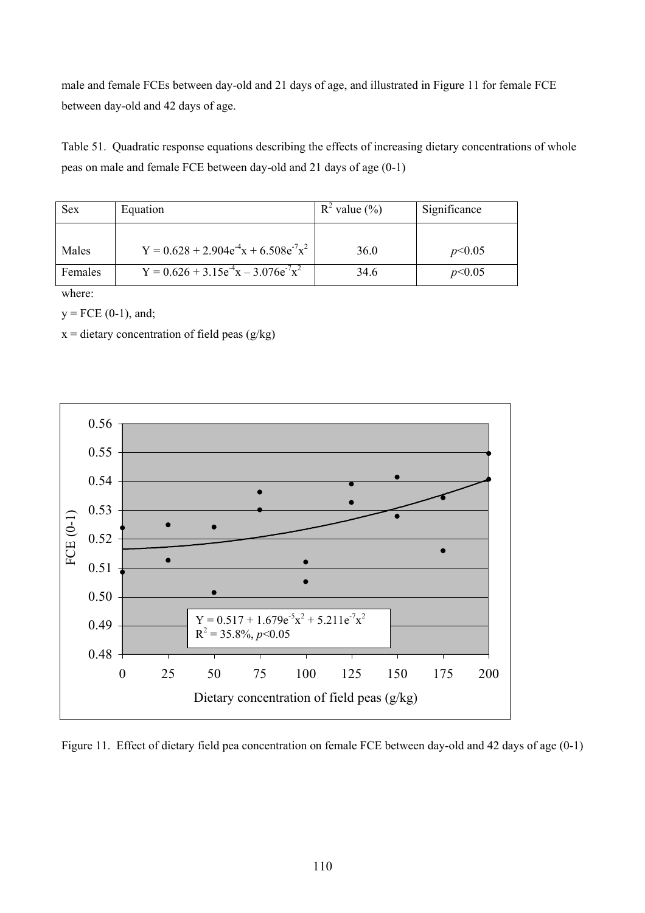male and female FCEs between day-old and 21 days of age, and illustrated in Figure 11 for female FCE between day-old and 42 days of age.

Table 51. Quadratic response equations describing the effects of increasing dietary concentrations of whole peas on male and female FCE between day-old and 21 days of age (0-1)

| <b>Sex</b> | Equation                                    | $R^2$ value $(\% )$ | Significance |
|------------|---------------------------------------------|---------------------|--------------|
| Males      | $Y = 0.628 + 2.904e^{4}x + 6.508e^{7}x^{2}$ | 36.0                | p<0.05       |
| Females    | $Y = 0.626 + 3.15e^{4}x - 3.076e^{7}x^{2}$  | 34.6                | p<0.05       |

where:

 $y = FCE (0-1)$ , and;

 $x =$  dietary concentration of field peas (g/kg)



Figure 11. Effect of dietary field pea concentration on female FCE between day-old and 42 days of age (0-1)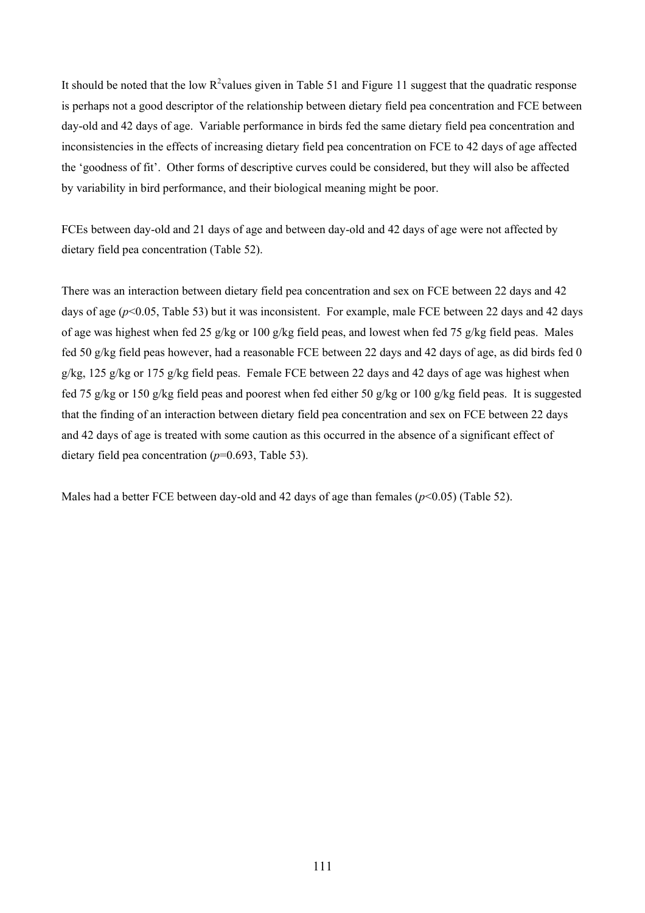It should be noted that the low  $R^2$ values given in Table 51 and Figure 11 suggest that the quadratic response is perhaps not a good descriptor of the relationship between dietary field pea concentration and FCE between day-old and 42 days of age. Variable performance in birds fed the same dietary field pea concentration and inconsistencies in the effects of increasing dietary field pea concentration on FCE to 42 days of age affected the 'goodness of fit'. Other forms of descriptive curves could be considered, but they will also be affected by variability in bird performance, and their biological meaning might be poor.

FCEs between day-old and 21 days of age and between day-old and 42 days of age were not affected by dietary field pea concentration (Table 52).

There was an interaction between dietary field pea concentration and sex on FCE between 22 days and 42 days of age ( $p$ <0.05, Table 53) but it was inconsistent. For example, male FCE between 22 days and 42 days of age was highest when fed 25 g/kg or 100 g/kg field peas, and lowest when fed 75 g/kg field peas. Males fed 50 g/kg field peas however, had a reasonable FCE between 22 days and 42 days of age, as did birds fed 0 g/kg, 125 g/kg or 175 g/kg field peas. Female FCE between 22 days and 42 days of age was highest when fed 75 g/kg or 150 g/kg field peas and poorest when fed either 50 g/kg or 100 g/kg field peas. It is suggested that the finding of an interaction between dietary field pea concentration and sex on FCE between 22 days and 42 days of age is treated with some caution as this occurred in the absence of a significant effect of dietary field pea concentration (*p*=0.693, Table 53).

Males had a better FCE between day-old and 42 days of age than females ( $p<0.05$ ) (Table 52).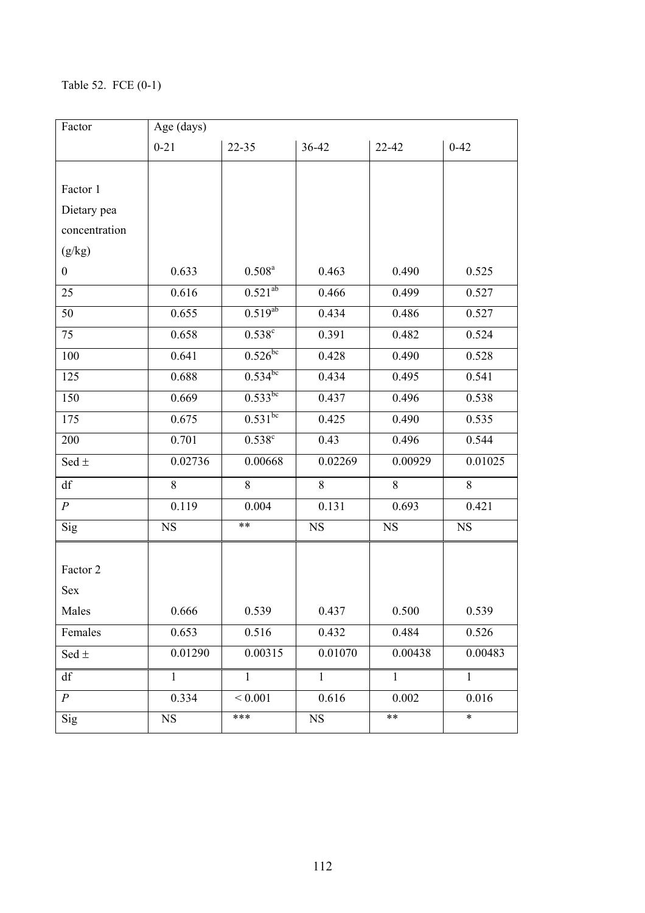## Table 52. FCE (0-1)

| Factor           | Age (days)  |                    |             |              |              |
|------------------|-------------|--------------------|-------------|--------------|--------------|
|                  | $0 - 21$    | $22 - 35$          | $36 - 42$   | $22 - 42$    | $0 - 42$     |
|                  |             |                    |             |              |              |
| Factor 1         |             |                    |             |              |              |
| Dietary pea      |             |                    |             |              |              |
| concentration    |             |                    |             |              |              |
| (g/kg)           |             |                    |             |              |              |
| $\boldsymbol{0}$ | 0.633       | $0.508^{a}$        | 0.463       | 0.490        | 0.525        |
| 25               | 0.616       | $0.521^{ab}$       | 0.466       | 0.499        | 0.527        |
| 50               | 0.655       | $0.519^{ab}$       | 0.434       | 0.486        | 0.527        |
| 75               | 0.658       | 0.538 <sup>c</sup> | 0.391       | 0.482        | 0.524        |
| 100              | 0.641       | $0.526$ bc         | 0.428       | 0.490        | 0.528        |
| 125              | 0.688       | $0.534^{bc}$       | 0.434       | 0.495        | 0.541        |
| 150              | 0.669       | $0.533^{bc}$       | 0.437       | 0.496        | 0.538        |
| 175              | 0.675       | $0.531^{bc}$       | 0.425       | 0.490        | 0.535        |
| 200              | 0.701       | $0.538$ c          | 0.43        | 0.496        | 0.544        |
| Sed $\pm$        | 0.02736     | 0.00668            | 0.02269     | 0.00929      | 0.01025      |
| df               | 8           | 8                  | 8           | 8            | 8            |
| $\boldsymbol{P}$ | 0.119       | 0.004              | 0.131       | 0.693        | 0.421        |
| Sig              | $_{\rm NS}$ | $***$              | $_{\rm NS}$ | <b>NS</b>    | <b>NS</b>    |
| Factor 2         |             |                    |             |              |              |
|                  |             |                    |             |              |              |
| Sex              |             |                    |             |              | 0.539        |
| Males            | 0.666       | 0.539              | 0.437       | 0.500        |              |
| Females          | 0.653       | 0.516              | 0.432       | 0.484        | 0.526        |
| Sed $\pm$        | 0.01290     | 0.00315            | 0.01070     | 0.00438      | 0.00483      |
| df               | 1           | 1                  | 1           | $\mathbf{1}$ | $\mathbf{1}$ |
| $\boldsymbol{P}$ | 0.334       | ${}_{0.001}$       | 0.616       | 0.002        | 0.016        |
| Sig              | $_{\rm NS}$ | ***                | $_{\rm NS}$ | $***$        | $\ast$       |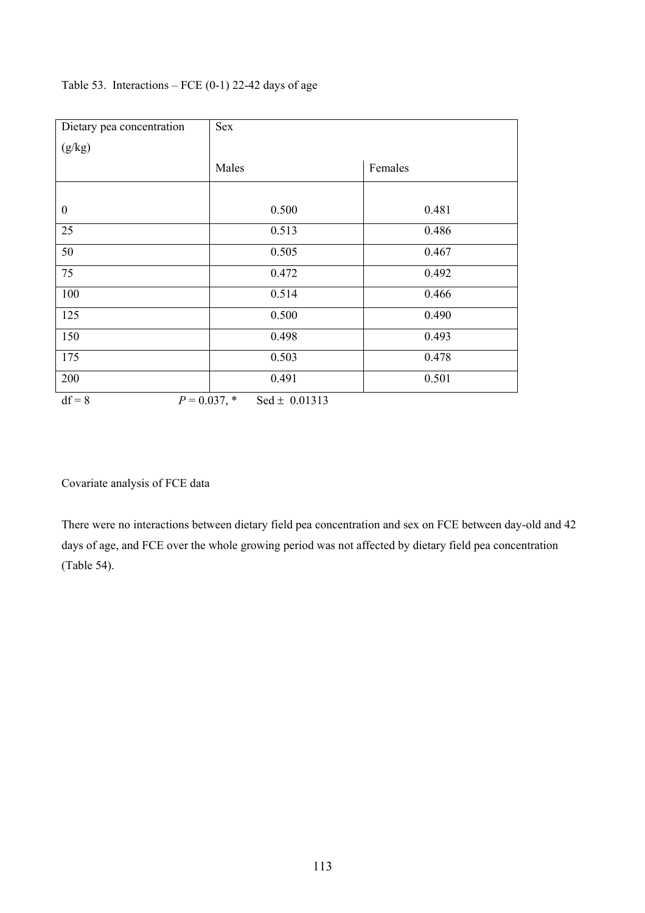| Dietary pea concentration | Sex                                  |         |
|---------------------------|--------------------------------------|---------|
| (g/kg)                    |                                      |         |
|                           | Males                                | Females |
|                           |                                      |         |
| $\boldsymbol{0}$          | 0.500                                | 0.481   |
| 25                        | 0.513                                | 0.486   |
| 50                        | 0.505                                | 0.467   |
| 75                        | 0.472                                | 0.492   |
| 100                       | 0.514                                | 0.466   |
| 125                       | 0.500                                | 0.490   |
| 150                       | 0.498                                | 0.493   |
| 175                       | 0.503                                | 0.478   |
| 200                       | 0.491                                | 0.501   |
| $df = 8$                  | $P = 0.037$ , *<br>$Sed \pm 0.01313$ |         |

Table 53. Interactions – FCE  $(0-1)$  22-42 days of age

Covariate analysis of FCE data

There were no interactions between dietary field pea concentration and sex on FCE between day-old and 42 days of age, and FCE over the whole growing period was not affected by dietary field pea concentration (Table 54).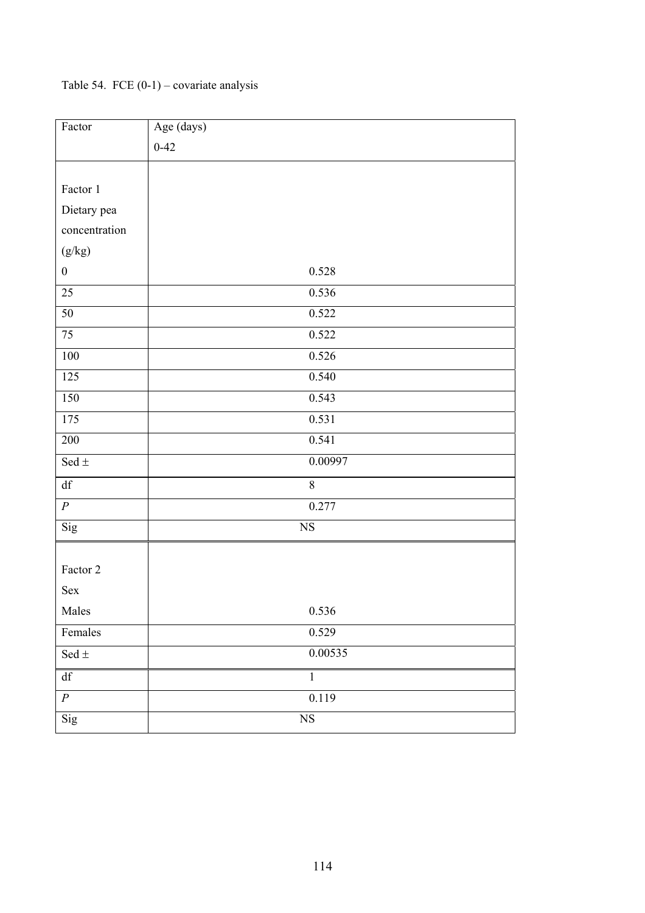# Table 54. FCE  $(0-1)$  – covariate analysis

| Factor                 | Age (days)  |
|------------------------|-------------|
|                        | $0 - 42$    |
|                        |             |
| Factor 1               |             |
| Dietary pea            |             |
| concentration          |             |
| (g/kg)                 |             |
| $\boldsymbol{0}$       | 0.528       |
| $25\,$                 | 0.536       |
| 50                     | 0.522       |
| $75\,$                 | 0.522       |
| $100\,$                | 0.526       |
| 125                    | 0.540       |
| 150                    | 0.543       |
| 175                    | 0.531       |
| $200\,$                | 0.541       |
| Sed $\pm$              | 0.00997     |
| $\mathrm{d}\mathbf{f}$ | 8           |
| $\cal P$               | 0.277       |
| Sig                    | $_{\rm NS}$ |
|                        |             |
| Factor 2               |             |
| Sex                    |             |
| Males                  | 0.536       |
| Females                | 0.529       |
| Sed $\pm$              | 0.00535     |
| df                     | $\mathbf 1$ |
| $\cal P$               | 0.119       |
| Sig                    | $_{\rm NS}$ |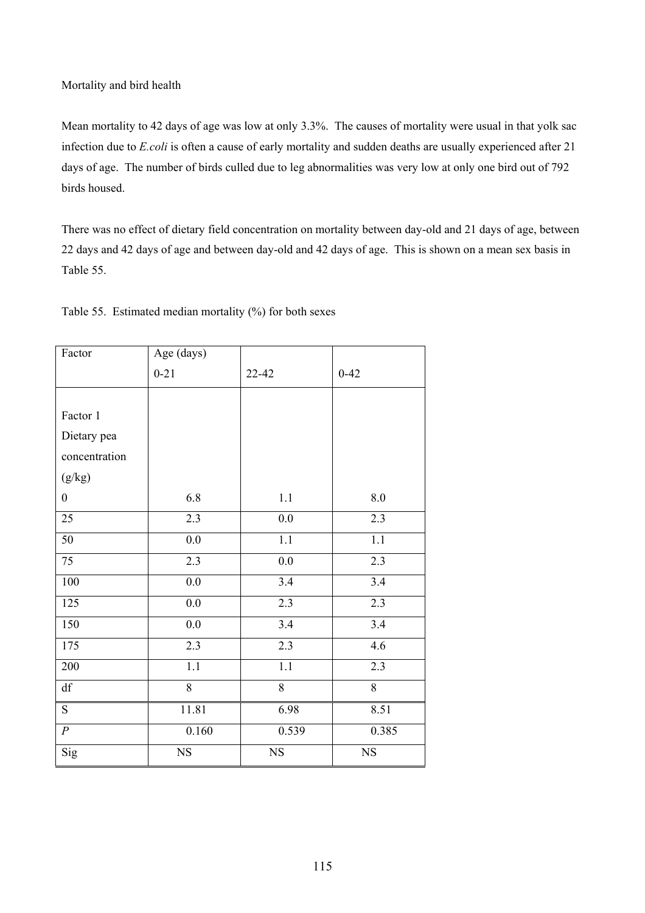Mortality and bird health

Mean mortality to 42 days of age was low at only 3.3%. The causes of mortality were usual in that yolk sac infection due to *E.coli* is often a cause of early mortality and sudden deaths are usually experienced after 21 days of age. The number of birds culled due to leg abnormalities was very low at only one bird out of 792 birds housed.

There was no effect of dietary field concentration on mortality between day-old and 21 days of age, between 22 days and 42 days of age and between day-old and 42 days of age. This is shown on a mean sex basis in Table 55.

| Factor           | Age (days)       |                  |                  |
|------------------|------------------|------------------|------------------|
|                  | $0 - 21$         | 22-42            | $0 - 42$         |
|                  |                  |                  |                  |
| Factor 1         |                  |                  |                  |
| Dietary pea      |                  |                  |                  |
| concentration    |                  |                  |                  |
| (g/kg)           |                  |                  |                  |
| $\boldsymbol{0}$ | 6.8              | 1.1              | $8.0\,$          |
| 25               | 2.3              | 0.0              | 2.3              |
| 50               | $\overline{0.0}$ | 1.1              | 1.1              |
| 75               | 2.3              | $0.0\,$          | 2.3              |
| 100              | $\overline{0.0}$ | 3.4              | $\overline{3.4}$ |
| 125              | 0.0              | 2.3              | 2.3              |
| 150              | 0.0              | 3.4              | 3.4              |
| 175              | 2.3              | 2.3              | 4.6              |
| 200              | 1.1              | $\overline{1.1}$ | 2.3              |
| df               | 8                | 8                | 8                |
| S                | 11.81            | 6.98             | 8.51             |
| $\boldsymbol{P}$ | 0.160            | 0.539            | 0.385            |
| Sig              | NS               | $_{\rm NS}$      | $_{\rm NS}$      |

Table 55. Estimated median mortality (%) for both sexes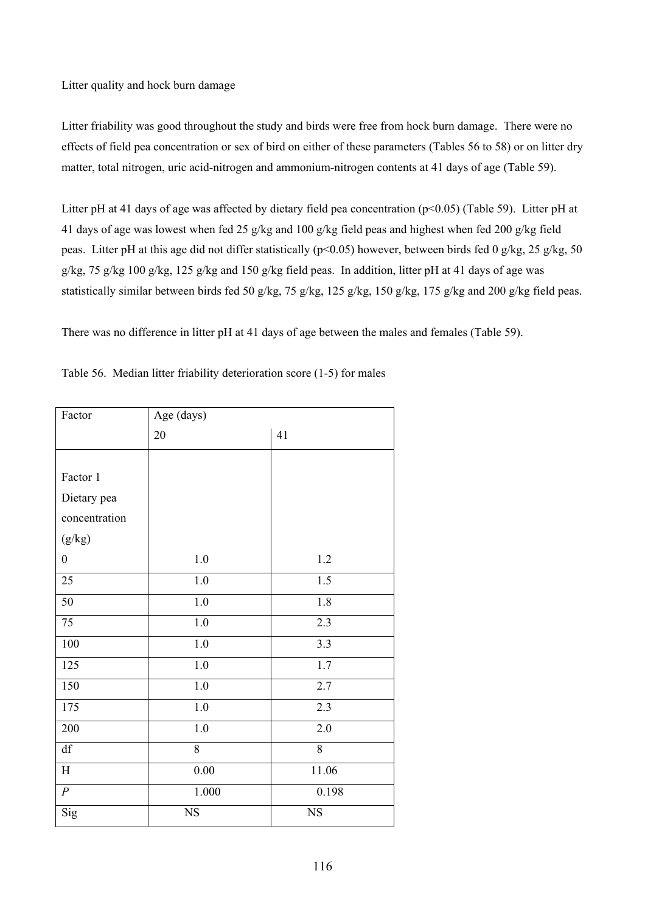### Litter quality and hock burn damage

Litter friability was good throughout the study and birds were free from hock burn damage. There were no effects of field pea concentration or sex of bird on either of these parameters (Tables 56 to 58) or on litter dry matter, total nitrogen, uric acid-nitrogen and ammonium-nitrogen contents at 41 days of age (Table 59).

Litter pH at 41 days of age was affected by dietary field pea concentration (p<0.05) (Table 59). Litter pH at 41 days of age was lowest when fed 25 g/kg and 100 g/kg field peas and highest when fed 200 g/kg field peas. Litter pH at this age did not differ statistically (p<0.05) however, between birds fed 0 g/kg, 25 g/kg, 50 g/kg, 75 g/kg 100 g/kg, 125 g/kg and 150 g/kg field peas. In addition, litter pH at 41 days of age was statistically similar between birds fed 50 g/kg, 75 g/kg, 125 g/kg, 150 g/kg, 175 g/kg and 200 g/kg field peas.

There was no difference in litter pH at 41 days of age between the males and females (Table 59).

| Factor           | Age (days)     |                  |
|------------------|----------------|------------------|
|                  | 20             | 41               |
|                  |                |                  |
| Factor 1         |                |                  |
| Dietary pea      |                |                  |
| concentration    |                |                  |
| (g/kg)           |                |                  |
| $\boldsymbol{0}$ | $1.0\,$        | $1.2\,$          |
| 25               | $1.0\,$        | $\overline{1.5}$ |
| 50               | $1.0\,$        | 1.8              |
| 75               | $1.0\,$        | 2.3              |
| 100              | $1.0\,$        | 3.3              |
| 125              | $1.0\,$        | 1.7              |
| 150              | $1.0\,$        | 2.7              |
| 175              | $1.0\,$        | $\overline{2.3}$ |
| 200              | $1.0\,$        | 2.0              |
| df               | $\overline{8}$ | $\overline{8}$   |
| $\rm H$          | $0.00\,$       | 11.06            |
| $\cal P$         | 1.000          | 0.198            |
| Sig              | NS             | NS               |

Table 56. Median litter friability deterioration score (1-5) for males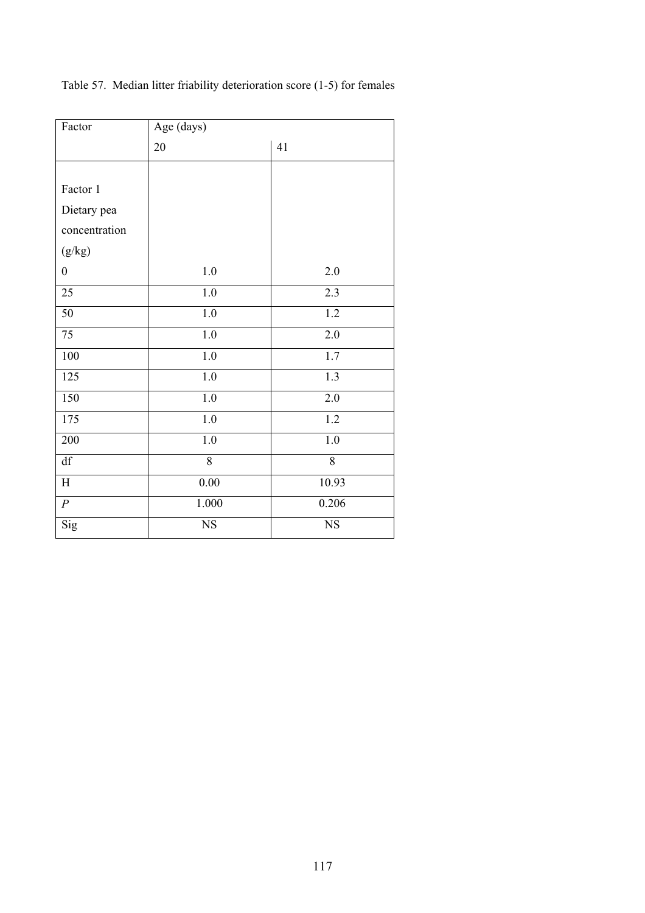| Factor           | Age (days)  |             |
|------------------|-------------|-------------|
|                  | 20          | 41          |
|                  |             |             |
| Factor 1         |             |             |
| Dietary pea      |             |             |
| concentration    |             |             |
| (g/kg)           |             |             |
| $\boldsymbol{0}$ | $1.0\,$     | $2.0$       |
| 25               | 1.0         | 2.3         |
| 50               | $1.0\,$     | $1.2\,$     |
| 75               | 1.0         | $2.0$       |
| 100              | $1.0\,$     | 1.7         |
| 125              | $1.0\,$     | 1.3         |
| 150              | $1.0\,$     | 2.0         |
| 175              | 1.0         | 1.2         |
| 200              | 1.0         | 1.0         |
| df               | 8           | 8           |
| $\rm H$          | $0.00\,$    | 10.93       |
| $\cal P$         | 1.000       | 0.206       |
| Sig              | $_{\rm NS}$ | $_{\rm NS}$ |

Table 57. Median litter friability deterioration score (1-5) for females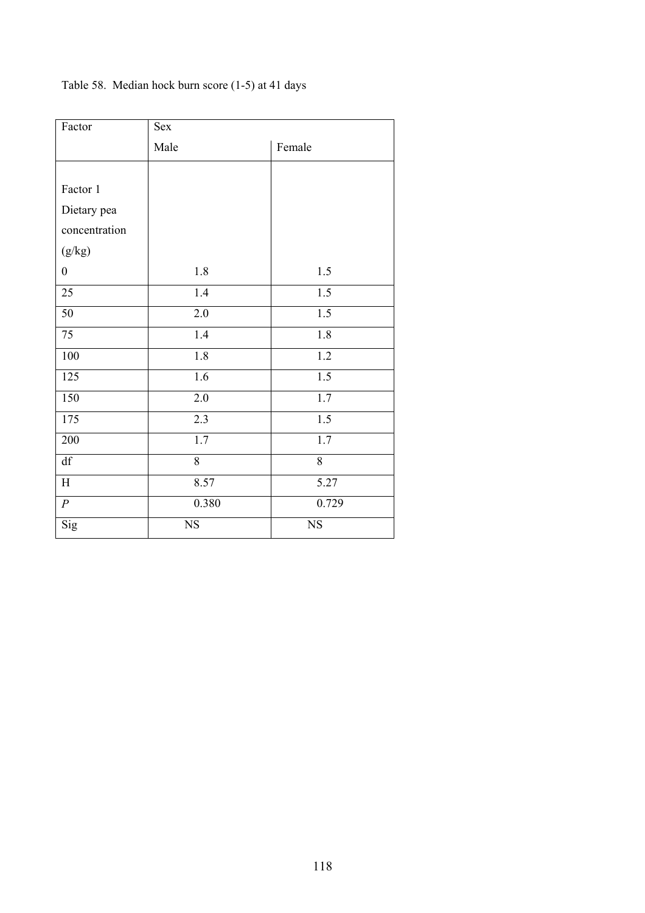| Factor           | Sex              |                  |
|------------------|------------------|------------------|
|                  | Male             | Female           |
|                  |                  |                  |
| Factor 1         |                  |                  |
| Dietary pea      |                  |                  |
| concentration    |                  |                  |
| (g/kg)           |                  |                  |
| $\boldsymbol{0}$ | 1.8              | $1.5\,$          |
| 25               | $\overline{1.4}$ | 1.5              |
| 50               | $2.0\,$          | $\overline{1.5}$ |
| 75               | $\overline{1.4}$ | $\overline{1.8}$ |
| 100              | $\overline{1.8}$ | $\overline{1.2}$ |
| 125              | $\overline{1.6}$ | $\overline{1.5}$ |
| 150              | 2.0              | 1.7              |
| 175              | 2.3              | 1.5              |
| 200              | 1.7              | 1.7              |
| df               | $\overline{8}$   | $\overline{8}$   |
| $\rm H$          | 8.57             | 5.27             |
| $\cal P$         | 0.380            | 0.729            |
| Sig              | $_{\rm NS}$      | $_{\rm NS}$      |

Table 58. Median hock burn score (1-5) at 41 days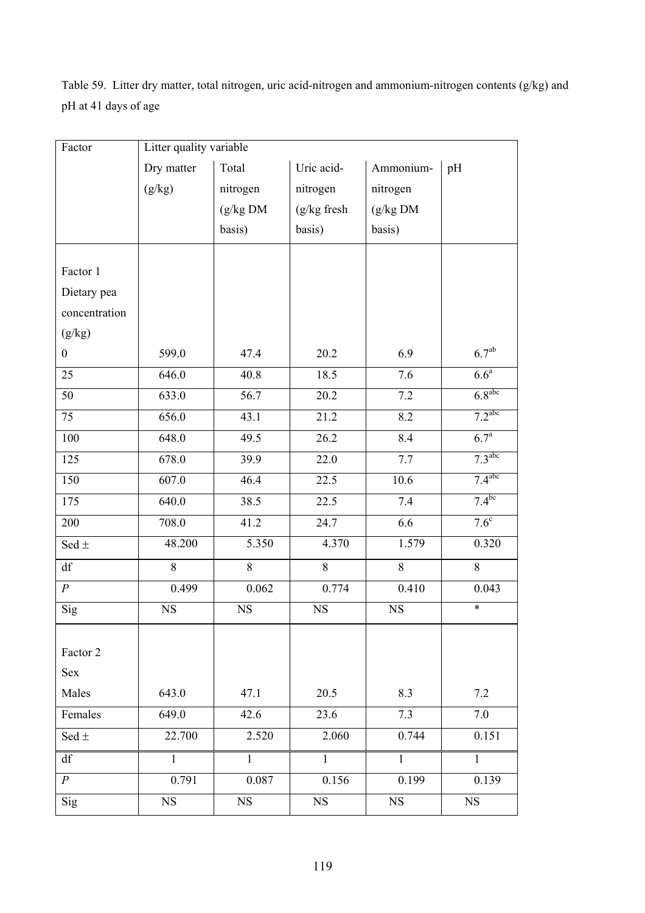Table 59. Litter dry matter, total nitrogen, uric acid-nitrogen and ammonium-nitrogen contents (g/kg) and pH at 41 days of age

| Factor           | Litter quality variable |              |               |              |                      |
|------------------|-------------------------|--------------|---------------|--------------|----------------------|
|                  | Dry matter              | Total        | Uric acid-    | Ammonium-    | pH                   |
|                  | (g/kg)                  | nitrogen     | nitrogen      | nitrogen     |                      |
|                  |                         | (g/kg DM)    | $(g/kg$ fresh | (g/kg DM)    |                      |
|                  |                         | basis)       | basis)        | basis)       |                      |
|                  |                         |              |               |              |                      |
| Factor 1         |                         |              |               |              |                      |
| Dietary pea      |                         |              |               |              |                      |
| concentration    |                         |              |               |              |                      |
| (g/kg)           |                         |              |               |              |                      |
| $\boldsymbol{0}$ | 599.0                   | 47.4         | 20.2          | 6.9          | 6.7 <sup>ab</sup>    |
| 25               | 646.0                   | 40.8         | 18.5          | 7.6          | $6.6^a$              |
| 50               | 633.0                   | 56.7         | 20.2          | 7.2          | 6.8 <sup>abc</sup>   |
| 75               | 656.0                   | 43.1         | 21.2          | 8.2          | $7.2$ <sup>abc</sup> |
| 100              | 648.0                   | 49.5         | 26.2          | 8.4          | $6.7^{a}$            |
| 125              | 678.0                   | 39.9         | 22.0          | 7.7          | 7.3 <sup>abc</sup>   |
| 150              | 607.0                   | 46.4         | 22.5          | 10.6         | 7.4 <sup>abc</sup>   |
| 175              | 640.0                   | 38.5         | 22.5          | 7.4          | $7.4^{bc}$           |
| 200              | 708.0                   | 41.2         | 24.7          | 6.6          | $7.6^{\circ}$        |
| Sed $\pm$        | 48.200                  | 5.350        | 4.370         | 1.579        | 0.320                |
| df               | 8                       | $\,8\,$      | $\,8\,$       | 8            | 8                    |
| $\boldsymbol{P}$ | 0.499                   | 0.062        | 0.774         | 0.410        | 0.043                |
| Sig              | $_{\rm NS}$             | $_{\rm NS}$  | $_{\rm NS}$   | $_{\rm NS}$  | $\ast$               |
|                  |                         |              |               |              |                      |
| Factor 2         |                         |              |               |              |                      |
| Sex              |                         |              |               |              |                      |
| Males            | 643.0                   | 47.1         | 20.5          | 8.3          | 7.2                  |
| Females          | 649.0                   | 42.6         | 23.6          | 7.3          | 7.0                  |
| Sed $\pm$        | 22.700                  | 2.520        | 2.060         | 0.744        | 0.151                |
| df               | $\mathbf{1}$            | $\mathbf{1}$ | $\mathbf{1}$  | $\mathbf{1}$ | $\mathbf{1}$         |
| $\boldsymbol{P}$ | 0.791                   | 0.087        | 0.156         | 0.199        | $\overline{0.1}39$   |
| Sig              | $_{\rm NS}$             | $_{\rm NS}$  | $_{\rm NS}$   | $_{\rm NS}$  | $_{\rm NS}$          |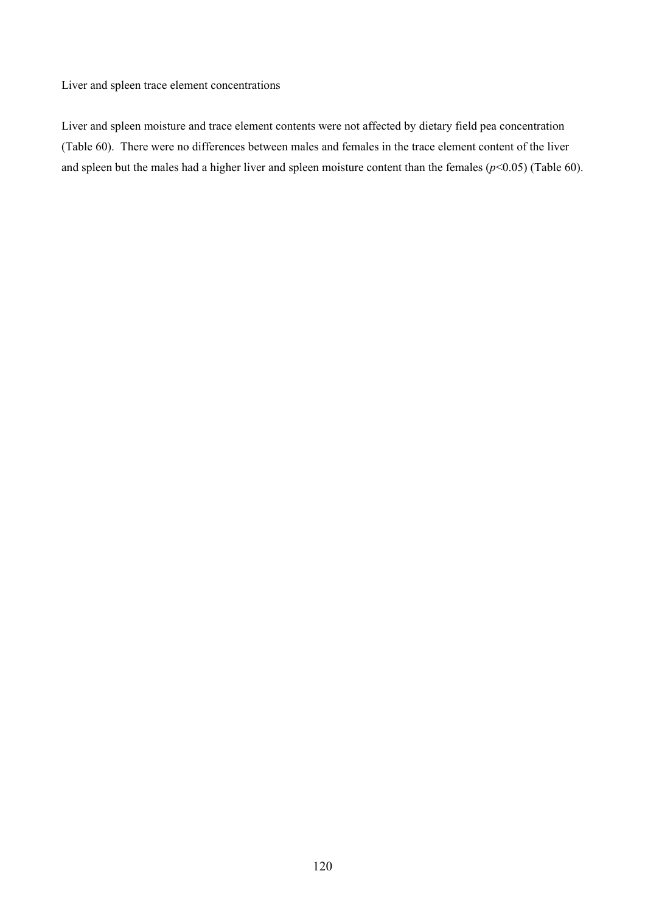Liver and spleen trace element concentrations

Liver and spleen moisture and trace element contents were not affected by dietary field pea concentration (Table 60). There were no differences between males and females in the trace element content of the liver and spleen but the males had a higher liver and spleen moisture content than the females  $(p<0.05)$  (Table 60).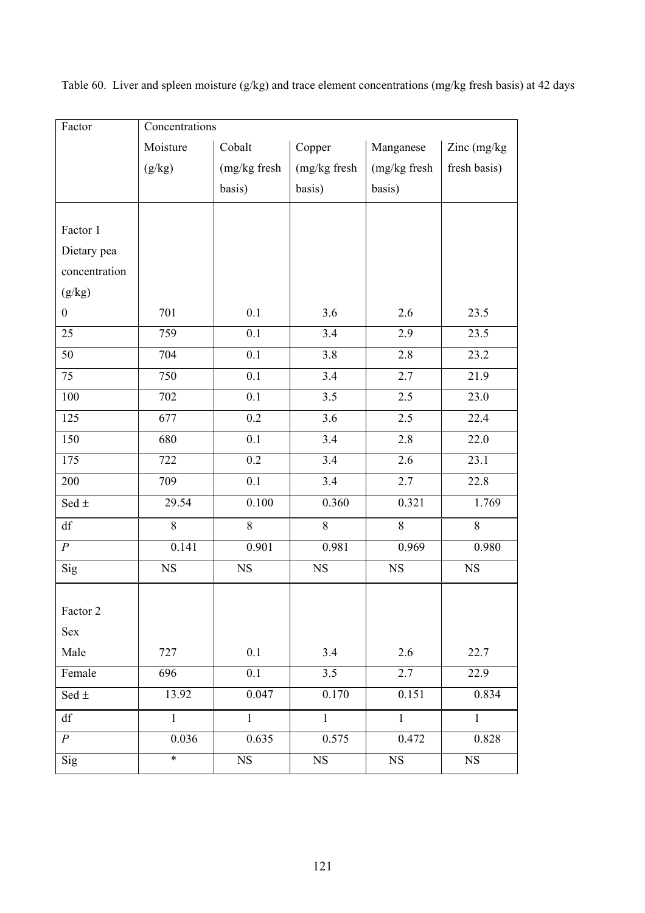| Factor                 | Concentrations |                  |                  |              |              |
|------------------------|----------------|------------------|------------------|--------------|--------------|
|                        | Moisture       | Cobalt           | Copper           | Manganese    | Zinc (mg/kg) |
|                        | (g/kg)         | (mg/kg fresh     | (mg/kg fresh     | (mg/kg fresh | fresh basis) |
|                        |                | basis)           | basis)           | basis)       |              |
|                        |                |                  |                  |              |              |
| Factor 1               |                |                  |                  |              |              |
| Dietary pea            |                |                  |                  |              |              |
| concentration          |                |                  |                  |              |              |
| (g/kg)                 |                |                  |                  |              |              |
| $\boldsymbol{0}$       | 701            | 0.1              | 3.6              | 2.6          | 23.5         |
| $\overline{25}$        | 759            | $\overline{0.1}$ | 3.4              | 2.9          | 23.5         |
| 50                     | 704            | 0.1              | 3.8              | 2.8          | 23.2         |
| 75                     | 750            | $\overline{0.1}$ | $\overline{3.4}$ | 2.7          | 21.9         |
| 100                    | 702            | $\overline{0.1}$ | $\overline{3.5}$ | 2.5          | 23.0         |
| 125                    | 677            | $\overline{0.2}$ | $\overline{3.6}$ | 2.5          | 22.4         |
| 150                    | 680            | 0.1              | 3.4              | 2.8          | 22.0         |
| 175                    | 722            | 0.2              | 3.4              | 2.6          | 23.1         |
| 200                    | 709            | 0.1              | 3.4              | 2.7          | 22.8         |
| Sed $\pm$              | 29.54          | 0.100            | 0.360            | 0.321        | 1.769        |
| $\mathrm{d}\mathrm{f}$ | 8              | 8                | $8\,$            | $8\,$        | 8            |
| $\boldsymbol{P}$       | 0.141          | 0.901            | 0.981            | 0.969        | 0.980        |
| Sig                    | <b>NS</b>      | <b>NS</b>        | $_{\rm NS}$      | <b>NS</b>    | <b>NS</b>    |
| Factor 2               |                |                  |                  |              |              |
| Sex                    |                |                  |                  |              |              |
| Male                   | 727            | 0.1              | 3.4              | 2.6          | 22.7         |
| Female                 | 696            | 0.1              | 3.5              | 2.7          | 22.9         |
| Sed $\pm$              | 13.92          | 0.047            | 0.170            | 0.151        | 0.834        |
|                        |                |                  |                  |              |              |
| $\mathrm{d}\mathrm{f}$ | $\mathbf{1}$   | $\mathbf{1}$     | $\mathbf{1}$     | $\mathbf{1}$ | $\mathbf{1}$ |
| $\boldsymbol{P}$       | 0.036          | 0.635            | 0.575            | 0.472        | 0.828        |
| Sig                    | $\ast$         | $_{\rm NS}$      | $_{\rm NS}$      | $_{\rm NS}$  | NS           |

Table 60. Liver and spleen moisture (g/kg) and trace element concentrations (mg/kg fresh basis) at 42 days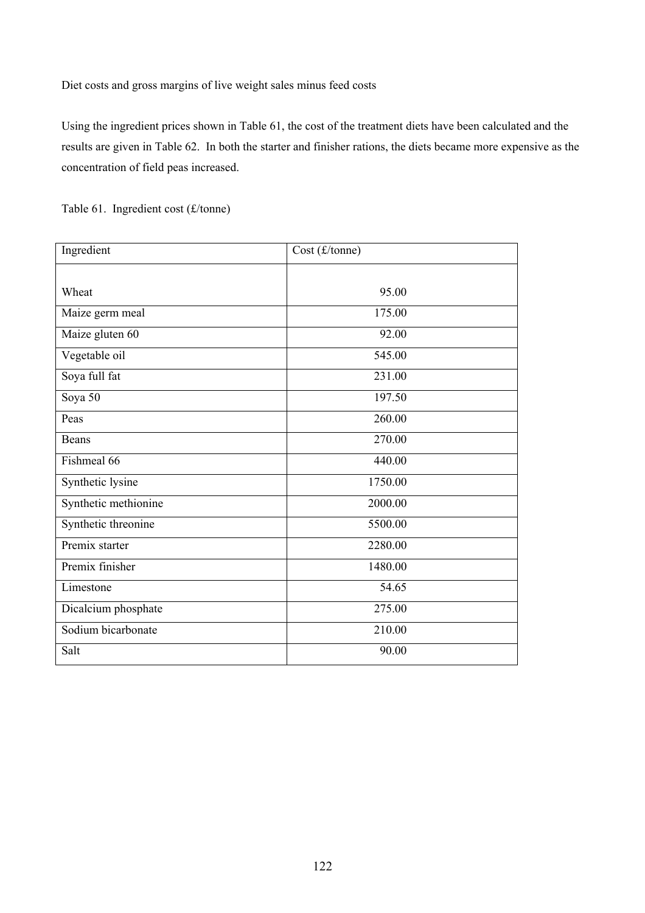Diet costs and gross margins of live weight sales minus feed costs

Using the ingredient prices shown in Table 61, the cost of the treatment diets have been calculated and the results are given in Table 62. In both the starter and finisher rations, the diets became more expensive as the concentration of field peas increased.

Table 61. Ingredient cost (£/tonne)

| Ingredient           | Cost (f/tonne) |
|----------------------|----------------|
|                      |                |
| Wheat                | 95.00          |
| Maize germ meal      | 175.00         |
| Maize gluten 60      | 92.00          |
| Vegetable oil        | 545.00         |
| Soya full fat        | 231.00         |
| Soya 50              | 197.50         |
| Peas                 | 260.00         |
| Beans                | 270.00         |
| Fishmeal 66          | 440.00         |
| Synthetic lysine     | 1750.00        |
| Synthetic methionine | 2000.00        |
| Synthetic threonine  | 5500.00        |
| Premix starter       | 2280.00        |
| Premix finisher      | 1480.00        |
| Limestone            | 54.65          |
| Dicalcium phosphate  | 275.00         |
| Sodium bicarbonate   | 210.00         |
| Salt                 | 90.00          |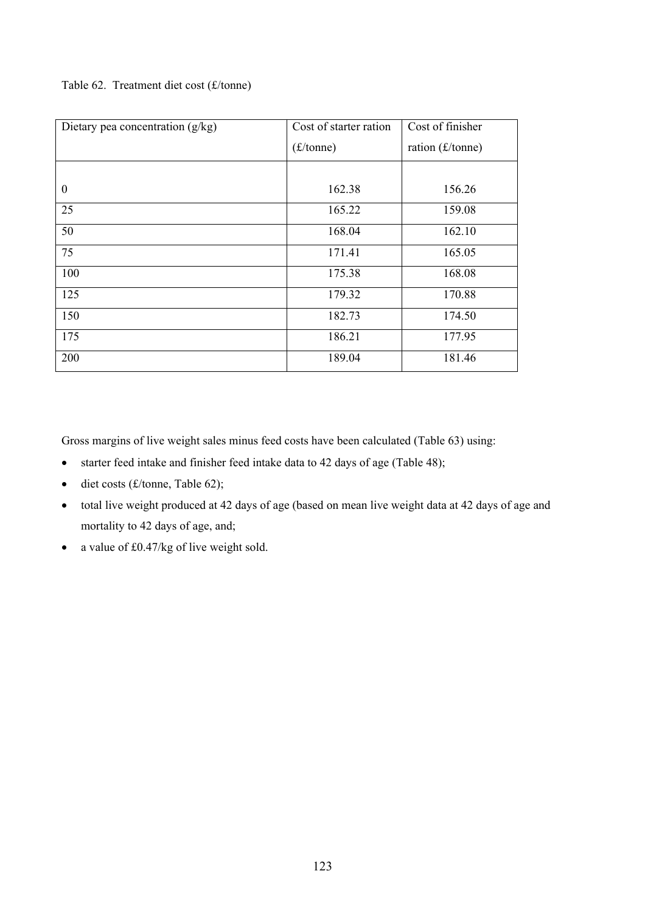| Dietary pea concentration $(g/kg)$ | Cost of starter ration | Cost of finisher   |
|------------------------------------|------------------------|--------------------|
|                                    | $(f/\text{tonne})$     | ration $(f/tonne)$ |
|                                    |                        |                    |
| $\boldsymbol{0}$                   | 162.38                 | 156.26             |
| 25                                 | 165.22                 | 159.08             |
| 50                                 | 168.04                 | 162.10             |
| 75                                 | 171.41                 | 165.05             |
| 100                                | 175.38                 | 168.08             |
| 125                                | 179.32                 | 170.88             |
| 150                                | 182.73                 | 174.50             |
| 175                                | 186.21                 | 177.95             |
| 200                                | 189.04                 | 181.46             |

Table 62. Treatment diet cost (£/tonne)

Gross margins of live weight sales minus feed costs have been calculated (Table 63) using:

- starter feed intake and finisher feed intake data to 42 days of age (Table 48);
- $\bullet$  diet costs (£/tonne, Table 62);
- total live weight produced at 42 days of age (based on mean live weight data at 42 days of age and mortality to 42 days of age, and;
- a value of £0.47/kg of live weight sold.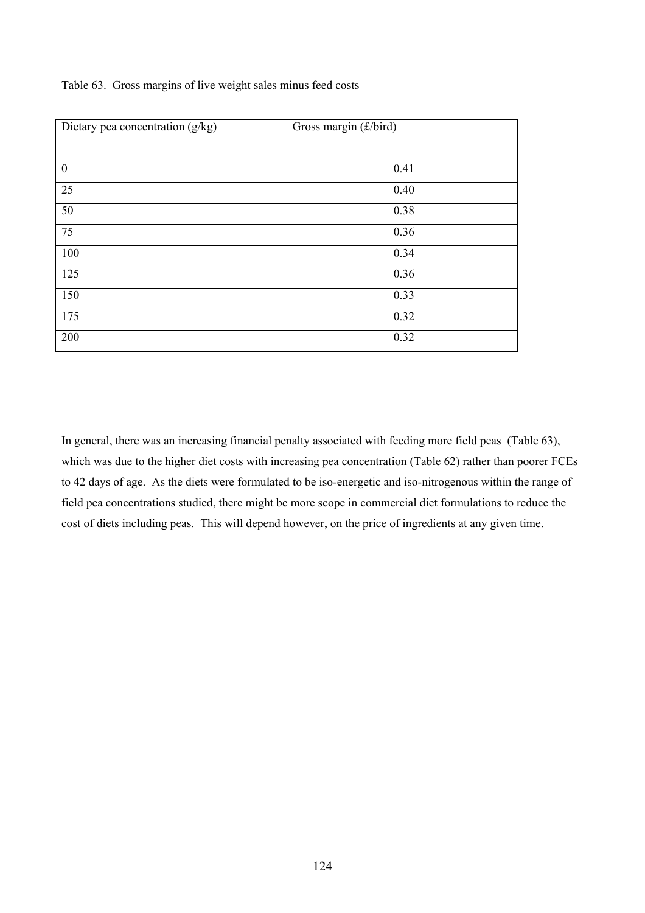| Dietary pea concentration $(g/kg)$ | Gross margin (£/bird) |
|------------------------------------|-----------------------|
|                                    |                       |
| $\boldsymbol{0}$                   | 0.41                  |
| 25                                 | 0.40                  |
| 50                                 | 0.38                  |
| 75                                 | 0.36                  |
| 100                                | 0.34                  |
| 125                                | 0.36                  |
| 150                                | 0.33                  |
| 175                                | 0.32                  |
| 200                                | 0.32                  |

Table 63. Gross margins of live weight sales minus feed costs

In general, there was an increasing financial penalty associated with feeding more field peas (Table 63), which was due to the higher diet costs with increasing pea concentration (Table 62) rather than poorer FCEs to 42 days of age. As the diets were formulated to be iso-energetic and iso-nitrogenous within the range of field pea concentrations studied, there might be more scope in commercial diet formulations to reduce the cost of diets including peas. This will depend however, on the price of ingredients at any given time.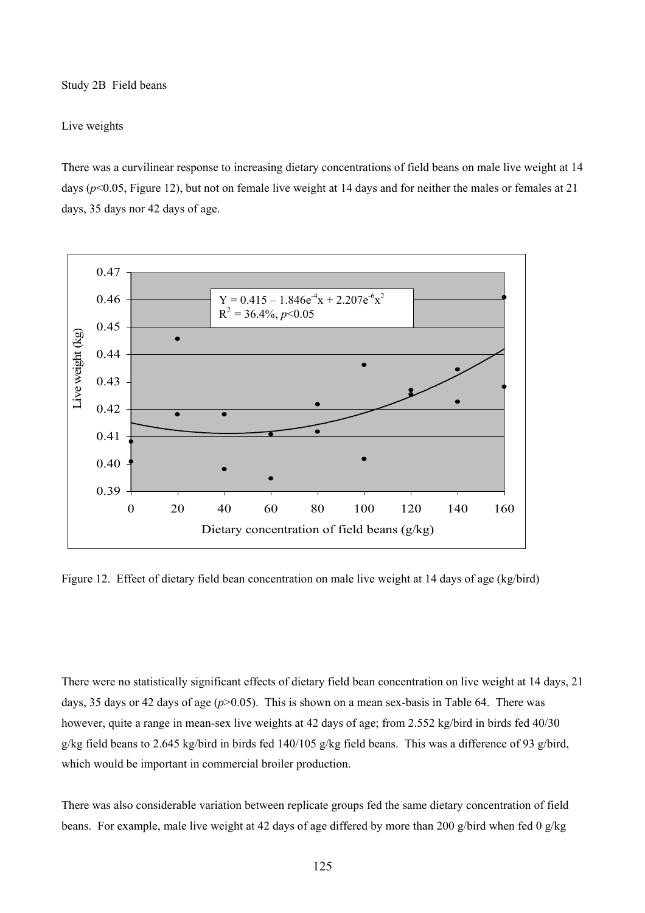#### Study 2B Field beans

#### Live weights

There was a curvilinear response to increasing dietary concentrations of field beans on male live weight at 14 days ( $p$ <0.05, Figure 12), but not on female live weight at 14 days and for neither the males or females at 21 days, 35 days nor 42 days of age.



Figure 12. Effect of dietary field bean concentration on male live weight at 14 days of age (kg/bird)

There were no statistically significant effects of dietary field bean concentration on live weight at 14 days, 21 days, 35 days or 42 days of age (*p*>0.05). This is shown on a mean sex-basis in Table 64. There was however, quite a range in mean-sex live weights at 42 days of age; from 2.552 kg/bird in birds fed 40/30 g/kg field beans to 2.645 kg/bird in birds fed 140/105 g/kg field beans. This was a difference of 93 g/bird, which would be important in commercial broiler production.

There was also considerable variation between replicate groups fed the same dietary concentration of field beans. For example, male live weight at 42 days of age differed by more than 200 g/bird when fed 0 g/kg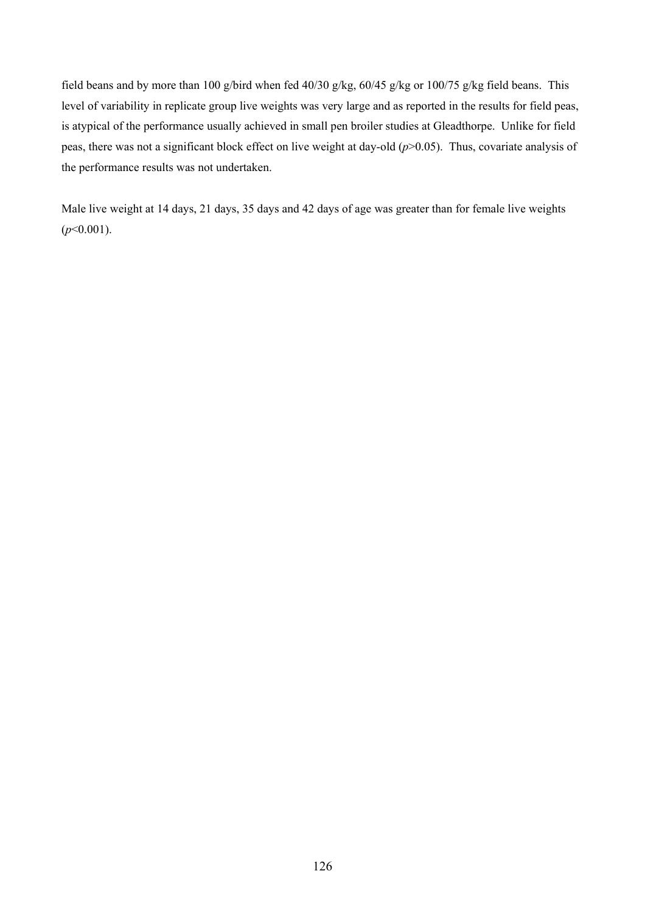field beans and by more than 100 g/bird when fed 40/30 g/kg, 60/45 g/kg or 100/75 g/kg field beans. This level of variability in replicate group live weights was very large and as reported in the results for field peas, is atypical of the performance usually achieved in small pen broiler studies at Gleadthorpe. Unlike for field peas, there was not a significant block effect on live weight at day-old (*p*>0.05). Thus, covariate analysis of the performance results was not undertaken.

Male live weight at 14 days, 21 days, 35 days and 42 days of age was greater than for female live weights (*p*<0.001).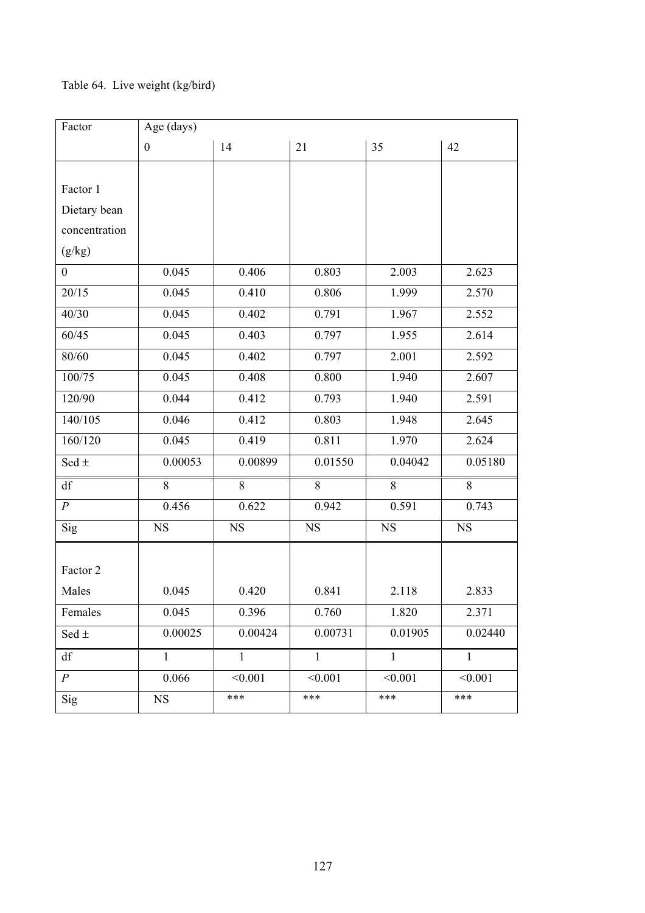# Table 64. Live weight (kg/bird)

| Factor           | Age (days)       |              |              |              |           |
|------------------|------------------|--------------|--------------|--------------|-----------|
|                  | $\boldsymbol{0}$ | 14           | 21           | 35           | 42        |
|                  |                  |              |              |              |           |
| Factor 1         |                  |              |              |              |           |
| Dietary bean     |                  |              |              |              |           |
| concentration    |                  |              |              |              |           |
| (g/kg)           |                  |              |              |              |           |
| $\boldsymbol{0}$ | 0.045            | 0.406        | 0.803        | 2.003        | 2.623     |
| 20/15            | 0.045            | 0.410        | 0.806        | 1.999        | 2.570     |
| 40/30            | 0.045            | 0.402        | 0.791        | 1.967        | 2.552     |
| 60/45            | 0.045            | 0.403        | 0.797        | 1.955        | 2.614     |
| 80/60            | 0.045            | 0.402        | 0.797        | 2.001        | 2.592     |
| 100/75           | 0.045            | 0.408        | 0.800        | 1.940        | 2.607     |
| 120/90           | 0.044            | 0.412        | 0.793        | 1.940        | 2.591     |
| 140/105          | 0.046            | 0.412        | 0.803        | 1.948        | 2.645     |
| 160/120          | 0.045            | 0.419        | 0.811        | 1.970        | 2.624     |
| Sed $\pm$        | 0.00053          | 0.00899      | 0.01550      | 0.04042      | 0.05180   |
| df               | 8                | 8            | 8            | 8            | 8         |
| $\cal P$         | 0.456            | 0.622        | 0.942        | 0.591        | 0.743     |
| Sig              | <b>NS</b>        | <b>NS</b>    | <b>NS</b>    | <b>NS</b>    | <b>NS</b> |
|                  |                  |              |              |              |           |
| Factor 2         |                  |              |              |              |           |
| Males            | 0.045            | 0.420        | 0.841        | 2.118        | 2.833     |
| Females          | 0.045            | 0.396        | 0.760        | 1.820        | 2.371     |
| Sed $\pm$        | 0.00025          | 0.00424      | 0.00731      | 0.01905      | 0.02440   |
| df               | 1                | $\mathbf{1}$ | $\mathbf{1}$ | $\mathbf{1}$ | 1         |
| $\boldsymbol{P}$ | 0.066            | < 0.001      | < 0.001      | < 0.001      | < 0.001   |
| Sig              | $_{\rm NS}$      | ***          | ***          | ***          | ***       |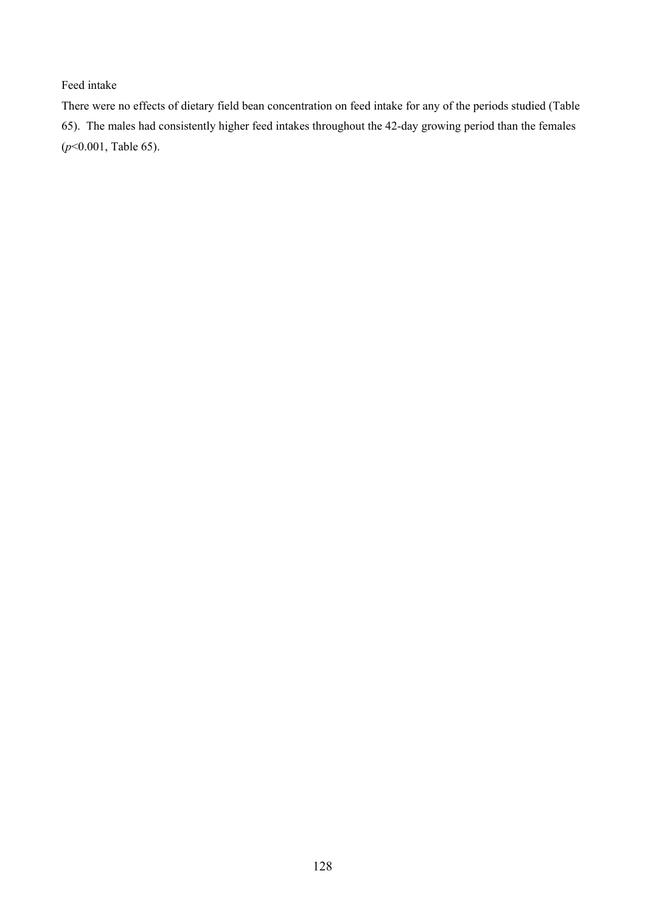Feed intake

There were no effects of dietary field bean concentration on feed intake for any of the periods studied (Table 65). The males had consistently higher feed intakes throughout the 42-day growing period than the females (*p*<0.001, Table 65).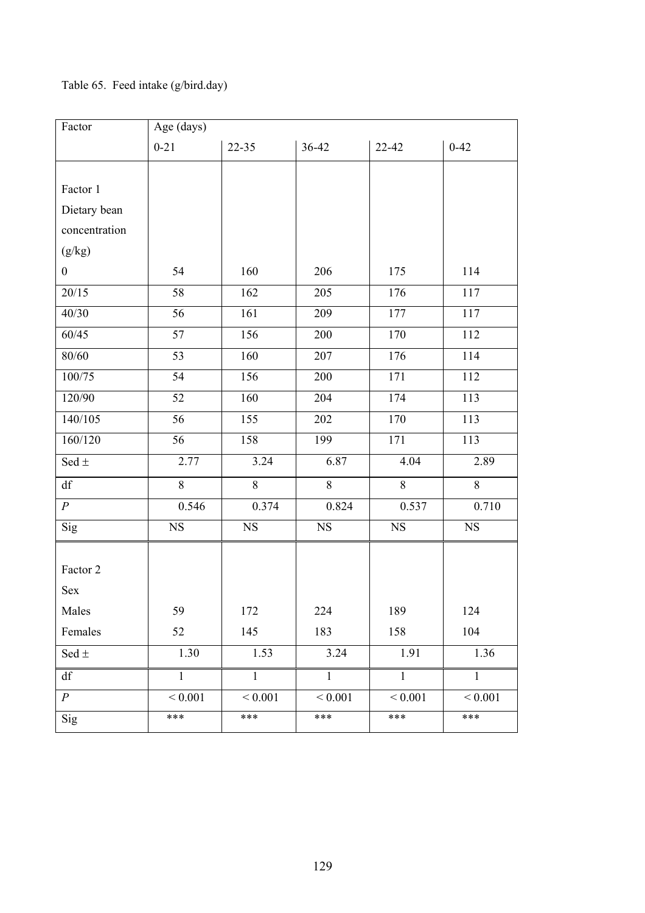# Table 65. Feed intake (g/bird.day)

| Factor           | Age (days)   |              |              |              |              |
|------------------|--------------|--------------|--------------|--------------|--------------|
|                  | $0 - 21$     | $22 - 35$    | $36 - 42$    | 22-42        | $0 - 42$     |
|                  |              |              |              |              |              |
| Factor 1         |              |              |              |              |              |
| Dietary bean     |              |              |              |              |              |
| concentration    |              |              |              |              |              |
| (g/kg)           |              |              |              |              |              |
| $\boldsymbol{0}$ | 54           | 160          | 206          | 175          | 114          |
| 20/15            | 58           | 162          | 205          | 176          | 117          |
| 40/30            | 56           | 161          | 209          | 177          | 117          |
| 60/45            | 57           | 156          | 200          | 170          | 112          |
| 80/60            | 53           | 160          | 207          | 176          | 114          |
| 100/75           | 54           | 156          | 200          | 171          | 112          |
| 120/90           | 52           | 160          | 204          | 174          | 113          |
| 140/105          | 56           | 155          | 202          | 170          | 113          |
| 160/120          | 56           | 158          | 199          | 171          | 113          |
| Sed $\pm$        | 2.77         | 3.24         | 6.87         | 4.04         | 2.89         |
| df               | 8            | 8            | 8            | 8            | 8            |
| $\boldsymbol{P}$ | 0.546        | 0.374        | 0.824        | 0.537        | 0.710        |
| Sig              | $_{\rm NS}$  | $_{\rm NS}$  | $_{\rm NS}$  | $_{\rm NS}$  | $_{\rm NS}$  |
|                  |              |              |              |              |              |
| Factor 2         |              |              |              |              |              |
| Sex              |              |              |              |              |              |
| Males            | 59           | 172          | 224          | 189          | 124          |
| Females          | 52           | 145          | 183          | 158          | 104          |
| Sed $\pm$        | 1.30         | 1.53         | 3.24         | 1.91         | 1.36         |
| df               | $\mathbf{1}$ | $\mathbf{1}$ | $\mathbf{1}$ | $\mathbf{1}$ | $\mathbf{1}$ |
| $\boldsymbol{P}$ | ${}< 0.001$  | < 0.001      | < 0.001      | ${}< 0.001$  | ${}< 0.001$  |
| Sig              | ***          | ***          | ***          | ***          | ***          |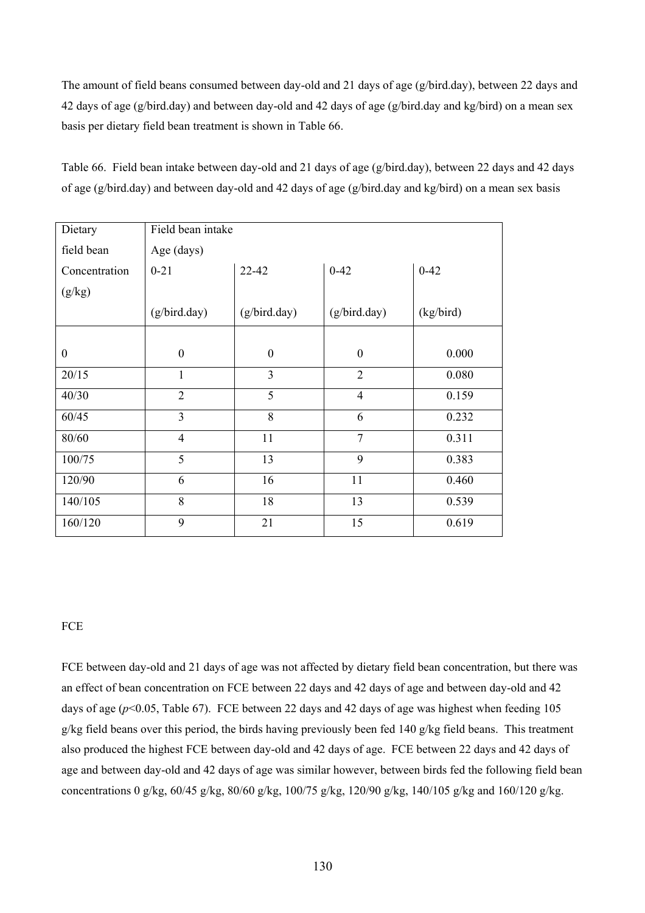The amount of field beans consumed between day-old and 21 days of age (g/bird.day), between 22 days and 42 days of age (g/bird.day) and between day-old and 42 days of age (g/bird.day and kg/bird) on a mean sex basis per dietary field bean treatment is shown in Table 66.

Table 66. Field bean intake between day-old and 21 days of age (g/bird.day), between 22 days and 42 days of age (g/bird.day) and between day-old and 42 days of age (g/bird.day and kg/bird) on a mean sex basis

| Dietary          | Field bean intake |                  |                  |           |
|------------------|-------------------|------------------|------------------|-----------|
| field bean       | Age (days)        |                  |                  |           |
| Concentration    | $0 - 21$          | $22 - 42$        | $0 - 42$         | $0 - 42$  |
| (g/kg)           |                   |                  |                  |           |
|                  | (g/bird.day)      | (g/bird.day)     | (g/bird.day)     | (kg/bird) |
|                  |                   |                  |                  |           |
| $\boldsymbol{0}$ | $\boldsymbol{0}$  | $\boldsymbol{0}$ | $\boldsymbol{0}$ | 0.000     |
| 20/15            | 1                 | $\overline{3}$   | $\overline{2}$   | 0.080     |
| 40/30            | $\overline{2}$    | 5                | $\overline{4}$   | 0.159     |
| 60/45            | $\overline{3}$    | 8                | 6                | 0.232     |
| 80/60            | $\overline{4}$    | 11               | $\overline{7}$   | 0.311     |
| 100/75           | 5                 | 13               | 9                | 0.383     |
| 120/90           | 6                 | 16               | 11               | 0.460     |
| 140/105          | 8                 | 18               | 13               | 0.539     |
| 160/120          | 9                 | 21               | 15               | 0.619     |

### **FCE**

FCE between day-old and 21 days of age was not affected by dietary field bean concentration, but there was an effect of bean concentration on FCE between 22 days and 42 days of age and between day-old and 42 days of age ( $p$ <0.05, Table 67). FCE between 22 days and 42 days of age was highest when feeding 105 g/kg field beans over this period, the birds having previously been fed 140 g/kg field beans. This treatment also produced the highest FCE between day-old and 42 days of age. FCE between 22 days and 42 days of age and between day-old and 42 days of age was similar however, between birds fed the following field bean concentrations 0 g/kg, 60/45 g/kg, 80/60 g/kg, 100/75 g/kg, 120/90 g/kg, 140/105 g/kg and 160/120 g/kg.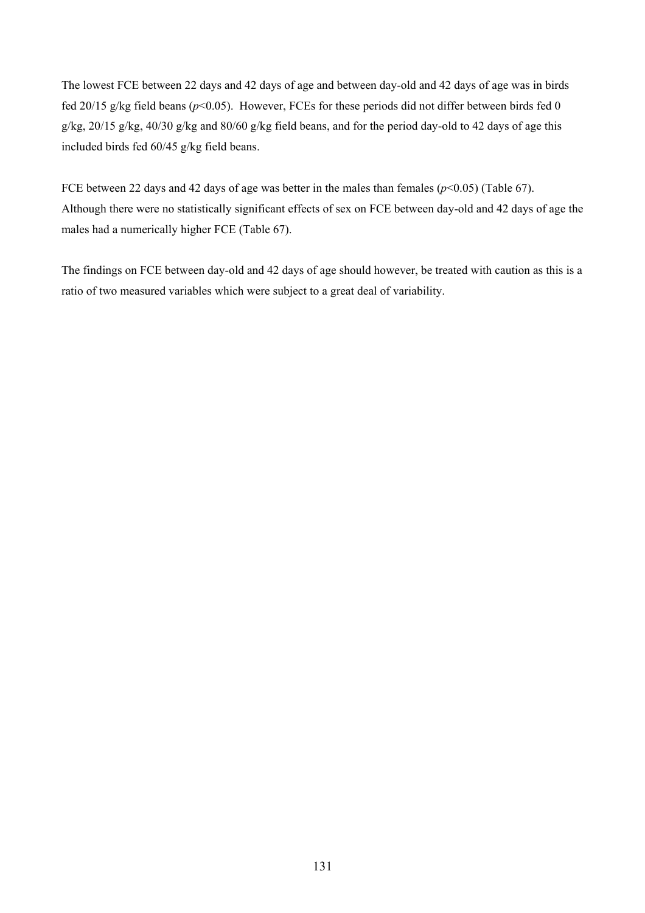The lowest FCE between 22 days and 42 days of age and between day-old and 42 days of age was in birds fed 20/15 g/kg field beans (*p*<0.05). However, FCEs for these periods did not differ between birds fed 0 g/kg, 20/15 g/kg, 40/30 g/kg and 80/60 g/kg field beans, and for the period day-old to 42 days of age this included birds fed 60/45 g/kg field beans.

FCE between 22 days and 42 days of age was better in the males than females  $(p<0.05)$  (Table 67). Although there were no statistically significant effects of sex on FCE between day-old and 42 days of age the males had a numerically higher FCE (Table 67).

The findings on FCE between day-old and 42 days of age should however, be treated with caution as this is a ratio of two measured variables which were subject to a great deal of variability.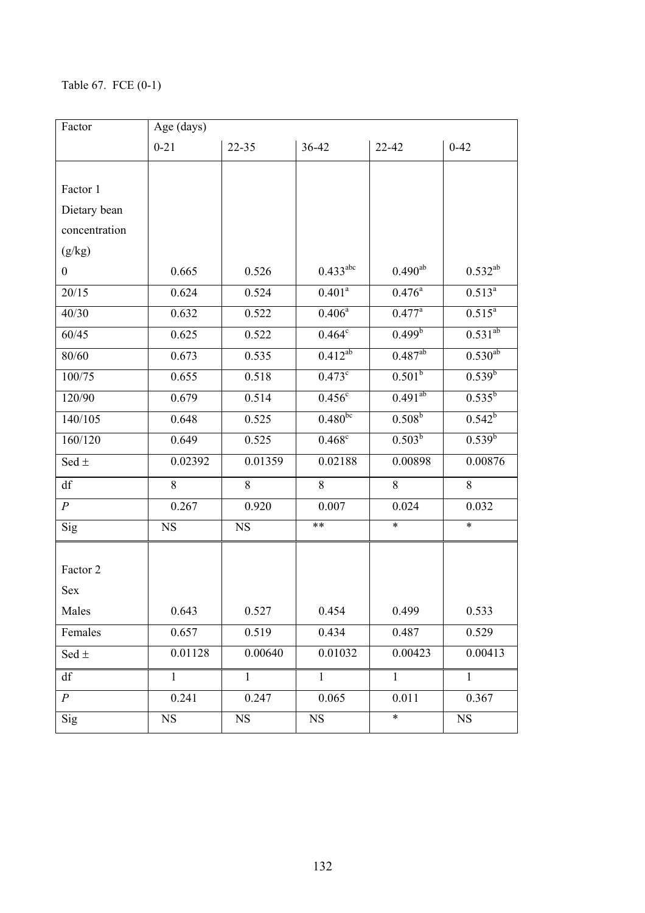## Table 67. FCE (0-1)

| Factor           | Age (days)   |              |                        |                    |                 |
|------------------|--------------|--------------|------------------------|--------------------|-----------------|
|                  | $0 - 21$     | $22 - 35$    | 36-42                  | $22 - 42$          | $0 - 42$        |
|                  |              |              |                        |                    |                 |
| Factor 1         |              |              |                        |                    |                 |
| Dietary bean     |              |              |                        |                    |                 |
| concentration    |              |              |                        |                    |                 |
| (g/kg)           |              |              |                        |                    |                 |
| $\boldsymbol{0}$ | 0.665        | 0.526        | $0.433$ <sup>abc</sup> | $0.490^{ab}$       | $0.532^{ab}$    |
| 20/15            | 0.624        | 0.524        | $0.401^{\rm a}$        | $0.476^{\rm a}$    | $0.513^a$       |
| 40/30            | 0.632        | 0.522        | $0.406^{\text{a}}$     | $0.477^{\rm a}$    | $0.515^{\circ}$ |
| 60/45            | 0.625        | 0.522        | $0.464^{\circ}$        | 0.499 <sup>b</sup> | $0.531^{ab}$    |
| 80/60            | 0.673        | 0.535        | $0.412^{ab}$           | $0.487^{ab}$       | $0.530^{ab}$    |
| 100/75           | 0.655        | 0.518        | $0.473^{\circ}$        | 0.501 <sup>b</sup> | $0.539^{b}$     |
| 120/90           | 0.679        | 0.514        | 0.456 <sup>c</sup>     | $0.491^{ab}$       | $0.535^{b}$     |
| 140/105          | 0.648        | 0.525        | $0.480^{bc}$           | 0.508 <sup>b</sup> | $0.542^b$       |
| 160/120          | 0.649        | 0.525        | $0.468^{\circ}$        | $0.503^{b}$        | $0.539^{b}$     |
| Sed $\pm$        | 0.02392      | 0.01359      | 0.02188                | 0.00898            | 0.00876         |
| df               | 8            | 8            | 8                      | 8                  | $8\,$           |
| $\cal P$         | 0.267        | 0.920        | 0.007                  | 0.024              | 0.032           |
| Sig              | <b>NS</b>    | NS           | $***$                  | $\ast$             | $\ast$          |
|                  |              |              |                        |                    |                 |
| Factor 2         |              |              |                        |                    |                 |
| Sex              |              |              |                        |                    |                 |
| Males            | 0.643        | 0.527        | 0.454                  | 0.499              | 0.533           |
| Females          | 0.657        | 0.519        | 0.434                  | 0.487              | 0.529           |
| Sed $\pm$        | 0.01128      | 0.00640      | 0.01032                | 0.00423            | 0.00413         |
| df               | $\mathbf{1}$ | $\mathbf{1}$ | $\mathbf{1}$           | $\mathbf{1}$       | $\mathbf{1}$    |
| $\boldsymbol{P}$ | 0.241        | 0.247        | 0.065                  | 0.011              | 0.367           |
| Sig              | $_{\rm NS}$  | $_{\rm NS}$  | $_{\rm NS}$            | $\ast$             | $_{\rm NS}$     |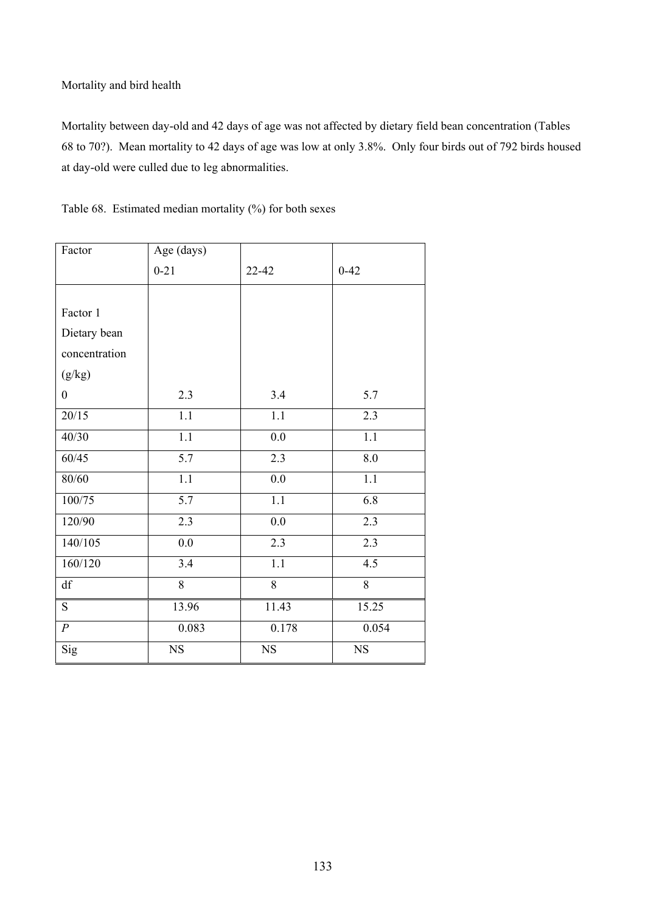### Mortality and bird health

Mortality between day-old and 42 days of age was not affected by dietary field bean concentration (Tables 68 to 70?). Mean mortality to 42 days of age was low at only 3.8%. Only four birds out of 792 birds housed at day-old were culled due to leg abnormalities.

| Table 68. Estimated median mortality $(\% )$ for both sexes |  |
|-------------------------------------------------------------|--|
|                                                             |  |

| Factor           | Age (days)       |                |                  |
|------------------|------------------|----------------|------------------|
|                  | $0 - 21$         | 22-42          | $0 - 42$         |
|                  |                  |                |                  |
| Factor 1         |                  |                |                  |
| Dietary bean     |                  |                |                  |
| concentration    |                  |                |                  |
| (g/kg)           |                  |                |                  |
| $\boldsymbol{0}$ | 2.3              | 3.4            | 5.7              |
| 20/15            | 1.1              | 1.1            | 2.3              |
| 40/30            | $\overline{1.1}$ | 0.0            | 1.1              |
| 60/45            | $\overline{5.7}$ | 2.3            | 8.0              |
| 80/60            | $\overline{1.1}$ | 0.0            | $\overline{1.1}$ |
| 100/75           | $\overline{5.7}$ | 1.1            | 6.8              |
| 120/90           | 2.3              | 0.0            | 2.3              |
| 140/105          | $0.0\,$          | 2.3            | 2.3              |
| 160/120          | 3.4              | 1.1            | 4.5              |
| df               | $\overline{8}$   | $\overline{8}$ | $\overline{8}$   |
| S                | 13.96            | 11.43          | 15.25            |
| $\boldsymbol{P}$ | 0.083            | 0.178          | 0.054            |
| Sig              | <b>NS</b>        | $_{\rm NS}$    | NS               |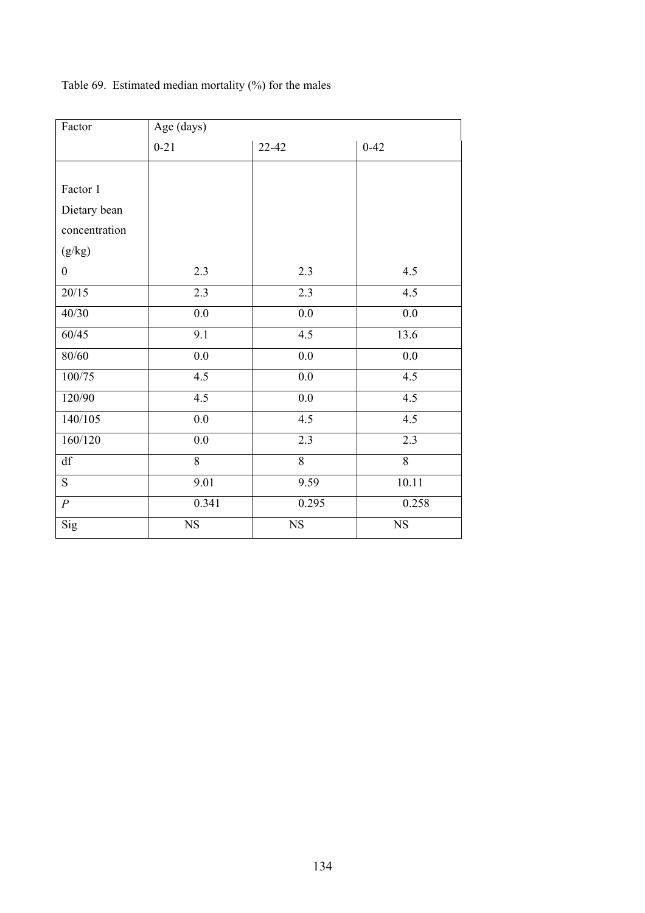| Factor           | Age (days)       |                |                |
|------------------|------------------|----------------|----------------|
|                  | $0 - 21$         | 22-42          | $0 - 42$       |
|                  |                  |                |                |
| Factor 1         |                  |                |                |
| Dietary bean     |                  |                |                |
| concentration    |                  |                |                |
| (g/kg)           |                  |                |                |
| $\overline{0}$   | 2.3              | 2.3            | 4.5            |
| 20/15            | 2.3              | 2.3            | 4.5            |
| 40/30            | 0.0              | 0.0            | 0.0            |
| 60/45            | 9.1              | 4.5            | 13.6           |
| 80/60            | $\overline{0.0}$ | 0.0            | 0.0            |
| 100/75           | 4.5              | $0.0\,$        | 4.5            |
| 120/90           | 4.5              | $0.0\,$        | 4.5            |
| 140/105          | 0.0              | 4.5            | 4.5            |
| 160/120          | $0.0\,$          | 2.3            | 2.3            |
| df               | $\overline{8}$   | $\overline{8}$ | $\overline{8}$ |
| S.               | 9.01             | 9.59           | 10.11          |
| $\boldsymbol{P}$ | 0.341            | 0.295          | 0.258          |
| Sig              | $_{\rm NS}$      | $_{\rm NS}$    | $_{\rm NS}$    |

Table 69. Estimated median mortality (%) for the males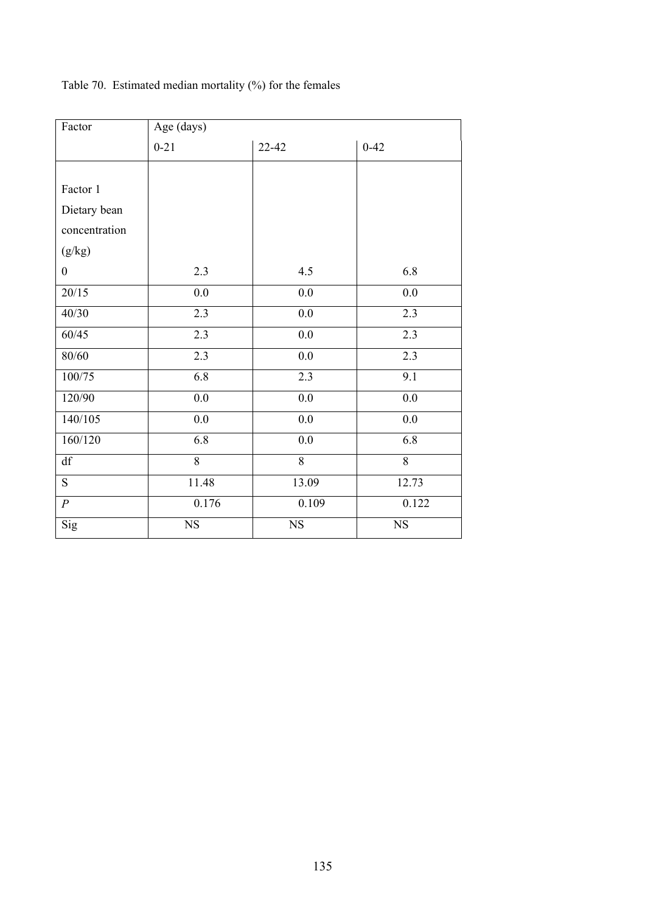| Factor           | Age (days)       |                  |                  |
|------------------|------------------|------------------|------------------|
|                  | $0 - 21$         | 22-42            | $0 - 42$         |
|                  |                  |                  |                  |
| Factor 1         |                  |                  |                  |
| Dietary bean     |                  |                  |                  |
| concentration    |                  |                  |                  |
| (g/kg)           |                  |                  |                  |
| $\boldsymbol{0}$ | 2.3              | 4.5              | 6.8              |
| 20/15            | $0.0\,$          | 0.0              | 0.0              |
| 40/30            | 2.3              | 0.0              | 2.3              |
| 60/45            | 2.3              | 0.0              | 2.3              |
| 80/60            | $\overline{2.3}$ | $\overline{0.0}$ | $\overline{2.3}$ |
| 100/75           | 6.8              | 2.3              | 9.1              |
| 120/90           | 0.0              | 0.0              | 0.0              |
| 140/105          | $0.0\,$          | $0.0\,$          | $0.0\,$          |
| 160/120          | 6.8              | 0.0              | 6.8              |
| df               | 8                | 8                | $\overline{8}$   |
| S                | 11.48            | 13.09            | 12.73            |
| $\boldsymbol{P}$ | 0.176            | 0.109            | 0.122            |
| Sig              | $_{\rm NS}$      | $_{\rm NS}$      | $_{\rm NS}$      |

Table 70. Estimated median mortality (%) for the females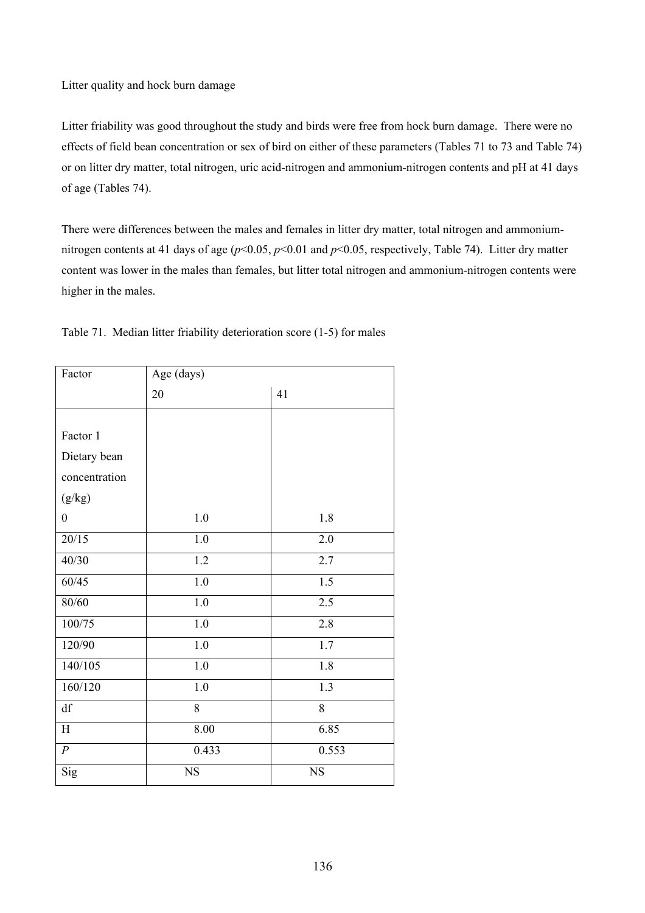Litter quality and hock burn damage

Litter friability was good throughout the study and birds were free from hock burn damage. There were no effects of field bean concentration or sex of bird on either of these parameters (Tables 71 to 73 and Table 74) or on litter dry matter, total nitrogen, uric acid-nitrogen and ammonium-nitrogen contents and pH at 41 days of age (Tables 74).

There were differences between the males and females in litter dry matter, total nitrogen and ammoniumnitrogen contents at 41 days of age ( $p$ <0.05,  $p$ <0.01 and  $p$ <0.05, respectively, Table 74). Litter dry matter content was lower in the males than females, but litter total nitrogen and ammonium-nitrogen contents were higher in the males.

| Factor           | Age (days)       |                  |
|------------------|------------------|------------------|
|                  | 20               | 41               |
|                  |                  |                  |
| Factor 1         |                  |                  |
| Dietary bean     |                  |                  |
| concentration    |                  |                  |
| (g/kg)           |                  |                  |
| $\boldsymbol{0}$ | $1.0\,$          | 1.8              |
| 20/15            | $1.0\,$          | 2.0              |
| 40/30            | $1.2$            | 2.7              |
| 60/45            | $\overline{1.0}$ | $\overline{1.5}$ |
| 80/60            | $\overline{1.0}$ | 2.5              |
| 100/75           | $1.0\,$          | 2.8              |
| 120/90           | $1.0\,$          | 1.7              |
| 140/105          | 1.0              | 1.8              |
| 160/120          | $1.0\,$          | 1.3              |
| df               | 8                | $\overline{8}$   |
| H                | 8.00             | 6.85             |
| $\boldsymbol{P}$ | 0.433            | 0.553            |
| Sig              | $_{\rm NS}$      | <b>NS</b>        |

Table 71. Median litter friability deterioration score (1-5) for males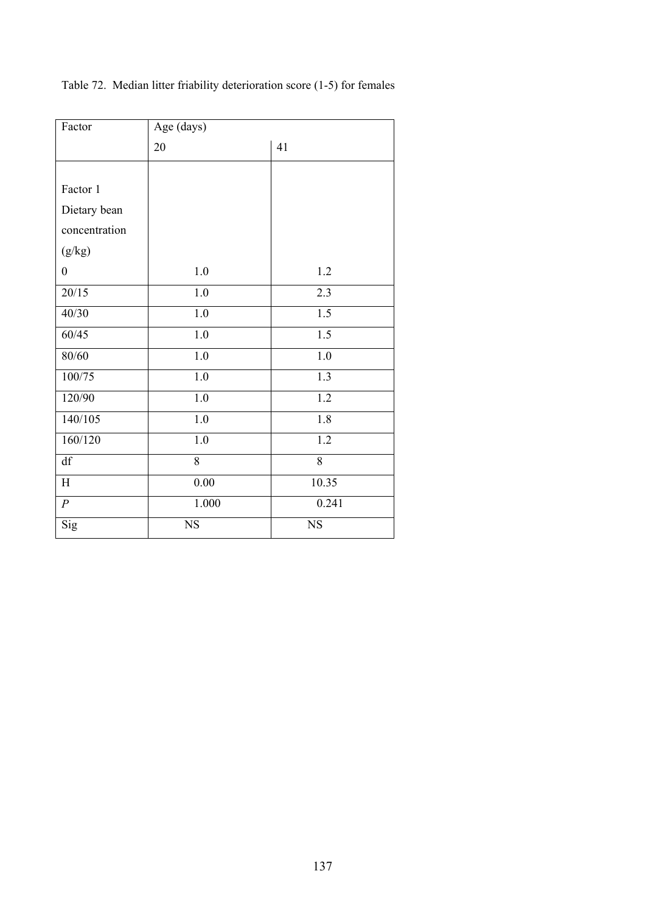| Factor           | Age (days) |                  |
|------------------|------------|------------------|
|                  | 20         | 41               |
|                  |            |                  |
| Factor 1         |            |                  |
| Dietary bean     |            |                  |
| concentration    |            |                  |
| (g/kg)           |            |                  |
| $\boldsymbol{0}$ | $1.0\,$    | 1.2              |
| 20/15            | $1.0\,$    | 2.3              |
| 40/30            | $1.0\,$    | $\overline{1.5}$ |
| 60/45            | $1.0\,$    | 1.5              |
| 80/60            | $1.0\,$    | $1.0\,$          |
| 100/75           | $1.0\,$    | $\overline{1.3}$ |
| 120/90           | 1.0        | 1.2              |
| 140/105          | 1.0        | 1.8              |
| 160/120          | 1.0        | 1.2              |
| df               | 8          | $\overline{8}$   |
| H                | $0.00\,$   | 10.35            |
| $\boldsymbol{P}$ | 1.000      | 0.241            |
| Sig              | <b>NS</b>  | <b>NS</b>        |

Table 72. Median litter friability deterioration score (1-5) for females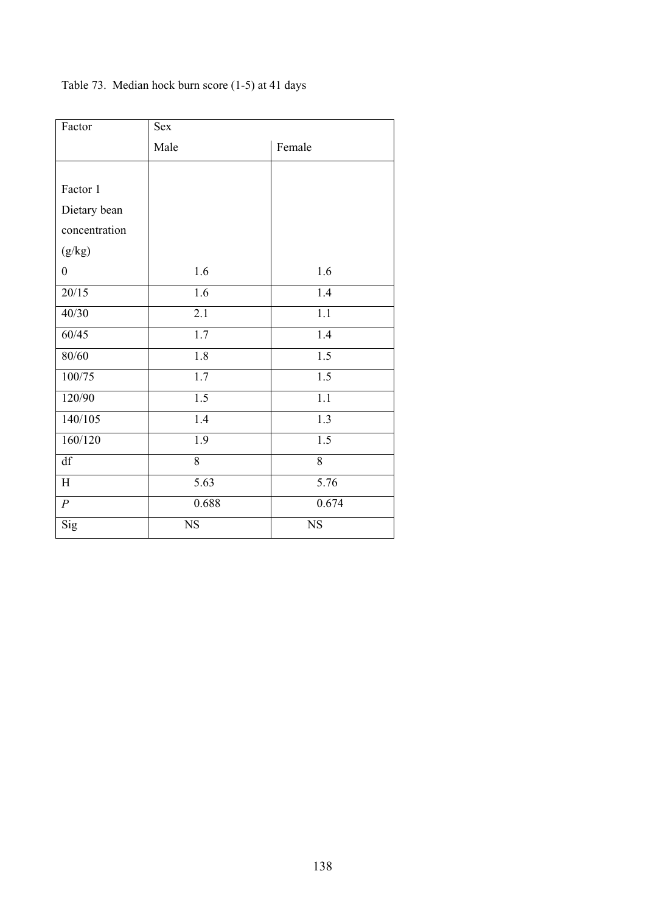| Factor           | <b>Sex</b>       |                  |  |
|------------------|------------------|------------------|--|
|                  | Male             | Female           |  |
|                  |                  |                  |  |
| Factor 1         |                  |                  |  |
| Dietary bean     |                  |                  |  |
| concentration    |                  |                  |  |
| (g/kg)           |                  |                  |  |
| $\boldsymbol{0}$ | 1.6              | 1.6              |  |
| 20/15            | 1.6              | 1.4              |  |
| 40/30            | 2.1              | $\overline{1.1}$ |  |
| 60/45            | $\overline{1.7}$ | $\overline{1.4}$ |  |
| 80/60            | $\overline{1.8}$ | 1.5              |  |
| 100/75           | $\overline{1.7}$ | $\overline{1.5}$ |  |
| 120/90           | 1.5              | 1.1              |  |
| 140/105          | 1.4              | 1.3              |  |
| 160/120          | 1.9              | 1.5              |  |
| df               | 8                | $\overline{8}$   |  |
| H                | 5.63             | 5.76             |  |
| $\boldsymbol{P}$ | 0.688            | 0.674            |  |
| Sig              | $_{\rm NS}$      | $_{\rm NS}$      |  |

# Table 73. Median hock burn score (1-5) at 41 days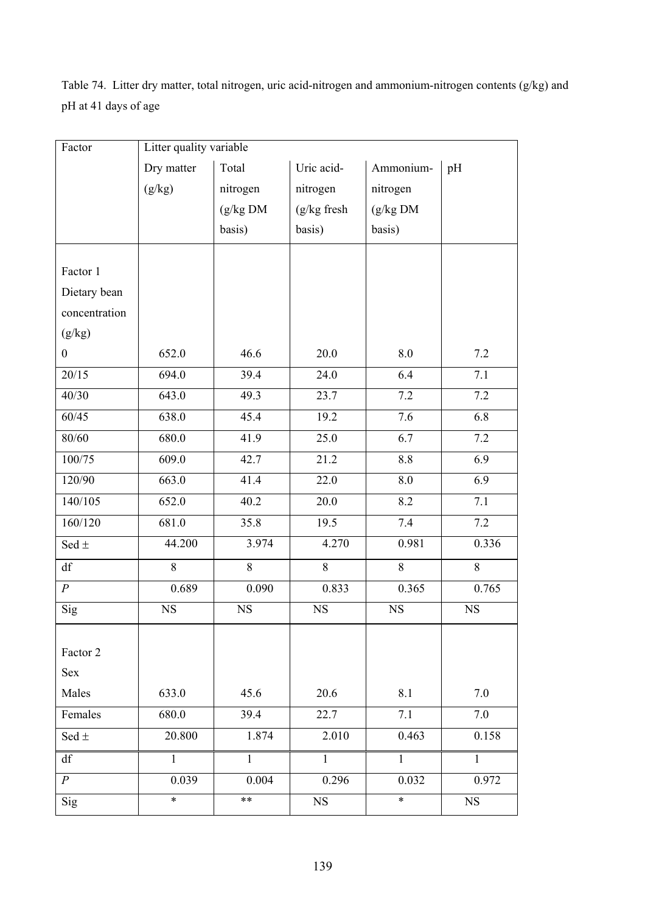Table 74. Litter dry matter, total nitrogen, uric acid-nitrogen and ammonium-nitrogen contents (g/kg) and pH at 41 days of age

| Factor           | Litter quality variable |              |               |                  |                  |
|------------------|-------------------------|--------------|---------------|------------------|------------------|
|                  | Dry matter              | Total        | Uric acid-    | Ammonium-        | pH               |
|                  | (g/kg)                  | nitrogen     | nitrogen      | nitrogen         |                  |
|                  |                         | (g/kg DM)    | $(g/kg$ fresh | (g/kg DM)        |                  |
|                  |                         | basis)       | basis)        | basis)           |                  |
|                  |                         |              |               |                  |                  |
| Factor 1         |                         |              |               |                  |                  |
| Dietary bean     |                         |              |               |                  |                  |
| concentration    |                         |              |               |                  |                  |
| (g/kg)           |                         |              |               |                  |                  |
| $\boldsymbol{0}$ | 652.0                   | 46.6         | 20.0          | 8.0              | 7.2              |
| 20/15            | 694.0                   | 39.4         | 24.0          | 6.4              | 7.1              |
| 40/30            | 643.0                   | 49.3         | 23.7          | 7.2              | 7.2              |
| 60/45            | 638.0                   | 45.4         | 19.2          | 7.6              | 6.8              |
| 80/60            | 680.0                   | 41.9         | 25.0          | 6.7              | 7.2              |
| 100/75           | 609.0                   | 42.7         | 21.2          | 8.8              | 6.9              |
| 120/90           | 663.0                   | 41.4         | 22.0          | 8.0              | 6.9              |
| 140/105          | 652.0                   | 40.2         | 20.0          | $\overline{8.2}$ | $\overline{7.1}$ |
| 160/120          | 681.0                   | 35.8         | 19.5          | 7.4              | 7.2              |
| Sed $\pm$        | 44.200                  | 3.974        | 4.270         | 0.981            | 0.336            |
| df               | 8                       | $8\,$        | $\,8\,$       | 8                | 8                |
| $\boldsymbol{P}$ | 0.689                   | 0.090        | 0.833         | 0.365            | 0.765            |
| Sig              | $_{\rm NS}$             | $_{\rm NS}$  | $_{\rm NS}$   | $_{\rm NS}$      | $_{\rm NS}$      |
|                  |                         |              |               |                  |                  |
| Factor 2         |                         |              |               |                  |                  |
| <b>Sex</b>       |                         |              |               |                  |                  |
| Males            | 633.0                   | 45.6         | 20.6          | 8.1              | 7.0              |
| Females          | 680.0                   | 39.4         | 22.7          | 7.1              | 7.0              |
| Sed $\pm$        | 20.800                  | 1.874        | 2.010         | 0.463            | 0.158            |
| df               | $\mathbf{1}$            | $\mathbf{1}$ | $\mathbf{1}$  | $\mathbf{1}$     | $\mathbf{1}$     |
| $\boldsymbol{P}$ | 0.039                   | 0.004        | 0.296         | 0.032            | 0.972            |
| Sig              | $\ast$                  | **           | $_{\rm NS}$   | $\ast$           | $_{\rm NS}$      |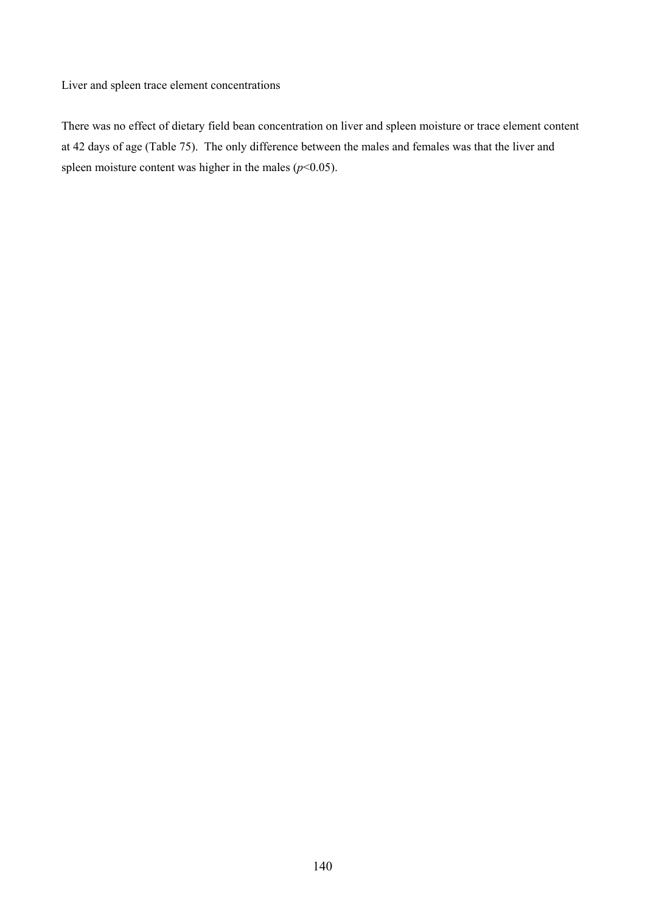Liver and spleen trace element concentrations

There was no effect of dietary field bean concentration on liver and spleen moisture or trace element content at 42 days of age (Table 75). The only difference between the males and females was that the liver and spleen moisture content was higher in the males  $(p<0.05)$ .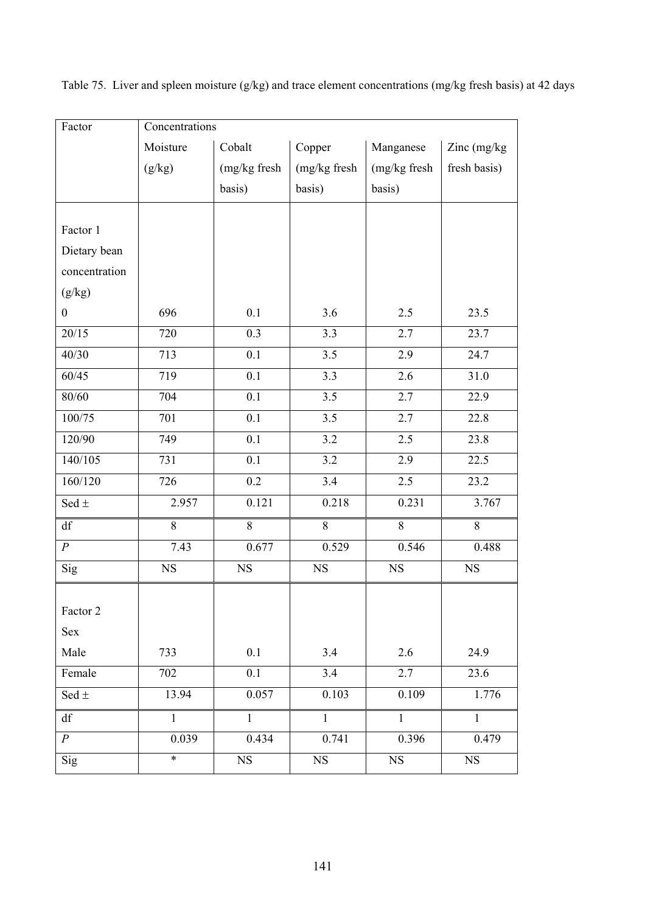| Factor                 | Concentrations |                  |                  |              |              |
|------------------------|----------------|------------------|------------------|--------------|--------------|
|                        | Moisture       | Cobalt           | Copper           | Manganese    | Zinc (mg/kg) |
|                        | (g/kg)         | (mg/kg fresh     | (mg/kg fresh     | (mg/kg fresh | fresh basis) |
|                        |                | basis)           | basis)           | basis)       |              |
|                        |                |                  |                  |              |              |
| Factor 1               |                |                  |                  |              |              |
| Dietary bean           |                |                  |                  |              |              |
| concentration          |                |                  |                  |              |              |
| (g/kg)                 |                |                  |                  |              |              |
| $\boldsymbol{0}$       | 696            | 0.1              | 3.6              | 2.5          | 23.5         |
| 20/15                  | 720            | $\overline{0.3}$ | $\overline{3.3}$ | 2.7          | 23.7         |
| 40/30                  | 713            | 0.1              | $3.\overline{5}$ | 2.9          | 24.7         |
| 60/45                  | 719            | 0.1              | $\overline{3.3}$ | 2.6          | 31.0         |
| 80/60                  | 704            | $\overline{0.1}$ | 3.5              | 2.7          | 22.9         |
| 100/75                 | 701            | $\overline{0.1}$ | $\overline{3.5}$ | 2.7          | 22.8         |
| 120/90                 | 749            | 0.1              | 3.2              | 2.5          | 23.8         |
| 140/105                | 731            | 0.1              | 3.2              | 2.9          | 22.5         |
| 160/120                | 726            | 0.2              | 3.4              | 2.5          | 23.2         |
| Sed $\pm$              | 2.957          | 0.121            | 0.218            | 0.231        | 3.767        |
| $\mathrm{d}\mathbf{f}$ | 8              | 8                | $8\,$            | $8\,$        | 8            |
| $\boldsymbol{P}$       | 7.43           | 0.677            | 0.529            | 0.546        | 0.488        |
| Sig                    | <b>NS</b>      | <b>NS</b>        | <b>NS</b>        | <b>NS</b>    | <b>NS</b>    |
| Factor 2               |                |                  |                  |              |              |
| Sex                    |                |                  |                  |              |              |
|                        |                | 0.1              | 3.4              | 2.6          | 24.9         |
| Male                   | 733            |                  |                  |              |              |
| Female                 | 702            | 0.1              | 3.4              | 2.7          | 23.6         |
| Sed $\pm$              | 13.94          | 0.057            | 0.103            | 0.109        | 1.776        |
| $\mathrm{d}\mathrm{f}$ | $\mathbf{1}$   | $\mathbf{1}$     | $\mathbf{1}$     | $\mathbf{1}$ | $\mathbf{1}$ |
| $\boldsymbol{P}$       | 0.039          | 0.434            | 0.741            | 0.396        | 0.479        |
| Sig                    | $\ast$         | NS               | NS               | $_{\rm NS}$  | NS           |

Table 75. Liver and spleen moisture (g/kg) and trace element concentrations (mg/kg fresh basis) at 42 days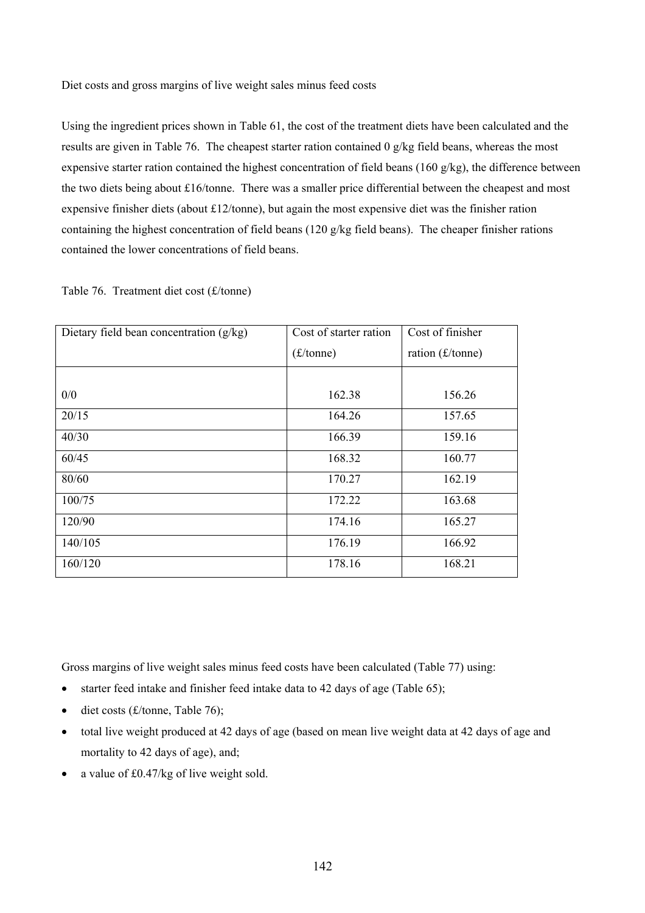Diet costs and gross margins of live weight sales minus feed costs

Using the ingredient prices shown in Table 61, the cost of the treatment diets have been calculated and the results are given in Table 76. The cheapest starter ration contained 0 g/kg field beans, whereas the most expensive starter ration contained the highest concentration of field beans (160 g/kg), the difference between the two diets being about £16/tonne. There was a smaller price differential between the cheapest and most expensive finisher diets (about £12/tonne), but again the most expensive diet was the finisher ration containing the highest concentration of field beans (120 g/kg field beans). The cheaper finisher rations contained the lower concentrations of field beans.

| Dietary field bean concentration $(g/kg)$ | Cost of starter ration          | Cost of finisher   |
|-------------------------------------------|---------------------------------|--------------------|
|                                           | $(\text{\pounds}/\text{tonne})$ | ration $(f/tonne)$ |
|                                           |                                 |                    |
| 0/0                                       | 162.38                          | 156.26             |
| 20/15                                     | 164.26                          | 157.65             |
| 40/30                                     | 166.39                          | 159.16             |
| 60/45                                     | 168.32                          | 160.77             |
| 80/60                                     | 170.27                          | 162.19             |
| 100/75                                    | 172.22                          | 163.68             |
| 120/90                                    | 174.16                          | 165.27             |
| 140/105                                   | 176.19                          | 166.92             |
| 160/120                                   | 178.16                          | 168.21             |

Table 76. Treatment diet cost (£/tonne)

Gross margins of live weight sales minus feed costs have been calculated (Table 77) using:

- starter feed intake and finisher feed intake data to 42 days of age (Table 65);
- diet costs  $(E/\text{tonne}, \text{Table 76})$ ;
- total live weight produced at 42 days of age (based on mean live weight data at 42 days of age and mortality to 42 days of age), and;
- a value of £0.47/kg of live weight sold.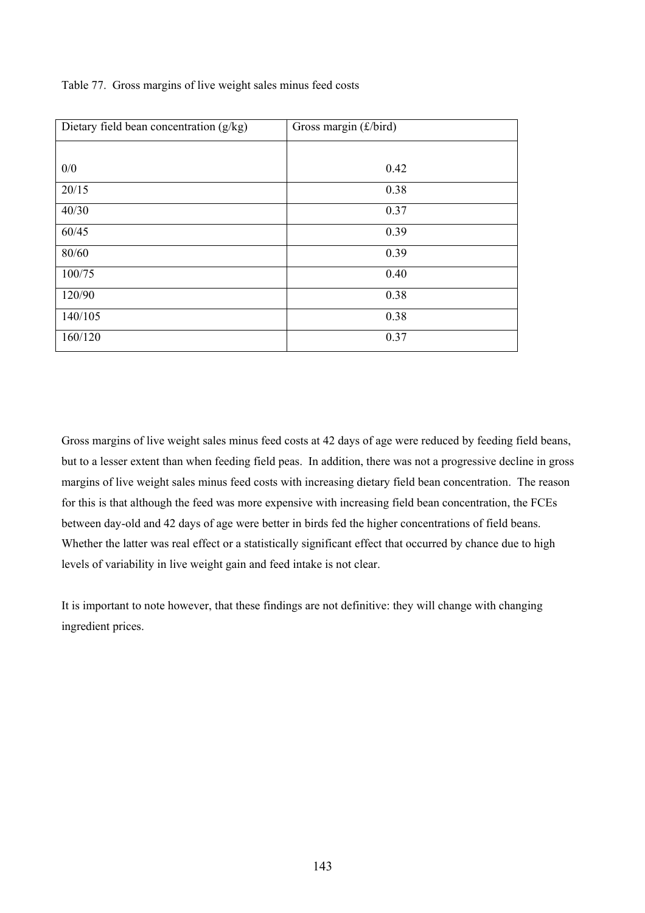Table 77. Gross margins of live weight sales minus feed costs

| Dietary field bean concentration $(g/kg)$ | Gross margin (£/bird) |
|-------------------------------------------|-----------------------|
|                                           |                       |
| 0/0                                       | 0.42                  |
| 20/15                                     | 0.38                  |
| 40/30                                     | 0.37                  |
| 60/45                                     | 0.39                  |
| 80/60                                     | 0.39                  |
| 100/75                                    | 0.40                  |
| 120/90                                    | 0.38                  |
| 140/105                                   | 0.38                  |
| 160/120                                   | 0.37                  |

Gross margins of live weight sales minus feed costs at 42 days of age were reduced by feeding field beans, but to a lesser extent than when feeding field peas. In addition, there was not a progressive decline in gross margins of live weight sales minus feed costs with increasing dietary field bean concentration. The reason for this is that although the feed was more expensive with increasing field bean concentration, the FCEs between day-old and 42 days of age were better in birds fed the higher concentrations of field beans. Whether the latter was real effect or a statistically significant effect that occurred by chance due to high levels of variability in live weight gain and feed intake is not clear.

It is important to note however, that these findings are not definitive: they will change with changing ingredient prices.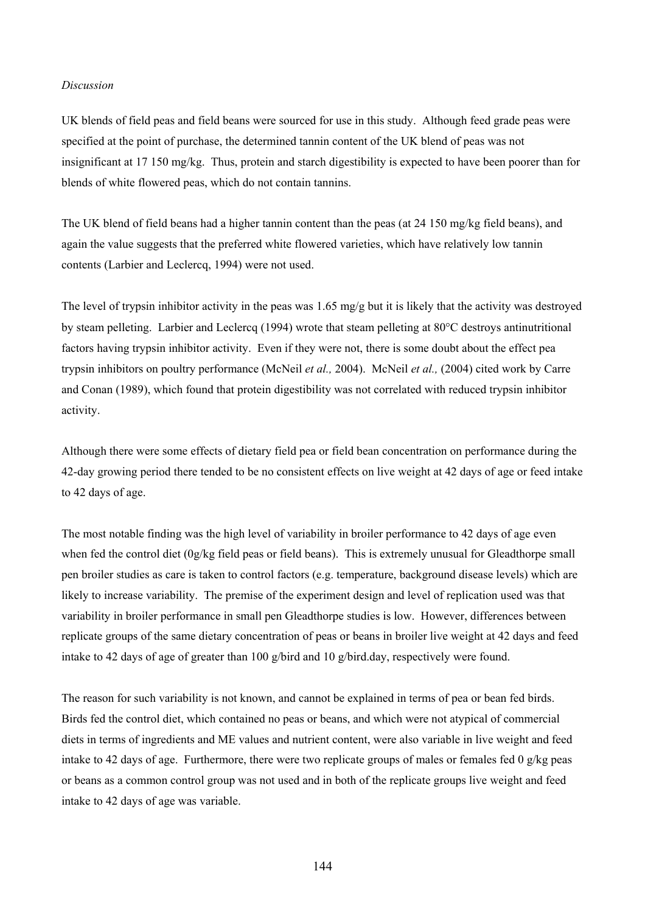#### *Discussion*

UK blends of field peas and field beans were sourced for use in this study. Although feed grade peas were specified at the point of purchase, the determined tannin content of the UK blend of peas was not insignificant at 17 150 mg/kg. Thus, protein and starch digestibility is expected to have been poorer than for blends of white flowered peas, which do not contain tannins.

The UK blend of field beans had a higher tannin content than the peas (at 24 150 mg/kg field beans), and again the value suggests that the preferred white flowered varieties, which have relatively low tannin contents (Larbier and Leclercq, 1994) were not used.

The level of trypsin inhibitor activity in the peas was 1.65 mg/g but it is likely that the activity was destroyed by steam pelleting. Larbier and Leclercq (1994) wrote that steam pelleting at 80°C destroys antinutritional factors having trypsin inhibitor activity. Even if they were not, there is some doubt about the effect pea trypsin inhibitors on poultry performance (McNeil *et al.,* 2004). McNeil *et al.,* (2004) cited work by Carre and Conan (1989), which found that protein digestibility was not correlated with reduced trypsin inhibitor activity.

Although there were some effects of dietary field pea or field bean concentration on performance during the 42-day growing period there tended to be no consistent effects on live weight at 42 days of age or feed intake to 42 days of age.

The most notable finding was the high level of variability in broiler performance to 42 days of age even when fed the control diet (0g/kg field peas or field beans). This is extremely unusual for Gleadthorpe small pen broiler studies as care is taken to control factors (e.g. temperature, background disease levels) which are likely to increase variability. The premise of the experiment design and level of replication used was that variability in broiler performance in small pen Gleadthorpe studies is low. However, differences between replicate groups of the same dietary concentration of peas or beans in broiler live weight at 42 days and feed intake to 42 days of age of greater than 100 g/bird and 10 g/bird.day, respectively were found.

The reason for such variability is not known, and cannot be explained in terms of pea or bean fed birds. Birds fed the control diet, which contained no peas or beans, and which were not atypical of commercial diets in terms of ingredients and ME values and nutrient content, were also variable in live weight and feed intake to 42 days of age. Furthermore, there were two replicate groups of males or females fed  $0 \frac{\alpha}{\text{kg}}$  peas or beans as a common control group was not used and in both of the replicate groups live weight and feed intake to 42 days of age was variable.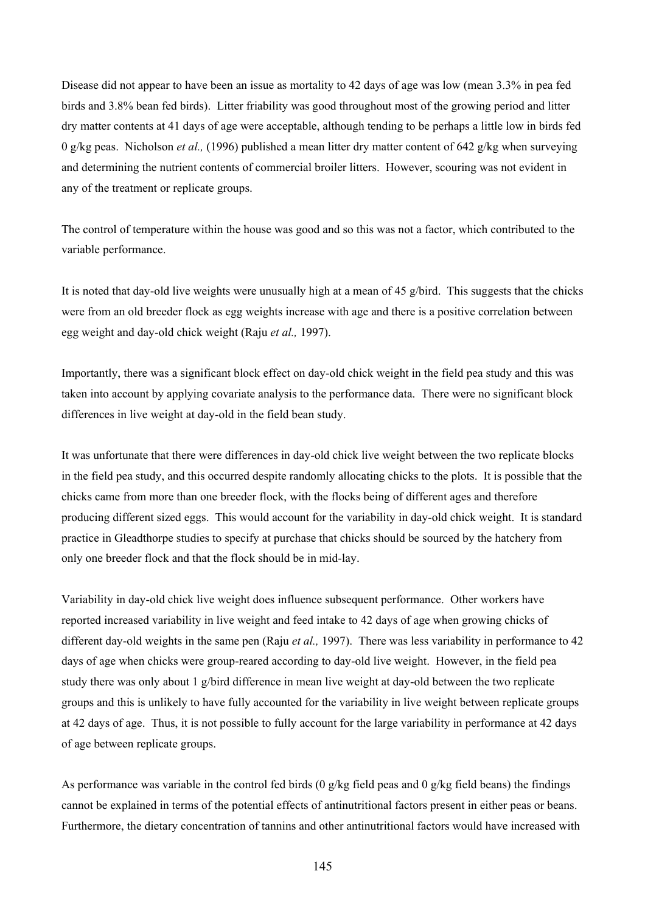Disease did not appear to have been an issue as mortality to 42 days of age was low (mean 3.3% in pea fed birds and 3.8% bean fed birds). Litter friability was good throughout most of the growing period and litter dry matter contents at 41 days of age were acceptable, although tending to be perhaps a little low in birds fed 0 g/kg peas. Nicholson *et al.,* (1996) published a mean litter dry matter content of 642 g/kg when surveying and determining the nutrient contents of commercial broiler litters. However, scouring was not evident in any of the treatment or replicate groups.

The control of temperature within the house was good and so this was not a factor, which contributed to the variable performance.

It is noted that day-old live weights were unusually high at a mean of 45  $g/bird$ . This suggests that the chicks were from an old breeder flock as egg weights increase with age and there is a positive correlation between egg weight and day-old chick weight (Raju *et al.,* 1997).

Importantly, there was a significant block effect on day-old chick weight in the field pea study and this was taken into account by applying covariate analysis to the performance data. There were no significant block differences in live weight at day-old in the field bean study.

It was unfortunate that there were differences in day-old chick live weight between the two replicate blocks in the field pea study, and this occurred despite randomly allocating chicks to the plots. It is possible that the chicks came from more than one breeder flock, with the flocks being of different ages and therefore producing different sized eggs. This would account for the variability in day-old chick weight. It is standard practice in Gleadthorpe studies to specify at purchase that chicks should be sourced by the hatchery from only one breeder flock and that the flock should be in mid-lay.

Variability in day-old chick live weight does influence subsequent performance. Other workers have reported increased variability in live weight and feed intake to 42 days of age when growing chicks of different day-old weights in the same pen (Raju *et al.,* 1997). There was less variability in performance to 42 days of age when chicks were group-reared according to day-old live weight. However, in the field pea study there was only about 1 g/bird difference in mean live weight at day-old between the two replicate groups and this is unlikely to have fully accounted for the variability in live weight between replicate groups at 42 days of age. Thus, it is not possible to fully account for the large variability in performance at 42 days of age between replicate groups.

As performance was variable in the control fed birds (0 g/kg field peas and 0 g/kg field beans) the findings cannot be explained in terms of the potential effects of antinutritional factors present in either peas or beans. Furthermore, the dietary concentration of tannins and other antinutritional factors would have increased with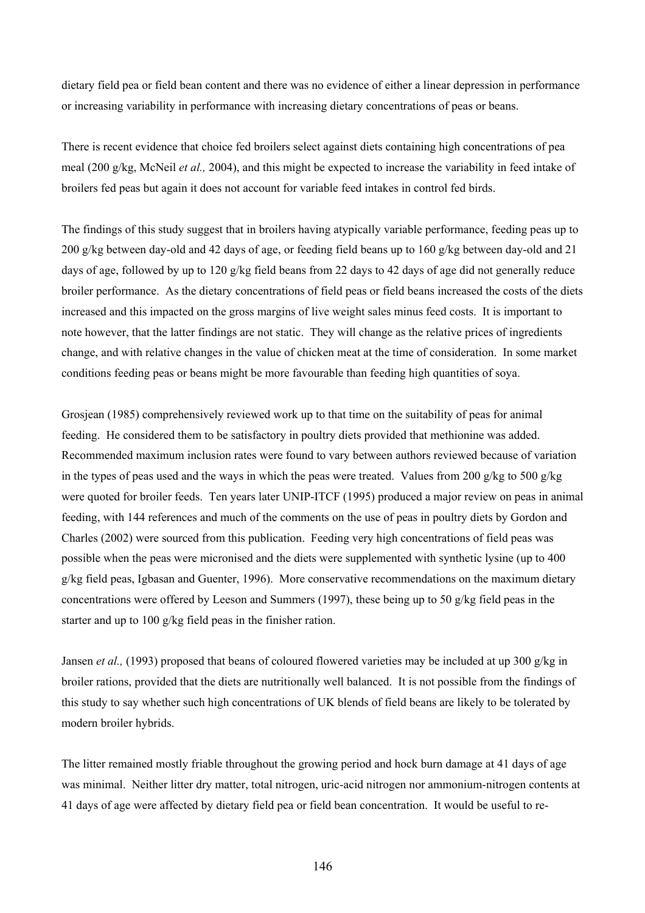dietary field pea or field bean content and there was no evidence of either a linear depression in performance or increasing variability in performance with increasing dietary concentrations of peas or beans.

There is recent evidence that choice fed broilers select against diets containing high concentrations of pea meal (200 g/kg, McNeil *et al.,* 2004), and this might be expected to increase the variability in feed intake of broilers fed peas but again it does not account for variable feed intakes in control fed birds.

The findings of this study suggest that in broilers having atypically variable performance, feeding peas up to 200 g/kg between day-old and 42 days of age, or feeding field beans up to 160 g/kg between day-old and 21 days of age, followed by up to 120 g/kg field beans from 22 days to 42 days of age did not generally reduce broiler performance. As the dietary concentrations of field peas or field beans increased the costs of the diets increased and this impacted on the gross margins of live weight sales minus feed costs. It is important to note however, that the latter findings are not static. They will change as the relative prices of ingredients change, and with relative changes in the value of chicken meat at the time of consideration. In some market conditions feeding peas or beans might be more favourable than feeding high quantities of soya.

Grosjean (1985) comprehensively reviewed work up to that time on the suitability of peas for animal feeding. He considered them to be satisfactory in poultry diets provided that methionine was added. Recommended maximum inclusion rates were found to vary between authors reviewed because of variation in the types of peas used and the ways in which the peas were treated. Values from 200 g/kg to 500 g/kg were quoted for broiler feeds. Ten years later UNIP-ITCF (1995) produced a major review on peas in animal feeding, with 144 references and much of the comments on the use of peas in poultry diets by Gordon and Charles (2002) were sourced from this publication. Feeding very high concentrations of field peas was possible when the peas were micronised and the diets were supplemented with synthetic lysine (up to 400 g/kg field peas, Igbasan and Guenter, 1996). More conservative recommendations on the maximum dietary concentrations were offered by Leeson and Summers (1997), these being up to 50 g/kg field peas in the starter and up to 100 g/kg field peas in the finisher ration.

Jansen *et al.,* (1993) proposed that beans of coloured flowered varieties may be included at up 300 g/kg in broiler rations, provided that the diets are nutritionally well balanced. It is not possible from the findings of this study to say whether such high concentrations of UK blends of field beans are likely to be tolerated by modern broiler hybrids.

The litter remained mostly friable throughout the growing period and hock burn damage at 41 days of age was minimal. Neither litter dry matter, total nitrogen, uric-acid nitrogen nor ammonium-nitrogen contents at 41 days of age were affected by dietary field pea or field bean concentration. It would be useful to re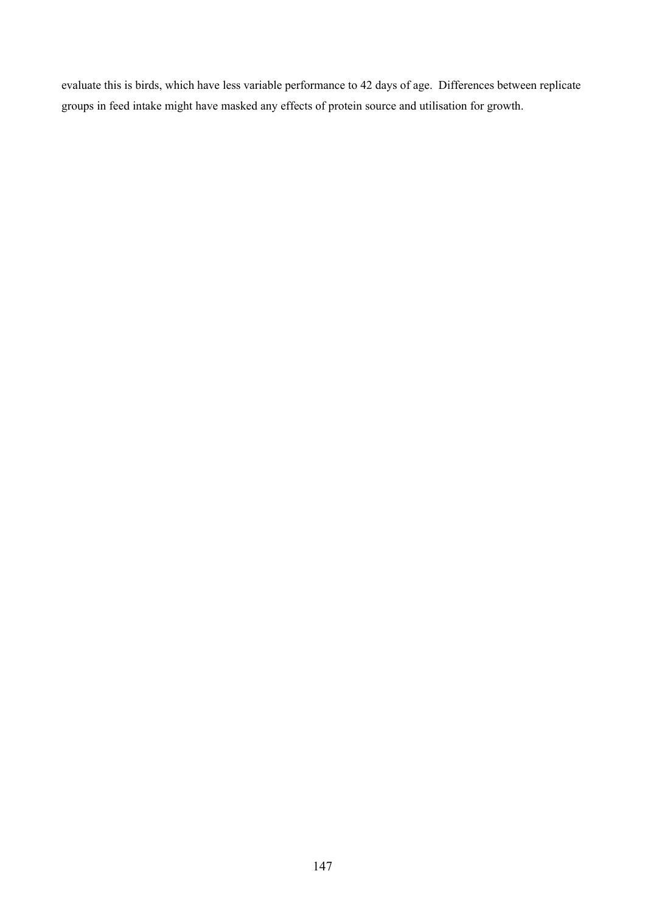evaluate this is birds, which have less variable performance to 42 days of age. Differences between replicate groups in feed intake might have masked any effects of protein source and utilisation for growth.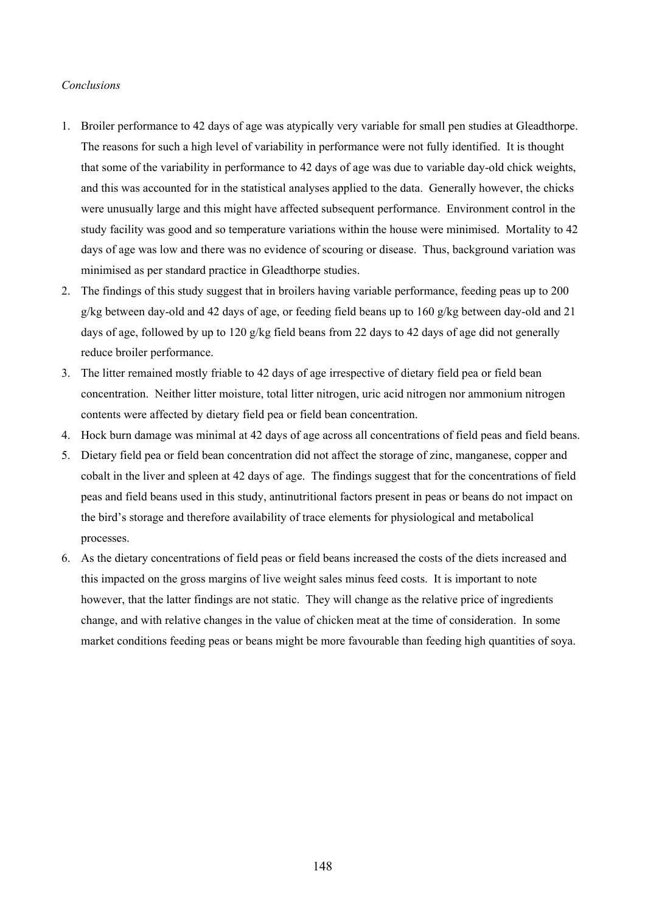### *Conclusions*

- 1. Broiler performance to 42 days of age was atypically very variable for small pen studies at Gleadthorpe. The reasons for such a high level of variability in performance were not fully identified. It is thought that some of the variability in performance to 42 days of age was due to variable day-old chick weights, and this was accounted for in the statistical analyses applied to the data. Generally however, the chicks were unusually large and this might have affected subsequent performance. Environment control in the study facility was good and so temperature variations within the house were minimised. Mortality to 42 days of age was low and there was no evidence of scouring or disease. Thus, background variation was minimised as per standard practice in Gleadthorpe studies.
- 2. The findings of this study suggest that in broilers having variable performance, feeding peas up to 200 g/kg between day-old and 42 days of age, or feeding field beans up to 160 g/kg between day-old and 21 days of age, followed by up to 120 g/kg field beans from 22 days to 42 days of age did not generally reduce broiler performance.
- 3. The litter remained mostly friable to 42 days of age irrespective of dietary field pea or field bean concentration. Neither litter moisture, total litter nitrogen, uric acid nitrogen nor ammonium nitrogen contents were affected by dietary field pea or field bean concentration.
- 4. Hock burn damage was minimal at 42 days of age across all concentrations of field peas and field beans.
- 5. Dietary field pea or field bean concentration did not affect the storage of zinc, manganese, copper and cobalt in the liver and spleen at 42 days of age. The findings suggest that for the concentrations of field peas and field beans used in this study, antinutritional factors present in peas or beans do not impact on the bird's storage and therefore availability of trace elements for physiological and metabolical processes.
- 6. As the dietary concentrations of field peas or field beans increased the costs of the diets increased and this impacted on the gross margins of live weight sales minus feed costs. It is important to note however, that the latter findings are not static. They will change as the relative price of ingredients change, and with relative changes in the value of chicken meat at the time of consideration. In some market conditions feeding peas or beans might be more favourable than feeding high quantities of soya.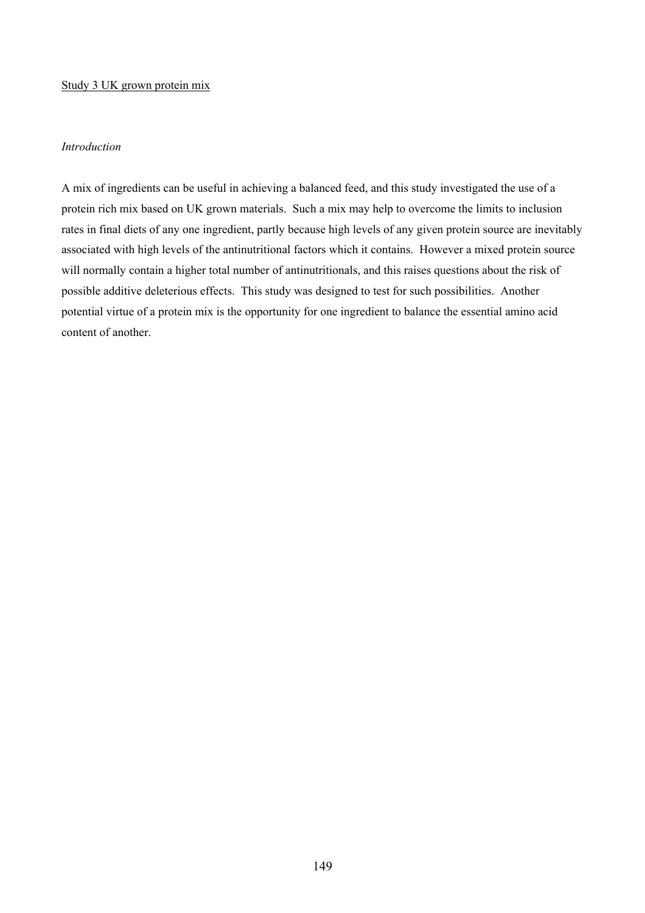#### Study 3 UK grown protein mix

### *Introduction*

A mix of ingredients can be useful in achieving a balanced feed, and this study investigated the use of a protein rich mix based on UK grown materials. Such a mix may help to overcome the limits to inclusion rates in final diets of any one ingredient, partly because high levels of any given protein source are inevitably associated with high levels of the antinutritional factors which it contains. However a mixed protein source will normally contain a higher total number of antinutritionals, and this raises questions about the risk of possible additive deleterious effects. This study was designed to test for such possibilities. Another potential virtue of a protein mix is the opportunity for one ingredient to balance the essential amino acid content of another.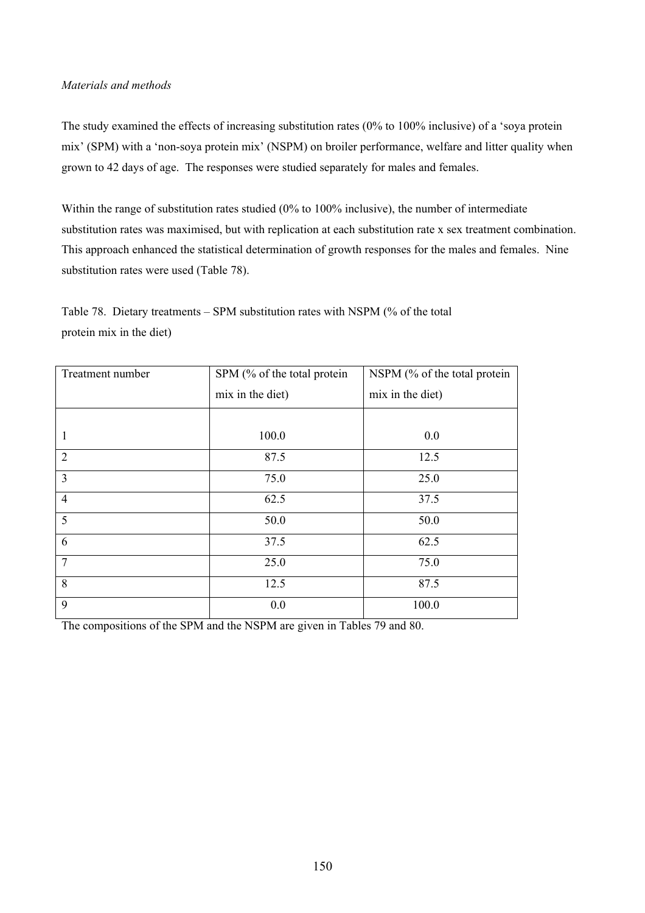### *Materials and methods*

The study examined the effects of increasing substitution rates (0% to 100% inclusive) of a 'soya protein mix' (SPM) with a 'non-soya protein mix' (NSPM) on broiler performance, welfare and litter quality when grown to 42 days of age. The responses were studied separately for males and females.

Within the range of substitution rates studied (0% to 100% inclusive), the number of intermediate substitution rates was maximised, but with replication at each substitution rate x sex treatment combination. This approach enhanced the statistical determination of growth responses for the males and females. Nine substitution rates were used (Table 78).

Table 78. Dietary treatments – SPM substitution rates with NSPM (% of the total protein mix in the diet)

| Treatment number | SPM (% of the total protein | NSPM (% of the total protein |
|------------------|-----------------------------|------------------------------|
|                  | mix in the diet)            | mix in the diet)             |
|                  |                             |                              |
| 1                | 100.0                       | 0.0                          |
| $\overline{2}$   | 87.5                        | 12.5                         |
| 3                | 75.0                        | 25.0                         |
| $\overline{4}$   | 62.5                        | 37.5                         |
| 5                | 50.0                        | 50.0                         |
| 6                | 37.5                        | 62.5                         |
| $\overline{7}$   | 25.0                        | 75.0                         |
| 8                | 12.5                        | 87.5                         |
| 9                | 0.0                         | 100.0                        |

The compositions of the SPM and the NSPM are given in Tables 79 and 80.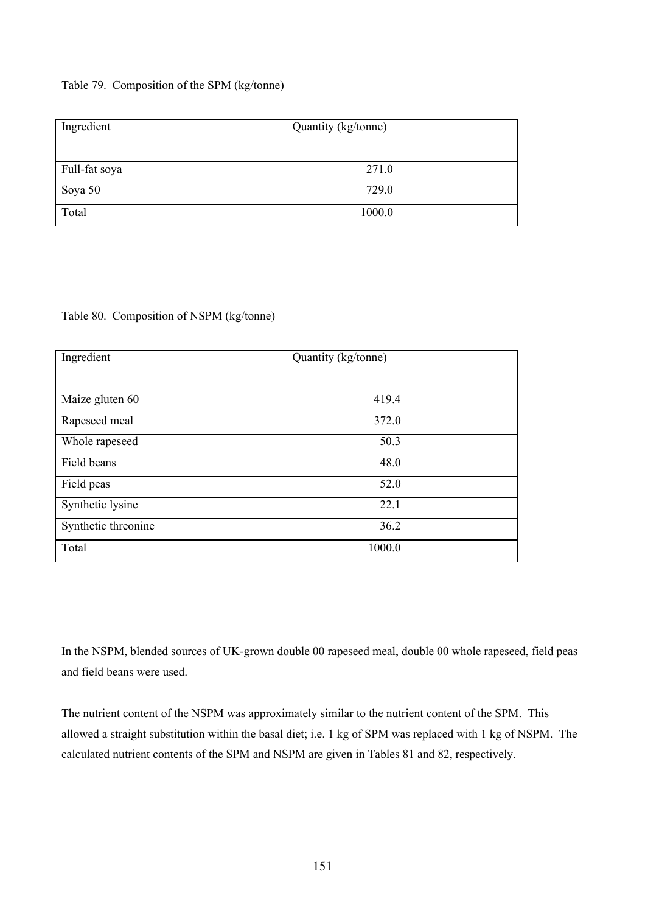### Table 79. Composition of the SPM (kg/tonne)

| Ingredient    | Quantity (kg/tonne) |
|---------------|---------------------|
|               |                     |
| Full-fat soya | 271.0               |
| Soya 50       | 729.0               |
| Total         | 1000.0              |

### Table 80. Composition of NSPM (kg/tonne)

| Ingredient          | Quantity (kg/tonne) |  |
|---------------------|---------------------|--|
|                     |                     |  |
| Maize gluten 60     | 419.4               |  |
| Rapeseed meal       | 372.0               |  |
| Whole rapeseed      | 50.3                |  |
| Field beans         | 48.0                |  |
| Field peas          | 52.0                |  |
| Synthetic lysine    | 22.1                |  |
| Synthetic threonine | 36.2                |  |
| Total               | 1000.0              |  |

In the NSPM, blended sources of UK-grown double 00 rapeseed meal, double 00 whole rapeseed, field peas and field beans were used.

The nutrient content of the NSPM was approximately similar to the nutrient content of the SPM. This allowed a straight substitution within the basal diet; i.e. 1 kg of SPM was replaced with 1 kg of NSPM. The calculated nutrient contents of the SPM and NSPM are given in Tables 81 and 82, respectively.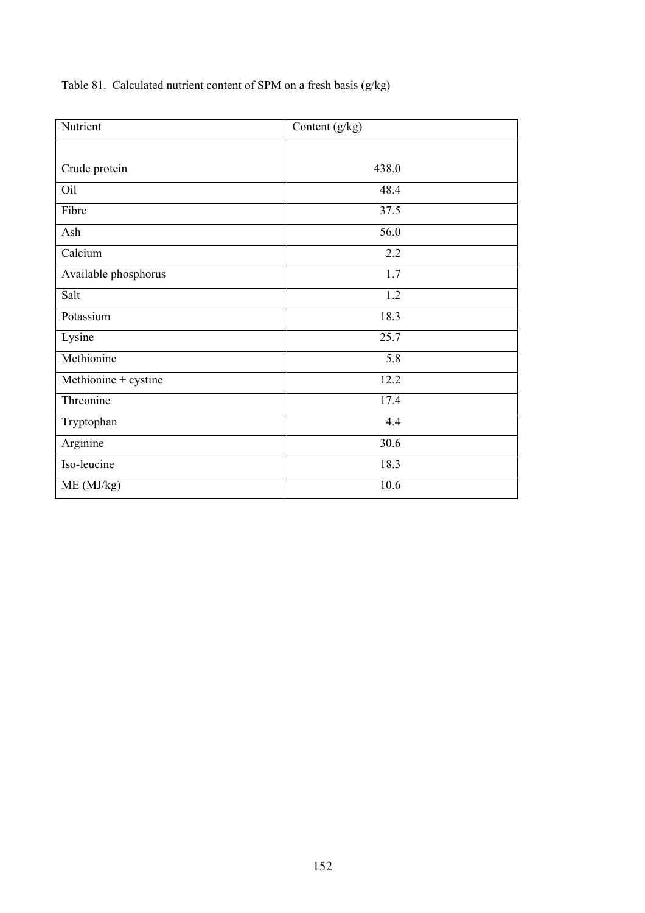Table 81. Calculated nutrient content of SPM on a fresh basis (g/kg)

| Nutrient             | Content $(g/kg)$ |  |
|----------------------|------------------|--|
|                      |                  |  |
| Crude protein        | 438.0            |  |
| Oil                  | 48.4             |  |
| Fibre                | 37.5             |  |
| Ash                  | 56.0             |  |
| Calcium              | 2.2              |  |
| Available phosphorus | 1.7              |  |
| Salt                 | 1.2              |  |
| Potassium            | 18.3             |  |
| Lysine               | 25.7             |  |
| Methionine           | 5.8              |  |
| Methionine + cystine | 12.2             |  |
| Threonine            | 17.4             |  |
| Tryptophan           | 4.4              |  |
| Arginine             | 30.6             |  |
| Iso-leucine          | 18.3             |  |
| ME (MJ/kg)           | 10.6             |  |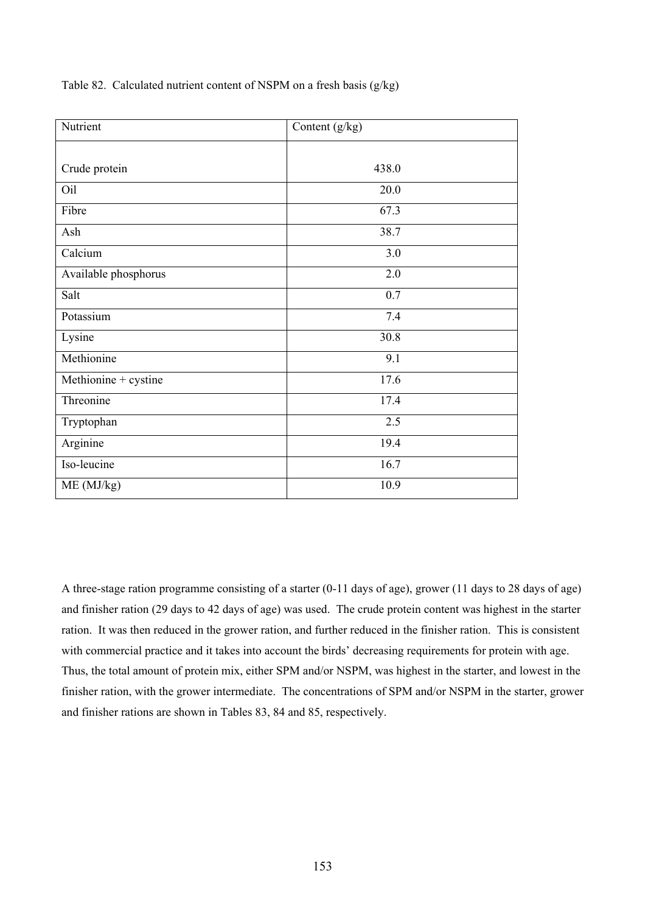Table 82. Calculated nutrient content of NSPM on a fresh basis (g/kg)

| Nutrient             | Content $(g/kg)$ |
|----------------------|------------------|
|                      |                  |
| Crude protein        | 438.0            |
| Oil                  | 20.0             |
| Fibre                | 67.3             |
| Ash                  | 38.7             |
| Calcium              | 3.0              |
| Available phosphorus | 2.0              |
| Salt                 | 0.7              |
| Potassium            | 7.4              |
| Lysine               | 30.8             |
| Methionine           | 9.1              |
| Methionine + cystine | 17.6             |
| Threonine            | 17.4             |
| Tryptophan           | 2.5              |
| Arginine             | 19.4             |
| Iso-leucine          | 16.7             |
| ME (MJ/kg)           | 10.9             |

A three-stage ration programme consisting of a starter (0-11 days of age), grower (11 days to 28 days of age) and finisher ration (29 days to 42 days of age) was used. The crude protein content was highest in the starter ration. It was then reduced in the grower ration, and further reduced in the finisher ration. This is consistent with commercial practice and it takes into account the birds' decreasing requirements for protein with age. Thus, the total amount of protein mix, either SPM and/or NSPM, was highest in the starter, and lowest in the finisher ration, with the grower intermediate. The concentrations of SPM and/or NSPM in the starter, grower and finisher rations are shown in Tables 83, 84 and 85, respectively.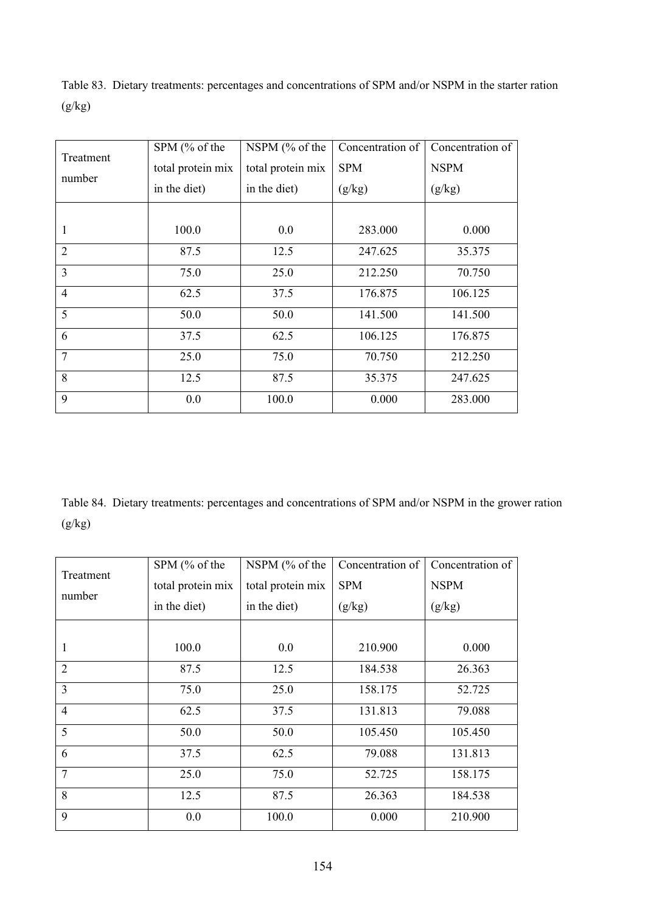Table 83. Dietary treatments: percentages and concentrations of SPM and/or NSPM in the starter ration  $(g/kg)$ 

| Treatment      | SPM (% of the     | NSPM (% of the    | Concentration of | Concentration of |
|----------------|-------------------|-------------------|------------------|------------------|
|                | total protein mix | total protein mix | <b>SPM</b>       | <b>NSPM</b>      |
| number         | in the diet)      | in the diet)      | (g/kg)           | (g/kg)           |
|                |                   |                   |                  |                  |
| 1              | 100.0             | 0.0               | 283.000          | 0.000            |
| $\overline{2}$ | 87.5              | 12.5              | 247.625          | 35.375           |
| $\overline{3}$ | 75.0              | 25.0              | 212.250          | 70.750           |
| $\overline{4}$ | 62.5              | 37.5              | 176.875          | 106.125          |
| 5              | 50.0              | 50.0              | 141.500          | 141.500          |
| 6              | 37.5              | 62.5              | 106.125          | 176.875          |
| $\tau$         | 25.0              | 75.0              | 70.750           | 212.250          |
| 8              | 12.5              | 87.5              | 35.375           | 247.625          |
| 9              | 0.0               | 100.0             | 0.000            | 283.000          |

Table 84. Dietary treatments: percentages and concentrations of SPM and/or NSPM in the grower ration  $(g/kg)$ 

|                | SPM (% of the     | NSPM $(\%$ of the | Concentration of | Concentration of |
|----------------|-------------------|-------------------|------------------|------------------|
| Treatment      | total protein mix | total protein mix | <b>SPM</b>       | <b>NSPM</b>      |
| number         | in the diet)      | in the diet)      | (g/kg)           | (g/kg)           |
|                |                   |                   |                  |                  |
| 1              | 100.0             | 0.0               | 210.900          | 0.000            |
| $\overline{2}$ | 87.5              | 12.5              | 184.538          | 26.363           |
| $\overline{3}$ | 75.0              | 25.0              | 158.175          | 52.725           |
| $\overline{4}$ | 62.5              | 37.5              | 131.813          | 79.088           |
| 5              | 50.0              | 50.0              | 105.450          | 105.450          |
| 6              | 37.5              | 62.5              | 79.088           | 131.813          |
| $\overline{7}$ | 25.0              | 75.0              | 52.725           | 158.175          |
| 8              | 12.5              | 87.5              | 26.363           | 184.538          |
| 9              | 0.0               | 100.0             | 0.000            | 210.900          |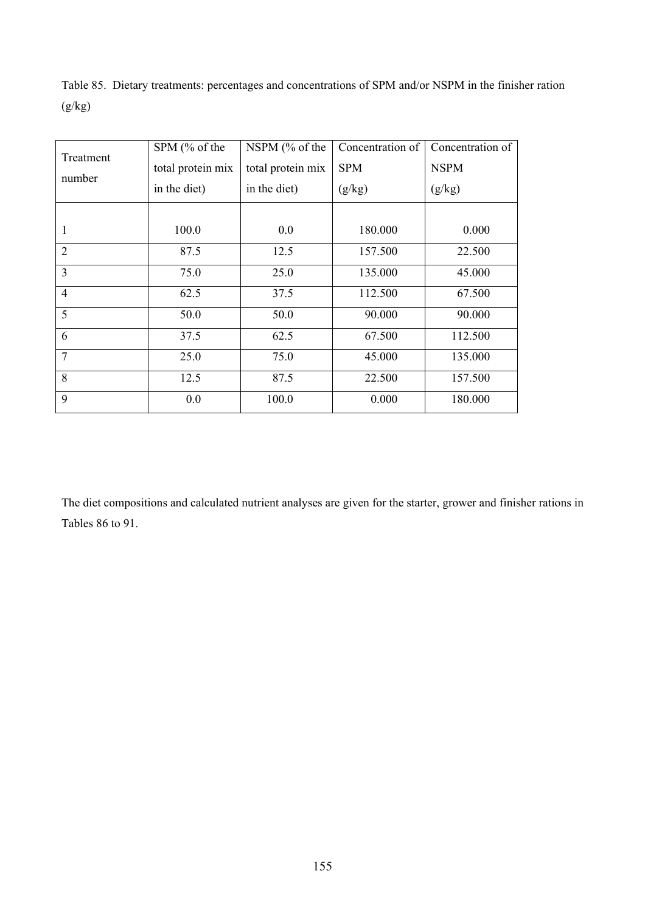Table 85. Dietary treatments: percentages and concentrations of SPM and/or NSPM in the finisher ration  $(g/kg)$ 

| Treatment      | SPM (% of the     | NSPM (% of the    | Concentration of | Concentration of |
|----------------|-------------------|-------------------|------------------|------------------|
|                | total protein mix | total protein mix | <b>SPM</b>       | <b>NSPM</b>      |
| number         | in the diet)      | in the diet)      | (g/kg)           | (g/kg)           |
|                |                   |                   |                  |                  |
|                | 100.0             | 0.0               | 180.000          | 0.000            |
| $\overline{2}$ | 87.5              | 12.5              | 157.500          | 22.500           |
| $\overline{3}$ | 75.0              | 25.0              | 135.000          | 45.000           |
| $\overline{4}$ | 62.5              | 37.5              | 112.500          | 67.500           |
| 5              | 50.0              | 50.0              | 90.000           | 90.000           |
| 6              | 37.5              | 62.5              | 67.500           | 112.500          |
| $\overline{7}$ | 25.0              | 75.0              | 45.000           | 135.000          |
| 8              | 12.5              | 87.5              | 22.500           | 157.500          |
| 9              | 0.0               | 100.0             | 0.000            | 180.000          |

The diet compositions and calculated nutrient analyses are given for the starter, grower and finisher rations in Tables 86 to 91.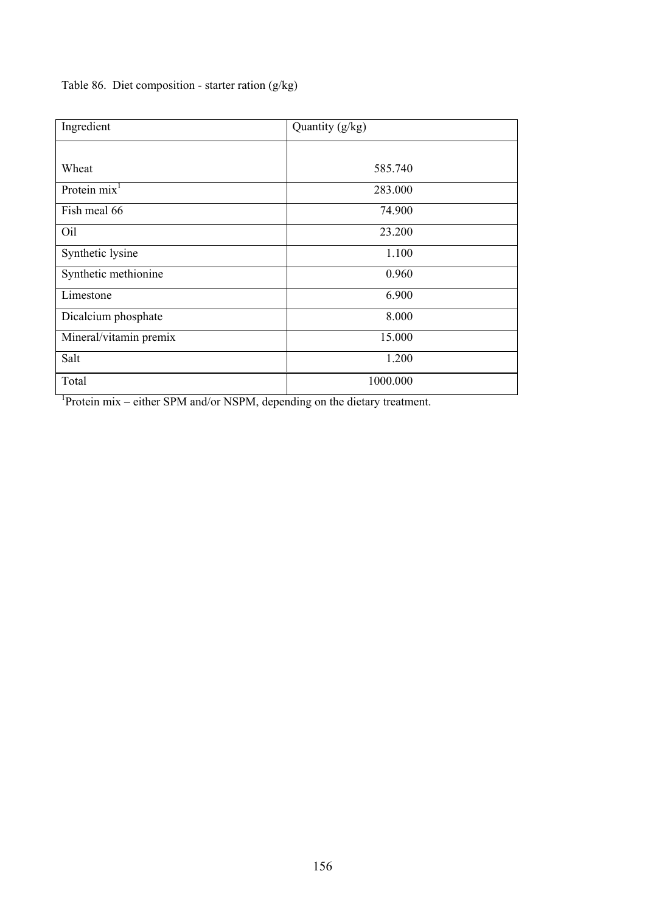Table 86. Diet composition - starter ration (g/kg)

| Ingredient             | Quantity (g/kg) |
|------------------------|-----------------|
|                        |                 |
| Wheat                  | 585.740         |
| Protein $mix1$         | 283.000         |
| Fish meal 66           | 74.900          |
| Oil                    | 23.200          |
| Synthetic lysine       | 1.100           |
| Synthetic methionine   | 0.960           |
| Limestone              | 6.900           |
| Dicalcium phosphate    | 8.000           |
| Mineral/vitamin premix | 15.000          |
| Salt                   | 1.200           |
| Total                  | 1000.000        |

<sup>1</sup>Protein mix – either SPM and/or NSPM, depending on the dietary treatment.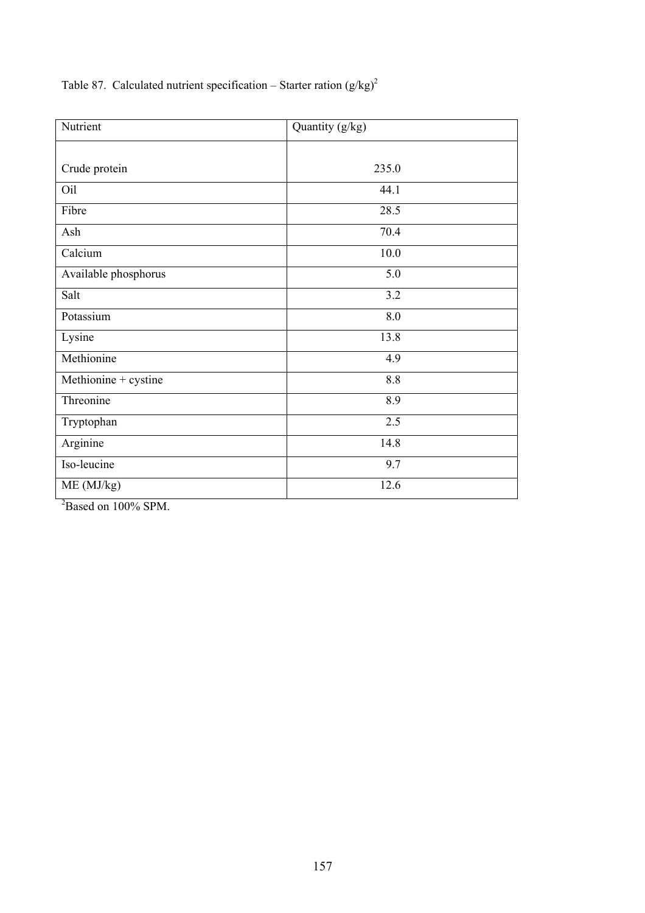Table 87. Calculated nutrient specification – Starter ration  $(g/kg)^2$ 

| Nutrient             | Quantity (g/kg) |  |
|----------------------|-----------------|--|
|                      |                 |  |
| Crude protein        | 235.0           |  |
| Oil                  | 44.1            |  |
| Fibre                | 28.5            |  |
| Ash                  | 70.4            |  |
| Calcium              | 10.0            |  |
| Available phosphorus | 5.0             |  |
| Salt                 | 3.2             |  |
| Potassium            | 8.0             |  |
| Lysine               | 13.8            |  |
| Methionine           | 4.9             |  |
| Methionine + cystine | 8.8             |  |
| Threonine            | 8.9             |  |
| Tryptophan           | 2.5             |  |
| Arginine             | 14.8            |  |
| Iso-leucine          | 9.7             |  |
| ME (MJ/kg)           | 12.6            |  |

 ${}^{2}$ Based on 100% SPM.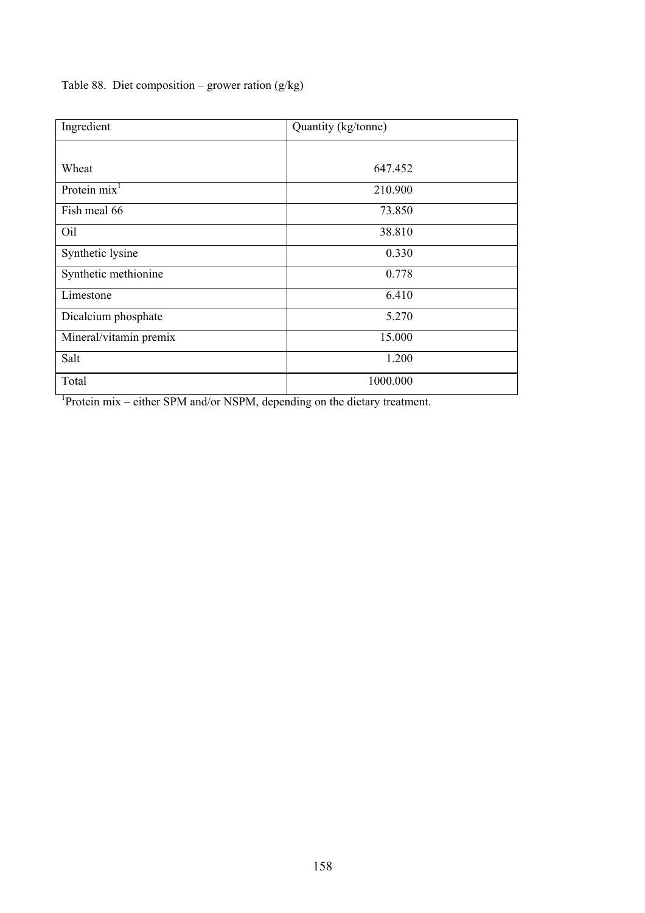Table 88. Diet composition – grower ration (g/kg)

| Ingredient             | Quantity (kg/tonne) |  |
|------------------------|---------------------|--|
|                        |                     |  |
| Wheat                  | 647.452             |  |
| Protein $mix1$         | 210.900             |  |
| Fish meal 66           | 73.850              |  |
| Oil                    | 38.810              |  |
| Synthetic lysine       | 0.330               |  |
| Synthetic methionine   | 0.778               |  |
| Limestone              | 6.410               |  |
| Dicalcium phosphate    | 5.270               |  |
| Mineral/vitamin premix | 15.000              |  |
| Salt                   | 1.200               |  |
| Total                  | 1000.000            |  |

<sup>1</sup>Protein mix – either SPM and/or NSPM, depending on the dietary treatment.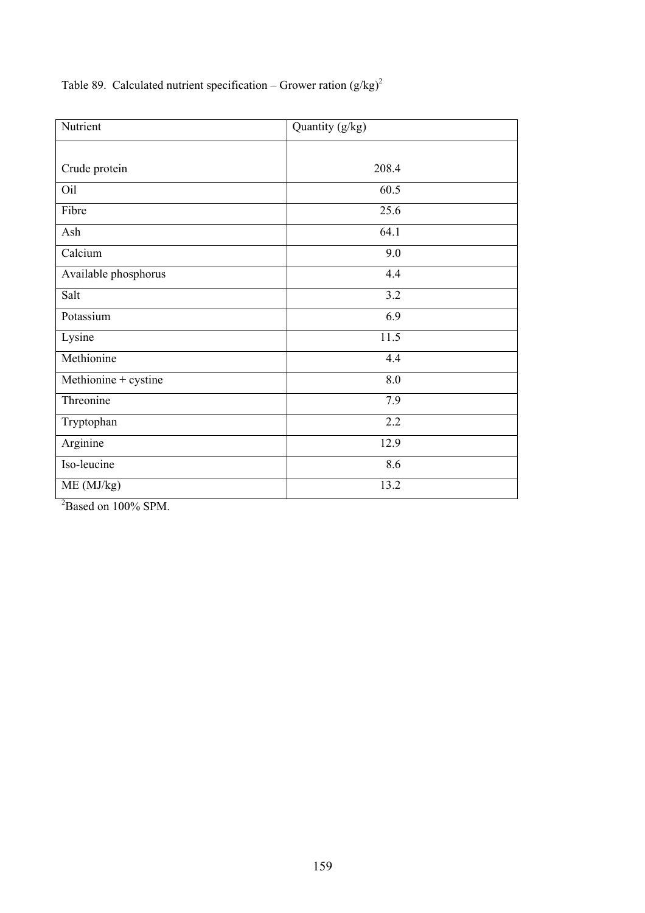Table 89. Calculated nutrient specification – Grower ration  $(g/kg)^2$ 

| Nutrient             | Quantity (g/kg) |
|----------------------|-----------------|
|                      |                 |
| Crude protein        | 208.4           |
| Oil                  | 60.5            |
| Fibre                | 25.6            |
| Ash                  | 64.1            |
| Calcium              | 9.0             |
| Available phosphorus | 4.4             |
| Salt                 | 3.2             |
| Potassium            | 6.9             |
| Lysine               | 11.5            |
| Methionine           | 4.4             |
| Methionine + cystine | 8.0             |
| Threonine            | 7.9             |
| Tryptophan           | 2.2             |
| Arginine             | 12.9            |
| Iso-leucine          | 8.6             |
| ME (MJ/kg)           | 13.2            |

 ${}^{2}$ Based on 100% SPM.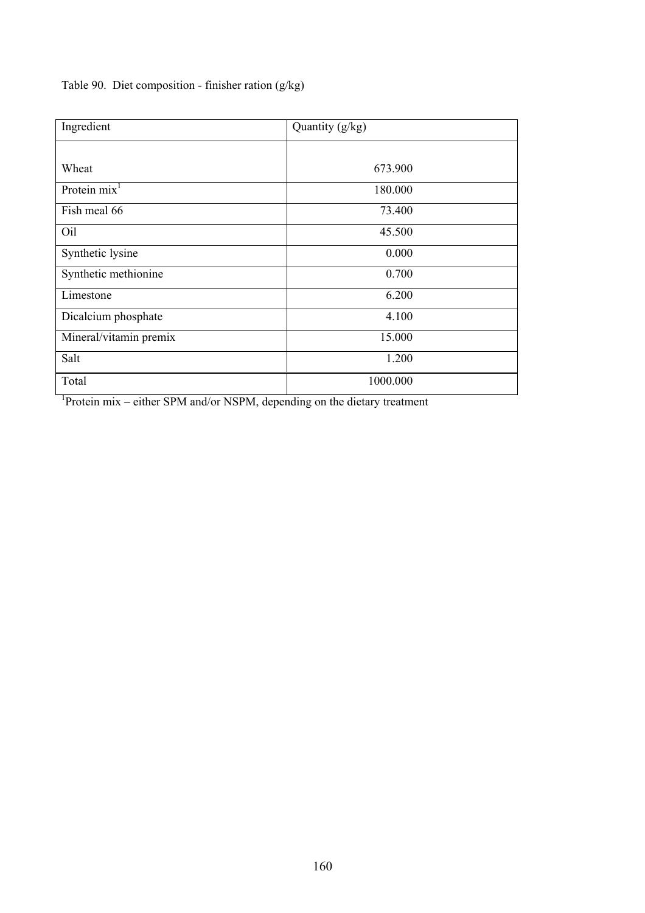Table 90. Diet composition - finisher ration (g/kg)

| Ingredient             | Quantity (g/kg) |
|------------------------|-----------------|
|                        |                 |
| Wheat                  | 673.900         |
| Protein $mix1$         | 180.000         |
| Fish meal 66           | 73.400          |
| Oil                    | 45.500          |
| Synthetic lysine       | 0.000           |
| Synthetic methionine   | 0.700           |
| Limestone              | 6.200           |
| Dicalcium phosphate    | 4.100           |
| Mineral/vitamin premix | 15.000          |
| Salt                   | 1.200           |
| Total                  | 1000.000        |

<sup>1</sup>Protein mix – either SPM and/or NSPM, depending on the dietary treatment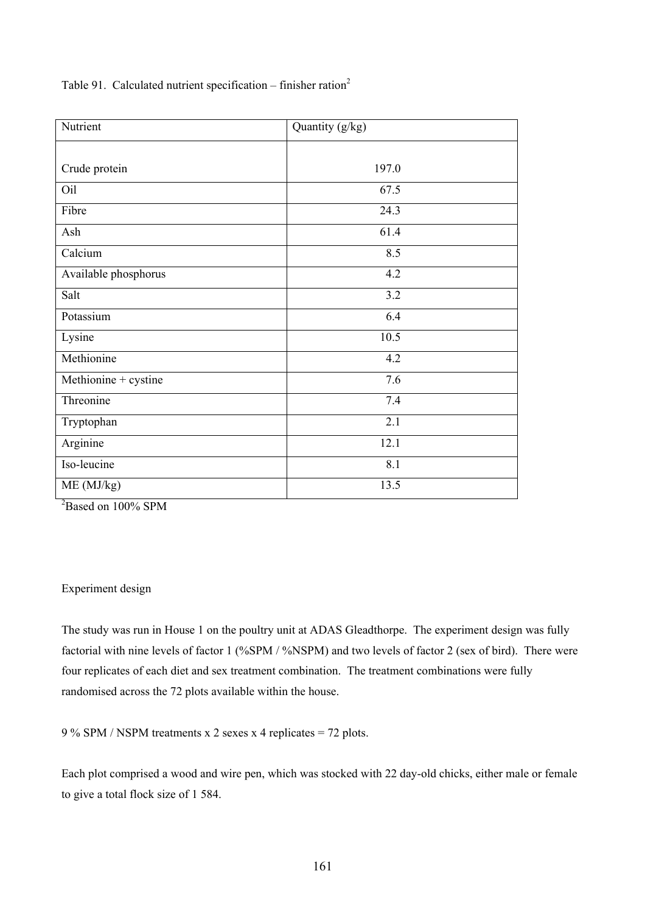Table 91. Calculated nutrient specification – finisher ration<sup>2</sup>

| Nutrient             | Quantity (g/kg) |
|----------------------|-----------------|
|                      |                 |
| Crude protein        | 197.0           |
| Oil                  | 67.5            |
| Fibre                | 24.3            |
| Ash                  | 61.4            |
| Calcium              | 8.5             |
| Available phosphorus | 4.2             |
| Salt                 | 3.2             |
| Potassium            | 6.4             |
| Lysine               | 10.5            |
| Methionine           | 4.2             |
| Methionine + cystine | 7.6             |
| Threonine            | 7.4             |
| Tryptophan           | 2.1             |
| Arginine             | 12.1            |
| Iso-leucine          | 8.1             |
| ME (MJ/kg)           | 13.5            |

 ${}^{2}$ Based on 100% SPM

# Experiment design

The study was run in House 1 on the poultry unit at ADAS Gleadthorpe. The experiment design was fully factorial with nine levels of factor 1 (%SPM / %NSPM) and two levels of factor 2 (sex of bird). There were four replicates of each diet and sex treatment combination. The treatment combinations were fully randomised across the 72 plots available within the house.

9 % SPM / NSPM treatments x 2 sexes x 4 replicates = 72 plots.

Each plot comprised a wood and wire pen, which was stocked with 22 day-old chicks, either male or female to give a total flock size of 1 584.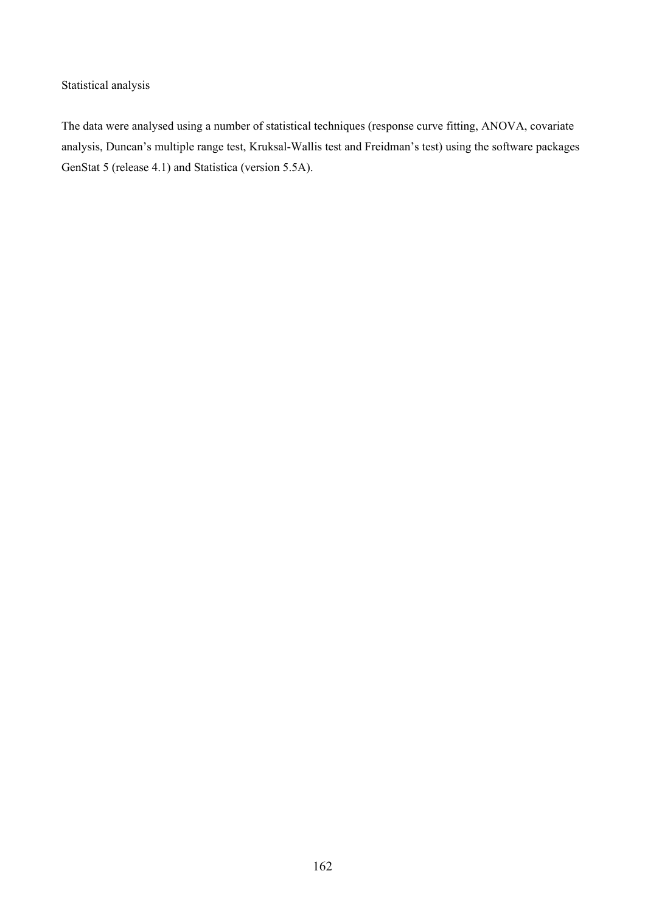# Statistical analysis

The data were analysed using a number of statistical techniques (response curve fitting, ANOVA, covariate analysis, Duncan's multiple range test, Kruksal-Wallis test and Freidman's test) using the software packages GenStat 5 (release 4.1) and Statistica (version 5.5A).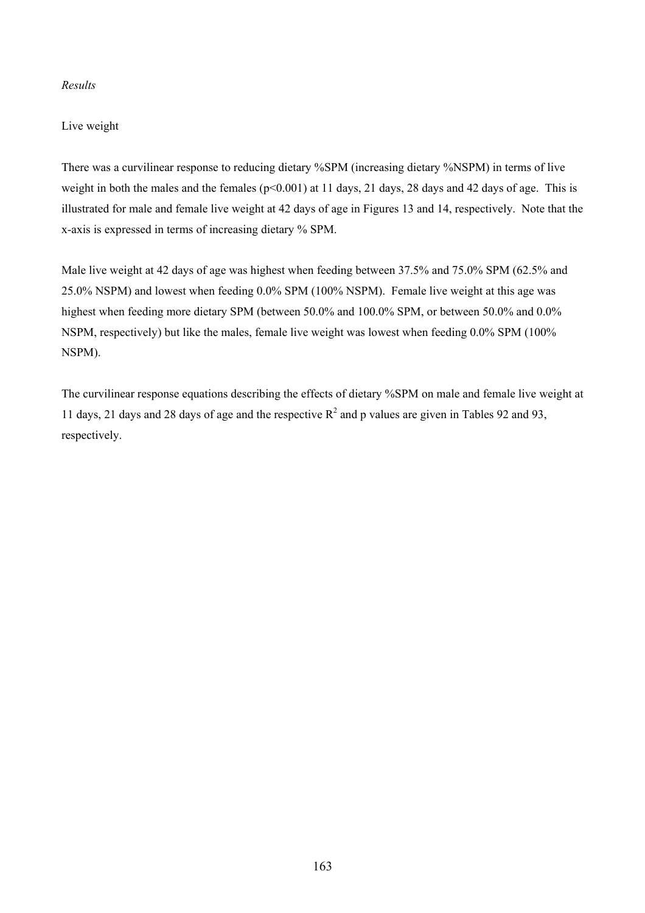### *Results*

## Live weight

There was a curvilinear response to reducing dietary %SPM (increasing dietary %NSPM) in terms of live weight in both the males and the females (p<0.001) at 11 days, 21 days, 28 days and 42 days of age. This is illustrated for male and female live weight at 42 days of age in Figures 13 and 14, respectively. Note that the x-axis is expressed in terms of increasing dietary % SPM.

Male live weight at 42 days of age was highest when feeding between 37.5% and 75.0% SPM (62.5% and 25.0% NSPM) and lowest when feeding 0.0% SPM (100% NSPM). Female live weight at this age was highest when feeding more dietary SPM (between 50.0% and 100.0% SPM, or between 50.0% and 0.0% NSPM, respectively) but like the males, female live weight was lowest when feeding 0.0% SPM (100% NSPM).

The curvilinear response equations describing the effects of dietary %SPM on male and female live weight at 11 days, 21 days and 28 days of age and the respective  $R^2$  and p values are given in Tables 92 and 93, respectively.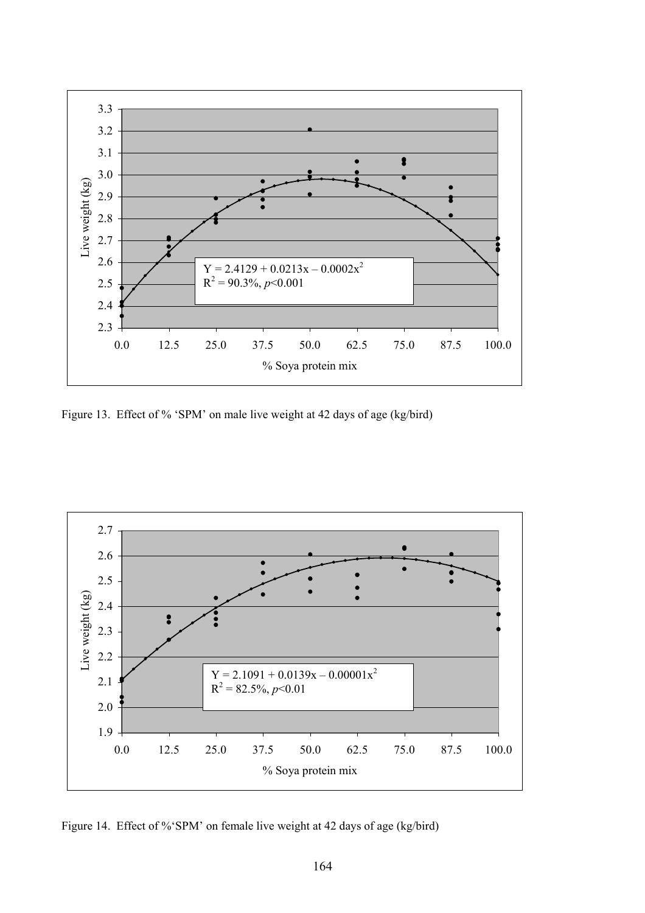

Figure 13. Effect of % 'SPM' on male live weight at 42 days of age (kg/bird)



Figure 14. Effect of %'SPM' on female live weight at 42 days of age (kg/bird)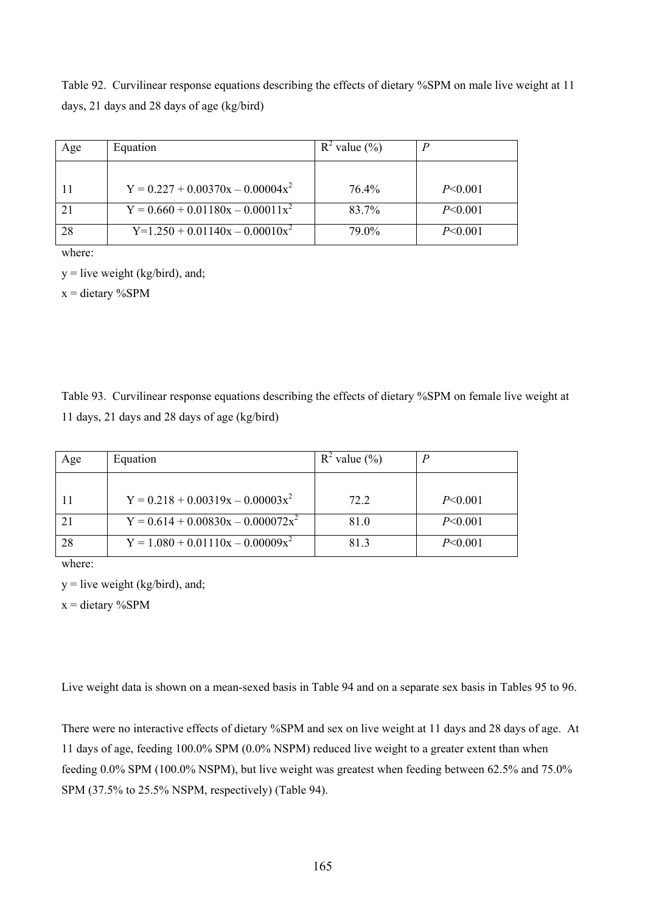Table 92. Curvilinear response equations describing the effects of dietary %SPM on male live weight at 11 days, 21 days and 28 days of age (kg/bird)

| Age | Equation                              | $R^2$ value $(\% )$ |         |
|-----|---------------------------------------|---------------------|---------|
|     |                                       |                     |         |
|     | $Y = 0.227 + 0.00370x - 0.00004x^2$   | 76.4%               | P<0.001 |
| 21  | $Y = 0.660 + 0.01180x - 0.00011x^{2}$ | 83.7%               | P<0.001 |
| 28  | $Y=1.250 + 0.01140x - 0.00010x^2$     | 79.0%               | P<0.001 |

where:

 $y =$  live weight (kg/bird), and;

 $x =$  dietary %SPM

Table 93. Curvilinear response equations describing the effects of dietary %SPM on female live weight at 11 days, 21 days and 28 days of age (kg/bird)

| Age | Equation                             | $R^2$ value $(\%)$ |               |
|-----|--------------------------------------|--------------------|---------------|
|     |                                      |                    |               |
| -11 | $Y = 0.218 + 0.00319x - 0.00003x^2$  | 72.2               | $P \le 0.001$ |
|     | $Y = 0.614 + 0.00830x - 0.000072x^2$ | 81.0               | P<0.001       |
| -28 | $Y = 1.080 + 0.01110x - 0.00009x^2$  | 813                | $P \le 0.001$ |

where:

 $y =$  live weight (kg/bird), and;

 $x =$  dietary %SPM

Live weight data is shown on a mean-sexed basis in Table 94 and on a separate sex basis in Tables 95 to 96.

There were no interactive effects of dietary %SPM and sex on live weight at 11 days and 28 days of age. At 11 days of age, feeding 100.0% SPM (0.0% NSPM) reduced live weight to a greater extent than when feeding 0.0% SPM (100.0% NSPM), but live weight was greatest when feeding between 62.5% and 75.0% SPM (37.5% to 25.5% NSPM, respectively) (Table 94).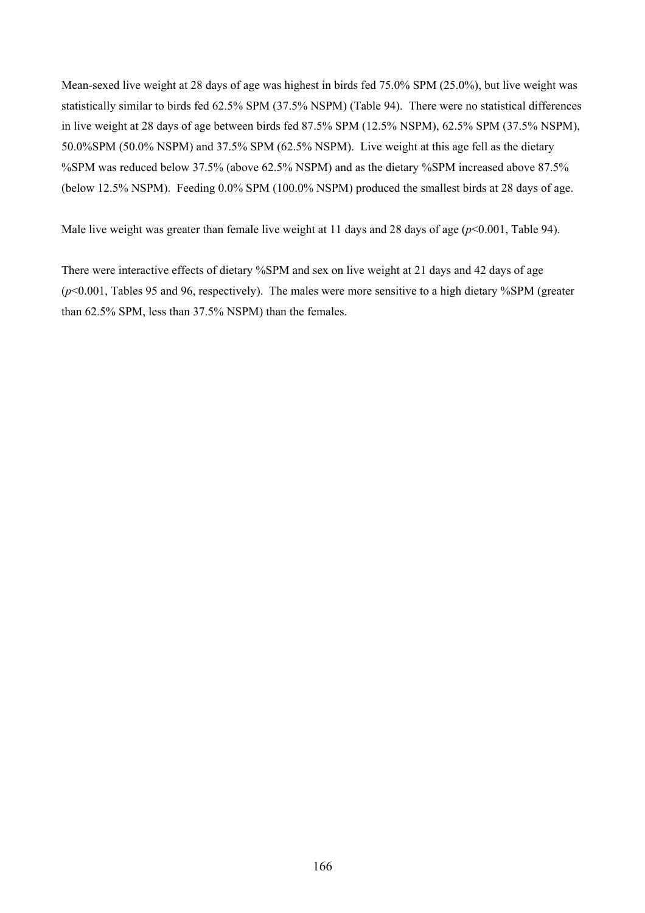Mean-sexed live weight at 28 days of age was highest in birds fed 75.0% SPM (25.0%), but live weight was statistically similar to birds fed 62.5% SPM (37.5% NSPM) (Table 94). There were no statistical differences in live weight at 28 days of age between birds fed 87.5% SPM (12.5% NSPM), 62.5% SPM (37.5% NSPM), 50.0%SPM (50.0% NSPM) and 37.5% SPM (62.5% NSPM). Live weight at this age fell as the dietary %SPM was reduced below 37.5% (above 62.5% NSPM) and as the dietary %SPM increased above 87.5% (below 12.5% NSPM). Feeding 0.0% SPM (100.0% NSPM) produced the smallest birds at 28 days of age.

Male live weight was greater than female live weight at 11 days and 28 days of age ( $p$ <0.001, Table 94).

There were interactive effects of dietary %SPM and sex on live weight at 21 days and 42 days of age (*p*<0.001, Tables 95 and 96, respectively). The males were more sensitive to a high dietary %SPM (greater than 62.5% SPM, less than 37.5% NSPM) than the females.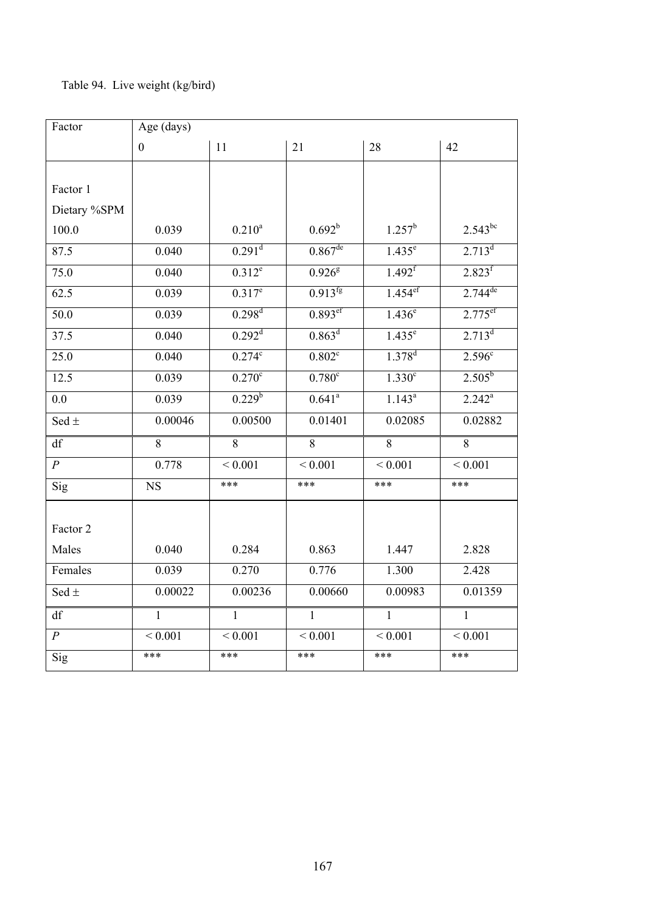# Table 94. Live weight (kg/bird)

| Factor                 | Age (days)             |                      |                       |                       |                       |
|------------------------|------------------------|----------------------|-----------------------|-----------------------|-----------------------|
|                        | $\boldsymbol{0}$       | 11                   | 21                    | 28                    | 42                    |
|                        |                        |                      |                       |                       |                       |
| Factor 1               |                        |                      |                       |                       |                       |
| Dietary %SPM           |                        |                      |                       |                       |                       |
| 100.0                  | 0.039                  | $0.210^{a}$          | $0.692^b$             | $1.257^b$             | $2.543^{bc}$          |
| 87.5                   | 0.040                  | $0.291$ <sup>d</sup> | $0.867$ <sup>de</sup> | $1.435^e$             | 2.713 <sup>d</sup>    |
| 75.0                   | 0.040                  | $0.312^e$            | $0.926^8$             | $1.492$ <sup>f</sup>  | 2.823 <sup>f</sup>    |
| 62.5                   | 0.039                  | $0.317^e$            | $0.913^{fg}$          | $1.454$ <sup>ef</sup> | $2.744$ <sup>de</sup> |
| 50.0                   | 0.039                  | $0.298$ <sup>d</sup> | $0.893$ <sup>ef</sup> | $1.436^e$             | $2.775$ <sup>ef</sup> |
| 37.5                   | 0.040                  | 0.292 <sup>d</sup>   | 0.863 <sup>d</sup>    | $1.435^e$             | 2.713 <sup>d</sup>    |
| 25.0                   | 0.040                  | $0.274$ c            | 0.802 <sup>c</sup>    | $1.378$ <sup>d</sup>  | 2.596 <sup>c</sup>    |
| 12.5                   | 0.039                  | $0.270$ c            | 0.780 <sup>c</sup>    | 1.330 <sup>c</sup>    | $2.505^b$             |
| 0.0                    | 0.039                  | $0.229^{b}$          | $0.641^a$             | $1.143^{a}$           | $2.242^a$             |
| Sed $\pm$              | 0.00046                | 0.00500              | 0.01401               | 0.02085               | 0.02882               |
| $\mathrm{d}\mathrm{f}$ | 8                      | 8                    | 8                     | 8                     | 8                     |
| $\boldsymbol{P}$       | 0.778                  | ${}< 0.001$          | ${}< 0.001$           | ${}< 0.001$           | ${}< 0.001$           |
| Sig                    | $\overline{\text{NS}}$ | ***                  | ***                   | ***                   | ***                   |
|                        |                        |                      |                       |                       |                       |
| Factor 2               |                        |                      |                       |                       |                       |
| Males                  | 0.040                  | 0.284                | 0.863                 | 1.447                 | 2.828                 |
| Females                | 0.039                  | 0.270                | 0.776                 | 1.300                 | 2.428                 |
| Sed $\pm$              | 0.00022                | 0.00236              | 0.00660               | 0.00983               | 0.01359               |
| df                     | $\mathbf{1}$           | $\mathbf{1}$         | $\mathbf{1}$          | $\mathbf{1}$          | $\mathbf{1}$          |
| $\overline{P}$         | ${}< 0.001$            | ${}< 0.001$          | ${}< 0.001$           | ${}< 0.001$           | ${}< 0.001$           |
| Sig                    | ***                    | ***                  | ***                   | ***                   | ***                   |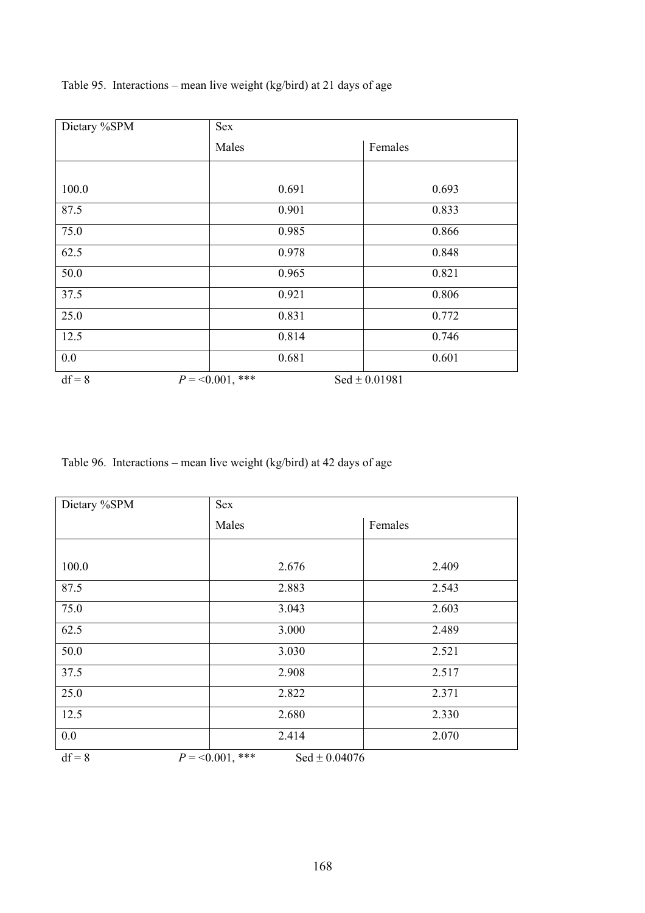| Dietary %SPM | Sex               |                   |
|--------------|-------------------|-------------------|
|              | Males             | Females           |
|              |                   |                   |
| 100.0        | 0.691             | 0.693             |
| 87.5         | 0.901             | 0.833             |
| 75.0         | 0.985             | 0.866             |
| 62.5         | 0.978             | 0.848             |
| 50.0         | 0.965             | 0.821             |
| 37.5         | 0.921             | 0.806             |
| 25.0         | 0.831             | 0.772             |
| 12.5         | 0.814             | 0.746             |
| 0.0          | 0.681             | 0.601             |
| $df = 8$     | $P = 0.001$ , *** | $Sed \pm 0.01981$ |

Table 95. Interactions – mean live weight (kg/bird) at 21 days of age

Table 96. Interactions – mean live weight (kg/bird) at 42 days of age

| Dietary %SPM | Sex                                    |         |
|--------------|----------------------------------------|---------|
|              | Males                                  | Females |
|              |                                        |         |
| 100.0        | 2.676                                  | 2.409   |
| 87.5         | 2.883                                  | 2.543   |
| 75.0         | 3.043                                  | 2.603   |
| 62.5         | 3.000                                  | 2.489   |
| 50.0         | 3.030                                  | 2.521   |
| 37.5         | 2.908                                  | 2.517   |
| 25.0         | 2.822                                  | 2.371   |
| 12.5         | 2.680                                  | 2.330   |
| 0.0          | 2.414                                  | 2.070   |
| $df = 8$     | $P = 0.001$ , ***<br>Sed $\pm 0.04076$ |         |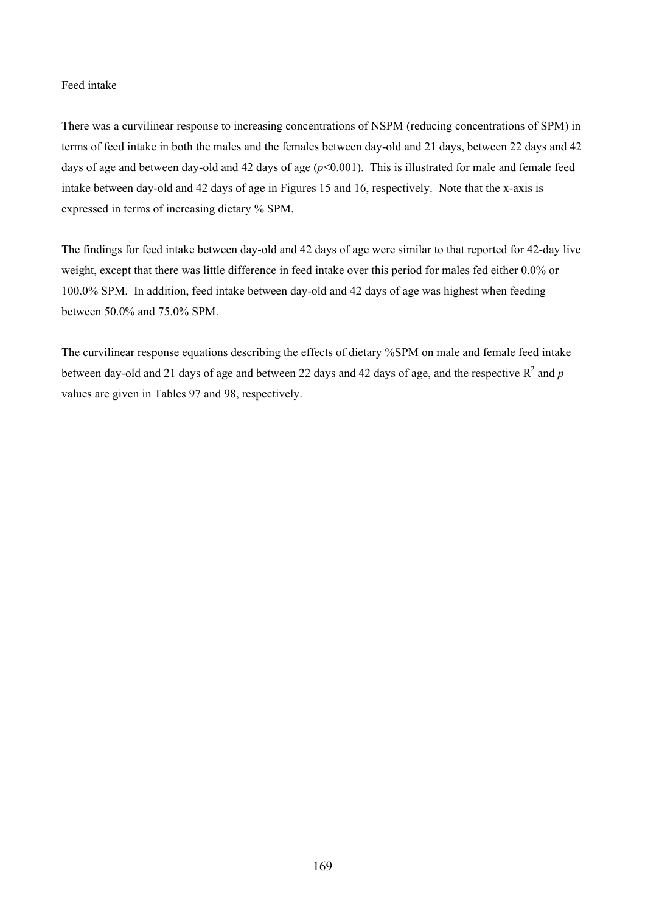### Feed intake

There was a curvilinear response to increasing concentrations of NSPM (reducing concentrations of SPM) in terms of feed intake in both the males and the females between day-old and 21 days, between 22 days and 42 days of age and between day-old and 42 days of age (*p*<0.001). This is illustrated for male and female feed intake between day-old and 42 days of age in Figures 15 and 16, respectively. Note that the x-axis is expressed in terms of increasing dietary % SPM.

The findings for feed intake between day-old and 42 days of age were similar to that reported for 42-day live weight, except that there was little difference in feed intake over this period for males fed either 0.0% or 100.0% SPM. In addition, feed intake between day-old and 42 days of age was highest when feeding between 50.0% and 75.0% SPM.

The curvilinear response equations describing the effects of dietary %SPM on male and female feed intake between day-old and 21 days of age and between 22 days and 42 days of age, and the respective  $R^2$  and  $p$ values are given in Tables 97 and 98, respectively.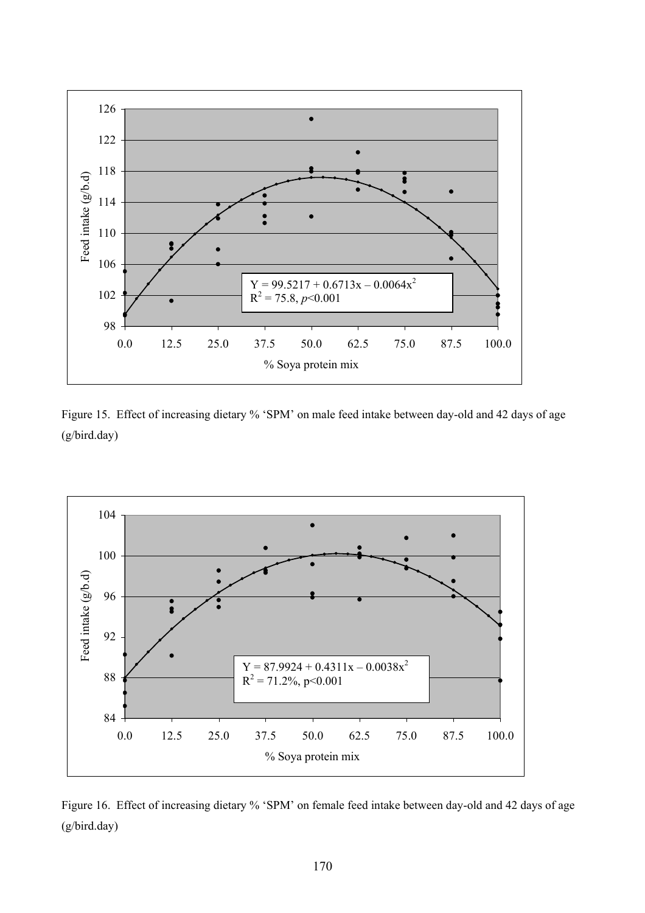

Figure 15. Effect of increasing dietary % 'SPM' on male feed intake between day-old and 42 days of age (g/bird.day)



Figure 16. Effect of increasing dietary % 'SPM' on female feed intake between day-old and 42 days of age (g/bird.day)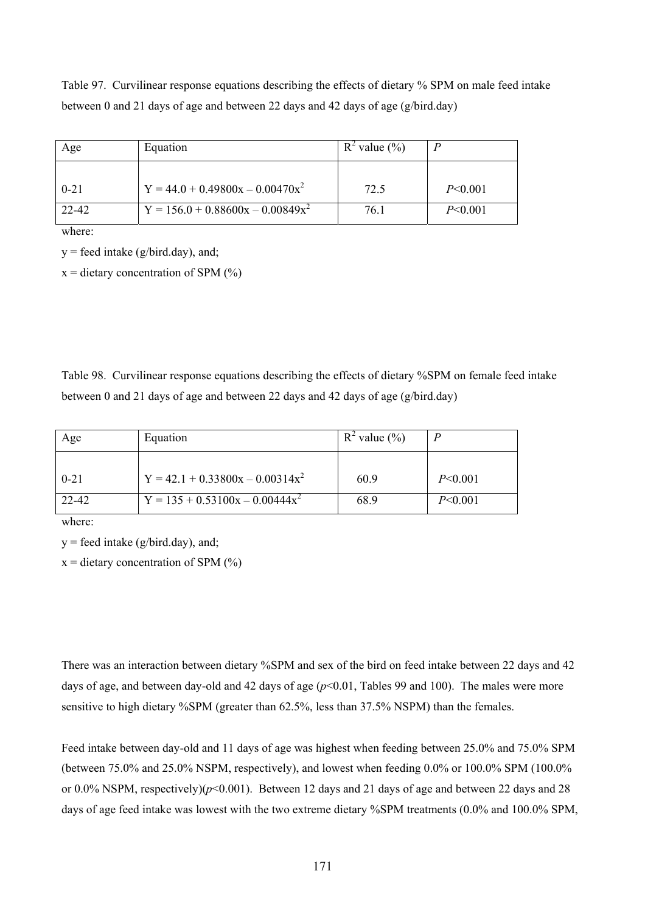Table 97. Curvilinear response equations describing the effects of dietary % SPM on male feed intake between 0 and 21 days of age and between 22 days and 42 days of age (g/bird.day)

| Age      | Equation                              | $R^2$ value $(\%)$ |               |
|----------|---------------------------------------|--------------------|---------------|
|          |                                       |                    |               |
| $0 - 21$ | $Y = 44.0 + 0.49800x - 0.00470x^2$    | 72.5               | $P \le 0.001$ |
| 22-42    | $Y = 156.0 + 0.88600x - 0.00849x^{2}$ | 76.1               | $P \le 0.001$ |

where:

 $y =$  feed intake (g/bird.day), and;

 $x =$  dietary concentration of SPM  $(\%)$ 

Table 98. Curvilinear response equations describing the effects of dietary %SPM on female feed intake between 0 and 21 days of age and between 22 days and 42 days of age (g/bird.day)

| Age      | Equation                             | $R^2$ value $\left(\frac{9}{6}\right)$ |               |
|----------|--------------------------------------|----------------------------------------|---------------|
| $0 - 21$ | $Y = 42.1 + 0.33800x - 0.00314x^{2}$ | 60.9                                   | $P \le 0.001$ |
| 22-42    | $Y = 135 + 0.53100x - 0.00444x^2$    | 68.9                                   | $P \le 0.001$ |

where:

 $y =$  feed intake (g/bird.day), and;

 $x =$  dietary concentration of SPM  $(\%)$ 

There was an interaction between dietary %SPM and sex of the bird on feed intake between 22 days and 42 days of age, and between day-old and 42 days of age ( $p$ <0.01, Tables 99 and 100). The males were more sensitive to high dietary %SPM (greater than 62.5%, less than 37.5% NSPM) than the females.

Feed intake between day-old and 11 days of age was highest when feeding between 25.0% and 75.0% SPM (between 75.0% and 25.0% NSPM, respectively), and lowest when feeding 0.0% or 100.0% SPM (100.0% or 0.0% NSPM, respectively) $(p< 0.001)$ . Between 12 days and 21 days of age and between 22 days and 28 days of age feed intake was lowest with the two extreme dietary %SPM treatments (0.0% and 100.0% SPM,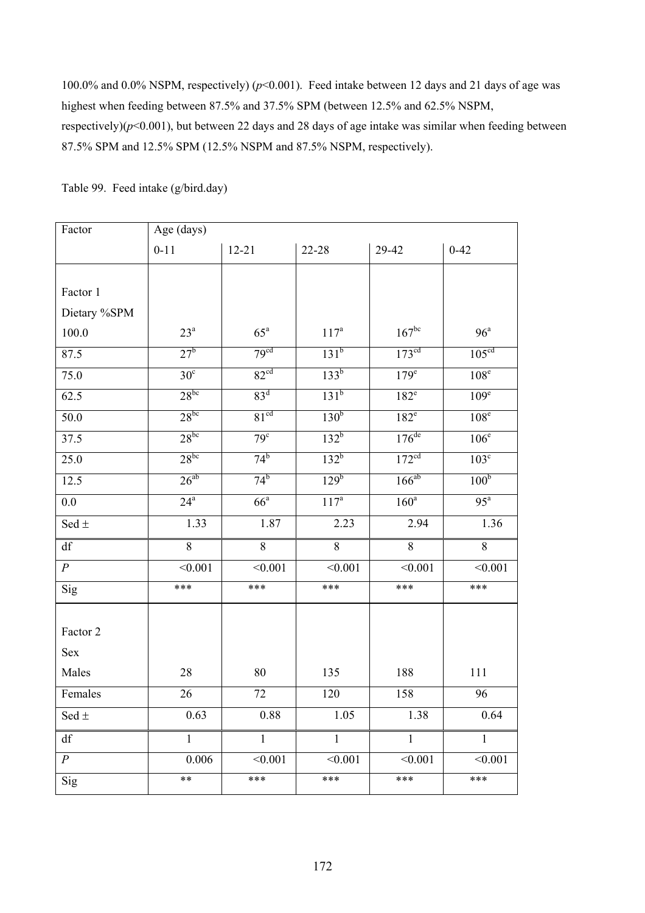100.0% and 0.0% NSPM, respectively) (*p*<0.001). Feed intake between 12 days and 21 days of age was highest when feeding between 87.5% and 37.5% SPM (between 12.5% and 62.5% NSPM, respectively) $(p<0.001)$ , but between 22 days and 28 days of age intake was similar when feeding between 87.5% SPM and 12.5% SPM (12.5% NSPM and 87.5% NSPM, respectively).

| Factor           | Age (days)      |                   |                  |                     |                   |
|------------------|-----------------|-------------------|------------------|---------------------|-------------------|
|                  | $0 - 11$        | $12 - 21$         | 22-28            | 29-42               | $0 - 42$          |
|                  |                 |                   |                  |                     |                   |
| Factor 1         |                 |                   |                  |                     |                   |
| Dietary %SPM     |                 |                   |                  |                     |                   |
| $100.0\,$        | $23^a$          | $65^{\mathrm{a}}$ | $117^a$          | $167^{bc}$          | 96 <sup>a</sup>   |
| 87.5             | $27^b$          | 79 <sup>cd</sup>  | 131 <sup>b</sup> | 173 <sup>cd</sup>   | 105 <sup>cd</sup> |
| 75.0             | 30 <sup>c</sup> | 82 <sup>cd</sup>  | 133 <sup>b</sup> | 179 <sup>e</sup>    | 108 <sup>e</sup>  |
| 62.5             | $28^{bc}$       | 83 <sup>d</sup>   | 131 <sup>b</sup> | $182^e$             | 109 <sup>e</sup>  |
| 50.0             | $28^{bc}$       | 81 <sup>cd</sup>  | 130 <sup>b</sup> | $182^e$             | 108 <sup>e</sup>  |
| 37.5             | $28^{bc}$       | 79 <sup>c</sup>   | $132^b$          | $176$ <sup>de</sup> | 106 <sup>e</sup>  |
| 25.0             | $28^{bc}$       | $74^b$            | 132 <sup>b</sup> | 172 <sup>cd</sup>   | $103^{\circ}$     |
| 12.5             | $26^{ab}$       | $74^b$            | $129^{b}$        | $166^{ab}$          | 100 <sup>b</sup>  |
| $0.0\,$          | $24^{\circ}$    | 66 <sup>a</sup>   | $117^a$          | 160 <sup>a</sup>    | 95 <sup>a</sup>   |
| Sed $\pm$        | 1.33            | 1.87              | 2.23             | 2.94                | 1.36              |
| df               | $\,8\,$         | $8\,$             | 8                | $8\,$               | $\,8\,$           |
| $\boldsymbol{P}$ | < 0.001         | < 0.001           | < 0.001          | < 0.001             | < 0.001           |
| Sig              | ***             | ***               | ***              | ***                 | ***               |
|                  |                 |                   |                  |                     |                   |
| Factor 2         |                 |                   |                  |                     |                   |
| Sex              |                 |                   |                  |                     |                   |
| Males            | 28              | 80                | 135              | 188                 | 111               |
| Females          | 26              | 72                | 120              | 158                 | 96                |
| Sed $\pm$        | 0.63            | 0.88              | 1.05             | 1.38                | 0.64              |
| df               | $\mathbf{1}$    | $\mathbf{1}$      | $\mathbf{1}$     | $\mathbf{1}$        | $\mathbf 1$       |
| $\boldsymbol{P}$ | 0.006           | < 0.001           | < 0.001          | < 0.001             | < 0.001           |
| Sig              | $***$           | ***               | ***              | ***                 | ***               |

Table 99. Feed intake (g/bird.day)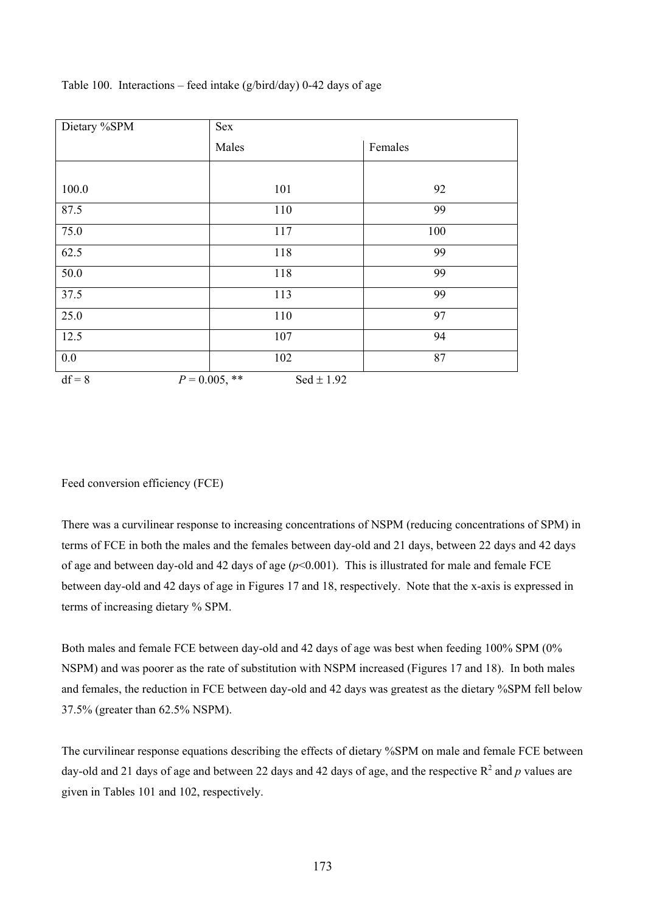| Dietary %SPM | Sex                                |         |
|--------------|------------------------------------|---------|
|              | Males                              | Females |
|              |                                    |         |
| 100.0        | 101                                | 92      |
| 87.5         | 110                                | 99      |
| 75.0         | 117                                | 100     |
| 62.5         | 118                                | 99      |
| 50.0         | 118                                | 99      |
| 37.5         | 113                                | 99      |
| 25.0         | 110                                | 97      |
| 12.5         | 107                                | 94      |
| $0.0\,$      | 102                                | 87      |
| $df = 8$     | $P = 0.005$ , **<br>$Sed \pm 1.92$ |         |

Table 100. Interactions – feed intake (g/bird/day) 0-42 days of age

## Feed conversion efficiency (FCE)

There was a curvilinear response to increasing concentrations of NSPM (reducing concentrations of SPM) in terms of FCE in both the males and the females between day-old and 21 days, between 22 days and 42 days of age and between day-old and 42 days of age (*p*<0.001). This is illustrated for male and female FCE between day-old and 42 days of age in Figures 17 and 18, respectively. Note that the x-axis is expressed in terms of increasing dietary % SPM.

Both males and female FCE between day-old and 42 days of age was best when feeding 100% SPM (0% NSPM) and was poorer as the rate of substitution with NSPM increased (Figures 17 and 18). In both males and females, the reduction in FCE between day-old and 42 days was greatest as the dietary %SPM fell below 37.5% (greater than 62.5% NSPM).

The curvilinear response equations describing the effects of dietary %SPM on male and female FCE between day-old and 21 days of age and between 22 days and 42 days of age, and the respective  $R^2$  and p values are given in Tables 101 and 102, respectively.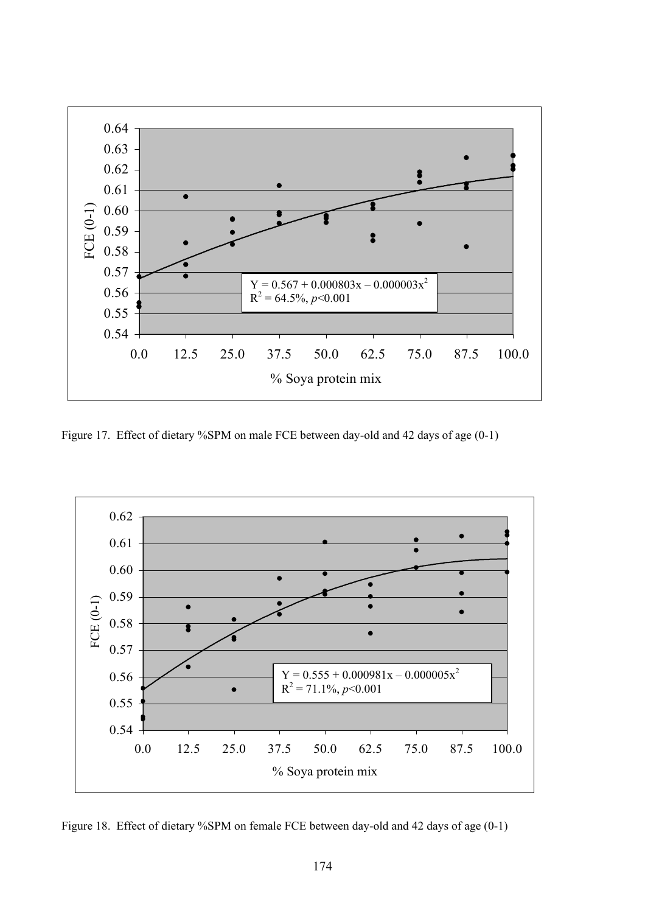

Figure 17. Effect of dietary %SPM on male FCE between day-old and 42 days of age (0-1)



Figure 18. Effect of dietary %SPM on female FCE between day-old and 42 days of age (0-1)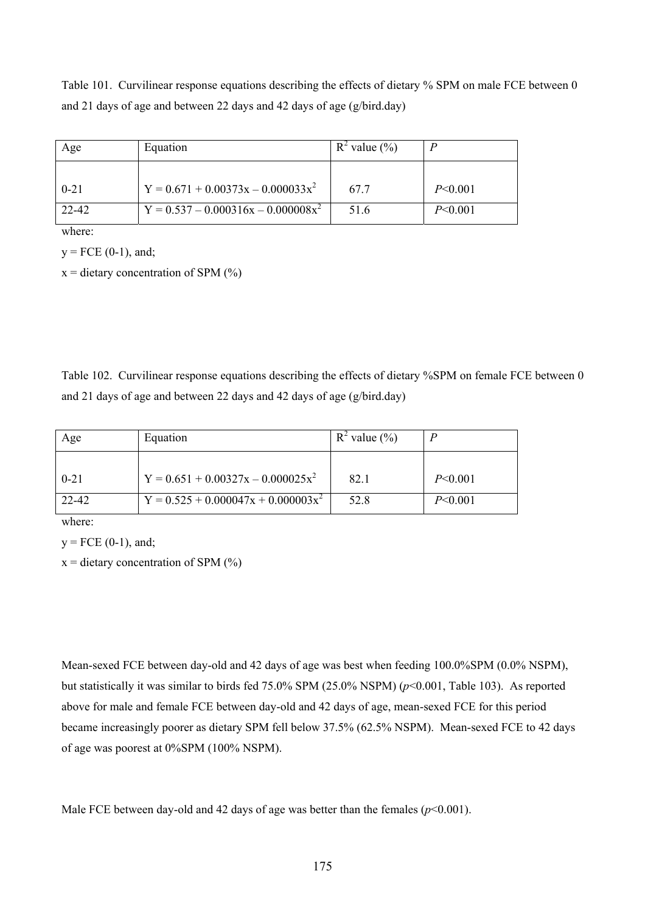Table 101. Curvilinear response equations describing the effects of dietary % SPM on male FCE between 0 and 21 days of age and between 22 days and 42 days of age (g/bird.day)

| Age      | Equation                               | $R^2$ value $(\%)$ |               |
|----------|----------------------------------------|--------------------|---------------|
| $0 - 21$ | $Y = 0.671 + 0.00373x - 0.000033x^{2}$ | 67.7               | $P \le 0.001$ |
| 22-42    | $Y = 0.537 - 0.000316x - 0.000008x^2$  | 51.6               | $P \le 0.001$ |

where:

 $y = FCE (0-1)$ , and;

 $x =$  dietary concentration of SPM  $(\%)$ 

Table 102. Curvilinear response equations describing the effects of dietary %SPM on female FCE between 0 and 21 days of age and between 22 days and 42 days of age (g/bird.day)

| Age      | Equation                              | $R^2$ value $(\%)$ |               |
|----------|---------------------------------------|--------------------|---------------|
| $0 - 21$ | $Y = 0.651 + 0.00327x - 0.000025x^2$  | 82.1               | $P \le 0.001$ |
| 22-42    | $Y = 0.525 + 0.000047x + 0.000003x^2$ | 52.8               | $P \le 0.001$ |

where:

 $y = FCE (0-1)$ , and;

 $x =$  dietary concentration of SPM  $(\%)$ 

Mean-sexed FCE between day-old and 42 days of age was best when feeding 100.0%SPM (0.0% NSPM), but statistically it was similar to birds fed 75.0% SPM (25.0% NSPM) ( $p$ <0.001, Table 103). As reported above for male and female FCE between day-old and 42 days of age, mean-sexed FCE for this period became increasingly poorer as dietary SPM fell below 37.5% (62.5% NSPM). Mean-sexed FCE to 42 days of age was poorest at 0%SPM (100% NSPM).

Male FCE between day-old and 42 days of age was better than the females ( $p$ <0.001).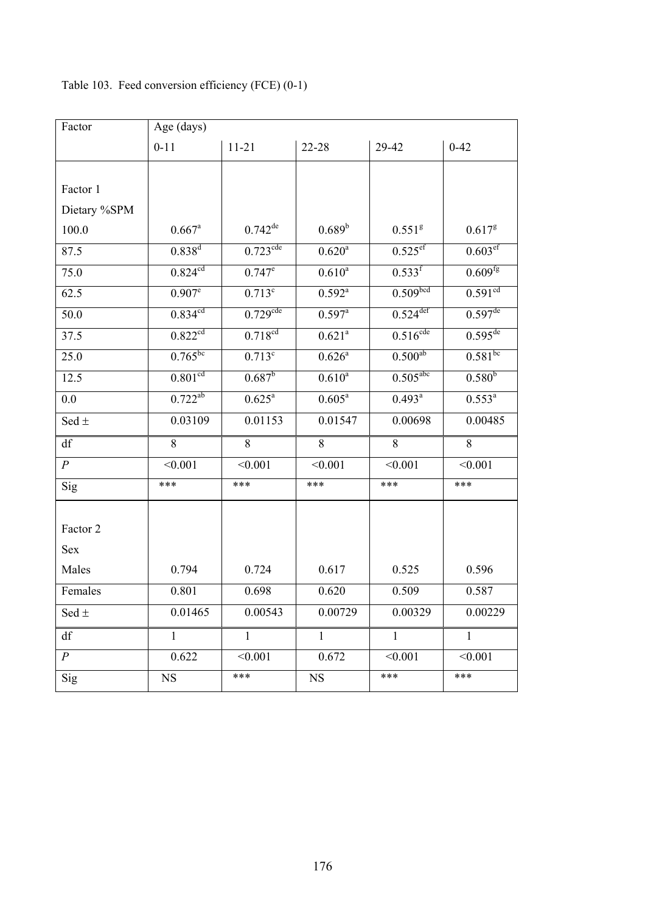| Factor           | Age (days)            |                        |                      |                        |                       |
|------------------|-----------------------|------------------------|----------------------|------------------------|-----------------------|
|                  | $0 - 11$              | $11 - 21$              | 22-28                | 29-42                  | $0 - 42$              |
|                  |                       |                        |                      |                        |                       |
| Factor 1         |                       |                        |                      |                        |                       |
| Dietary %SPM     |                       |                        |                      |                        |                       |
| 100.0            | $0.667$ <sup>a</sup>  | $0.742^{\text{de}}$    | $0.689^{b}$          | 0.551 <sup>g</sup>     | $0.617^{8}$           |
| 87.5             | $0.838^{d}$           | $0.723$ <sup>cde</sup> | $0.620^{\rm a}$      | $0.525$ <sup>ef</sup>  | $0.603$ ef            |
| 75.0             | $0.824$ <sup>cd</sup> | $0.747^e$              | $0.610^{a}$          | $0.533^{f}$            | $0.609^{fg}$          |
| 62.5             | $0.907^e$             | $0.713^c$              | $0.592^{\text{a}}$   | 0.509 <sup>bcd</sup>   | 0.591 <sup>cd</sup>   |
| 50.0             | $0.834^{cd}$          | $0.729$ <sup>cde</sup> | $0.597$ <sup>a</sup> | $0.524$ <sup>def</sup> | $0.597$ <sup>de</sup> |
| 37.5             | $0.822$ <sup>cd</sup> | $0.718^{cd}$           | $0.621^{a}$          | 0.516 <sup>cde</sup>   | $0.595^{de}$          |
| 25.0             | $0.765^{bc}$          | $0.713^c$              | $0.626^{\circ}$      | $0.500^{ab}$           | $0.581^{bc}$          |
| 12.5             | 0.801 <sup>cd</sup>   | $0.687^b$              | $0.610^{a}$          | $0.505$ <sup>abc</sup> | $0.580^{b}$           |
| 0.0              | $0.722^{ab}$          | $0.625^{\circ}$        | $0.605^{\text{a}}$   | $0.493^{\circ}$        | $0.553^{a}$           |
| Sed $\pm$        | 0.03109               | 0.01153                | 0.01547              | 0.00698                | 0.00485               |
| df               | 8                     | 8                      | 8                    | $8\,$                  | 8                     |
| $\cal P$         | < 0.001               | < 0.001                | < 0.001              | < 0.001                | < 0.001               |
| Sig              | ***                   | ***                    | ***                  | ***                    | ***                   |
|                  |                       |                        |                      |                        |                       |
| Factor 2         |                       |                        |                      |                        |                       |
| Sex              |                       |                        |                      |                        |                       |
| Males            | 0.794                 | 0.724                  | 0.617                | 0.525                  | 0.596                 |
| Females          | 0.801                 | 0.698                  | 0.620                | 0.509                  | 0.587                 |
| Sed $\pm$        | 0.01465               | 0.00543                | 0.00729              | 0.00329                | 0.00229               |
| df               | $\mathbf{1}$          | $\mathbf{1}$           | $\mathbf{1}$         | $\mathbf{1}$           | $\mathbf{1}$          |
| $\boldsymbol{P}$ | 0.622                 | < 0.001                | 0.672                | < 0.001                | < 0.001               |
| Sig              | NS                    | ***                    | $_{\rm NS}$          | ***                    | ***                   |

# Table 103. Feed conversion efficiency (FCE) (0-1)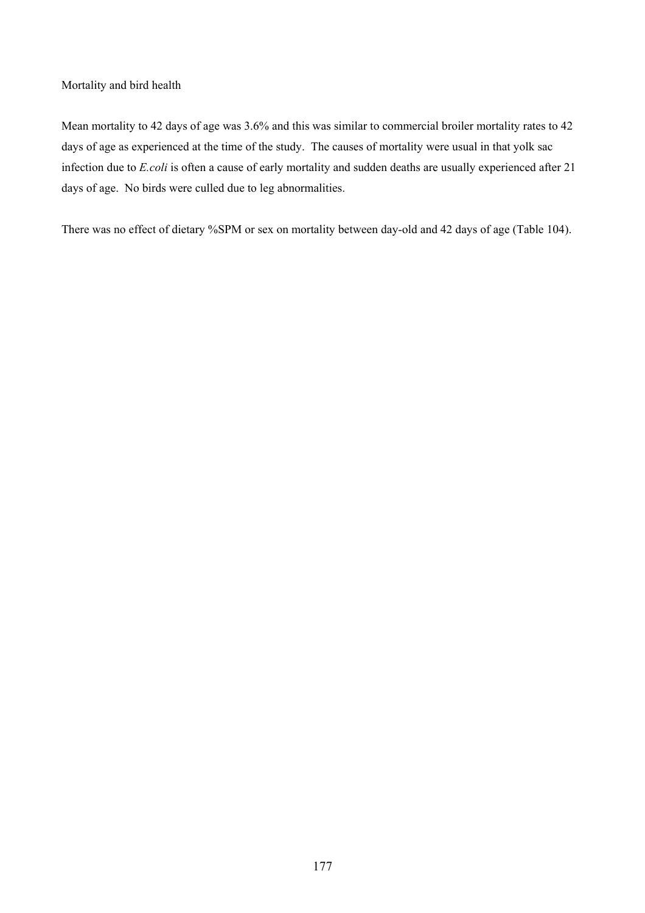Mortality and bird health

Mean mortality to 42 days of age was 3.6% and this was similar to commercial broiler mortality rates to 42 days of age as experienced at the time of the study. The causes of mortality were usual in that yolk sac infection due to *E.coli* is often a cause of early mortality and sudden deaths are usually experienced after 21 days of age. No birds were culled due to leg abnormalities.

There was no effect of dietary %SPM or sex on mortality between day-old and 42 days of age (Table 104).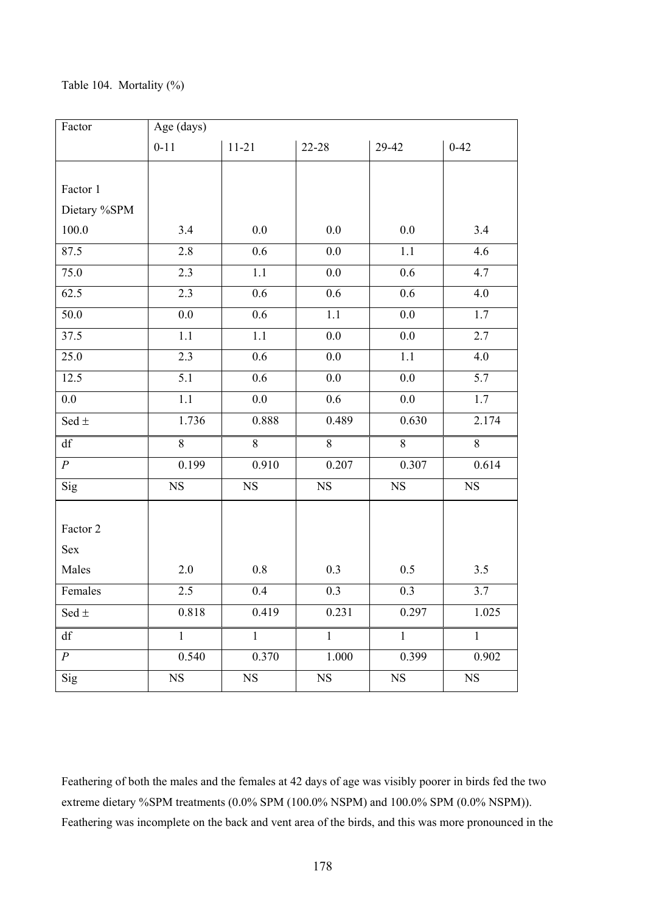|  |  | Table 104. Mortality $(\%)$ |  |  |
|--|--|-----------------------------|--|--|
|--|--|-----------------------------|--|--|

| Factor                 | Age (days)   |              |              |              |              |
|------------------------|--------------|--------------|--------------|--------------|--------------|
|                        | $0 - 11$     | $11 - 21$    | 22-28        | 29-42        | $0 - 42$     |
|                        |              |              |              |              |              |
| Factor 1               |              |              |              |              |              |
| Dietary %SPM           |              |              |              |              |              |
| $100.0\,$              | 3.4          | 0.0          | 0.0          | 0.0          | 3.4          |
| 87.5                   | 2.8          | 0.6          | 0.0          | 1.1          | 4.6          |
| 75.0                   | 2.3          | 1.1          | 0.0          | 0.6          | 4.7          |
| 62.5                   | 2.3          | $0.6\,$      | 0.6          | 0.6          | $4.0\,$      |
| 50.0                   | 0.0          | 0.6          | 1.1          | 0.0          | 1.7          |
| 37.5                   | $1.1\,$      | 1.1          | 0.0          | 0.0          | 2.7          |
| 25.0                   | 2.3          | 0.6          | $0.0\,$      | 1.1          | 4.0          |
| 12.5                   | 5.1          | 0.6          | $0.0\,$      | $0.0\,$      | 5.7          |
| $0.0\,$                | 1.1          | 0.0          | 0.6          | 0.0          | 1.7          |
| Sed $\pm$              | 1.736        | 0.888        | 0.489        | 0.630        | 2.174        |
| df                     | 8            | 8            | $8\,$        | 8            | 8            |
| $\boldsymbol{P}$       | 0.199        | 0.910        | 0.207        | 0.307        | 0.614        |
| Sig                    | $_{\rm NS}$  | $_{\rm NS}$  | $_{\rm NS}$  | $_{\rm NS}$  | $_{\rm NS}$  |
|                        |              |              |              |              |              |
| Factor 2               |              |              |              |              |              |
| Sex                    |              |              |              |              |              |
| Males                  | 2.0          | $0.8\,$      | 0.3          | 0.5          | 3.5          |
| Females                | 2.5          | 0.4          | 0.3          | 0.3          | 3.7          |
| Sed $\pm$              | 0.818        | 0.419        | 0.231        | 0.297        | 1.025        |
| $\mathrm{d}\mathbf{f}$ | $\mathbf{1}$ | $\mathbf{1}$ | $\mathbf{1}$ | $\mathbf{1}$ | $\mathbf{1}$ |
| $\boldsymbol{P}$       | 0.540        | 0.370        | $1.000\,$    | 0.399        | 0.902        |
| Sig                    | $_{\rm NS}$  | $_{\rm NS}$  | $_{\rm NS}$  | $_{\rm NS}$  | $_{\rm NS}$  |

Feathering of both the males and the females at 42 days of age was visibly poorer in birds fed the two extreme dietary %SPM treatments (0.0% SPM (100.0% NSPM) and 100.0% SPM (0.0% NSPM)). Feathering was incomplete on the back and vent area of the birds, and this was more pronounced in the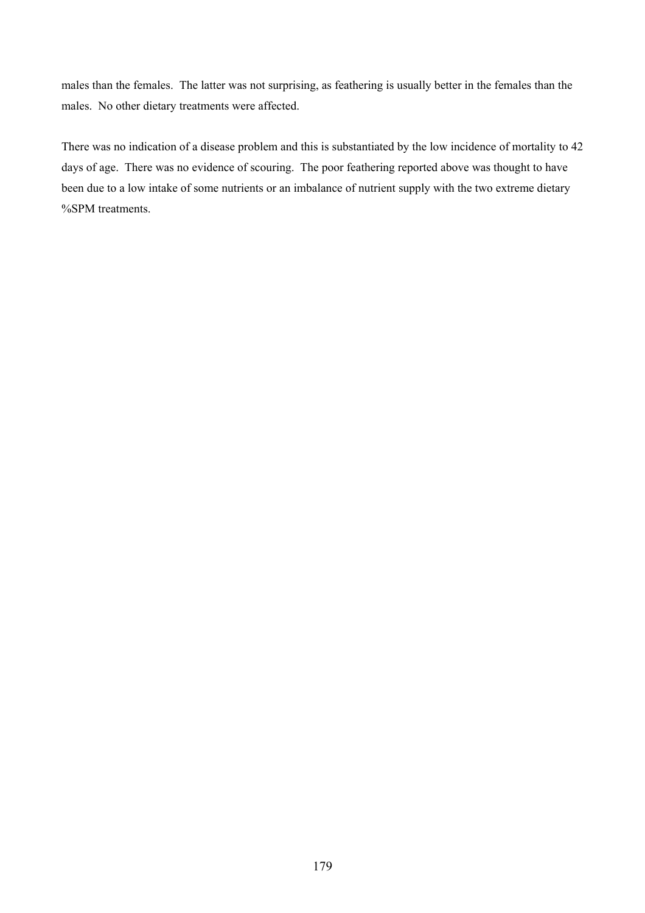males than the females. The latter was not surprising, as feathering is usually better in the females than the males. No other dietary treatments were affected.

There was no indication of a disease problem and this is substantiated by the low incidence of mortality to 42 days of age. There was no evidence of scouring. The poor feathering reported above was thought to have been due to a low intake of some nutrients or an imbalance of nutrient supply with the two extreme dietary %SPM treatments.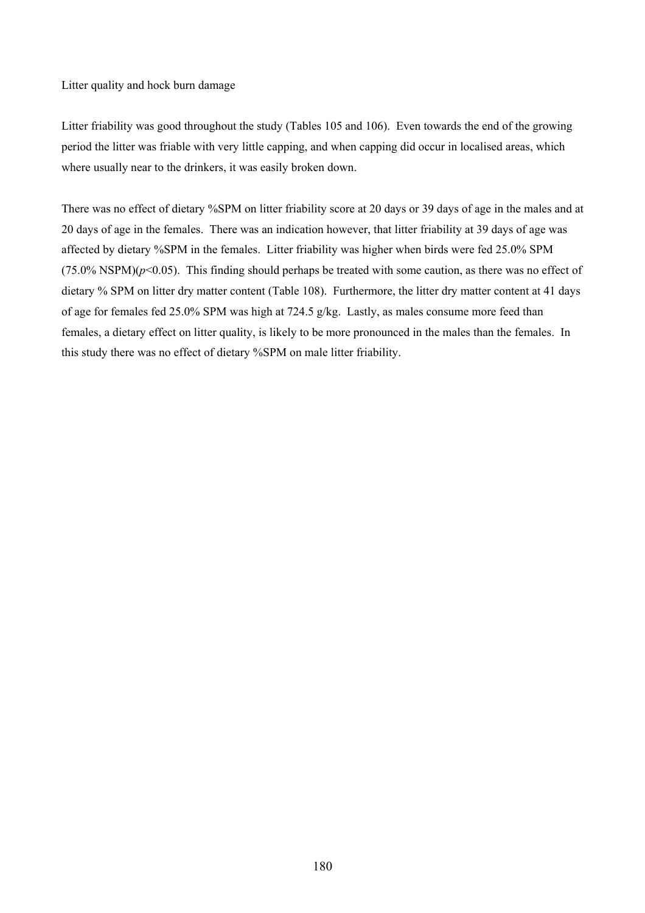Litter quality and hock burn damage

Litter friability was good throughout the study (Tables 105 and 106). Even towards the end of the growing period the litter was friable with very little capping, and when capping did occur in localised areas, which where usually near to the drinkers, it was easily broken down.

There was no effect of dietary %SPM on litter friability score at 20 days or 39 days of age in the males and at 20 days of age in the females. There was an indication however, that litter friability at 39 days of age was affected by dietary %SPM in the females. Litter friability was higher when birds were fed 25.0% SPM  $(75.0\% NSPM)(p<0.05)$ . This finding should perhaps be treated with some caution, as there was no effect of dietary % SPM on litter dry matter content (Table 108). Furthermore, the litter dry matter content at 41 days of age for females fed 25.0% SPM was high at 724.5 g/kg. Lastly, as males consume more feed than females, a dietary effect on litter quality, is likely to be more pronounced in the males than the females. In this study there was no effect of dietary %SPM on male litter friability.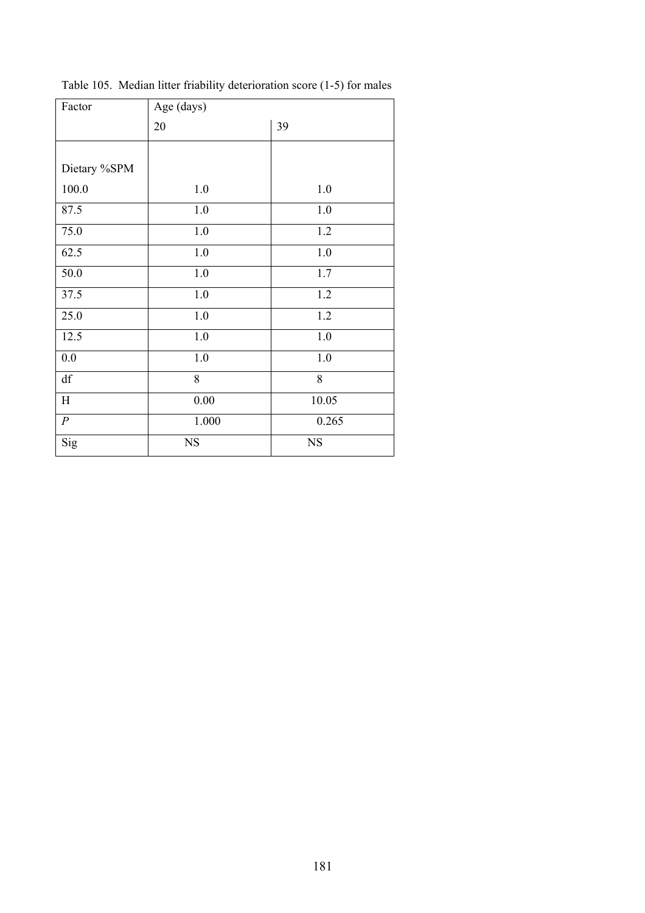| Factor       | Age (days)     |                |
|--------------|----------------|----------------|
|              | 20             | 39             |
|              |                |                |
| Dietary %SPM |                |                |
| 100.0        | 1.0            | 1.0            |
| 87.5         | $1.0\,$        | 1.0            |
| 75.0         | $1.0\,$        | 1.2            |
| 62.5         | $1.0\,$        | 1.0            |
| 50.0         | $1.0\,$        | 1.7            |
| 37.5         | $1.0\,$        | 1.2            |
| 25.0         | $1.0\,$        | 1.2            |
| 12.5         | $1.0\,$        | 1.0            |
| 0.0          | $1.0\,$        | 1.0            |
| df           | $\overline{8}$ | $\overline{8}$ |
| $\mathbf H$  | $0.00\,$       | 10.05          |
| $\cal P$     | 1.000          | 0.265          |
| Sig          | $_{\rm NS}$    | <b>NS</b>      |

Table 105. Median litter friability deterioration score (1-5) for males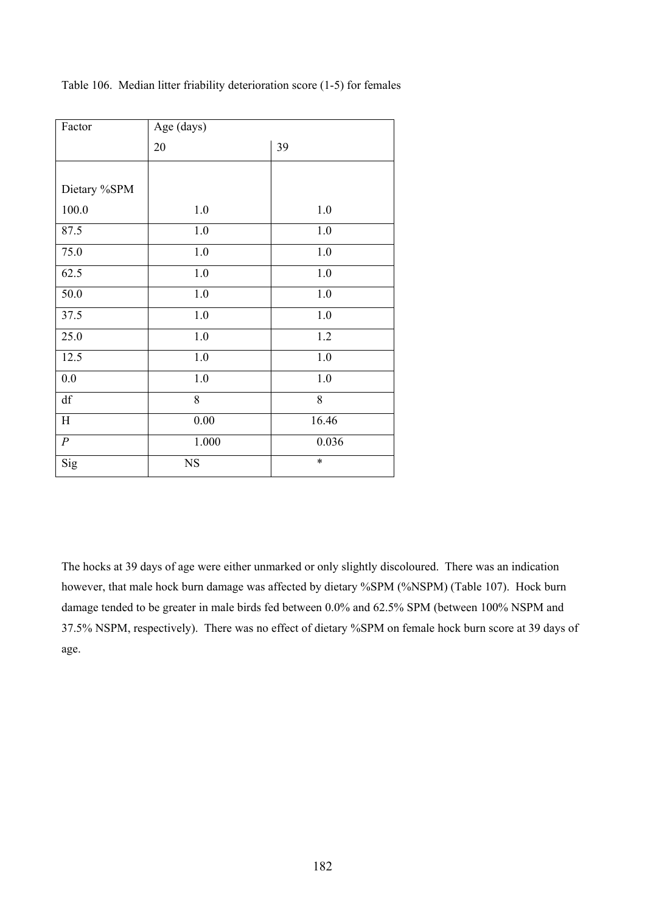| Factor       | Age (days) |         |
|--------------|------------|---------|
|              | 20         | 39      |
|              |            |         |
| Dietary %SPM |            |         |
| 100.0        | $1.0\,$    | 1.0     |
| 87.5         | $1.0\,$    | $1.0\,$ |
| 75.0         | 1.0        | 1.0     |
| 62.5         | $1.0\,$    | $1.0\,$ |
| 50.0         | $1.0\,$    | $1.0$   |
| 37.5         | $1.0\,$    | $1.0\,$ |
| 25.0         | 1.0        | 1.2     |
| 12.5         | $1.0\,$    | $1.0\,$ |
| $0.0\,$      | $1.0\,$    | $1.0\,$ |
| df           | 8          | 8       |
| H            | $0.00\,$   | 16.46   |
| $\cal P$     | 1.000      | 0.036   |
| Sig          | <b>NS</b>  | $\ast$  |

Table 106. Median litter friability deterioration score (1-5) for females

The hocks at 39 days of age were either unmarked or only slightly discoloured. There was an indication however, that male hock burn damage was affected by dietary %SPM (%NSPM) (Table 107). Hock burn damage tended to be greater in male birds fed between 0.0% and 62.5% SPM (between 100% NSPM and 37.5% NSPM, respectively). There was no effect of dietary %SPM on female hock burn score at 39 days of age.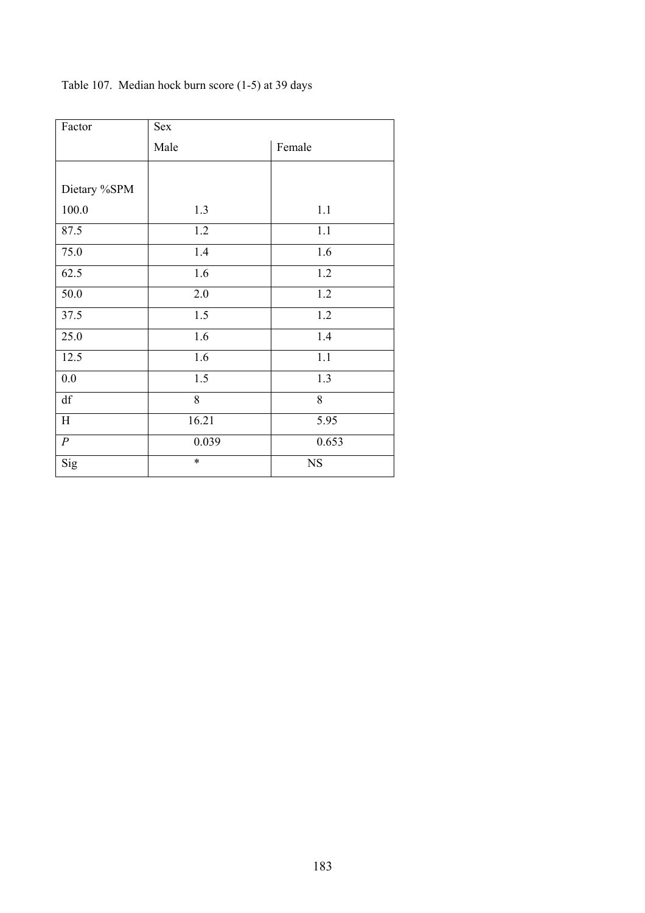| Factor       | Sex     |                  |
|--------------|---------|------------------|
|              | Male    | Female           |
|              |         |                  |
| Dietary %SPM |         |                  |
| 100.0        | 1.3     | $1.1\,$          |
| 87.5         | 1.2     | $1.1\,$          |
| 75.0         | $1.4\,$ | 1.6              |
| 62.5         | 1.6     | 1.2              |
| 50.0         | $2.0\,$ | 1.2              |
| 37.5         | 1.5     | $\overline{1.2}$ |
| 25.0         | 1.6     | 1.4              |
| 12.5         | 1.6     | $1.1\,$          |
| 0.0          | 1.5     | 1.3              |
| df           | 8       | $8\,$            |
| H            | 16.21   | 5.95             |
| $\cal P$     | 0.039   | 0.653            |
| Sig          | $\ast$  | <b>NS</b>        |

# Table 107. Median hock burn score (1-5) at 39 days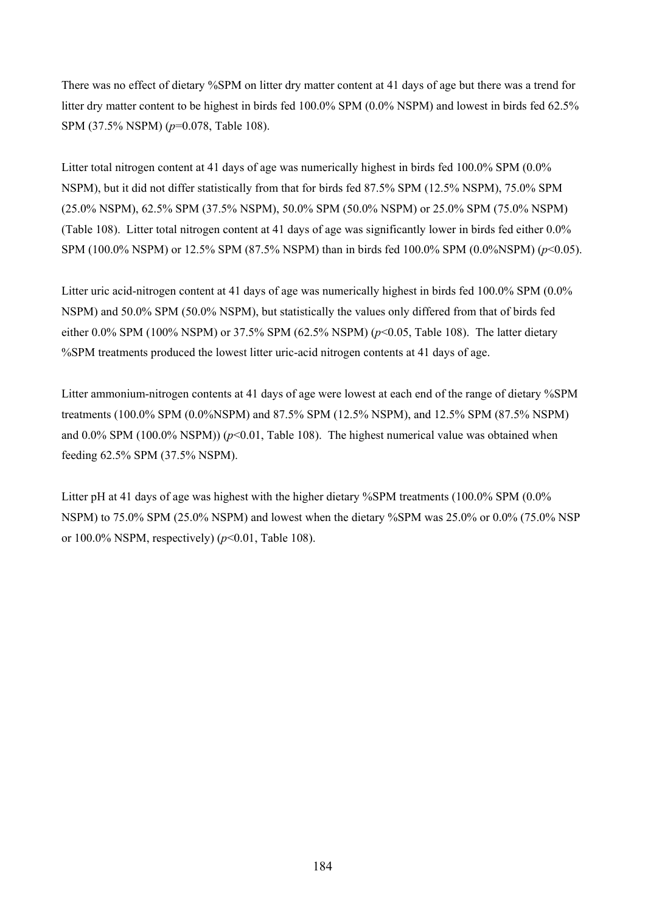There was no effect of dietary %SPM on litter dry matter content at 41 days of age but there was a trend for litter dry matter content to be highest in birds fed 100.0% SPM (0.0% NSPM) and lowest in birds fed 62.5% SPM (37.5% NSPM) (*p*=0.078, Table 108).

Litter total nitrogen content at 41 days of age was numerically highest in birds fed 100.0% SPM (0.0%) NSPM), but it did not differ statistically from that for birds fed 87.5% SPM (12.5% NSPM), 75.0% SPM (25.0% NSPM), 62.5% SPM (37.5% NSPM), 50.0% SPM (50.0% NSPM) or 25.0% SPM (75.0% NSPM) (Table 108). Litter total nitrogen content at 41 days of age was significantly lower in birds fed either 0.0% SPM (100.0% NSPM) or 12.5% SPM (87.5% NSPM) than in birds fed 100.0% SPM (0.0%NSPM) (*p*<0.05).

Litter uric acid-nitrogen content at 41 days of age was numerically highest in birds fed 100.0% SPM (0.0% NSPM) and 50.0% SPM (50.0% NSPM), but statistically the values only differed from that of birds fed either 0.0% SPM (100% NSPM) or 37.5% SPM (62.5% NSPM) (*p*<0.05, Table 108). The latter dietary %SPM treatments produced the lowest litter uric-acid nitrogen contents at 41 days of age.

Litter ammonium-nitrogen contents at 41 days of age were lowest at each end of the range of dietary %SPM treatments (100.0% SPM (0.0%NSPM) and 87.5% SPM (12.5% NSPM), and 12.5% SPM (87.5% NSPM) and  $0.0\%$  SPM (100.0% NSPM)) ( $p<0.01$ , Table 108). The highest numerical value was obtained when feeding 62.5% SPM (37.5% NSPM).

Litter pH at 41 days of age was highest with the higher dietary %SPM treatments (100.0% SPM (0.0% NSPM) to 75.0% SPM (25.0% NSPM) and lowest when the dietary %SPM was 25.0% or 0.0% (75.0% NSP or 100.0% NSPM, respectively)  $(p<0.01$ , Table 108).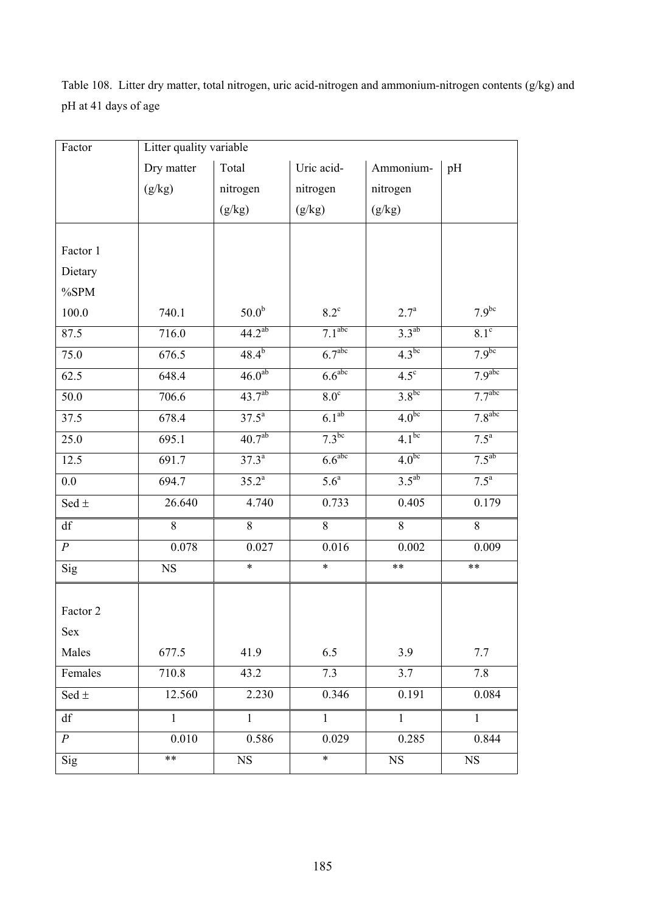Table 108. Litter dry matter, total nitrogen, uric acid-nitrogen and ammonium-nitrogen contents (g/kg) and pH at 41 days of age

| Factor                 | Litter quality variable |                    |                    |                   |                    |
|------------------------|-------------------------|--------------------|--------------------|-------------------|--------------------|
|                        | Dry matter              | Total              | Uric acid-         | Ammonium-         | pH                 |
|                        | (g/kg)                  | nitrogen           | nitrogen           | nitrogen          |                    |
|                        |                         | (g/kg)             | (g/kg)             | (g/kg)            |                    |
|                        |                         |                    |                    |                   |                    |
| Factor 1               |                         |                    |                    |                   |                    |
| Dietary                |                         |                    |                    |                   |                    |
| $\%SPM$                |                         |                    |                    |                   |                    |
| 100.0                  | 740.1                   | 50.0 <sup>b</sup>  | $8.2^{\circ}$      | $2.7^{\rm a}$     | $7.9^{bc}$         |
| 87.5                   | 716.0                   | $44.2^{ab}$        | 7.1 <sup>abc</sup> | $3.3^{ab}$        | $8.1^\circ$        |
| 75.0                   | 676.5                   | $48.4^{b}$         | 6.7 <sup>abc</sup> | $4.3^{bc}$        | 7.9 <sup>bc</sup>  |
| 62.5                   | 648.4                   | 46.0 <sup>ab</sup> | 6.6 <sup>abc</sup> | $4.5^\circ$       | 7.9 <sup>abc</sup> |
| $\overline{50.0}$      | 706.6                   | 43.7 <sup>ab</sup> | $8.0^\circ$        | 3.8 <sup>bc</sup> | 7.7 <sup>abc</sup> |
| 37.5                   | 678.4                   | $37.5^{\circ}$     | 6.1 <sup>ab</sup>  | 4.0 <sup>bc</sup> | 7.8 <sup>abc</sup> |
| 25.0                   | 695.1                   | 40.7 <sup>ab</sup> | $7.3^{bc}$         | $4.1^{bc}$        | 7.5 <sup>a</sup>   |
| 12.5                   | 691.7                   | $37.3^{a}$         | 6.6 <sup>abc</sup> | 4.0 <sup>bc</sup> | $7.5^{ab}$         |
| 0.0                    | 694.7                   | $35.2^{\rm a}$     | 5.6 <sup>a</sup>   | $3.5^{ab}$        | $7.5^{\mathrm{a}}$ |
| Sed $\pm$              | 26.640                  | 4.740              | 0.733              | 0.405             | 0.179              |
| df                     | 8                       | 8                  | $8\,$              | 8                 | $8\,$              |
| $\overline{P}$         | 0.078                   | 0.027              | 0.016              | 0.002             | 0.009              |
| Sig                    | $_{\rm NS}$             | $\ast$             | $\ast$             | $***$             | $***$              |
|                        |                         |                    |                    |                   |                    |
| Factor 2               |                         |                    |                    |                   |                    |
| Sex                    |                         |                    |                    |                   |                    |
| Males                  | 677.5                   | 41.9               | 6.5                | 3.9               | 7.7                |
| Females                | 710.8                   | 43.2               | 7.3                | 3.7               | 7.8                |
| Sed $\pm$              | 12.560                  | 2.230              | 0.346              | 0.191             | 0.084              |
| $\mathrm{d}\mathbf{f}$ | $\overline{1}$          | $\mathbf{1}$       | $\mathbf{1}$       | $\mathbf{1}$      | $\mathbf{1}$       |
| $\cal P$               | 0.010                   | 0.586              | 0.029              | 0.285             | 0.844              |
| Sig                    | **                      | $_{\rm NS}$        | $\ast$             | $_{\rm NS}$       | NS                 |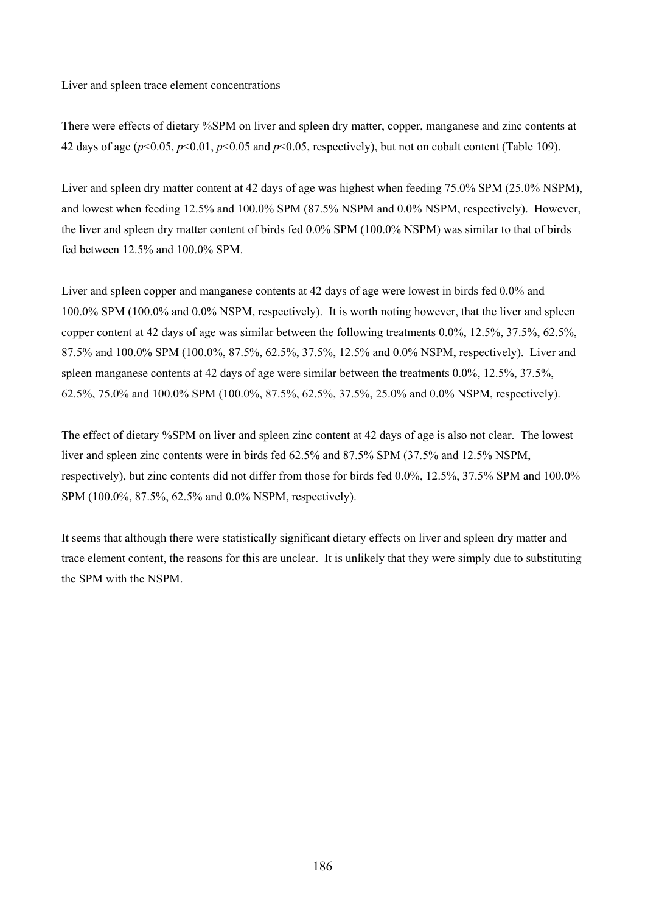Liver and spleen trace element concentrations

There were effects of dietary %SPM on liver and spleen dry matter, copper, manganese and zinc contents at 42 days of age (*p*<0.05, *p*<0.01, *p*<0.05 and *p*<0.05, respectively), but not on cobalt content (Table 109).

Liver and spleen dry matter content at 42 days of age was highest when feeding 75.0% SPM (25.0% NSPM), and lowest when feeding 12.5% and 100.0% SPM (87.5% NSPM and 0.0% NSPM, respectively). However, the liver and spleen dry matter content of birds fed 0.0% SPM (100.0% NSPM) was similar to that of birds fed between 12.5% and 100.0% SPM.

Liver and spleen copper and manganese contents at 42 days of age were lowest in birds fed 0.0% and 100.0% SPM (100.0% and 0.0% NSPM, respectively). It is worth noting however, that the liver and spleen copper content at 42 days of age was similar between the following treatments 0.0%, 12.5%, 37.5%, 62.5%, 87.5% and 100.0% SPM (100.0%, 87.5%, 62.5%, 37.5%, 12.5% and 0.0% NSPM, respectively). Liver and spleen manganese contents at 42 days of age were similar between the treatments 0.0%, 12.5%, 37.5%, 62.5%, 75.0% and 100.0% SPM (100.0%, 87.5%, 62.5%, 37.5%, 25.0% and 0.0% NSPM, respectively).

The effect of dietary %SPM on liver and spleen zinc content at 42 days of age is also not clear. The lowest liver and spleen zinc contents were in birds fed 62.5% and 87.5% SPM (37.5% and 12.5% NSPM, respectively), but zinc contents did not differ from those for birds fed 0.0%, 12.5%, 37.5% SPM and 100.0% SPM (100.0%, 87.5%, 62.5% and 0.0% NSPM, respectively).

It seems that although there were statistically significant dietary effects on liver and spleen dry matter and trace element content, the reasons for this are unclear. It is unlikely that they were simply due to substituting the SPM with the NSPM.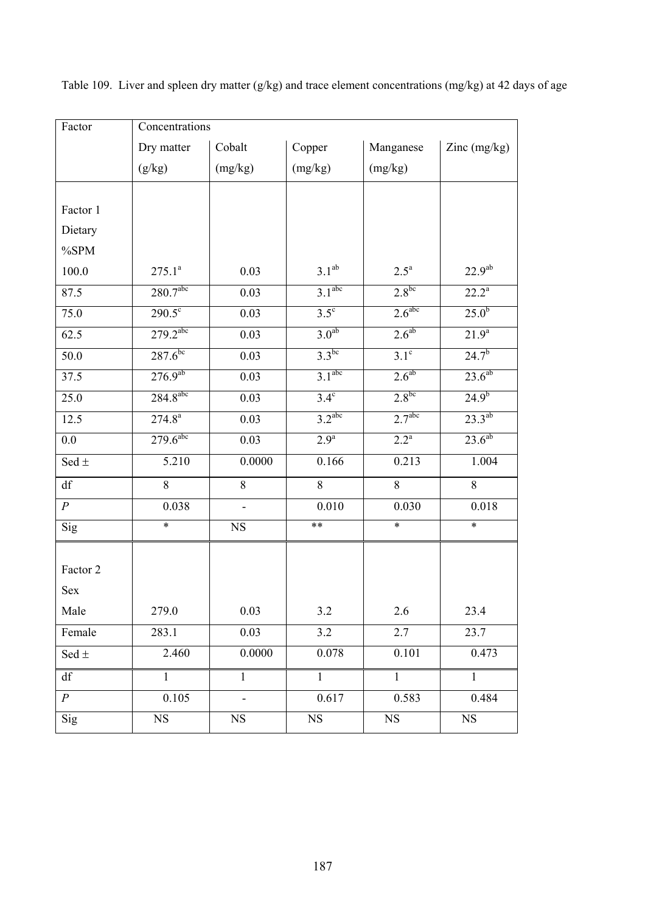| Factor                 | Concentrations         |              |                    |                    |                |
|------------------------|------------------------|--------------|--------------------|--------------------|----------------|
|                        | Dry matter             | Cobalt       | Copper             | Manganese          | Zinc (mg/kg)   |
|                        | (g/kg)                 | (mg/kg)      | (mg/kg)            | (mg/kg)            |                |
|                        |                        |              |                    |                    |                |
| Factor 1               |                        |              |                    |                    |                |
| Dietary                |                        |              |                    |                    |                |
| $\%SPM$                |                        |              |                    |                    |                |
| 100.0                  | $275.1^a$              | 0.03         | $3.1^{ab}$         | $2.5^{\mathrm{a}}$ | $22.9^{ab}$    |
| 87.5                   | 280.7 <sup>abc</sup>   | 0.03         | 3.1 <sup>abc</sup> | $2.8^{bc}$         | $22.2^{\rm a}$ |
| 75.0                   | $290.5^\circ$          | 0.03         | $3.5^\circ$        | 2.6 <sup>abc</sup> | $25.0^{b}$     |
| 62.5                   | $279.2^{abc}$          | 0.03         | 3.0 <sup>ab</sup>  | $2.6^{ab}$         | $21.9^{a}$     |
| 50.0                   | $287.6^{bc}$           | 0.03         | $3.3^{bc}$         | $3.1^\circ$        | $24.7^{b}$     |
| 37.5                   | $276.9^{ab}$           | 0.03         | 3.1 <sup>abc</sup> | $2.6^{ab}$         | $23.6^{ab}$    |
| 25.0                   | $284.8$ <sup>abc</sup> | 0.03         | $3.4^\circ$        | $2.8^{bc}$         | $24.9^{b}$     |
| 12.5                   | $274.8^{a}$            | 0.03         | $3.2^{abc}$        | 2.7 <sup>abc</sup> | $23.3^{ab}$    |
| 0.0                    | $279.6$ <sup>abc</sup> | 0.03         | 2.9 <sup>a</sup>   | $2.2^{\rm a}$      | $23.6^{ab}$    |
| Sed $\pm$              | 5.210                  | 0.0000       | 0.166              | 0.213              | 1.004          |
| $\mathrm{d}\mathrm{f}$ | 8                      | 8            | 8                  | 8                  | 8              |
| $\cal P$               | 0.038                  |              | 0.010              | 0.030              | 0.018          |
| Sig                    | $\ast$                 | NS           | $***$              | $\ast$             | $\ast$         |
| Factor 2               |                        |              |                    |                    |                |
| Sex                    |                        |              |                    |                    |                |
| Male                   | 279.0                  | 0.03         | 3.2                | 2.6                | 23.4           |
| Female                 | 283.1                  | 0.03         | 3.2                | 2.7                | 23.7           |
|                        |                        |              |                    |                    |                |
| Sed $\pm$              | 2.460                  | 0.0000       | 0.078              | 0.101              | 0.473          |
| df                     | $\mathbf{1}$           | $\mathbf{1}$ | $\mathbf{1}$       | $\mathbf{1}$       | $\mathbf{1}$   |
| $\boldsymbol{P}$       | 0.105                  |              | 0.617              | 0.583              | 0.484          |
| Sig                    | <b>NS</b>              | <b>NS</b>    | $_{\rm NS}$        | $_{\rm NS}$        | $_{\rm NS}$    |

Table 109. Liver and spleen dry matter (g/kg) and trace element concentrations (mg/kg) at 42 days of age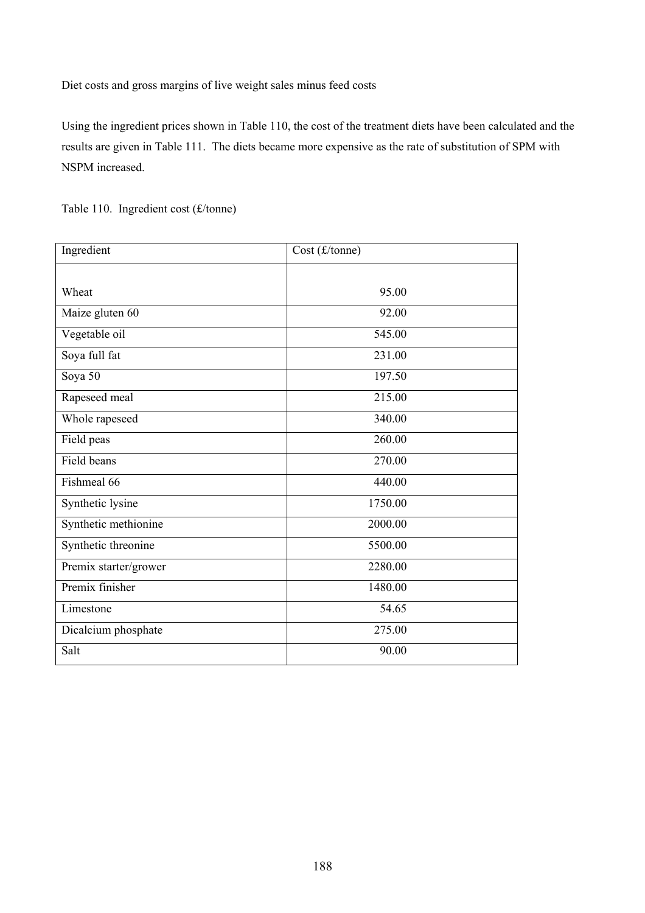Diet costs and gross margins of live weight sales minus feed costs

Using the ingredient prices shown in Table 110, the cost of the treatment diets have been calculated and the results are given in Table 111. The diets became more expensive as the rate of substitution of SPM with NSPM increased.

Table 110. Ingredient cost (£/tonne)

| Ingredient            | Cost (f/tonne) |
|-----------------------|----------------|
|                       |                |
| Wheat                 | 95.00          |
| Maize gluten 60       | 92.00          |
| Vegetable oil         | 545.00         |
| Soya full fat         | 231.00         |
| Soya 50               | 197.50         |
| Rapeseed meal         | 215.00         |
| Whole rapeseed        | 340.00         |
| Field peas            | 260.00         |
| Field beans           | 270.00         |
| Fishmeal 66           | 440.00         |
| Synthetic lysine      | 1750.00        |
| Synthetic methionine  | 2000.00        |
| Synthetic threonine   | 5500.00        |
| Premix starter/grower | 2280.00        |
| Premix finisher       | 1480.00        |
| Limestone             | 54.65          |
| Dicalcium phosphate   | 275.00         |
| Salt                  | 90.00          |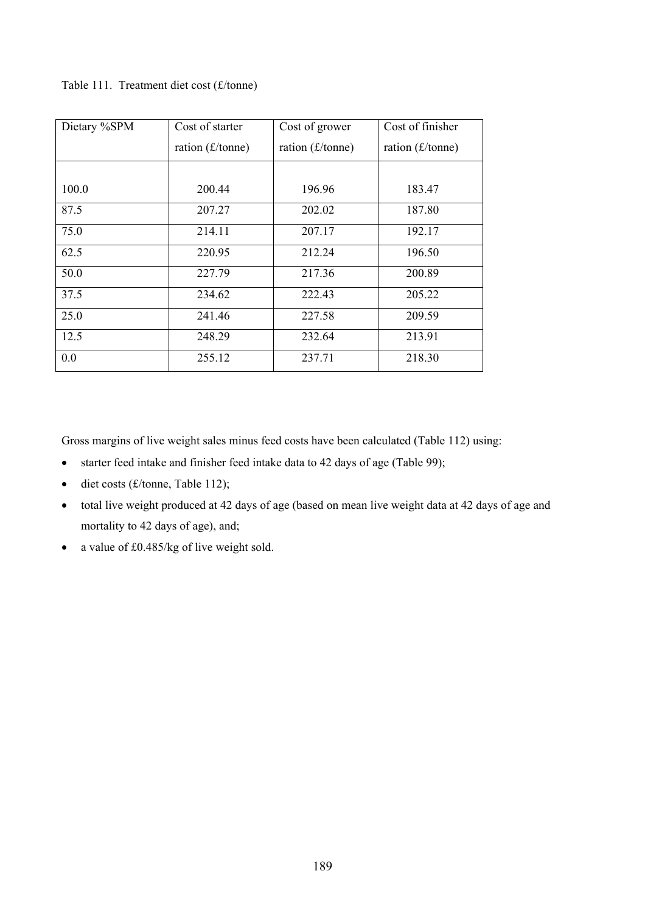| Dietary %SPM | Cost of starter    | Cost of grower     | Cost of finisher   |
|--------------|--------------------|--------------------|--------------------|
|              | ration $(f/tonne)$ | ration $(f/tonne)$ | ration $(f/tonne)$ |
|              |                    |                    |                    |
| 100.0        | 200.44             | 196.96             | 183.47             |
| 87.5         | 207.27             | 202.02             | 187.80             |
| 75.0         | 214.11             | 207.17             | 192.17             |
| 62.5         | 220.95             | 212.24             | 196.50             |
| 50.0         | 227.79             | 217.36             | 200.89             |
| 37.5         | 234.62             | 222.43             | 205.22             |
| 25.0         | 241.46             | 227.58             | 209.59             |
| 12.5         | 248.29             | 232.64             | 213.91             |
| 0.0          | 255.12             | 237.71             | 218.30             |

# Table 111. Treatment diet cost (£/tonne)

Gross margins of live weight sales minus feed costs have been calculated (Table 112) using:

- starter feed intake and finisher feed intake data to 42 days of age (Table 99);
- $\bullet$  diet costs (£/tonne, Table 112);
- total live weight produced at 42 days of age (based on mean live weight data at 42 days of age and mortality to 42 days of age), and;
- a value of £0.485/kg of live weight sold.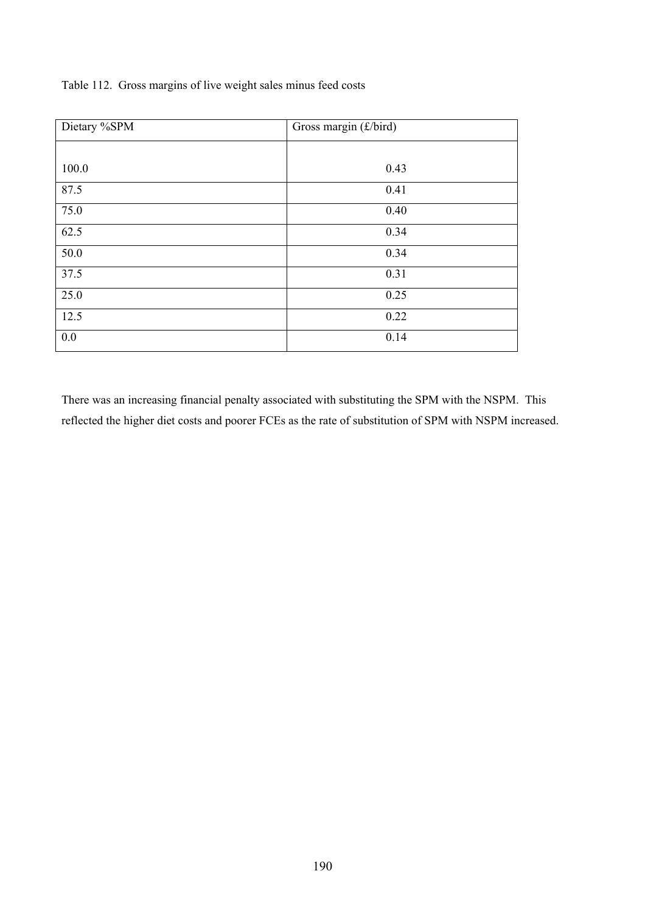Table 112. Gross margins of live weight sales minus feed costs

| Dietary %SPM | Gross margin (£/bird) |
|--------------|-----------------------|
|              |                       |
| 100.0        | 0.43                  |
| 87.5         | 0.41                  |
| 75.0         | 0.40                  |
| 62.5         | 0.34                  |
| 50.0         | 0.34                  |
| 37.5         | 0.31                  |
| 25.0         | 0.25                  |
| 12.5         | 0.22                  |
| 0.0          | 0.14                  |

There was an increasing financial penalty associated with substituting the SPM with the NSPM. This reflected the higher diet costs and poorer FCEs as the rate of substitution of SPM with NSPM increased.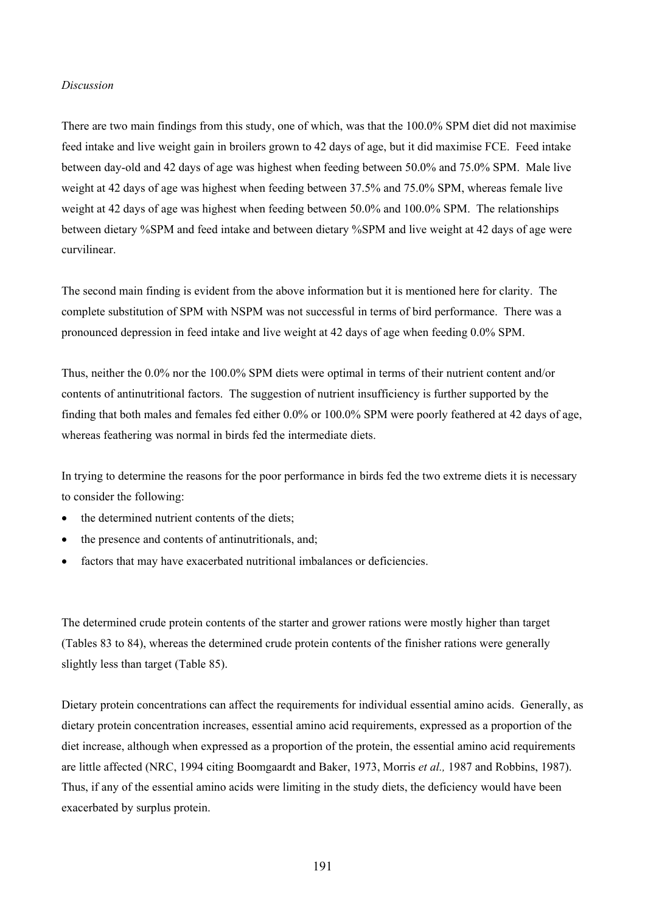#### *Discussion*

There are two main findings from this study, one of which, was that the 100.0% SPM diet did not maximise feed intake and live weight gain in broilers grown to 42 days of age, but it did maximise FCE. Feed intake between day-old and 42 days of age was highest when feeding between 50.0% and 75.0% SPM. Male live weight at 42 days of age was highest when feeding between 37.5% and 75.0% SPM, whereas female live weight at 42 days of age was highest when feeding between 50.0% and 100.0% SPM. The relationships between dietary %SPM and feed intake and between dietary %SPM and live weight at 42 days of age were curvilinear.

The second main finding is evident from the above information but it is mentioned here for clarity. The complete substitution of SPM with NSPM was not successful in terms of bird performance. There was a pronounced depression in feed intake and live weight at 42 days of age when feeding 0.0% SPM.

Thus, neither the 0.0% nor the 100.0% SPM diets were optimal in terms of their nutrient content and/or contents of antinutritional factors. The suggestion of nutrient insufficiency is further supported by the finding that both males and females fed either 0.0% or 100.0% SPM were poorly feathered at 42 days of age, whereas feathering was normal in birds fed the intermediate diets.

In trying to determine the reasons for the poor performance in birds fed the two extreme diets it is necessary to consider the following:

- the determined nutrient contents of the diets;
- the presence and contents of antinutritionals, and;
- factors that may have exacerbated nutritional imbalances or deficiencies.

The determined crude protein contents of the starter and grower rations were mostly higher than target (Tables 83 to 84), whereas the determined crude protein contents of the finisher rations were generally slightly less than target (Table 85).

Dietary protein concentrations can affect the requirements for individual essential amino acids. Generally, as dietary protein concentration increases, essential amino acid requirements, expressed as a proportion of the diet increase, although when expressed as a proportion of the protein, the essential amino acid requirements are little affected (NRC, 1994 citing Boomgaardt and Baker, 1973, Morris *et al.,* 1987 and Robbins, 1987). Thus, if any of the essential amino acids were limiting in the study diets, the deficiency would have been exacerbated by surplus protein.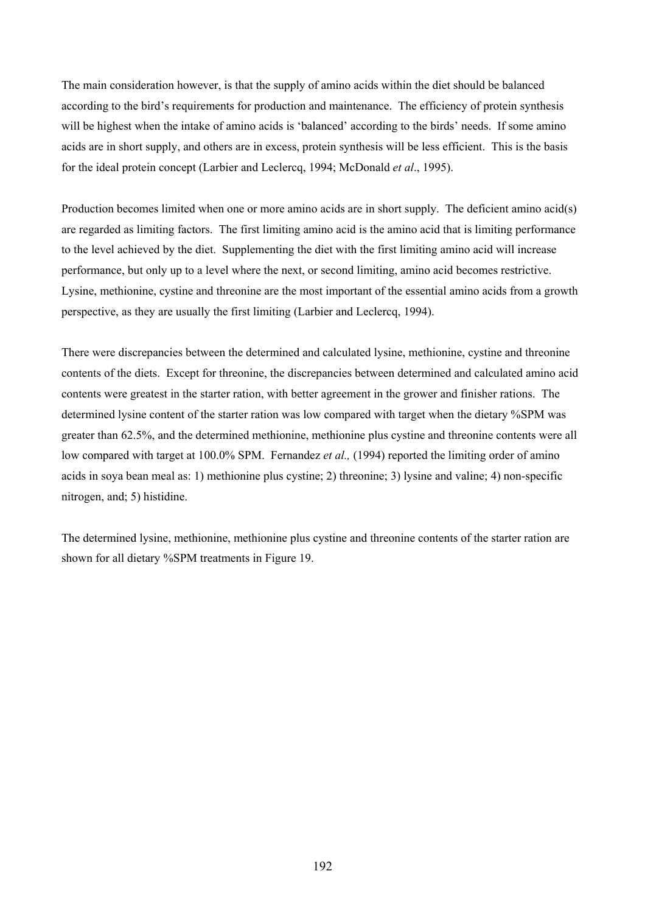The main consideration however, is that the supply of amino acids within the diet should be balanced according to the bird's requirements for production and maintenance. The efficiency of protein synthesis will be highest when the intake of amino acids is 'balanced' according to the birds' needs. If some amino acids are in short supply, and others are in excess, protein synthesis will be less efficient. This is the basis for the ideal protein concept (Larbier and Leclercq, 1994; McDonald *et al*., 1995).

Production becomes limited when one or more amino acids are in short supply. The deficient amino acid(s) are regarded as limiting factors. The first limiting amino acid is the amino acid that is limiting performance to the level achieved by the diet. Supplementing the diet with the first limiting amino acid will increase performance, but only up to a level where the next, or second limiting, amino acid becomes restrictive. Lysine, methionine, cystine and threonine are the most important of the essential amino acids from a growth perspective, as they are usually the first limiting (Larbier and Leclercq, 1994).

There were discrepancies between the determined and calculated lysine, methionine, cystine and threonine contents of the diets. Except for threonine, the discrepancies between determined and calculated amino acid contents were greatest in the starter ration, with better agreement in the grower and finisher rations. The determined lysine content of the starter ration was low compared with target when the dietary %SPM was greater than 62.5%, and the determined methionine, methionine plus cystine and threonine contents were all low compared with target at 100.0% SPM. Fernandez *et al.,* (1994) reported the limiting order of amino acids in soya bean meal as: 1) methionine plus cystine; 2) threonine; 3) lysine and valine; 4) non-specific nitrogen, and; 5) histidine.

The determined lysine, methionine, methionine plus cystine and threonine contents of the starter ration are shown for all dietary %SPM treatments in Figure 19.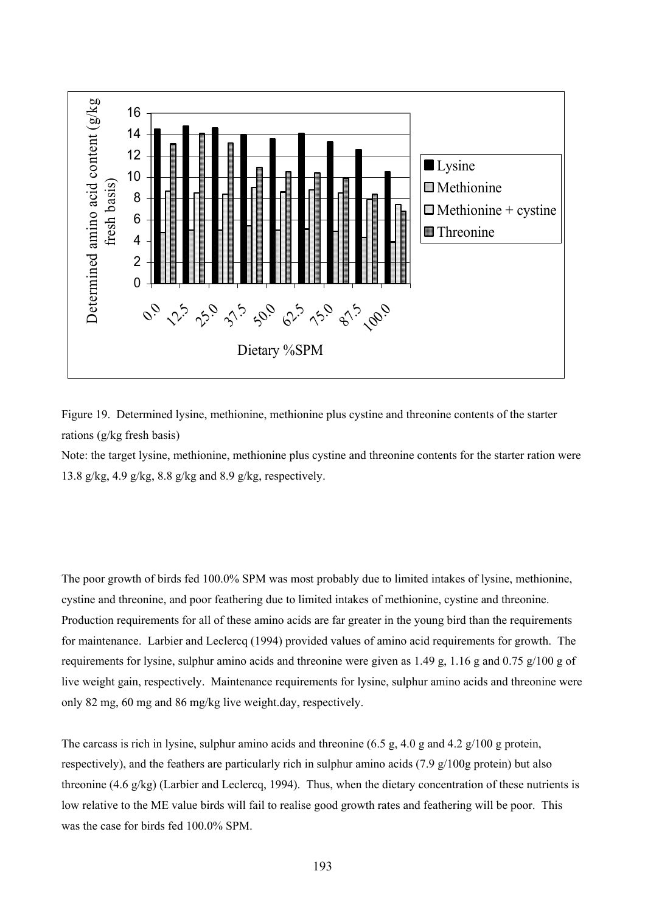

Figure 19. Determined lysine, methionine, methionine plus cystine and threonine contents of the starter rations (g/kg fresh basis)

Note: the target lysine, methionine, methionine plus cystine and threonine contents for the starter ration were 13.8 g/kg, 4.9 g/kg, 8.8 g/kg and 8.9 g/kg, respectively.

The poor growth of birds fed 100.0% SPM was most probably due to limited intakes of lysine, methionine, cystine and threonine, and poor feathering due to limited intakes of methionine, cystine and threonine. Production requirements for all of these amino acids are far greater in the young bird than the requirements for maintenance. Larbier and Leclercq (1994) provided values of amino acid requirements for growth. The requirements for lysine, sulphur amino acids and threonine were given as 1.49 g, 1.16 g and 0.75 g/100 g of live weight gain, respectively. Maintenance requirements for lysine, sulphur amino acids and threonine were only 82 mg, 60 mg and 86 mg/kg live weight.day, respectively.

The carcass is rich in lysine, sulphur amino acids and threonine (6.5 g, 4.0 g and 4.2 g/100 g protein, respectively), and the feathers are particularly rich in sulphur amino acids (7.9 g/100g protein) but also threonine (4.6 g/kg) (Larbier and Leclercq, 1994). Thus, when the dietary concentration of these nutrients is low relative to the ME value birds will fail to realise good growth rates and feathering will be poor. This was the case for birds fed 100.0% SPM.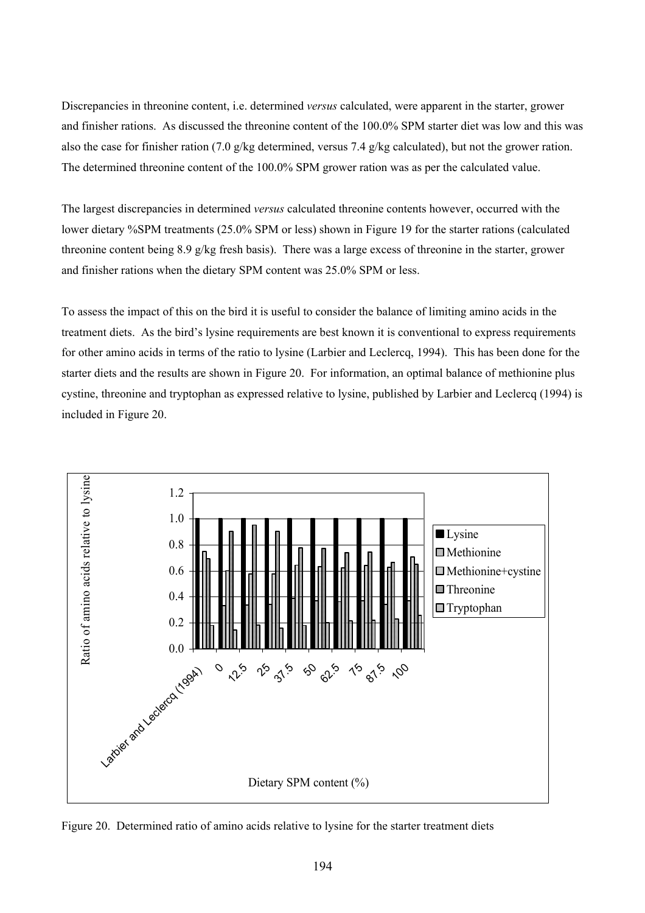Discrepancies in threonine content, i.e. determined *versus* calculated, were apparent in the starter, grower and finisher rations. As discussed the threonine content of the 100.0% SPM starter diet was low and this was also the case for finisher ration (7.0 g/kg determined, versus 7.4 g/kg calculated), but not the grower ration. The determined threonine content of the 100.0% SPM grower ration was as per the calculated value.

The largest discrepancies in determined *versus* calculated threonine contents however, occurred with the lower dietary %SPM treatments (25.0% SPM or less) shown in Figure 19 for the starter rations (calculated threonine content being 8.9 g/kg fresh basis). There was a large excess of threonine in the starter, grower and finisher rations when the dietary SPM content was 25.0% SPM or less.

To assess the impact of this on the bird it is useful to consider the balance of limiting amino acids in the treatment diets. As the bird's lysine requirements are best known it is conventional to express requirements for other amino acids in terms of the ratio to lysine (Larbier and Leclercq, 1994). This has been done for the starter diets and the results are shown in Figure 20. For information, an optimal balance of methionine plus cystine, threonine and tryptophan as expressed relative to lysine, published by Larbier and Leclercq (1994) is included in Figure 20.



Figure 20. Determined ratio of amino acids relative to lysine for the starter treatment diets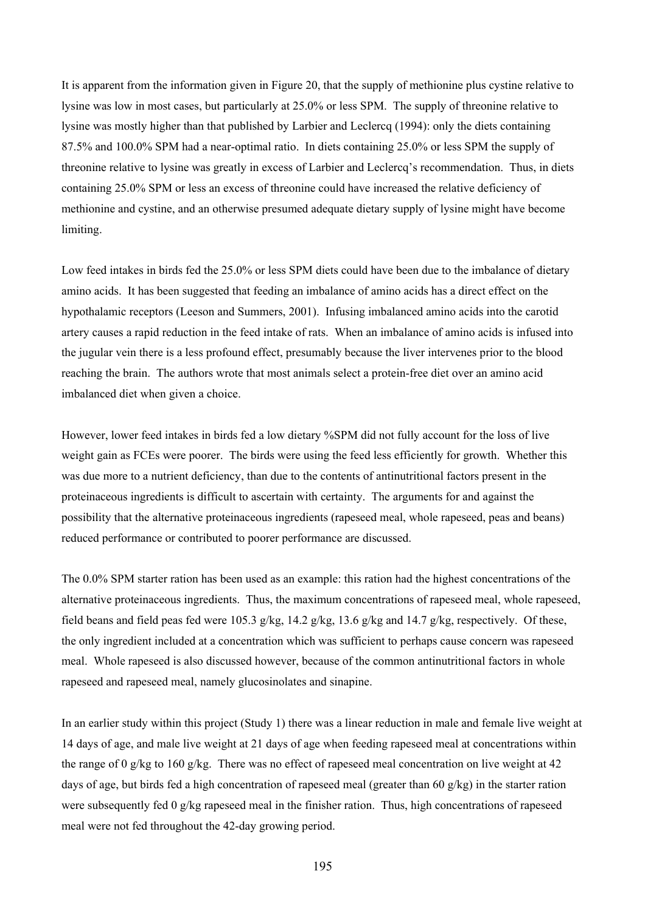It is apparent from the information given in Figure 20, that the supply of methionine plus cystine relative to lysine was low in most cases, but particularly at 25.0% or less SPM. The supply of threonine relative to lysine was mostly higher than that published by Larbier and Leclercq (1994): only the diets containing 87.5% and 100.0% SPM had a near-optimal ratio. In diets containing 25.0% or less SPM the supply of threonine relative to lysine was greatly in excess of Larbier and Leclercq's recommendation. Thus, in diets containing 25.0% SPM or less an excess of threonine could have increased the relative deficiency of methionine and cystine, and an otherwise presumed adequate dietary supply of lysine might have become limiting.

Low feed intakes in birds fed the 25.0% or less SPM diets could have been due to the imbalance of dietary amino acids. It has been suggested that feeding an imbalance of amino acids has a direct effect on the hypothalamic receptors (Leeson and Summers, 2001). Infusing imbalanced amino acids into the carotid artery causes a rapid reduction in the feed intake of rats. When an imbalance of amino acids is infused into the jugular vein there is a less profound effect, presumably because the liver intervenes prior to the blood reaching the brain. The authors wrote that most animals select a protein-free diet over an amino acid imbalanced diet when given a choice.

However, lower feed intakes in birds fed a low dietary %SPM did not fully account for the loss of live weight gain as FCEs were poorer. The birds were using the feed less efficiently for growth. Whether this was due more to a nutrient deficiency, than due to the contents of antinutritional factors present in the proteinaceous ingredients is difficult to ascertain with certainty. The arguments for and against the possibility that the alternative proteinaceous ingredients (rapeseed meal, whole rapeseed, peas and beans) reduced performance or contributed to poorer performance are discussed.

The 0.0% SPM starter ration has been used as an example: this ration had the highest concentrations of the alternative proteinaceous ingredients. Thus, the maximum concentrations of rapeseed meal, whole rapeseed, field beans and field peas fed were 105.3 g/kg, 14.2 g/kg, 13.6 g/kg and 14.7 g/kg, respectively. Of these, the only ingredient included at a concentration which was sufficient to perhaps cause concern was rapeseed meal. Whole rapeseed is also discussed however, because of the common antinutritional factors in whole rapeseed and rapeseed meal, namely glucosinolates and sinapine.

In an earlier study within this project (Study 1) there was a linear reduction in male and female live weight at 14 days of age, and male live weight at 21 days of age when feeding rapeseed meal at concentrations within the range of 0 g/kg to 160 g/kg. There was no effect of rapeseed meal concentration on live weight at 42 days of age, but birds fed a high concentration of rapeseed meal (greater than 60  $g/kg$ ) in the starter ration were subsequently fed 0 g/kg rapeseed meal in the finisher ration. Thus, high concentrations of rapeseed meal were not fed throughout the 42-day growing period.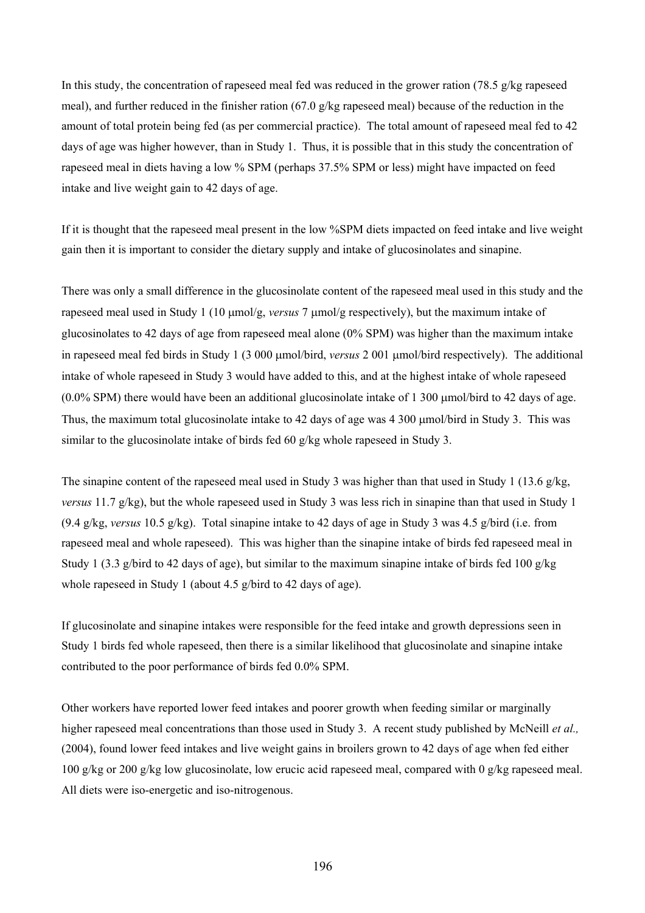In this study, the concentration of rapeseed meal fed was reduced in the grower ration (78.5 g/kg rapeseed meal), and further reduced in the finisher ration (67.0 g/kg rapeseed meal) because of the reduction in the amount of total protein being fed (as per commercial practice). The total amount of rapeseed meal fed to 42 days of age was higher however, than in Study 1. Thus, it is possible that in this study the concentration of rapeseed meal in diets having a low % SPM (perhaps 37.5% SPM or less) might have impacted on feed intake and live weight gain to 42 days of age.

If it is thought that the rapeseed meal present in the low %SPM diets impacted on feed intake and live weight gain then it is important to consider the dietary supply and intake of glucosinolates and sinapine.

There was only a small difference in the glucosinolate content of the rapeseed meal used in this study and the rapeseed meal used in Study 1 (10 µmol/g, *versus* 7 µmol/g respectively), but the maximum intake of glucosinolates to 42 days of age from rapeseed meal alone (0% SPM) was higher than the maximum intake in rapeseed meal fed birds in Study 1 (3 000 µmol/bird, *versus* 2 001 µmol/bird respectively). The additional intake of whole rapeseed in Study 3 would have added to this, and at the highest intake of whole rapeseed  $(0.0\%$  SPM) there would have been an additional glucosinolate intake of 1 300  $\mu$ mol/bird to 42 days of age. Thus, the maximum total glucosinolate intake to 42 days of age was 4 300 µmol/bird in Study 3. This was similar to the glucosinolate intake of birds fed 60 g/kg whole rapeseed in Study 3.

The sinapine content of the rapeseed meal used in Study 3 was higher than that used in Study 1 (13.6 g/kg, *versus* 11.7 g/kg), but the whole rapeseed used in Study 3 was less rich in sinapine than that used in Study 1 (9.4 g/kg, *versus* 10.5 g/kg). Total sinapine intake to 42 days of age in Study 3 was 4.5 g/bird (i.e. from rapeseed meal and whole rapeseed). This was higher than the sinapine intake of birds fed rapeseed meal in Study 1 (3.3 g/bird to 42 days of age), but similar to the maximum sinapine intake of birds fed 100 g/kg whole rapeseed in Study 1 (about 4.5 g/bird to 42 days of age).

If glucosinolate and sinapine intakes were responsible for the feed intake and growth depressions seen in Study 1 birds fed whole rapeseed, then there is a similar likelihood that glucosinolate and sinapine intake contributed to the poor performance of birds fed 0.0% SPM.

Other workers have reported lower feed intakes and poorer growth when feeding similar or marginally higher rapeseed meal concentrations than those used in Study 3. A recent study published by McNeill *et al.*, (2004), found lower feed intakes and live weight gains in broilers grown to 42 days of age when fed either 100 g/kg or 200 g/kg low glucosinolate, low erucic acid rapeseed meal, compared with 0 g/kg rapeseed meal. All diets were iso-energetic and iso-nitrogenous.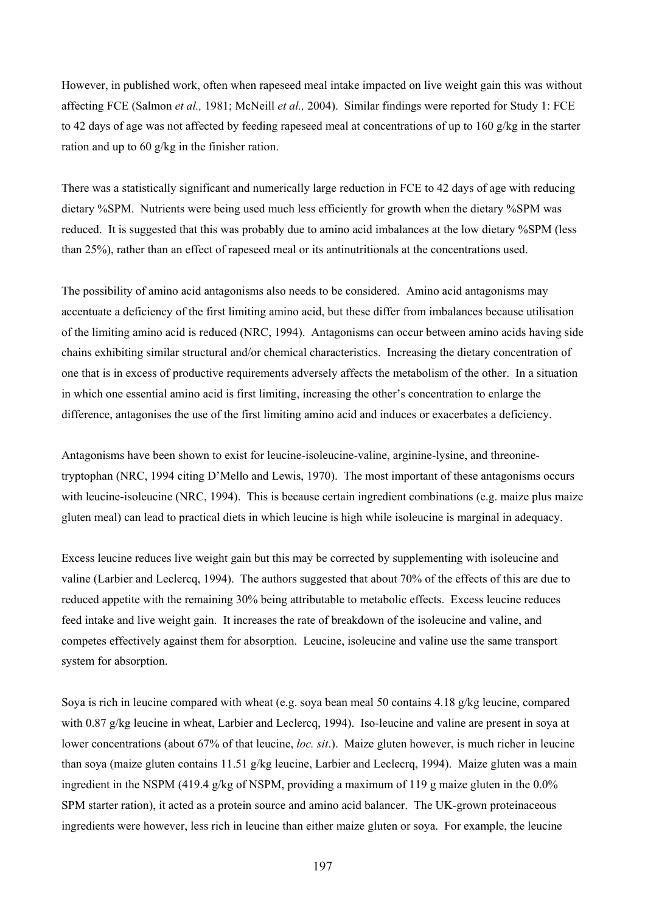However, in published work, often when rapeseed meal intake impacted on live weight gain this was without affecting FCE (Salmon *et al.,* 1981; McNeill *et al.,* 2004). Similar findings were reported for Study 1: FCE to 42 days of age was not affected by feeding rapeseed meal at concentrations of up to 160 g/kg in the starter ration and up to 60 g/kg in the finisher ration.

There was a statistically significant and numerically large reduction in FCE to 42 days of age with reducing dietary %SPM. Nutrients were being used much less efficiently for growth when the dietary %SPM was reduced. It is suggested that this was probably due to amino acid imbalances at the low dietary %SPM (less than 25%), rather than an effect of rapeseed meal or its antinutritionals at the concentrations used.

The possibility of amino acid antagonisms also needs to be considered. Amino acid antagonisms may accentuate a deficiency of the first limiting amino acid, but these differ from imbalances because utilisation of the limiting amino acid is reduced (NRC, 1994). Antagonisms can occur between amino acids having side chains exhibiting similar structural and/or chemical characteristics. Increasing the dietary concentration of one that is in excess of productive requirements adversely affects the metabolism of the other. In a situation in which one essential amino acid is first limiting, increasing the other's concentration to enlarge the difference, antagonises the use of the first limiting amino acid and induces or exacerbates a deficiency.

Antagonisms have been shown to exist for leucine-isoleucine-valine, arginine-lysine, and threoninetryptophan (NRC, 1994 citing D'Mello and Lewis, 1970). The most important of these antagonisms occurs with leucine-isoleucine (NRC, 1994). This is because certain ingredient combinations (e.g. maize plus maize gluten meal) can lead to practical diets in which leucine is high while isoleucine is marginal in adequacy.

Excess leucine reduces live weight gain but this may be corrected by supplementing with isoleucine and valine (Larbier and Leclercq, 1994). The authors suggested that about 70% of the effects of this are due to reduced appetite with the remaining 30% being attributable to metabolic effects. Excess leucine reduces feed intake and live weight gain. It increases the rate of breakdown of the isoleucine and valine, and competes effectively against them for absorption. Leucine, isoleucine and valine use the same transport system for absorption.

Soya is rich in leucine compared with wheat (e.g. soya bean meal 50 contains 4.18 g/kg leucine, compared with 0.87 g/kg leucine in wheat, Larbier and Leclercq, 1994). Iso-leucine and valine are present in soya at lower concentrations (about 67% of that leucine, *loc. sit*.). Maize gluten however, is much richer in leucine than soya (maize gluten contains 11.51 g/kg leucine, Larbier and Leclecrq, 1994). Maize gluten was a main ingredient in the NSPM (419.4 g/kg of NSPM, providing a maximum of 119 g maize gluten in the 0.0% SPM starter ration), it acted as a protein source and amino acid balancer. The UK-grown proteinaceous ingredients were however, less rich in leucine than either maize gluten or soya. For example, the leucine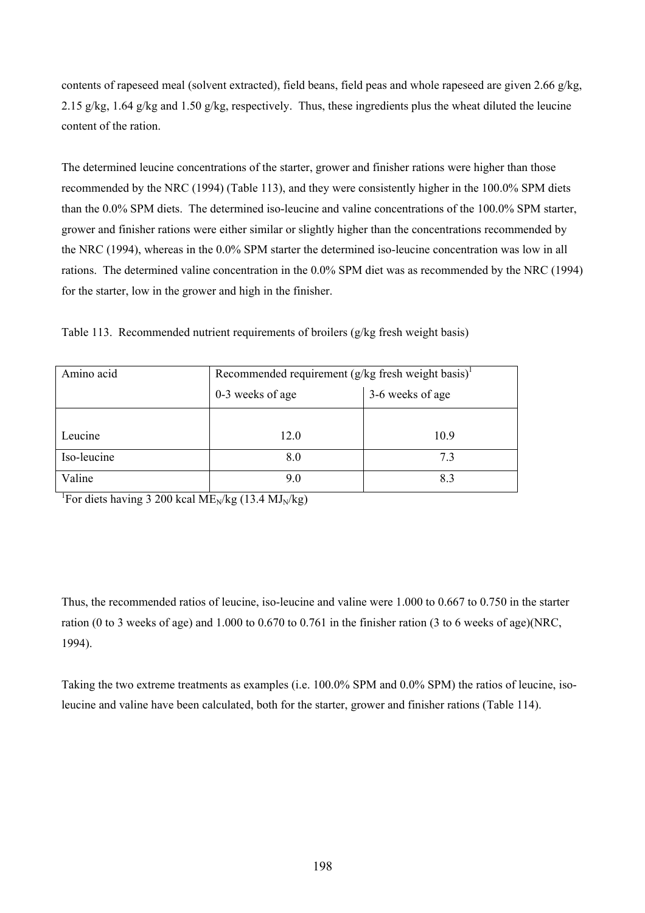contents of rapeseed meal (solvent extracted), field beans, field peas and whole rapeseed are given 2.66 g/kg, 2.15 g/kg, 1.64 g/kg and 1.50 g/kg, respectively. Thus, these ingredients plus the wheat diluted the leucine content of the ration.

The determined leucine concentrations of the starter, grower and finisher rations were higher than those recommended by the NRC (1994) (Table 113), and they were consistently higher in the 100.0% SPM diets than the 0.0% SPM diets. The determined iso-leucine and valine concentrations of the 100.0% SPM starter, grower and finisher rations were either similar or slightly higher than the concentrations recommended by the NRC (1994), whereas in the 0.0% SPM starter the determined iso-leucine concentration was low in all rations. The determined valine concentration in the 0.0% SPM diet was as recommended by the NRC (1994) for the starter, low in the grower and high in the finisher.

|  |  |  | Table 113. Recommended nutrient requirements of broilers (g/kg fresh weight basis) |
|--|--|--|------------------------------------------------------------------------------------|
|  |  |  |                                                                                    |

| Amino acid  | Recommended requirement $(g/kg$ fresh weight basis) <sup>1</sup> |                  |  |
|-------------|------------------------------------------------------------------|------------------|--|
|             | 0-3 weeks of age                                                 | 3-6 weeks of age |  |
|             |                                                                  |                  |  |
| Leucine     | 12.0                                                             | 10.9             |  |
| Iso-leucine | 8.0                                                              |                  |  |
| Valine      | 9.0                                                              | 8.3              |  |

<sup>1</sup>For diets having 3 200 kcal ME<sub>N</sub>/kg (13.4 MJ<sub>N</sub>/kg)

Thus, the recommended ratios of leucine, iso-leucine and valine were 1.000 to 0.667 to 0.750 in the starter ration (0 to 3 weeks of age) and 1.000 to 0.670 to 0.761 in the finisher ration (3 to 6 weeks of age)(NRC, 1994).

Taking the two extreme treatments as examples (i.e. 100.0% SPM and 0.0% SPM) the ratios of leucine, isoleucine and valine have been calculated, both for the starter, grower and finisher rations (Table 114).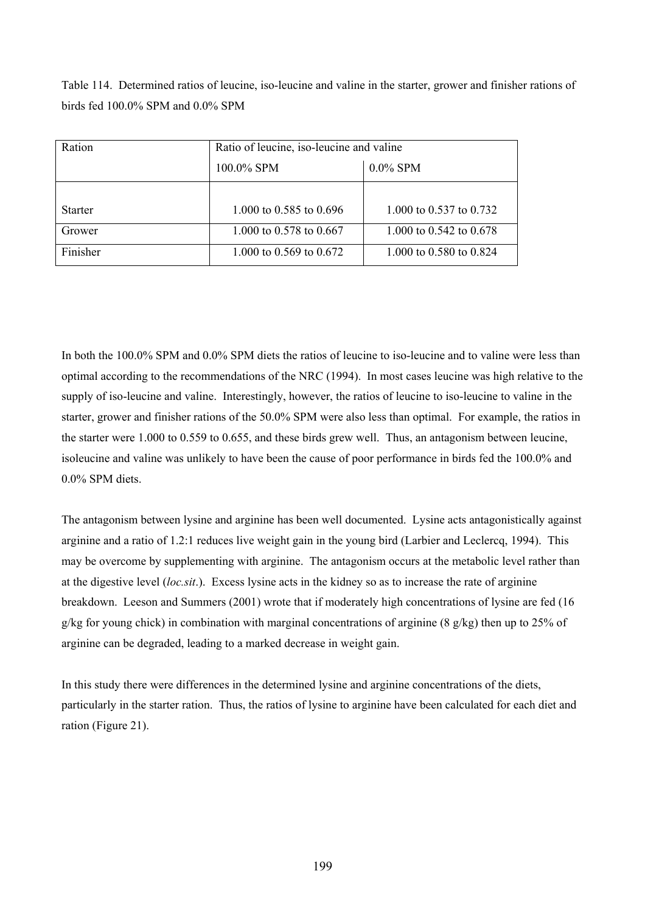Table 114. Determined ratios of leucine, iso-leucine and valine in the starter, grower and finisher rations of birds fed 100.0% SPM and 0.0% SPM

| Ration         | Ratio of leucine, iso-leucine and valine |                         |  |
|----------------|------------------------------------------|-------------------------|--|
|                | 100.0% SPM                               | $0.0\%$ SPM             |  |
|                |                                          |                         |  |
| <b>Starter</b> | 1.000 to 0.585 to 0.696                  | 1.000 to 0.537 to 0.732 |  |
| Grower         | 1.000 to 0.578 to 0.667                  | 1.000 to 0.542 to 0.678 |  |
| Finisher       | 1.000 to 0.569 to $0.672$                | 1.000 to 0.580 to 0.824 |  |

In both the 100.0% SPM and 0.0% SPM diets the ratios of leucine to iso-leucine and to valine were less than optimal according to the recommendations of the NRC (1994). In most cases leucine was high relative to the supply of iso-leucine and valine. Interestingly, however, the ratios of leucine to iso-leucine to valine in the starter, grower and finisher rations of the 50.0% SPM were also less than optimal. For example, the ratios in the starter were 1.000 to 0.559 to 0.655, and these birds grew well. Thus, an antagonism between leucine, isoleucine and valine was unlikely to have been the cause of poor performance in birds fed the 100.0% and 0.0% SPM diets.

The antagonism between lysine and arginine has been well documented. Lysine acts antagonistically against arginine and a ratio of 1.2:1 reduces live weight gain in the young bird (Larbier and Leclercq, 1994). This may be overcome by supplementing with arginine. The antagonism occurs at the metabolic level rather than at the digestive level (*loc.sit*.). Excess lysine acts in the kidney so as to increase the rate of arginine breakdown. Leeson and Summers (2001) wrote that if moderately high concentrations of lysine are fed (16 g/kg for young chick) in combination with marginal concentrations of arginine (8 g/kg) then up to 25% of arginine can be degraded, leading to a marked decrease in weight gain.

In this study there were differences in the determined lysine and arginine concentrations of the diets, particularly in the starter ration. Thus, the ratios of lysine to arginine have been calculated for each diet and ration (Figure 21).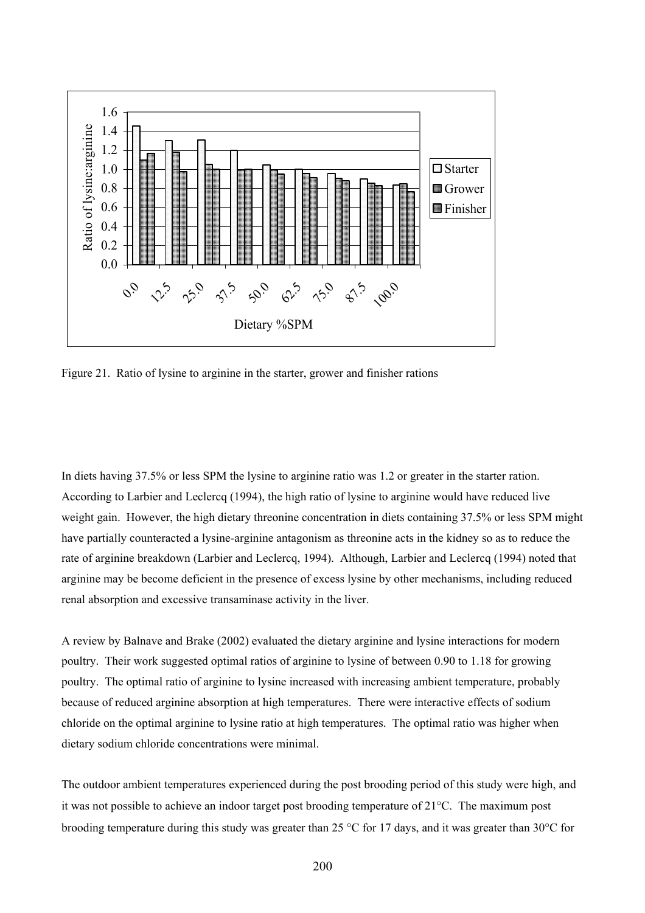

Figure 21. Ratio of lysine to arginine in the starter, grower and finisher rations

In diets having 37.5% or less SPM the lysine to arginine ratio was 1.2 or greater in the starter ration. According to Larbier and Leclercq (1994), the high ratio of lysine to arginine would have reduced live weight gain. However, the high dietary threonine concentration in diets containing 37.5% or less SPM might have partially counteracted a lysine-arginine antagonism as threonine acts in the kidney so as to reduce the rate of arginine breakdown (Larbier and Leclercq, 1994). Although, Larbier and Leclercq (1994) noted that arginine may be become deficient in the presence of excess lysine by other mechanisms, including reduced renal absorption and excessive transaminase activity in the liver.

A review by Balnave and Brake (2002) evaluated the dietary arginine and lysine interactions for modern poultry. Their work suggested optimal ratios of arginine to lysine of between 0.90 to 1.18 for growing poultry. The optimal ratio of arginine to lysine increased with increasing ambient temperature, probably because of reduced arginine absorption at high temperatures. There were interactive effects of sodium chloride on the optimal arginine to lysine ratio at high temperatures. The optimal ratio was higher when dietary sodium chloride concentrations were minimal.

The outdoor ambient temperatures experienced during the post brooding period of this study were high, and it was not possible to achieve an indoor target post brooding temperature of 21°C. The maximum post brooding temperature during this study was greater than 25 °C for 17 days, and it was greater than 30°C for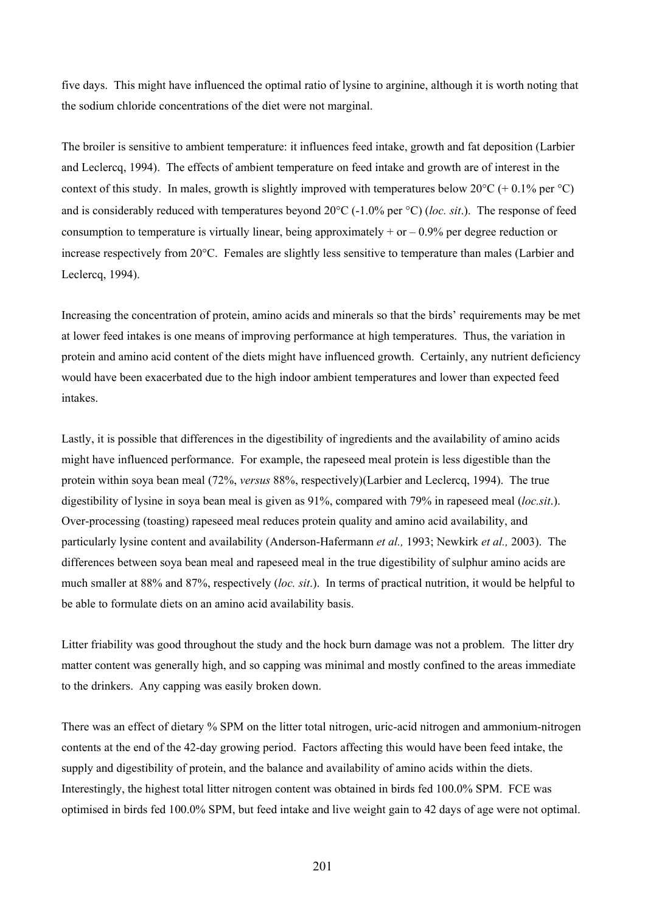five days. This might have influenced the optimal ratio of lysine to arginine, although it is worth noting that the sodium chloride concentrations of the diet were not marginal.

The broiler is sensitive to ambient temperature: it influences feed intake, growth and fat deposition (Larbier and Leclercq, 1994). The effects of ambient temperature on feed intake and growth are of interest in the context of this study. In males, growth is slightly improved with temperatures below  $20^{\circ}C + 0.1\%$  per  $^{\circ}C$ ) and is considerably reduced with temperatures beyond 20°C (-1.0% per °C) (*loc. sit*.). The response of feed consumption to temperature is virtually linear, being approximately  $+$  or  $-0.9\%$  per degree reduction or increase respectively from 20°C. Females are slightly less sensitive to temperature than males (Larbier and Leclercq, 1994).

Increasing the concentration of protein, amino acids and minerals so that the birds' requirements may be met at lower feed intakes is one means of improving performance at high temperatures. Thus, the variation in protein and amino acid content of the diets might have influenced growth. Certainly, any nutrient deficiency would have been exacerbated due to the high indoor ambient temperatures and lower than expected feed intakes.

Lastly, it is possible that differences in the digestibility of ingredients and the availability of amino acids might have influenced performance. For example, the rapeseed meal protein is less digestible than the protein within soya bean meal (72%, *versus* 88%, respectively)(Larbier and Leclercq, 1994). The true digestibility of lysine in soya bean meal is given as 91%, compared with 79% in rapeseed meal (*loc.sit*.). Over-processing (toasting) rapeseed meal reduces protein quality and amino acid availability, and particularly lysine content and availability (Anderson-Hafermann *et al.,* 1993; Newkirk *et al.,* 2003). The differences between soya bean meal and rapeseed meal in the true digestibility of sulphur amino acids are much smaller at 88% and 87%, respectively (*loc. sit*.). In terms of practical nutrition, it would be helpful to be able to formulate diets on an amino acid availability basis.

Litter friability was good throughout the study and the hock burn damage was not a problem. The litter dry matter content was generally high, and so capping was minimal and mostly confined to the areas immediate to the drinkers. Any capping was easily broken down.

There was an effect of dietary % SPM on the litter total nitrogen, uric-acid nitrogen and ammonium-nitrogen contents at the end of the 42-day growing period. Factors affecting this would have been feed intake, the supply and digestibility of protein, and the balance and availability of amino acids within the diets. Interestingly, the highest total litter nitrogen content was obtained in birds fed 100.0% SPM. FCE was optimised in birds fed 100.0% SPM, but feed intake and live weight gain to 42 days of age were not optimal.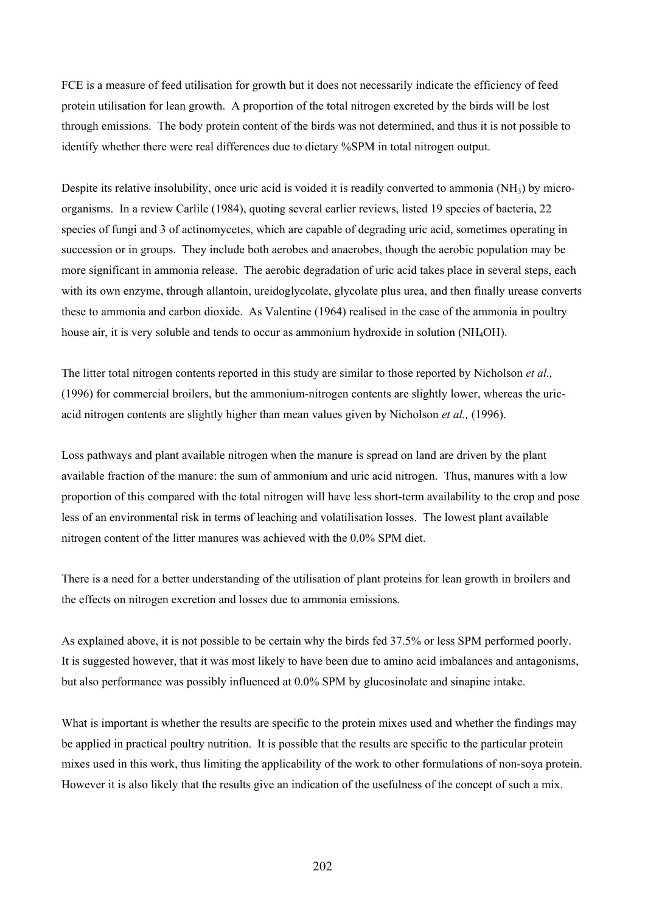FCE is a measure of feed utilisation for growth but it does not necessarily indicate the efficiency of feed protein utilisation for lean growth. A proportion of the total nitrogen excreted by the birds will be lost through emissions. The body protein content of the birds was not determined, and thus it is not possible to identify whether there were real differences due to dietary %SPM in total nitrogen output.

Despite its relative insolubility, once uric acid is voided it is readily converted to ammonia (NH3) by microorganisms. In a review Carlile (1984), quoting several earlier reviews, listed 19 species of bacteria, 22 species of fungi and 3 of actinomycetes, which are capable of degrading uric acid, sometimes operating in succession or in groups. They include both aerobes and anaerobes, though the aerobic population may be more significant in ammonia release. The aerobic degradation of uric acid takes place in several steps, each with its own enzyme, through allantoin, ureidoglycolate, glycolate plus urea, and then finally urease converts these to ammonia and carbon dioxide. As Valentine (1964) realised in the case of the ammonia in poultry house air, it is very soluble and tends to occur as ammonium hydroxide in solution (NH<sub>4</sub>OH).

The litter total nitrogen contents reported in this study are similar to those reported by Nicholson *et al.,* (1996) for commercial broilers, but the ammonium-nitrogen contents are slightly lower, whereas the uricacid nitrogen contents are slightly higher than mean values given by Nicholson *et al.,* (1996).

Loss pathways and plant available nitrogen when the manure is spread on land are driven by the plant available fraction of the manure: the sum of ammonium and uric acid nitrogen. Thus, manures with a low proportion of this compared with the total nitrogen will have less short-term availability to the crop and pose less of an environmental risk in terms of leaching and volatilisation losses. The lowest plant available nitrogen content of the litter manures was achieved with the 0.0% SPM diet.

There is a need for a better understanding of the utilisation of plant proteins for lean growth in broilers and the effects on nitrogen excretion and losses due to ammonia emissions.

As explained above, it is not possible to be certain why the birds fed 37.5% or less SPM performed poorly. It is suggested however, that it was most likely to have been due to amino acid imbalances and antagonisms, but also performance was possibly influenced at 0.0% SPM by glucosinolate and sinapine intake.

What is important is whether the results are specific to the protein mixes used and whether the findings may be applied in practical poultry nutrition. It is possible that the results are specific to the particular protein mixes used in this work, thus limiting the applicability of the work to other formulations of non-soya protein. However it is also likely that the results give an indication of the usefulness of the concept of such a mix.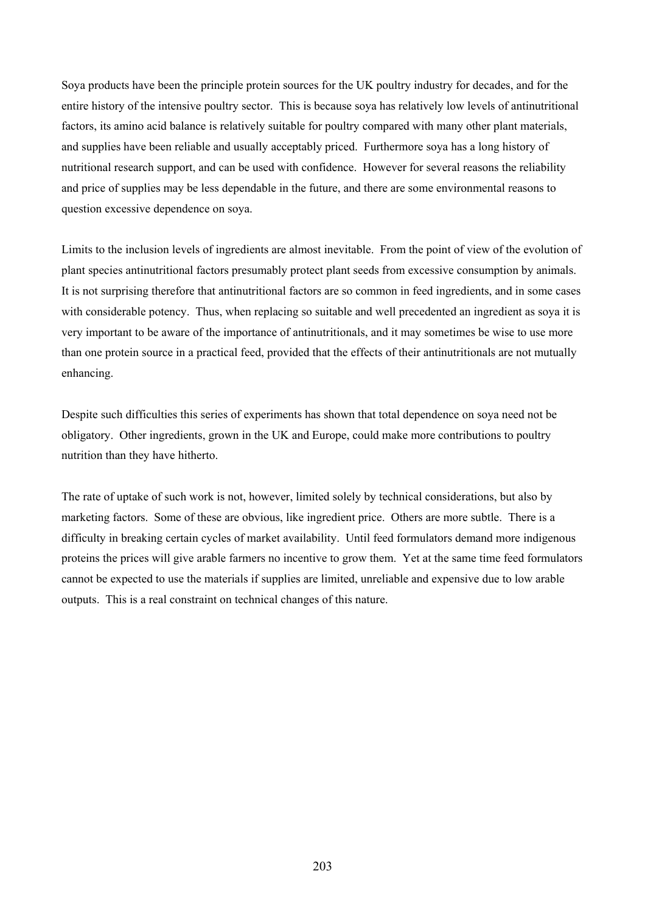Soya products have been the principle protein sources for the UK poultry industry for decades, and for the entire history of the intensive poultry sector. This is because soya has relatively low levels of antinutritional factors, its amino acid balance is relatively suitable for poultry compared with many other plant materials, and supplies have been reliable and usually acceptably priced. Furthermore soya has a long history of nutritional research support, and can be used with confidence. However for several reasons the reliability and price of supplies may be less dependable in the future, and there are some environmental reasons to question excessive dependence on soya.

Limits to the inclusion levels of ingredients are almost inevitable. From the point of view of the evolution of plant species antinutritional factors presumably protect plant seeds from excessive consumption by animals. It is not surprising therefore that antinutritional factors are so common in feed ingredients, and in some cases with considerable potency. Thus, when replacing so suitable and well precedented an ingredient as soya it is very important to be aware of the importance of antinutritionals, and it may sometimes be wise to use more than one protein source in a practical feed, provided that the effects of their antinutritionals are not mutually enhancing.

Despite such difficulties this series of experiments has shown that total dependence on soya need not be obligatory. Other ingredients, grown in the UK and Europe, could make more contributions to poultry nutrition than they have hitherto.

The rate of uptake of such work is not, however, limited solely by technical considerations, but also by marketing factors. Some of these are obvious, like ingredient price. Others are more subtle. There is a difficulty in breaking certain cycles of market availability. Until feed formulators demand more indigenous proteins the prices will give arable farmers no incentive to grow them. Yet at the same time feed formulators cannot be expected to use the materials if supplies are limited, unreliable and expensive due to low arable outputs. This is a real constraint on technical changes of this nature.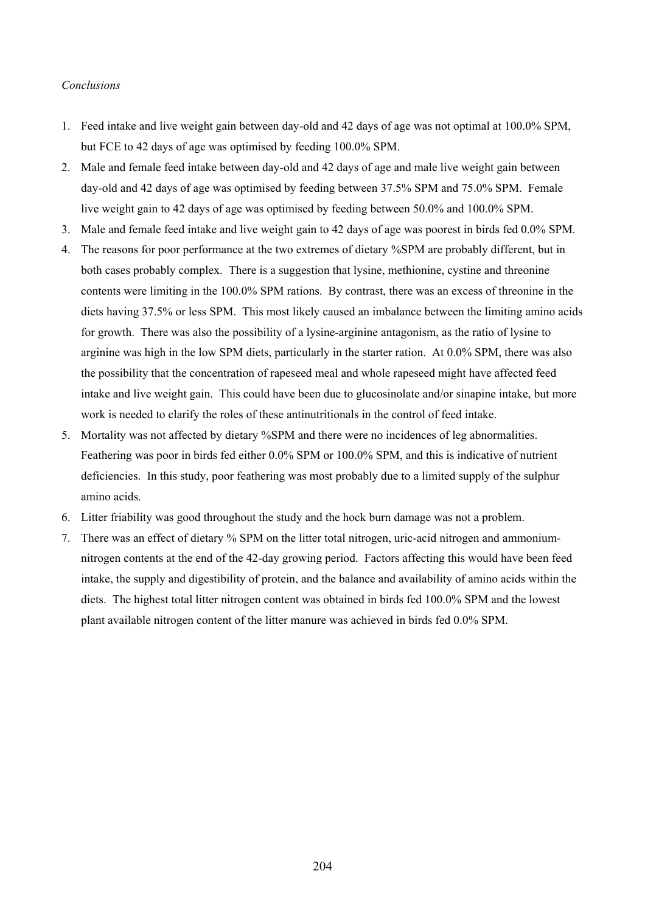### *Conclusions*

- 1. Feed intake and live weight gain between day-old and 42 days of age was not optimal at 100.0% SPM, but FCE to 42 days of age was optimised by feeding 100.0% SPM.
- 2. Male and female feed intake between day-old and 42 days of age and male live weight gain between day-old and 42 days of age was optimised by feeding between 37.5% SPM and 75.0% SPM. Female live weight gain to 42 days of age was optimised by feeding between 50.0% and 100.0% SPM.
- 3. Male and female feed intake and live weight gain to 42 days of age was poorest in birds fed 0.0% SPM.
- 4. The reasons for poor performance at the two extremes of dietary %SPM are probably different, but in both cases probably complex. There is a suggestion that lysine, methionine, cystine and threonine contents were limiting in the 100.0% SPM rations. By contrast, there was an excess of threonine in the diets having 37.5% or less SPM. This most likely caused an imbalance between the limiting amino acids for growth. There was also the possibility of a lysine-arginine antagonism, as the ratio of lysine to arginine was high in the low SPM diets, particularly in the starter ration. At 0.0% SPM, there was also the possibility that the concentration of rapeseed meal and whole rapeseed might have affected feed intake and live weight gain. This could have been due to glucosinolate and/or sinapine intake, but more work is needed to clarify the roles of these antinutritionals in the control of feed intake.
- 5. Mortality was not affected by dietary %SPM and there were no incidences of leg abnormalities. Feathering was poor in birds fed either 0.0% SPM or 100.0% SPM, and this is indicative of nutrient deficiencies. In this study, poor feathering was most probably due to a limited supply of the sulphur amino acids.
- 6. Litter friability was good throughout the study and the hock burn damage was not a problem.
- 7. There was an effect of dietary % SPM on the litter total nitrogen, uric-acid nitrogen and ammoniumnitrogen contents at the end of the 42-day growing period. Factors affecting this would have been feed intake, the supply and digestibility of protein, and the balance and availability of amino acids within the diets. The highest total litter nitrogen content was obtained in birds fed 100.0% SPM and the lowest plant available nitrogen content of the litter manure was achieved in birds fed 0.0% SPM.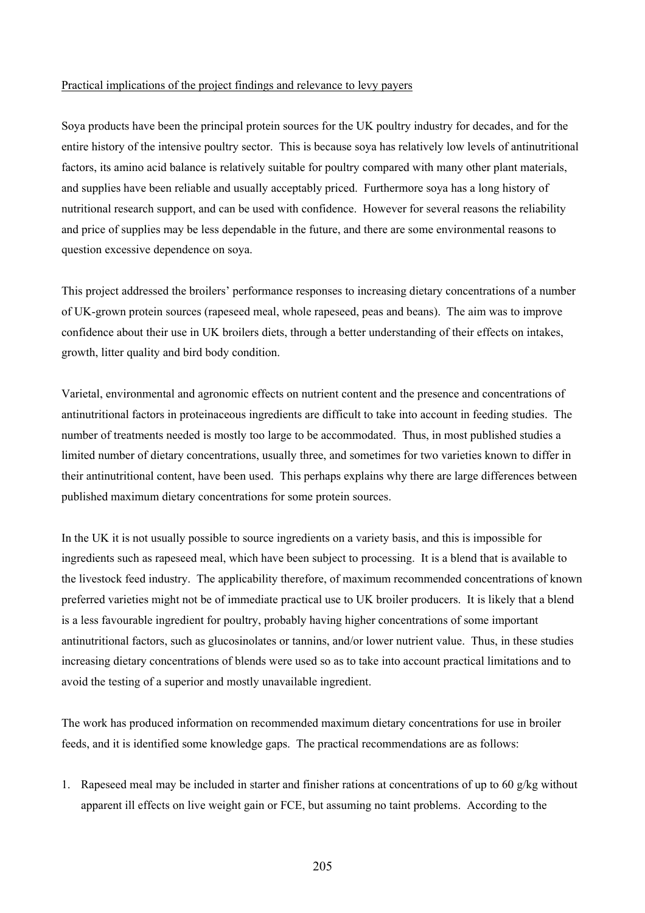#### Practical implications of the project findings and relevance to levy payers

Soya products have been the principal protein sources for the UK poultry industry for decades, and for the entire history of the intensive poultry sector. This is because soya has relatively low levels of antinutritional factors, its amino acid balance is relatively suitable for poultry compared with many other plant materials, and supplies have been reliable and usually acceptably priced. Furthermore soya has a long history of nutritional research support, and can be used with confidence. However for several reasons the reliability and price of supplies may be less dependable in the future, and there are some environmental reasons to question excessive dependence on soya.

This project addressed the broilers' performance responses to increasing dietary concentrations of a number of UK-grown protein sources (rapeseed meal, whole rapeseed, peas and beans). The aim was to improve confidence about their use in UK broilers diets, through a better understanding of their effects on intakes, growth, litter quality and bird body condition.

Varietal, environmental and agronomic effects on nutrient content and the presence and concentrations of antinutritional factors in proteinaceous ingredients are difficult to take into account in feeding studies. The number of treatments needed is mostly too large to be accommodated. Thus, in most published studies a limited number of dietary concentrations, usually three, and sometimes for two varieties known to differ in their antinutritional content, have been used. This perhaps explains why there are large differences between published maximum dietary concentrations for some protein sources.

In the UK it is not usually possible to source ingredients on a variety basis, and this is impossible for ingredients such as rapeseed meal, which have been subject to processing. It is a blend that is available to the livestock feed industry. The applicability therefore, of maximum recommended concentrations of known preferred varieties might not be of immediate practical use to UK broiler producers. It is likely that a blend is a less favourable ingredient for poultry, probably having higher concentrations of some important antinutritional factors, such as glucosinolates or tannins, and/or lower nutrient value. Thus, in these studies increasing dietary concentrations of blends were used so as to take into account practical limitations and to avoid the testing of a superior and mostly unavailable ingredient.

The work has produced information on recommended maximum dietary concentrations for use in broiler feeds, and it is identified some knowledge gaps. The practical recommendations are as follows:

1. Rapeseed meal may be included in starter and finisher rations at concentrations of up to 60 g/kg without apparent ill effects on live weight gain or FCE, but assuming no taint problems. According to the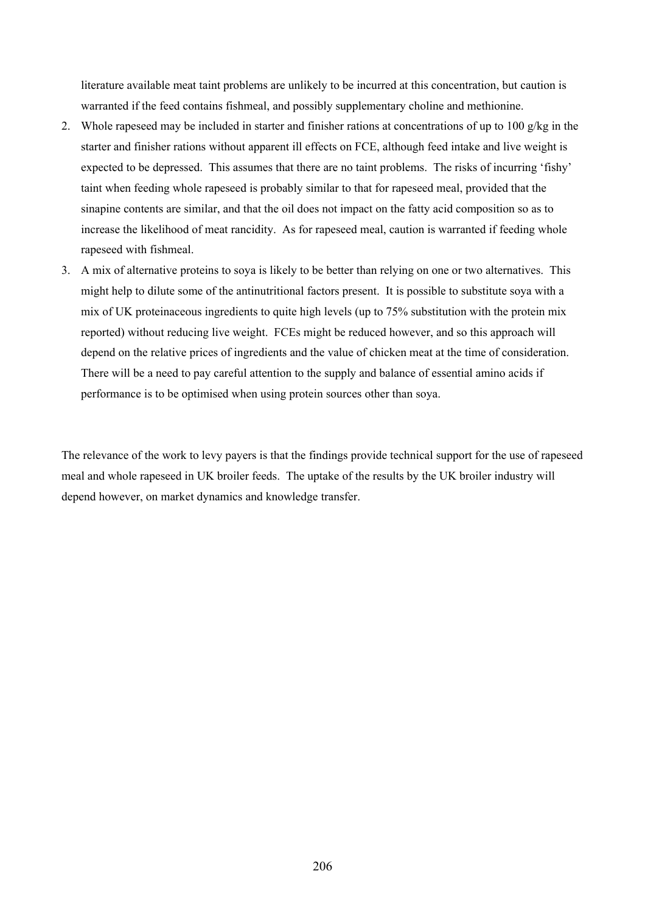literature available meat taint problems are unlikely to be incurred at this concentration, but caution is warranted if the feed contains fishmeal, and possibly supplementary choline and methionine.

- 2. Whole rapeseed may be included in starter and finisher rations at concentrations of up to 100 g/kg in the starter and finisher rations without apparent ill effects on FCE, although feed intake and live weight is expected to be depressed. This assumes that there are no taint problems. The risks of incurring 'fishy' taint when feeding whole rapeseed is probably similar to that for rapeseed meal, provided that the sinapine contents are similar, and that the oil does not impact on the fatty acid composition so as to increase the likelihood of meat rancidity. As for rapeseed meal, caution is warranted if feeding whole rapeseed with fishmeal.
- 3. A mix of alternative proteins to soya is likely to be better than relying on one or two alternatives. This might help to dilute some of the antinutritional factors present. It is possible to substitute soya with a mix of UK proteinaceous ingredients to quite high levels (up to 75% substitution with the protein mix reported) without reducing live weight. FCEs might be reduced however, and so this approach will depend on the relative prices of ingredients and the value of chicken meat at the time of consideration. There will be a need to pay careful attention to the supply and balance of essential amino acids if performance is to be optimised when using protein sources other than soya.

The relevance of the work to levy payers is that the findings provide technical support for the use of rapeseed meal and whole rapeseed in UK broiler feeds. The uptake of the results by the UK broiler industry will depend however, on market dynamics and knowledge transfer.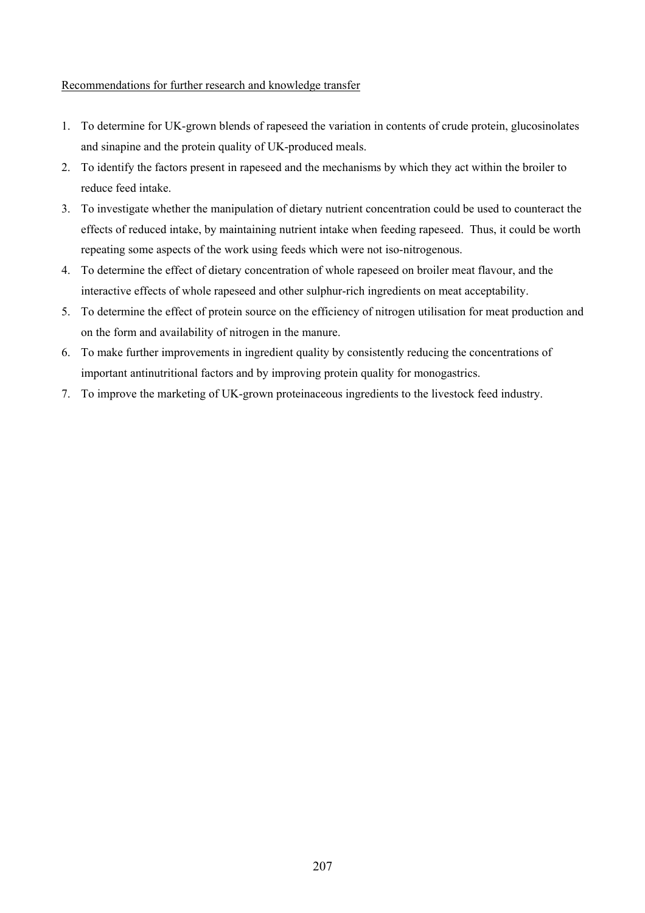## Recommendations for further research and knowledge transfer

- 1. To determine for UK-grown blends of rapeseed the variation in contents of crude protein, glucosinolates and sinapine and the protein quality of UK-produced meals.
- 2. To identify the factors present in rapeseed and the mechanisms by which they act within the broiler to reduce feed intake.
- 3. To investigate whether the manipulation of dietary nutrient concentration could be used to counteract the effects of reduced intake, by maintaining nutrient intake when feeding rapeseed. Thus, it could be worth repeating some aspects of the work using feeds which were not iso-nitrogenous.
- 4. To determine the effect of dietary concentration of whole rapeseed on broiler meat flavour, and the interactive effects of whole rapeseed and other sulphur-rich ingredients on meat acceptability.
- 5. To determine the effect of protein source on the efficiency of nitrogen utilisation for meat production and on the form and availability of nitrogen in the manure.
- 6. To make further improvements in ingredient quality by consistently reducing the concentrations of important antinutritional factors and by improving protein quality for monogastrics.
- 7. To improve the marketing of UK-grown proteinaceous ingredients to the livestock feed industry.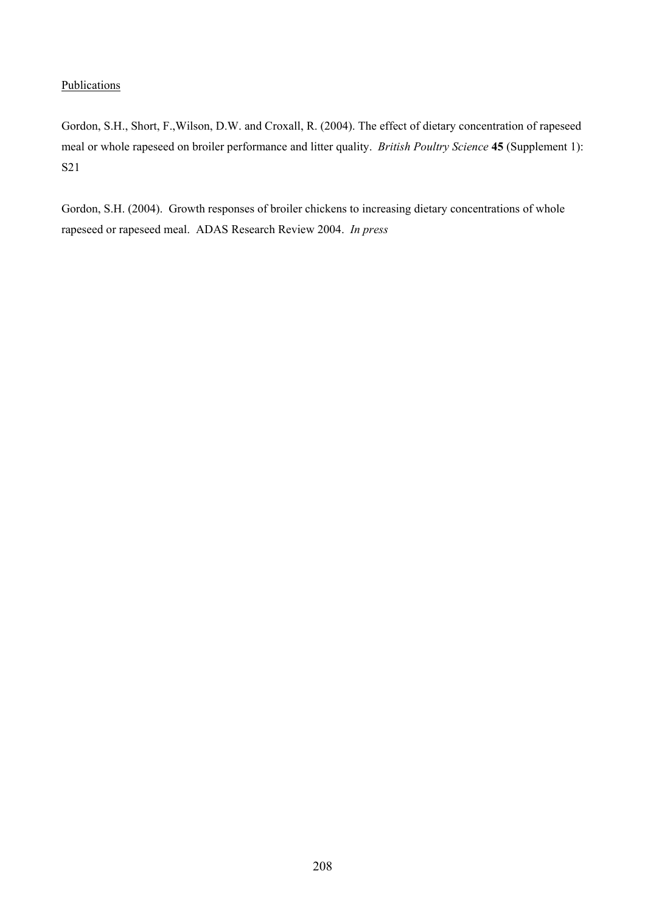# **Publications**

Gordon, S.H., Short, F.,Wilson, D.W. and Croxall, R. (2004). The effect of dietary concentration of rapeseed meal or whole rapeseed on broiler performance and litter quality. *British Poultry Science* **45** (Supplement 1): S21

Gordon, S.H. (2004). Growth responses of broiler chickens to increasing dietary concentrations of whole rapeseed or rapeseed meal. ADAS Research Review 2004. *In press*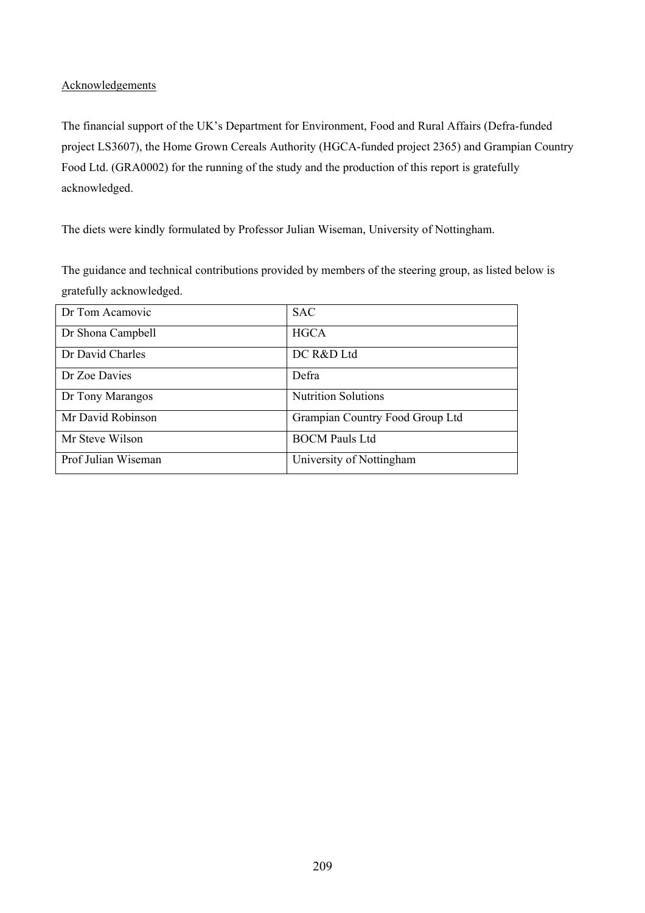# Acknowledgements

The financial support of the UK's Department for Environment, Food and Rural Affairs (Defra-funded project LS3607), the Home Grown Cereals Authority (HGCA-funded project 2365) and Grampian Country Food Ltd. (GRA0002) for the running of the study and the production of this report is gratefully acknowledged.

The diets were kindly formulated by Professor Julian Wiseman, University of Nottingham.

The guidance and technical contributions provided by members of the steering group, as listed below is gratefully acknowledged.

| Dr Tom Acamovic     | <b>SAC</b>                      |
|---------------------|---------------------------------|
| Dr Shona Campbell   | <b>HGCA</b>                     |
| Dr David Charles    | DC R&D Ltd                      |
| Dr Zoe Davies       | Defra                           |
| Dr Tony Marangos    | <b>Nutrition Solutions</b>      |
| Mr David Robinson   | Grampian Country Food Group Ltd |
| Mr Steve Wilson     | <b>BOCM</b> Pauls Ltd           |
| Prof Julian Wiseman | University of Nottingham        |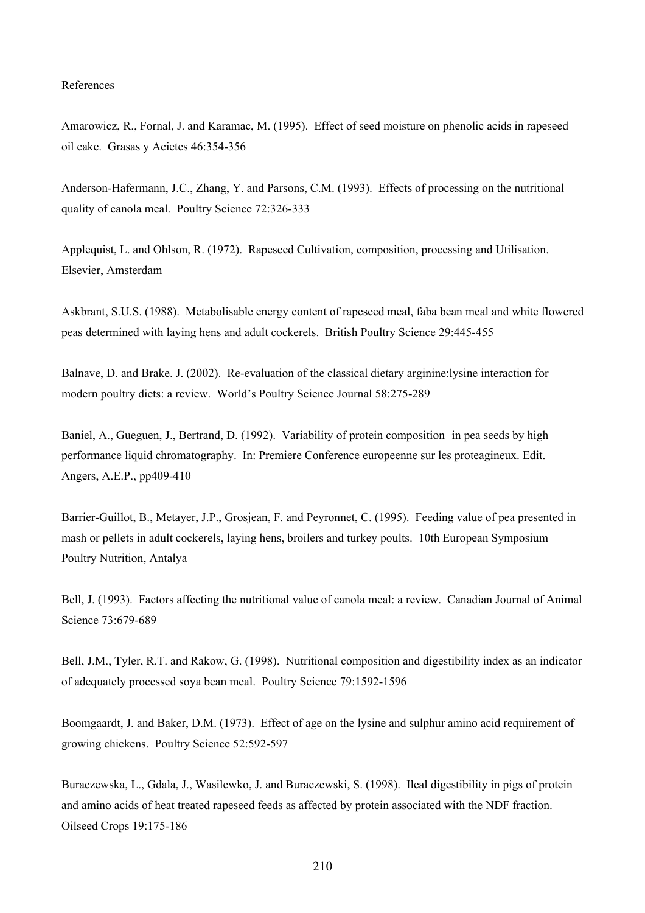#### References

Amarowicz, R., Fornal, J. and Karamac, M. (1995). Effect of seed moisture on phenolic acids in rapeseed oil cake. Grasas y Acietes 46:354-356

Anderson-Hafermann, J.C., Zhang, Y. and Parsons, C.M. (1993). Effects of processing on the nutritional quality of canola meal. Poultry Science 72:326-333

Applequist, L. and Ohlson, R. (1972). Rapeseed Cultivation, composition, processing and Utilisation. Elsevier, Amsterdam

Askbrant, S.U.S. (1988). Metabolisable energy content of rapeseed meal, faba bean meal and white flowered peas determined with laying hens and adult cockerels. British Poultry Science 29:445-455

Balnave, D. and Brake. J. (2002). Re-evaluation of the classical dietary arginine:lysine interaction for modern poultry diets: a review. World's Poultry Science Journal 58:275-289

Baniel, A., Gueguen, J., Bertrand, D. (1992). Variability of protein composition in pea seeds by high performance liquid chromatography. In: Premiere Conference europeenne sur les proteagineux. Edit. Angers, A.E.P., pp409-410

Barrier-Guillot, B., Metayer, J.P., Grosjean, F. and Peyronnet, C. (1995). Feeding value of pea presented in mash or pellets in adult cockerels, laying hens, broilers and turkey poults. 10th European Symposium Poultry Nutrition, Antalya

Bell, J. (1993). Factors affecting the nutritional value of canola meal: a review. Canadian Journal of Animal Science 73:679-689

Bell, J.M., Tyler, R.T. and Rakow, G. (1998). Nutritional composition and digestibility index as an indicator of adequately processed soya bean meal. Poultry Science 79:1592-1596

Boomgaardt, J. and Baker, D.M. (1973). Effect of age on the lysine and sulphur amino acid requirement of growing chickens. Poultry Science 52:592-597

Buraczewska, L., Gdala, J., Wasilewko, J. and Buraczewski, S. (1998). Ileal digestibility in pigs of protein and amino acids of heat treated rapeseed feeds as affected by protein associated with the NDF fraction. Oilseed Crops 19:175-186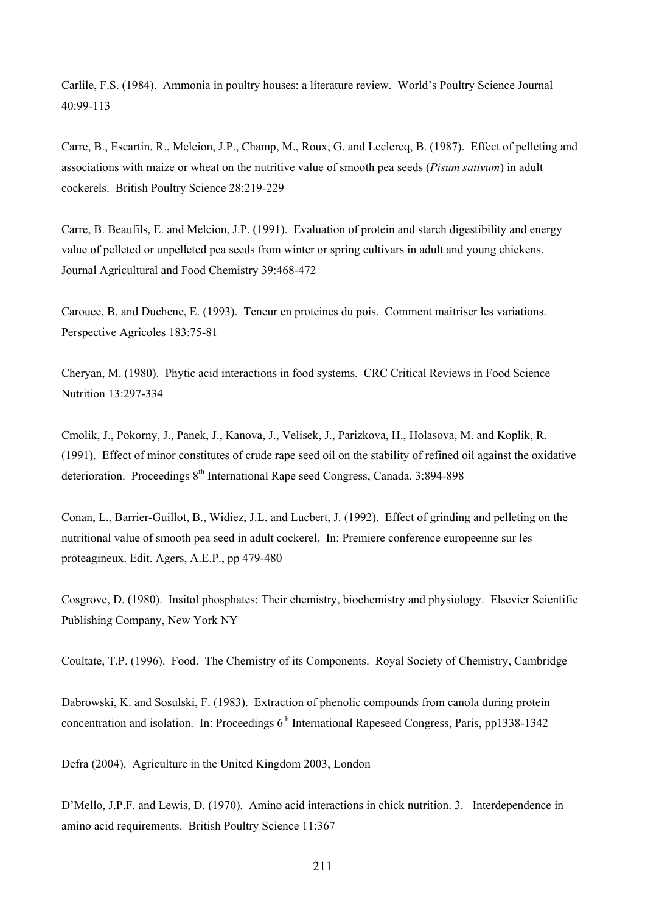Carlile, F.S. (1984). Ammonia in poultry houses: a literature review. World's Poultry Science Journal 40:99-113

Carre, B., Escartin, R., Melcion, J.P., Champ, M., Roux, G. and Leclercq, B. (1987). Effect of pelleting and associations with maize or wheat on the nutritive value of smooth pea seeds (*Pisum sativum*) in adult cockerels. British Poultry Science 28:219-229

Carre, B. Beaufils, E. and Melcion, J.P. (1991). Evaluation of protein and starch digestibility and energy value of pelleted or unpelleted pea seeds from winter or spring cultivars in adult and young chickens. Journal Agricultural and Food Chemistry 39:468-472

Carouee, B. and Duchene, E. (1993). Teneur en proteines du pois. Comment maitriser les variations. Perspective Agricoles 183:75-81

Cheryan, M. (1980). Phytic acid interactions in food systems. CRC Critical Reviews in Food Science Nutrition 13:297-334

Cmolik, J., Pokorny, J., Panek, J., Kanova, J., Velisek, J., Parizkova, H., Holasova, M. and Koplik, R. (1991). Effect of minor constitutes of crude rape seed oil on the stability of refined oil against the oxidative deterioration. Proceedings 8<sup>th</sup> International Rape seed Congress, Canada, 3:894-898

Conan, L., Barrier-Guillot, B., Widiez, J.L. and Lucbert, J. (1992). Effect of grinding and pelleting on the nutritional value of smooth pea seed in adult cockerel. In: Premiere conference europeenne sur les proteagineux. Edit. Agers, A.E.P., pp 479-480

Cosgrove, D. (1980). Insitol phosphates: Their chemistry, biochemistry and physiology. Elsevier Scientific Publishing Company, New York NY

Coultate, T.P. (1996). Food. The Chemistry of its Components. Royal Society of Chemistry, Cambridge

Dabrowski, K. and Sosulski, F. (1983). Extraction of phenolic compounds from canola during protein concentration and isolation. In: Proceedings  $6<sup>th</sup>$  International Rapeseed Congress, Paris, pp1338-1342

Defra (2004). Agriculture in the United Kingdom 2003, London

D'Mello, J.P.F. and Lewis, D. (1970). Amino acid interactions in chick nutrition. 3. Interdependence in amino acid requirements. British Poultry Science 11:367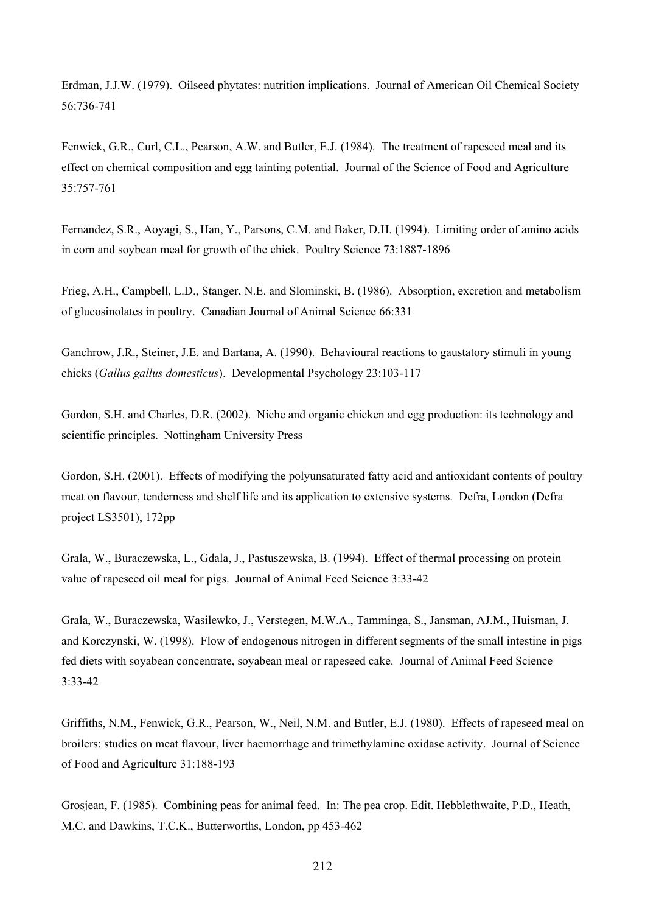Erdman, J.J.W. (1979). Oilseed phytates: nutrition implications. Journal of American Oil Chemical Society 56:736-741

Fenwick, G.R., Curl, C.L., Pearson, A.W. and Butler, E.J. (1984). The treatment of rapeseed meal and its effect on chemical composition and egg tainting potential. Journal of the Science of Food and Agriculture 35:757-761

Fernandez, S.R., Aoyagi, S., Han, Y., Parsons, C.M. and Baker, D.H. (1994). Limiting order of amino acids in corn and soybean meal for growth of the chick. Poultry Science 73:1887-1896

Frieg, A.H., Campbell, L.D., Stanger, N.E. and Slominski, B. (1986). Absorption, excretion and metabolism of glucosinolates in poultry. Canadian Journal of Animal Science 66:331

Ganchrow, J.R., Steiner, J.E. and Bartana, A. (1990). Behavioural reactions to gaustatory stimuli in young chicks (*Gallus gallus domesticus*). Developmental Psychology 23:103-117

Gordon, S.H. and Charles, D.R. (2002). Niche and organic chicken and egg production: its technology and scientific principles. Nottingham University Press

Gordon, S.H. (2001). Effects of modifying the polyunsaturated fatty acid and antioxidant contents of poultry meat on flavour, tenderness and shelf life and its application to extensive systems. Defra, London (Defra project LS3501), 172pp

Grala, W., Buraczewska, L., Gdala, J., Pastuszewska, B. (1994). Effect of thermal processing on protein value of rapeseed oil meal for pigs. Journal of Animal Feed Science 3:33-42

Grala, W., Buraczewska, Wasilewko, J., Verstegen, M.W.A., Tamminga, S., Jansman, AJ.M., Huisman, J. and Korczynski, W. (1998). Flow of endogenous nitrogen in different segments of the small intestine in pigs fed diets with soyabean concentrate, soyabean meal or rapeseed cake. Journal of Animal Feed Science 3:33-42

Griffiths, N.M., Fenwick, G.R., Pearson, W., Neil, N.M. and Butler, E.J. (1980). Effects of rapeseed meal on broilers: studies on meat flavour, liver haemorrhage and trimethylamine oxidase activity. Journal of Science of Food and Agriculture 31:188-193

Grosjean, F. (1985). Combining peas for animal feed. In: The pea crop. Edit. Hebblethwaite, P.D., Heath, M.C. and Dawkins, T.C.K., Butterworths, London, pp 453-462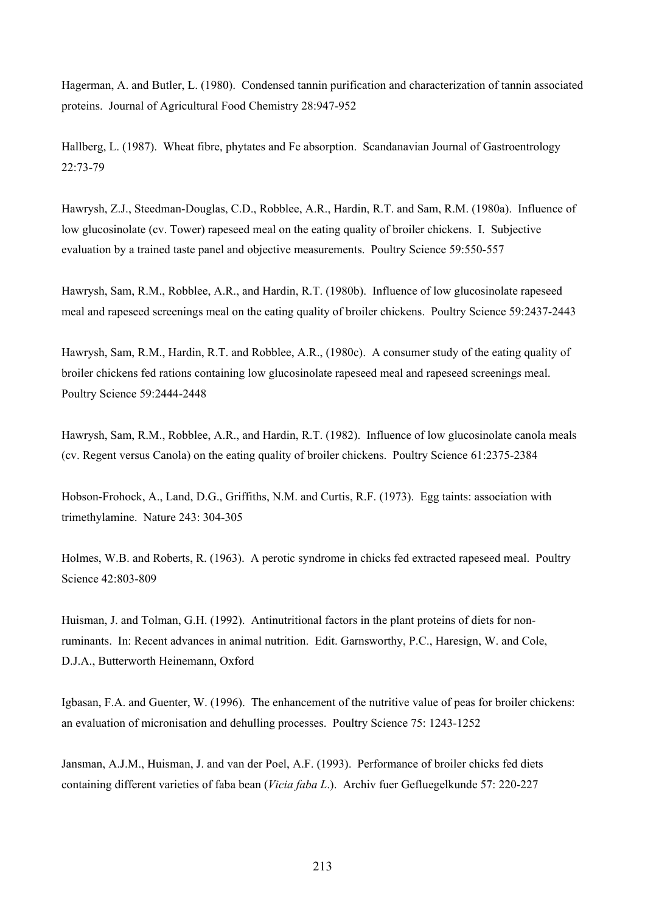Hagerman, A. and Butler, L. (1980). Condensed tannin purification and characterization of tannin associated proteins. Journal of Agricultural Food Chemistry 28:947-952

Hallberg, L. (1987). Wheat fibre, phytates and Fe absorption. Scandanavian Journal of Gastroentrology 22:73-79

Hawrysh, Z.J., Steedman-Douglas, C.D., Robblee, A.R., Hardin, R.T. and Sam, R.M. (1980a). Influence of low glucosinolate (cv. Tower) rapeseed meal on the eating quality of broiler chickens. I. Subjective evaluation by a trained taste panel and objective measurements. Poultry Science 59:550-557

Hawrysh, Sam, R.M., Robblee, A.R., and Hardin, R.T. (1980b). Influence of low glucosinolate rapeseed meal and rapeseed screenings meal on the eating quality of broiler chickens. Poultry Science 59:2437-2443

Hawrysh, Sam, R.M., Hardin, R.T. and Robblee, A.R., (1980c). A consumer study of the eating quality of broiler chickens fed rations containing low glucosinolate rapeseed meal and rapeseed screenings meal. Poultry Science 59:2444-2448

Hawrysh, Sam, R.M., Robblee, A.R., and Hardin, R.T. (1982). Influence of low glucosinolate canola meals (cv. Regent versus Canola) on the eating quality of broiler chickens. Poultry Science 61:2375-2384

Hobson-Frohock, A., Land, D.G., Griffiths, N.M. and Curtis, R.F. (1973). Egg taints: association with trimethylamine. Nature 243: 304-305

Holmes, W.B. and Roberts, R. (1963). A perotic syndrome in chicks fed extracted rapeseed meal. Poultry Science 42:803-809

Huisman, J. and Tolman, G.H. (1992). Antinutritional factors in the plant proteins of diets for nonruminants. In: Recent advances in animal nutrition. Edit. Garnsworthy, P.C., Haresign, W. and Cole, D.J.A., Butterworth Heinemann, Oxford

Igbasan, F.A. and Guenter, W. (1996). The enhancement of the nutritive value of peas for broiler chickens: an evaluation of micronisation and dehulling processes. Poultry Science 75: 1243-1252

Jansman, A.J.M., Huisman, J. and van der Poel, A.F. (1993). Performance of broiler chicks fed diets containing different varieties of faba bean (*Vicia faba L*.). Archiv fuer Gefluegelkunde 57: 220-227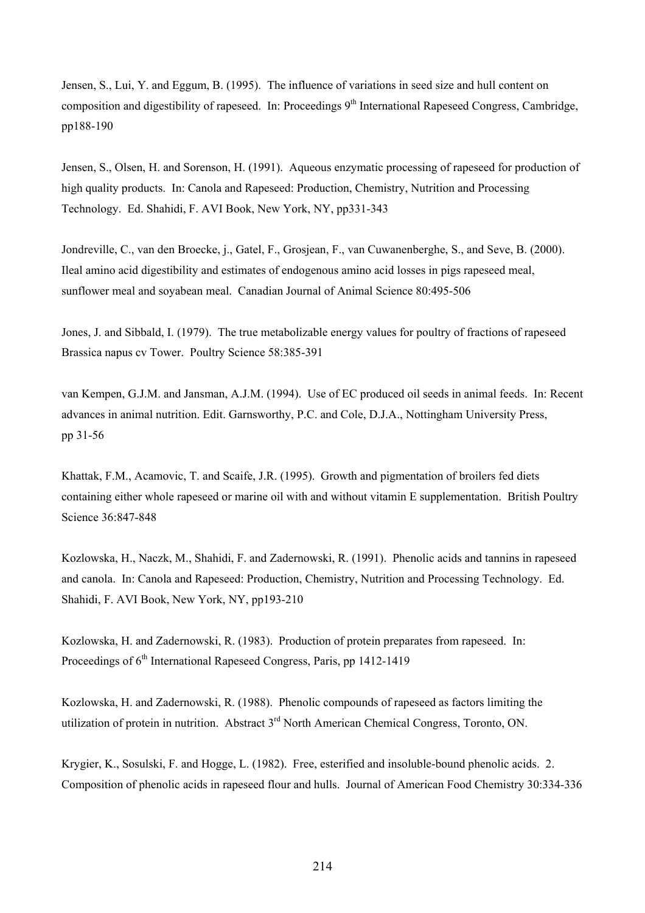Jensen, S., Lui, Y. and Eggum, B. (1995). The influence of variations in seed size and hull content on composition and digestibility of rapeseed. In: Proceedings 9<sup>th</sup> International Rapeseed Congress, Cambridge, pp188-190

Jensen, S., Olsen, H. and Sorenson, H. (1991). Aqueous enzymatic processing of rapeseed for production of high quality products. In: Canola and Rapeseed: Production, Chemistry, Nutrition and Processing Technology. Ed. Shahidi, F. AVI Book, New York, NY, pp331-343

Jondreville, C., van den Broecke, j., Gatel, F., Grosjean, F., van Cuwanenberghe, S., and Seve, B. (2000). Ileal amino acid digestibility and estimates of endogenous amino acid losses in pigs rapeseed meal, sunflower meal and soyabean meal. Canadian Journal of Animal Science 80:495-506

Jones, J. and Sibbald, I. (1979). The true metabolizable energy values for poultry of fractions of rapeseed Brassica napus cv Tower. Poultry Science 58:385-391

van Kempen, G.J.M. and Jansman, A.J.M. (1994). Use of EC produced oil seeds in animal feeds. In: Recent advances in animal nutrition. Edit. Garnsworthy, P.C. and Cole, D.J.A., Nottingham University Press, pp 31-56

Khattak, F.M., Acamovic, T. and Scaife, J.R. (1995). Growth and pigmentation of broilers fed diets containing either whole rapeseed or marine oil with and without vitamin E supplementation. British Poultry Science 36:847-848

Kozlowska, H., Naczk, M., Shahidi, F. and Zadernowski, R. (1991). Phenolic acids and tannins in rapeseed and canola. In: Canola and Rapeseed: Production, Chemistry, Nutrition and Processing Technology. Ed. Shahidi, F. AVI Book, New York, NY, pp193-210

Kozlowska, H. and Zadernowski, R. (1983). Production of protein preparates from rapeseed. In: Proceedings of 6<sup>th</sup> International Rapeseed Congress, Paris, pp 1412-1419

Kozlowska, H. and Zadernowski, R. (1988). Phenolic compounds of rapeseed as factors limiting the utilization of protein in nutrition. Abstract 3<sup>rd</sup> North American Chemical Congress, Toronto, ON.

Krygier, K., Sosulski, F. and Hogge, L. (1982). Free, esterified and insoluble-bound phenolic acids. 2. Composition of phenolic acids in rapeseed flour and hulls. Journal of American Food Chemistry 30:334-336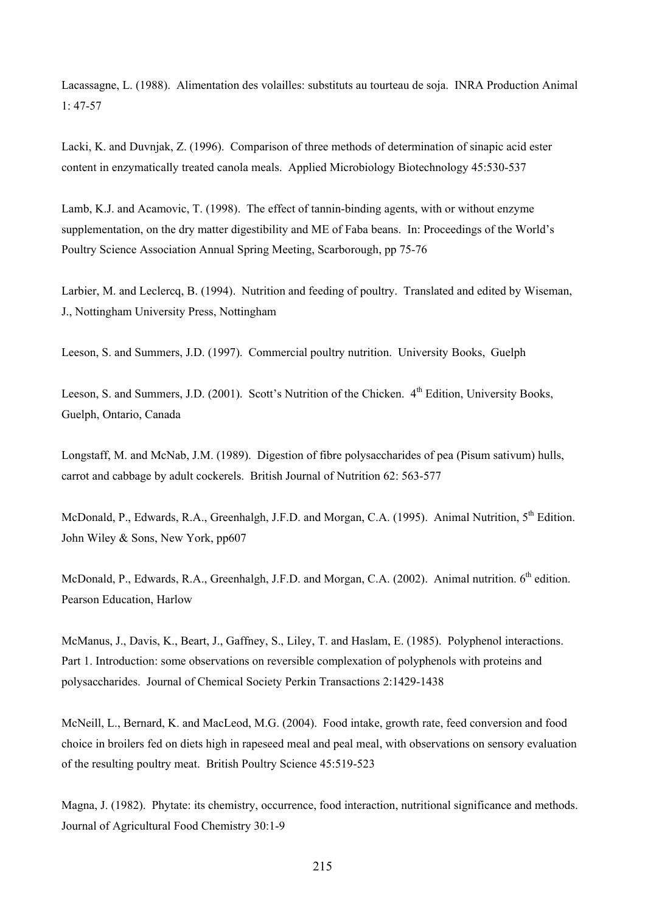Lacassagne, L. (1988). Alimentation des volailles: substituts au tourteau de soja. INRA Production Animal 1: 47-57

Lacki, K. and Duvnjak, Z. (1996). Comparison of three methods of determination of sinapic acid ester content in enzymatically treated canola meals. Applied Microbiology Biotechnology 45:530-537

Lamb, K.J. and Acamovic, T. (1998). The effect of tannin-binding agents, with or without enzyme supplementation, on the dry matter digestibility and ME of Faba beans. In: Proceedings of the World's Poultry Science Association Annual Spring Meeting, Scarborough, pp 75-76

Larbier, M. and Leclercq, B. (1994). Nutrition and feeding of poultry. Translated and edited by Wiseman, J., Nottingham University Press, Nottingham

Leeson, S. and Summers, J.D. (1997). Commercial poultry nutrition. University Books, Guelph

Leeson, S. and Summers, J.D. (2001). Scott's Nutrition of the Chicken. 4<sup>th</sup> Edition, University Books, Guelph, Ontario, Canada

Longstaff, M. and McNab, J.M. (1989). Digestion of fibre polysaccharides of pea (Pisum sativum) hulls, carrot and cabbage by adult cockerels. British Journal of Nutrition 62: 563-577

McDonald, P., Edwards, R.A., Greenhalgh, J.F.D. and Morgan, C.A. (1995). Animal Nutrition, 5<sup>th</sup> Edition. John Wiley & Sons, New York, pp607

McDonald, P., Edwards, R.A., Greenhalgh, J.F.D. and Morgan, C.A. (2002). Animal nutrition. 6<sup>th</sup> edition. Pearson Education, Harlow

McManus, J., Davis, K., Beart, J., Gaffney, S., Liley, T. and Haslam, E. (1985). Polyphenol interactions. Part 1. Introduction: some observations on reversible complexation of polyphenols with proteins and polysaccharides. Journal of Chemical Society Perkin Transactions 2:1429-1438

McNeill, L., Bernard, K. and MacLeod, M.G. (2004). Food intake, growth rate, feed conversion and food choice in broilers fed on diets high in rapeseed meal and peal meal, with observations on sensory evaluation of the resulting poultry meat. British Poultry Science 45:519-523

Magna, J. (1982). Phytate: its chemistry, occurrence, food interaction, nutritional significance and methods. Journal of Agricultural Food Chemistry 30:1-9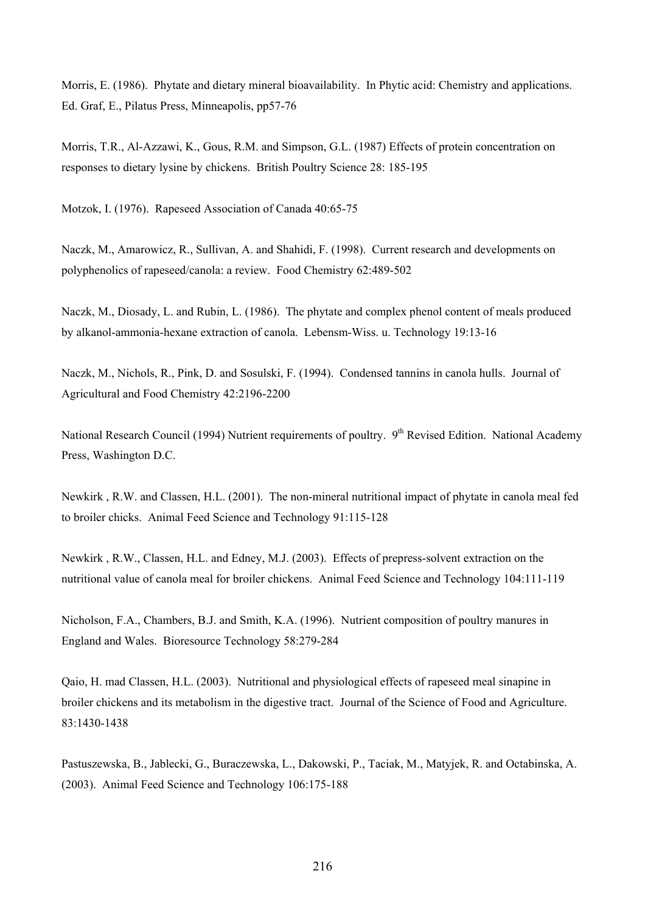Morris, E. (1986). Phytate and dietary mineral bioavailability. In Phytic acid: Chemistry and applications. Ed. Graf, E., Pilatus Press, Minneapolis, pp57-76

Morris, T.R., Al-Azzawi, K., Gous, R.M. and Simpson, G.L. (1987) Effects of protein concentration on responses to dietary lysine by chickens. British Poultry Science 28: 185-195

Motzok, I. (1976). Rapeseed Association of Canada 40:65-75

Naczk, M., Amarowicz, R., Sullivan, A. and Shahidi, F. (1998). Current research and developments on polyphenolics of rapeseed/canola: a review. Food Chemistry 62:489-502

Naczk, M., Diosady, L. and Rubin, L. (1986). The phytate and complex phenol content of meals produced by alkanol-ammonia-hexane extraction of canola. Lebensm-Wiss. u. Technology 19:13-16

Naczk, M., Nichols, R., Pink, D. and Sosulski, F. (1994). Condensed tannins in canola hulls. Journal of Agricultural and Food Chemistry 42:2196-2200

National Research Council (1994) Nutrient requirements of poultry. 9<sup>th</sup> Revised Edition. National Academy Press, Washington D.C.

Newkirk , R.W. and Classen, H.L. (2001). The non-mineral nutritional impact of phytate in canola meal fed to broiler chicks. Animal Feed Science and Technology 91:115-128

Newkirk , R.W., Classen, H.L. and Edney, M.J. (2003). Effects of prepress-solvent extraction on the nutritional value of canola meal for broiler chickens. Animal Feed Science and Technology 104:111-119

Nicholson, F.A., Chambers, B.J. and Smith, K.A. (1996). Nutrient composition of poultry manures in England and Wales. Bioresource Technology 58:279-284

Qaio, H. mad Classen, H.L. (2003). Nutritional and physiological effects of rapeseed meal sinapine in broiler chickens and its metabolism in the digestive tract. Journal of the Science of Food and Agriculture. 83:1430-1438

Pastuszewska, B., Jablecki, G., Buraczewska, L., Dakowski, P., Taciak, M., Matyjek, R. and Octabinska, A. (2003). Animal Feed Science and Technology 106:175-188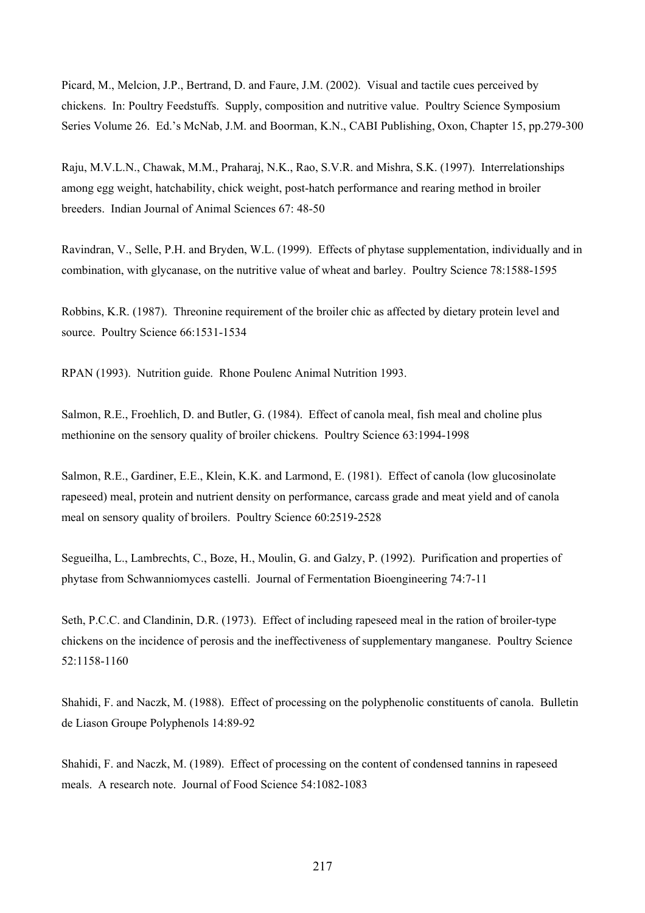Picard, M., Melcion, J.P., Bertrand, D. and Faure, J.M. (2002). Visual and tactile cues perceived by chickens. In: Poultry Feedstuffs. Supply, composition and nutritive value. Poultry Science Symposium Series Volume 26. Ed.'s McNab, J.M. and Boorman, K.N., CABI Publishing, Oxon, Chapter 15, pp.279-300

Raju, M.V.L.N., Chawak, M.M., Praharaj, N.K., Rao, S.V.R. and Mishra, S.K. (1997). Interrelationships among egg weight, hatchability, chick weight, post-hatch performance and rearing method in broiler breeders. Indian Journal of Animal Sciences 67: 48-50

Ravindran, V., Selle, P.H. and Bryden, W.L. (1999). Effects of phytase supplementation, individually and in combination, with glycanase, on the nutritive value of wheat and barley. Poultry Science 78:1588-1595

Robbins, K.R. (1987). Threonine requirement of the broiler chic as affected by dietary protein level and source. Poultry Science 66:1531-1534

RPAN (1993). Nutrition guide. Rhone Poulenc Animal Nutrition 1993.

Salmon, R.E., Froehlich, D. and Butler, G. (1984). Effect of canola meal, fish meal and choline plus methionine on the sensory quality of broiler chickens. Poultry Science 63:1994-1998

Salmon, R.E., Gardiner, E.E., Klein, K.K. and Larmond, E. (1981). Effect of canola (low glucosinolate rapeseed) meal, protein and nutrient density on performance, carcass grade and meat yield and of canola meal on sensory quality of broilers. Poultry Science 60:2519-2528

Segueilha, L., Lambrechts, C., Boze, H., Moulin, G. and Galzy, P. (1992). Purification and properties of phytase from Schwanniomyces castelli. Journal of Fermentation Bioengineering 74:7-11

Seth, P.C.C. and Clandinin, D.R. (1973). Effect of including rapeseed meal in the ration of broiler-type chickens on the incidence of perosis and the ineffectiveness of supplementary manganese. Poultry Science 52:1158-1160

Shahidi, F. and Naczk, M. (1988). Effect of processing on the polyphenolic constituents of canola. Bulletin de Liason Groupe Polyphenols 14:89-92

Shahidi, F. and Naczk, M. (1989). Effect of processing on the content of condensed tannins in rapeseed meals. A research note. Journal of Food Science 54:1082-1083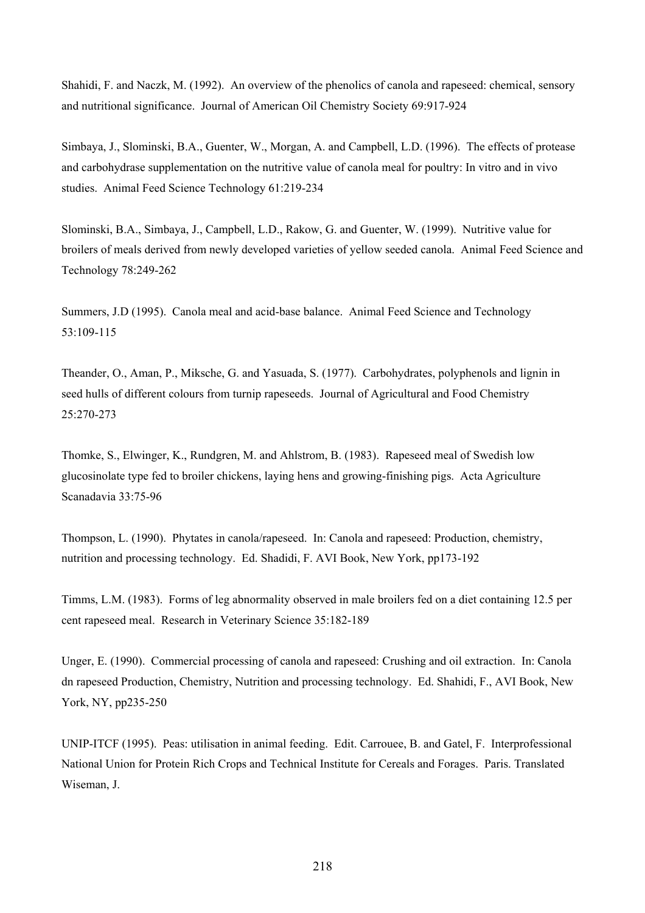Shahidi, F. and Naczk, M. (1992). An overview of the phenolics of canola and rapeseed: chemical, sensory and nutritional significance. Journal of American Oil Chemistry Society 69:917-924

Simbaya, J., Slominski, B.A., Guenter, W., Morgan, A. and Campbell, L.D. (1996). The effects of protease and carbohydrase supplementation on the nutritive value of canola meal for poultry: In vitro and in vivo studies. Animal Feed Science Technology 61:219-234

Slominski, B.A., Simbaya, J., Campbell, L.D., Rakow, G. and Guenter, W. (1999). Nutritive value for broilers of meals derived from newly developed varieties of yellow seeded canola. Animal Feed Science and Technology 78:249-262

Summers, J.D (1995). Canola meal and acid-base balance. Animal Feed Science and Technology 53:109-115

Theander, O., Aman, P., Miksche, G. and Yasuada, S. (1977). Carbohydrates, polyphenols and lignin in seed hulls of different colours from turnip rapeseeds. Journal of Agricultural and Food Chemistry 25:270-273

Thomke, S., Elwinger, K., Rundgren, M. and Ahlstrom, B. (1983). Rapeseed meal of Swedish low glucosinolate type fed to broiler chickens, laying hens and growing-finishing pigs. Acta Agriculture Scanadavia 33:75-96

Thompson, L. (1990). Phytates in canola/rapeseed. In: Canola and rapeseed: Production, chemistry, nutrition and processing technology. Ed. Shadidi, F. AVI Book, New York, pp173-192

Timms, L.M. (1983). Forms of leg abnormality observed in male broilers fed on a diet containing 12.5 per cent rapeseed meal. Research in Veterinary Science 35:182-189

Unger, E. (1990). Commercial processing of canola and rapeseed: Crushing and oil extraction. In: Canola dn rapeseed Production, Chemistry, Nutrition and processing technology. Ed. Shahidi, F., AVI Book, New York, NY, pp235-250

UNIP-ITCF (1995). Peas: utilisation in animal feeding. Edit. Carrouee, B. and Gatel, F. Interprofessional National Union for Protein Rich Crops and Technical Institute for Cereals and Forages. Paris. Translated Wiseman, J.